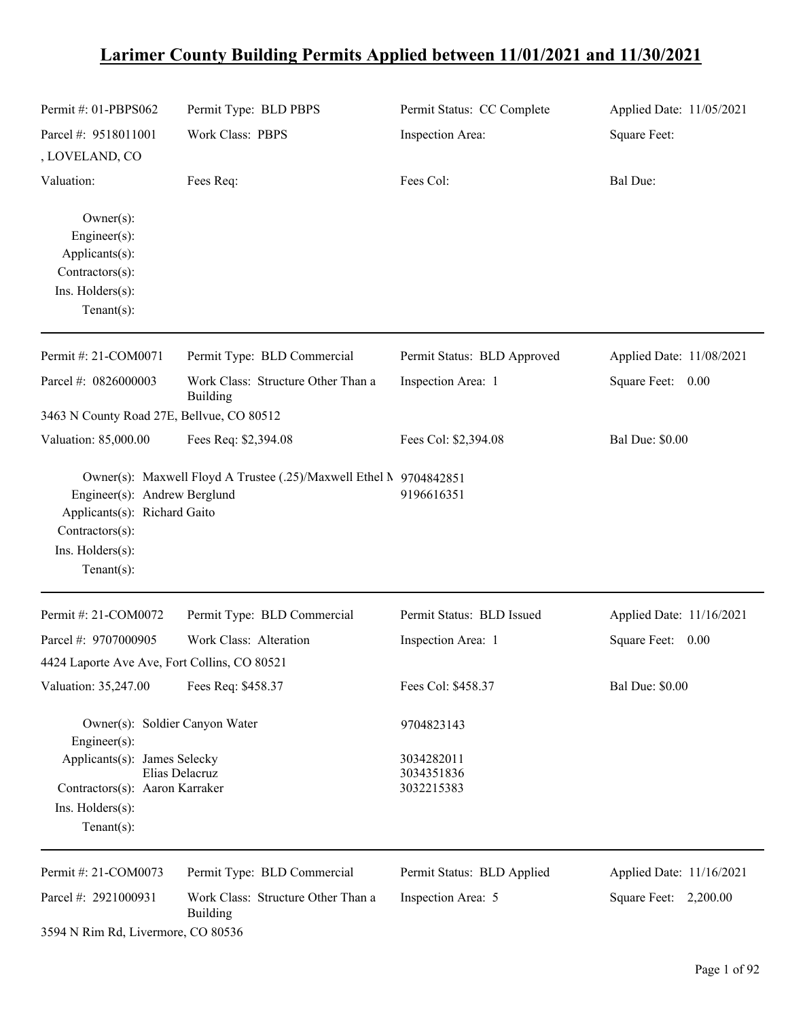# **Larimer County Building Permits Applied between 11/01/2021 and 11/30/2021**

| Permit #: 01-PBPS062                                                                                                  | Permit Type: BLD PBPS                                              | Permit Status: CC Complete             | Applied Date: 11/05/2021 |
|-----------------------------------------------------------------------------------------------------------------------|--------------------------------------------------------------------|----------------------------------------|--------------------------|
| Parcel #: 9518011001<br>, LOVELAND, CO                                                                                | Work Class: PBPS                                                   | Inspection Area:                       | Square Feet:             |
| Valuation:                                                                                                            | Fees Req:                                                          | Fees Col:                              | <b>Bal Due:</b>          |
| $Owner(s)$ :<br>$Engineering(s)$ :<br>Applicants(s):<br>Contractors(s):<br>Ins. Holders(s):<br>Tenant $(s)$ :         |                                                                    |                                        |                          |
| Permit#: 21-COM0071                                                                                                   | Permit Type: BLD Commercial                                        | Permit Status: BLD Approved            | Applied Date: 11/08/2021 |
| Parcel #: 0826000003                                                                                                  | Work Class: Structure Other Than a<br>Building                     | Inspection Area: 1                     | Square Feet: 0.00        |
| 3463 N County Road 27E, Bellvue, CO 80512                                                                             |                                                                    |                                        |                          |
| Valuation: 85,000.00                                                                                                  | Fees Req: \$2,394.08                                               | Fees Col: \$2,394.08                   | <b>Bal Due: \$0.00</b>   |
| Engineer(s): Andrew Berglund<br>Applicants(s): Richard Gaito<br>Contractors(s):<br>Ins. Holders(s):<br>Tenant $(s)$ : | Owner(s): Maxwell Floyd A Trustee (.25)/Maxwell Ethel M 9704842851 | 9196616351                             |                          |
| Permit #: 21-COM0072                                                                                                  | Permit Type: BLD Commercial                                        | Permit Status: BLD Issued              | Applied Date: 11/16/2021 |
| Parcel #: 9707000905                                                                                                  | Work Class: Alteration                                             | Inspection Area: 1                     | Square Feet: 0.00        |
| 4424 Laporte Ave Ave, Fort Collins, CO 80521                                                                          |                                                                    |                                        |                          |
| Valuation: 35,247.00                                                                                                  | Fees Req: \$458.37                                                 | Fees Col: \$458.37                     | Bal Due: \$0.00          |
| Owner(s): Soldier Canyon Water<br>Engineer(s):                                                                        |                                                                    | 9704823143                             |                          |
| Applicants(s): James Selecky<br>Contractors(s): Aaron Karraker<br>$Ins.$ Holders $(s)$ :<br>Tenant $(s)$ :            | Elias Delacruz                                                     | 3034282011<br>3034351836<br>3032215383 |                          |
| Permit #: 21-COM0073                                                                                                  | Permit Type: BLD Commercial                                        | Permit Status: BLD Applied             | Applied Date: 11/16/2021 |
| Parcel #: 2921000931                                                                                                  | Work Class: Structure Other Than a<br><b>Building</b>              | Inspection Area: 5                     | Square Feet: 2,200.00    |
| 3594 N Rim Rd, Livermore, CO 80536                                                                                    |                                                                    |                                        |                          |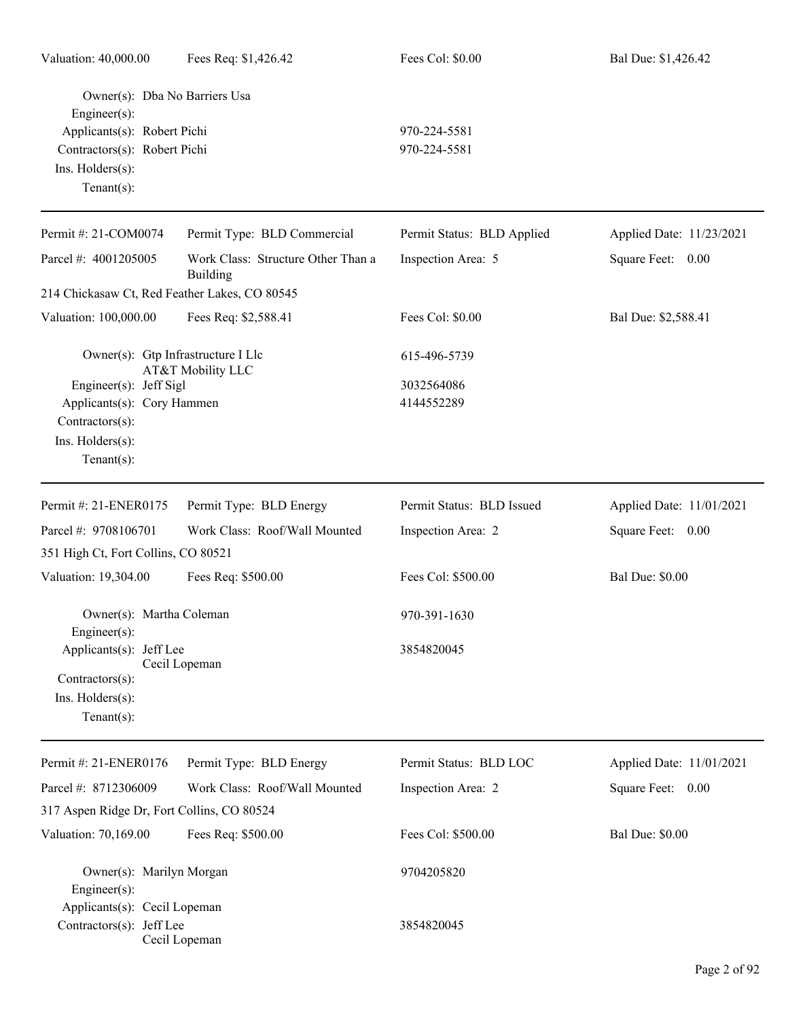| Valuation: 40,000.00                                                                                                                                | Fees Req: \$1,426.42                           | Fees Col: \$0.00                         | Bal Due: \$1,426.42      |
|-----------------------------------------------------------------------------------------------------------------------------------------------------|------------------------------------------------|------------------------------------------|--------------------------|
| Owner(s): Dba No Barriers Usa<br>Engineer(s):<br>Applicants(s): Robert Pichi<br>Contractors(s): Robert Pichi<br>Ins. Holders(s):<br>Tenant $(s)$ :  |                                                | 970-224-5581<br>970-224-5581             |                          |
| Permit #: 21-COM0074                                                                                                                                | Permit Type: BLD Commercial                    | Permit Status: BLD Applied               | Applied Date: 11/23/2021 |
| Parcel #: 4001205005                                                                                                                                | Work Class: Structure Other Than a<br>Building | Inspection Area: 5                       | Square Feet: 0.00        |
| 214 Chickasaw Ct, Red Feather Lakes, CO 80545                                                                                                       |                                                |                                          |                          |
| Valuation: 100,000.00                                                                                                                               | Fees Req: \$2,588.41                           | Fees Col: \$0.00                         | Bal Due: \$2,588.41      |
| Owner(s): Gtp Infrastructure I Llc<br>Engineer(s): Jeff Sigl<br>Applicants(s): Cory Hammen<br>Contractors(s):<br>Ins. Holders(s):<br>Tenant $(s)$ : | AT&T Mobility LLC                              | 615-496-5739<br>3032564086<br>4144552289 |                          |
| Permit #: 21-ENER0175                                                                                                                               | Permit Type: BLD Energy                        | Permit Status: BLD Issued                | Applied Date: 11/01/2021 |
| Parcel #: 9708106701<br>351 High Ct, Fort Collins, CO 80521                                                                                         | Work Class: Roof/Wall Mounted                  | Inspection Area: 2                       | Square Feet: 0.00        |
|                                                                                                                                                     |                                                |                                          |                          |
| Valuation: 19,304.00                                                                                                                                | Fees Req: \$500.00                             | Fees Col: \$500.00                       | <b>Bal Due: \$0.00</b>   |
| Owner(s): Martha Coleman<br>Engineer(s):                                                                                                            |                                                | 970-391-1630                             |                          |
| Applicants(s): Jeff Lee<br>Contractors(s):<br>$Ins.$ Holders $(s)$ :<br>Tenant $(s)$ :                                                              | Cecil Lopeman                                  | 3854820045                               |                          |
| Permit #: 21-ENER0176                                                                                                                               | Permit Type: BLD Energy                        | Permit Status: BLD LOC                   | Applied Date: 11/01/2021 |
| Parcel #: 8712306009                                                                                                                                | Work Class: Roof/Wall Mounted                  | Inspection Area: 2                       | Square Feet: 0.00        |
| 317 Aspen Ridge Dr, Fort Collins, CO 80524                                                                                                          |                                                |                                          |                          |
| Valuation: 70,169.00                                                                                                                                | Fees Req: \$500.00                             | Fees Col: \$500.00                       | <b>Bal Due: \$0.00</b>   |
| Owner(s): Marilyn Morgan<br>Engineer(s):<br>Applicants(s): Cecil Lopeman                                                                            |                                                | 9704205820                               |                          |
| Contractors(s): Jeff Lee                                                                                                                            | Cecil Lopeman                                  | 3854820045                               |                          |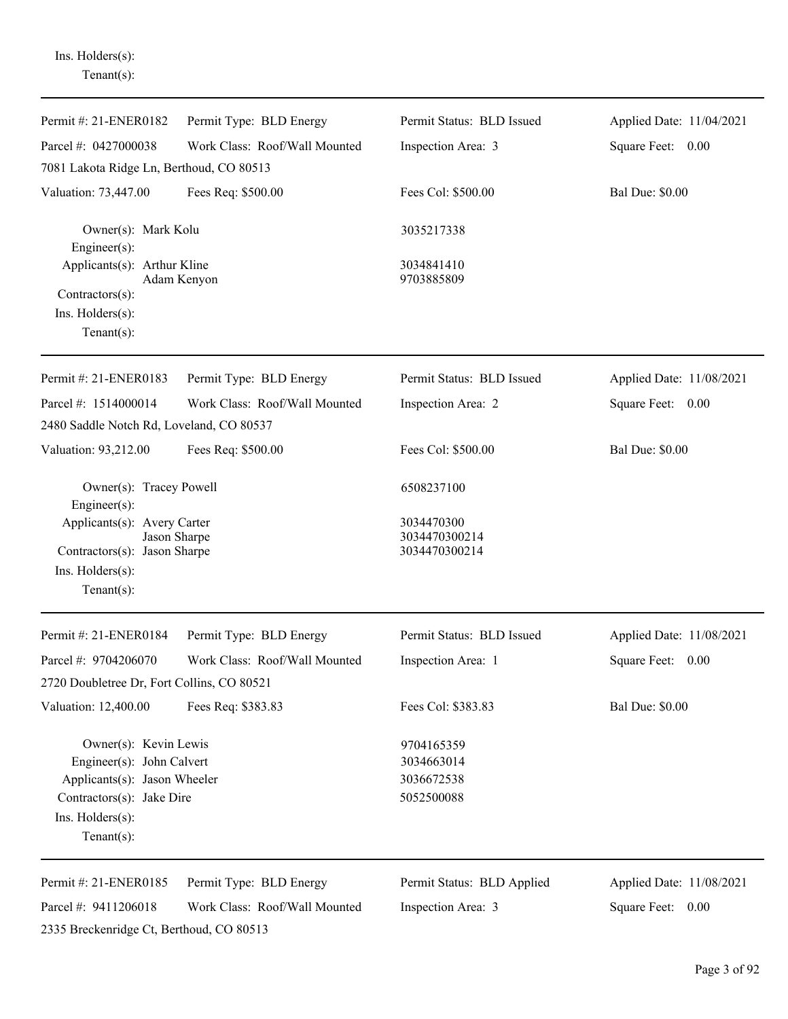Ins. Holders(s): Tenant(s):

| Permit #: 21-ENER0182                                                                                                                                 | Permit Type: BLD Energy       | Permit Status: BLD Issued                            | Applied Date: 11/04/2021 |
|-------------------------------------------------------------------------------------------------------------------------------------------------------|-------------------------------|------------------------------------------------------|--------------------------|
| Parcel #: 0427000038                                                                                                                                  | Work Class: Roof/Wall Mounted | Inspection Area: 3                                   | Square Feet: 0.00        |
| 7081 Lakota Ridge Ln, Berthoud, CO 80513                                                                                                              |                               |                                                      |                          |
| Valuation: 73,447.00                                                                                                                                  | Fees Req: \$500.00            | Fees Col: \$500.00                                   | <b>Bal Due: \$0.00</b>   |
| Owner(s): Mark Kolu<br>Engineer $(s)$ :                                                                                                               |                               | 3035217338                                           |                          |
| Applicants(s): Arthur Kline<br>$Contractors(s)$ :<br>Ins. Holders(s):<br>$Tenant(s)$ :                                                                | Adam Kenyon                   | 3034841410<br>9703885809                             |                          |
| Permit #: 21-ENER0183                                                                                                                                 | Permit Type: BLD Energy       | Permit Status: BLD Issued                            | Applied Date: 11/08/2021 |
| Parcel #: 1514000014                                                                                                                                  | Work Class: Roof/Wall Mounted | Inspection Area: 2                                   | Square Feet: 0.00        |
| 2480 Saddle Notch Rd, Loveland, CO 80537                                                                                                              |                               |                                                      |                          |
| Valuation: 93,212.00                                                                                                                                  | Fees Req: \$500.00            | Fees Col: \$500.00                                   | <b>Bal Due: \$0.00</b>   |
| Owner(s): Tracey Powell<br>Engineer(s):                                                                                                               |                               | 6508237100                                           |                          |
| Applicants(s): Avery Carter<br>Jason Sharpe<br>Contractors(s): Jason Sharpe<br>Ins. Holders(s):<br>Tenant $(s)$ :                                     |                               | 3034470300<br>3034470300214<br>3034470300214         |                          |
| Permit #: 21-ENER0184                                                                                                                                 | Permit Type: BLD Energy       | Permit Status: BLD Issued                            | Applied Date: 11/08/2021 |
| Parcel #: 9704206070<br>2720 Doubletree Dr, Fort Collins, CO 80521                                                                                    | Work Class: Roof/Wall Mounted | Inspection Area: 1                                   | Square Feet: 0.00        |
| Valuation: 12,400.00                                                                                                                                  | Fees Req: \$383.83            | Fees Col: \$383.83                                   | <b>Bal Due: \$0.00</b>   |
| Owner(s): Kevin Lewis<br>Engineer(s): John Calvert<br>Applicants(s): Jason Wheeler<br>Contractors(s): Jake Dire<br>Ins. Holders(s):<br>Tenant $(s)$ : |                               | 9704165359<br>3034663014<br>3036672538<br>5052500088 |                          |
| Permit #: 21-ENER0185                                                                                                                                 | Permit Type: BLD Energy       | Permit Status: BLD Applied                           | Applied Date: 11/08/2021 |
| Parcel #: 9411206018<br>2335 Breckenridge Ct, Berthoud, CO 80513                                                                                      | Work Class: Roof/Wall Mounted | Inspection Area: 3                                   | Square Feet: 0.00        |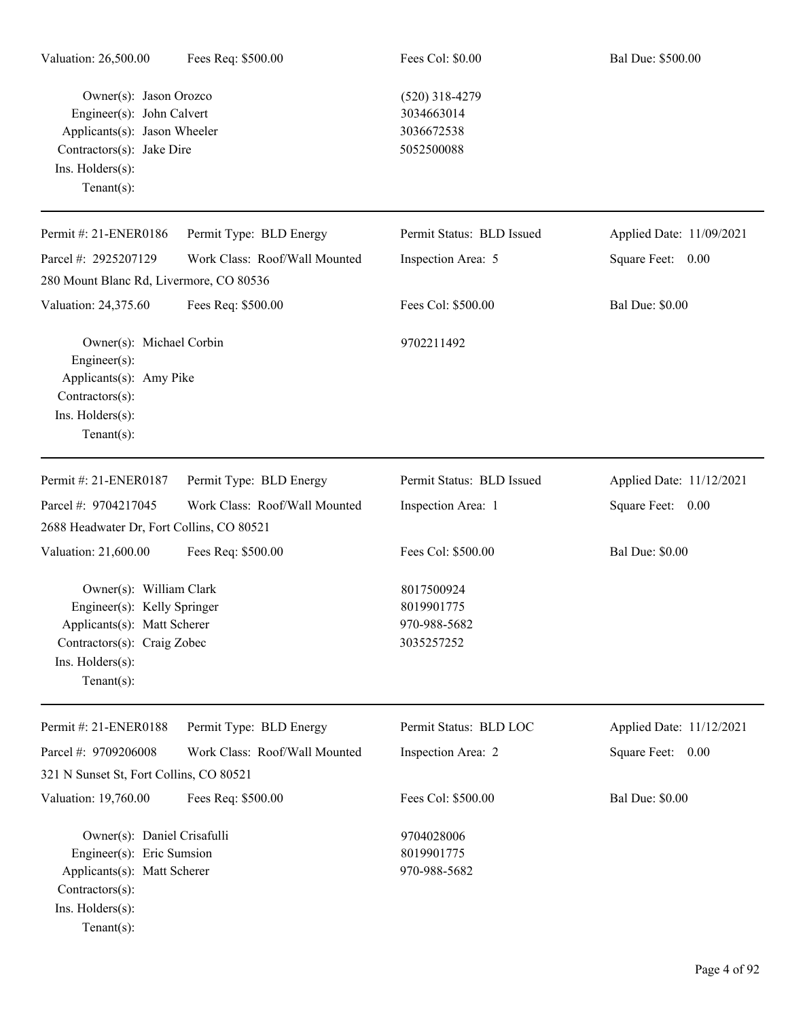| Valuation: 26,500.00                                                                                                                                       | Fees Req: \$500.00            | Fees Col: \$0.00                                           | Bal Due: \$500.00        |
|------------------------------------------------------------------------------------------------------------------------------------------------------------|-------------------------------|------------------------------------------------------------|--------------------------|
| Owner(s): Jason Orozco<br>Engineer(s): John Calvert<br>Applicants(s): Jason Wheeler<br>Contractors(s): Jake Dire<br>Ins. Holders(s):<br>Tenant $(s)$ :     |                               | $(520)$ 318-4279<br>3034663014<br>3036672538<br>5052500088 |                          |
| Permit #: 21-ENER0186                                                                                                                                      | Permit Type: BLD Energy       | Permit Status: BLD Issued                                  | Applied Date: 11/09/2021 |
| Parcel #: 2925207129                                                                                                                                       | Work Class: Roof/Wall Mounted | Inspection Area: 5                                         | Square Feet: 0.00        |
| 280 Mount Blanc Rd, Livermore, CO 80536                                                                                                                    |                               |                                                            |                          |
| Valuation: 24,375.60                                                                                                                                       | Fees Req: \$500.00            | Fees Col: \$500.00                                         | <b>Bal Due: \$0.00</b>   |
| Owner(s): Michael Corbin<br>Engineer $(s)$ :<br>Applicants(s): Amy Pike<br>Contractors(s):<br>Ins. Holders(s):<br>Tenant $(s)$ :                           |                               | 9702211492                                                 |                          |
| Permit #: 21-ENER0187                                                                                                                                      | Permit Type: BLD Energy       | Permit Status: BLD Issued                                  | Applied Date: 11/12/2021 |
| Parcel #: 9704217045<br>2688 Headwater Dr, Fort Collins, CO 80521                                                                                          | Work Class: Roof/Wall Mounted | Inspection Area: 1                                         | Square Feet: 0.00        |
| Valuation: 21,600.00                                                                                                                                       | Fees Req: \$500.00            | Fees Col: \$500.00                                         | <b>Bal Due: \$0.00</b>   |
| Owner(s): William Clark<br>Engineer(s): Kelly Springer<br>Applicants(s): Matt Scherer<br>Contractors(s): Craig Zobec<br>Ins. Holders(s):<br>Tenant $(s)$ : |                               | 8017500924<br>8019901775<br>970-988-5682<br>3035257252     |                          |
| Permit #: 21-ENER0188                                                                                                                                      | Permit Type: BLD Energy       | Permit Status: BLD LOC                                     | Applied Date: 11/12/2021 |
| Parcel #: 9709206008                                                                                                                                       | Work Class: Roof/Wall Mounted | Inspection Area: 2                                         | Square Feet: 0.00        |
| 321 N Sunset St, Fort Collins, CO 80521                                                                                                                    |                               |                                                            |                          |
| Valuation: 19,760.00                                                                                                                                       | Fees Req: \$500.00            | Fees Col: \$500.00                                         | <b>Bal Due: \$0.00</b>   |
| Owner(s): Daniel Crisafulli<br>Engineer(s): Eric Sumsion<br>Applicants(s): Matt Scherer<br>Contractors(s):<br>Ins. Holders(s):<br>Tenant $(s)$ :           |                               | 9704028006<br>8019901775<br>970-988-5682                   |                          |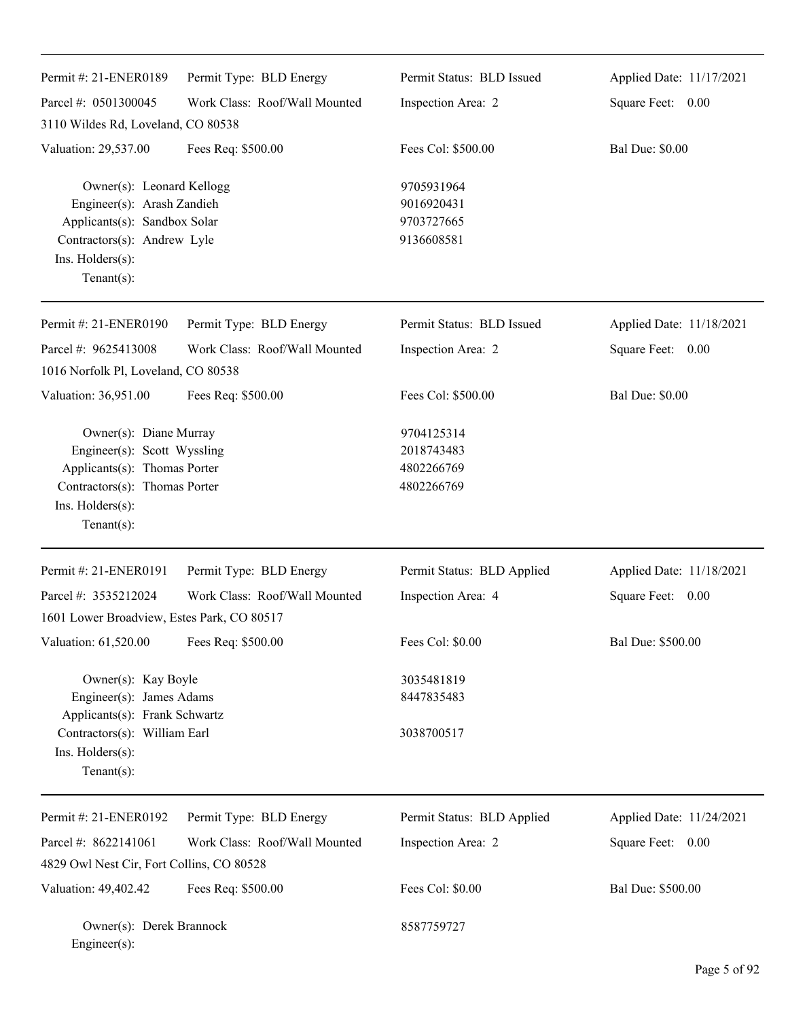| Permit #: 21-ENER0189                                                                                                                                               | Permit Type: BLD Energy       | Permit Status: BLD Issued                            | Applied Date: 11/17/2021 |
|---------------------------------------------------------------------------------------------------------------------------------------------------------------------|-------------------------------|------------------------------------------------------|--------------------------|
| Parcel #: 0501300045                                                                                                                                                | Work Class: Roof/Wall Mounted | Inspection Area: 2                                   | Square Feet: 0.00        |
| 3110 Wildes Rd, Loveland, CO 80538                                                                                                                                  |                               |                                                      |                          |
| Valuation: 29,537.00                                                                                                                                                | Fees Req: \$500.00            | Fees Col: \$500.00                                   | <b>Bal Due: \$0.00</b>   |
| Owner(s): Leonard Kellogg<br>Engineer(s): Arash Zandieh<br>Applicants(s): Sandbox Solar<br>Contractors(s): Andrew Lyle<br>Ins. $H$ olders $(s)$ :<br>Tenant $(s)$ : |                               | 9705931964<br>9016920431<br>9703727665<br>9136608581 |                          |
| Permit #: 21-ENER0190                                                                                                                                               | Permit Type: BLD Energy       | Permit Status: BLD Issued                            | Applied Date: 11/18/2021 |
| Parcel #: 9625413008                                                                                                                                                | Work Class: Roof/Wall Mounted | Inspection Area: 2                                   | Square Feet: 0.00        |
| 1016 Norfolk Pl, Loveland, CO 80538                                                                                                                                 |                               |                                                      |                          |
| Valuation: 36,951.00                                                                                                                                                | Fees Req: \$500.00            | Fees Col: \$500.00                                   | <b>Bal Due: \$0.00</b>   |
| Owner(s): Diane Murray<br>Engineer(s): Scott Wyssling<br>Applicants(s): Thomas Porter<br>Contractors(s): Thomas Porter<br>Ins. Holders(s):<br>$Tenant(s)$ :         |                               | 9704125314<br>2018743483<br>4802266769<br>4802266769 |                          |
| Permit #: 21-ENER0191                                                                                                                                               | Permit Type: BLD Energy       | Permit Status: BLD Applied                           | Applied Date: 11/18/2021 |
| Parcel #: 3535212024                                                                                                                                                | Work Class: Roof/Wall Mounted | Inspection Area: 4                                   | Square Feet: 0.00        |
| 1601 Lower Broadview, Estes Park, CO 80517                                                                                                                          |                               |                                                      |                          |
| Valuation: 61,520.00                                                                                                                                                | Fees Req: \$500.00            | Fees Col: \$0.00                                     | Bal Due: \$500.00        |
| Owner(s): Kay Boyle                                                                                                                                                 |                               | 3035481819                                           |                          |
| Engineer(s): James Adams                                                                                                                                            |                               | 8447835483                                           |                          |
| Applicants(s): Frank Schwartz<br>Contractors(s): William Earl<br>Ins. Holders(s):<br>Tenant $(s)$ :                                                                 |                               | 3038700517                                           |                          |
| Permit #: 21-ENER0192                                                                                                                                               | Permit Type: BLD Energy       | Permit Status: BLD Applied                           | Applied Date: 11/24/2021 |
| Parcel #: 8622141061                                                                                                                                                | Work Class: Roof/Wall Mounted | Inspection Area: 2                                   | Square Feet: 0.00        |
| 4829 Owl Nest Cir, Fort Collins, CO 80528                                                                                                                           |                               |                                                      |                          |
| Valuation: 49,402.42                                                                                                                                                | Fees Req: \$500.00            | Fees Col: \$0.00                                     | Bal Due: \$500.00        |
| Owner(s): Derek Brannock<br>Engineer(s):                                                                                                                            |                               | 8587759727                                           |                          |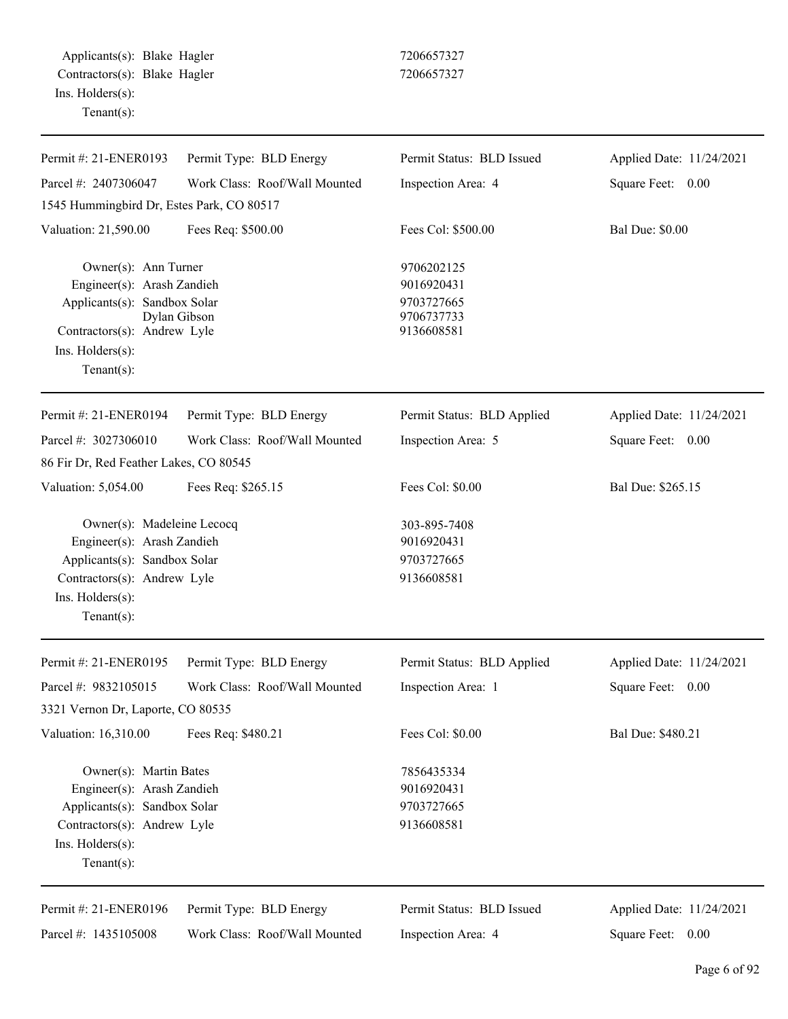Applicants(s): Blake Hagler 7206657327 Contractors(s): Blake Hagler 7206657327 Ins. Holders(s): Tenant(s):

| Permit #: 21-ENER0193                     | Permit Type: BLD Energy       | Permit Status: BLD Issued  | Applied Date: 11/24/2021 |
|-------------------------------------------|-------------------------------|----------------------------|--------------------------|
| Parcel #: 2407306047                      | Work Class: Roof/Wall Mounted | Inspection Area: 4         | Square Feet: 0.00        |
| 1545 Hummingbird Dr, Estes Park, CO 80517 |                               |                            |                          |
| Valuation: 21,590.00                      | Fees Req: \$500.00            | Fees Col: \$500.00         | <b>Bal Due: \$0.00</b>   |
| Owner(s): Ann Turner                      |                               | 9706202125                 |                          |
| Engineer(s): Arash Zandieh                |                               | 9016920431                 |                          |
| Applicants(s): Sandbox Solar              |                               | 9703727665                 |                          |
| Contractors(s): Andrew Lyle               | Dylan Gibson                  | 9706737733<br>9136608581   |                          |
| Ins. Holders(s):                          |                               |                            |                          |
| Tenant $(s)$ :                            |                               |                            |                          |
| Permit #: 21-ENER0194                     | Permit Type: BLD Energy       | Permit Status: BLD Applied | Applied Date: 11/24/2021 |
| Parcel #: 3027306010                      | Work Class: Roof/Wall Mounted | Inspection Area: 5         | Square Feet: 0.00        |
| 86 Fir Dr, Red Feather Lakes, CO 80545    |                               |                            |                          |
| Valuation: 5,054.00                       | Fees Req: \$265.15            | Fees Col: \$0.00           | Bal Due: \$265.15        |
| Owner(s): Madeleine Lecocq                |                               | 303-895-7408               |                          |
| Engineer(s): Arash Zandieh                |                               | 9016920431                 |                          |
| Applicants(s): Sandbox Solar              |                               | 9703727665                 |                          |
| Contractors(s): Andrew Lyle               |                               | 9136608581                 |                          |
| Ins. Holders(s):                          |                               |                            |                          |
| Tenant $(s)$ :                            |                               |                            |                          |
| Permit #: 21-ENER0195                     | Permit Type: BLD Energy       | Permit Status: BLD Applied | Applied Date: 11/24/2021 |
| Parcel #: 9832105015                      | Work Class: Roof/Wall Mounted | Inspection Area: 1         | Square Feet:<br>0.00     |
| 3321 Vernon Dr, Laporte, CO 80535         |                               |                            |                          |
| Valuation: 16,310.00                      | Fees Req: \$480.21            | Fees Col: \$0.00           | Bal Due: \$480.21        |
| Owner(s): Martin Bates                    |                               | 7856435334                 |                          |
| Engineer(s): Arash Zandieh                |                               | 9016920431                 |                          |
| Applicants(s): Sandbox Solar              |                               | 9703727665                 |                          |
| Contractors(s): Andrew Lyle               |                               | 9136608581                 |                          |
| Ins. Holders(s):                          |                               |                            |                          |
| Tenant $(s)$ :                            |                               |                            |                          |
| Permit #: 21-ENER0196                     | Permit Type: BLD Energy       | Permit Status: BLD Issued  | Applied Date: 11/24/2021 |
| Parcel #: 1435105008                      | Work Class: Roof/Wall Mounted | Inspection Area: 4         | Square Feet: 0.00        |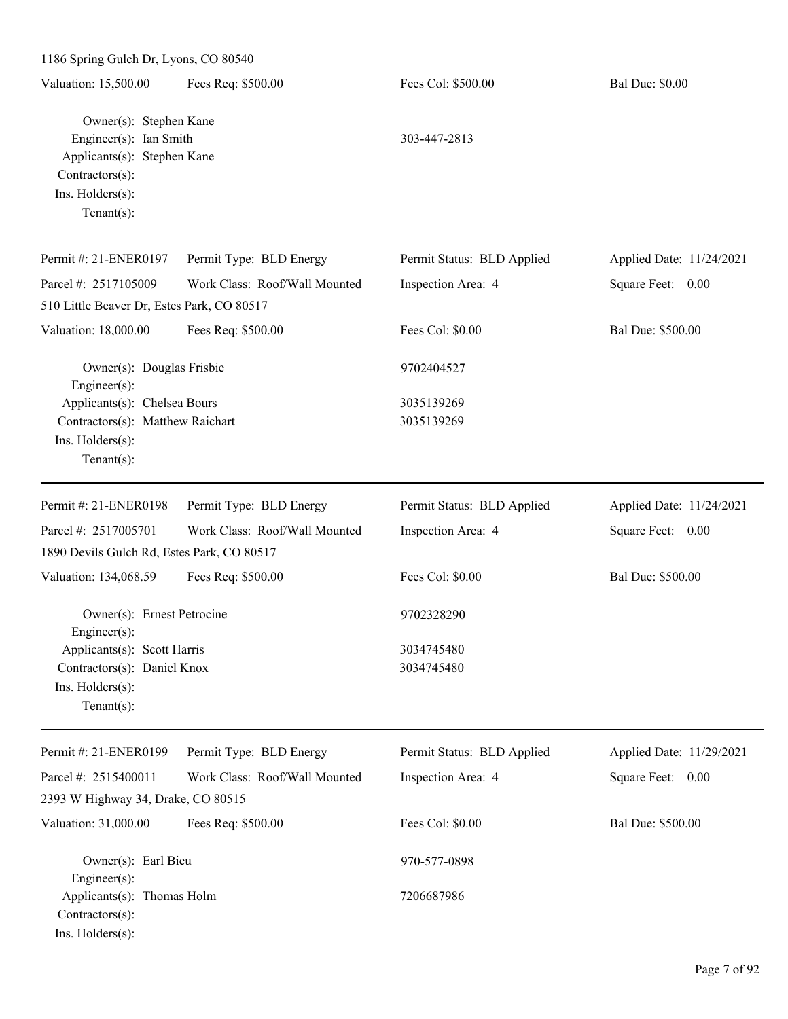|                                                                                                                                          | 1186 Spring Gulch Dr, Lyons, CO 80540 |                            |                          |  |  |  |
|------------------------------------------------------------------------------------------------------------------------------------------|---------------------------------------|----------------------------|--------------------------|--|--|--|
| Valuation: 15,500.00                                                                                                                     | Fees Req: \$500.00                    | Fees Col: \$500.00         | <b>Bal Due: \$0.00</b>   |  |  |  |
| Owner(s): Stephen Kane<br>Engineer(s): Ian Smith<br>Applicants(s): Stephen Kane<br>Contractors(s):<br>Ins. Holders(s):<br>Tenant $(s)$ : |                                       | 303-447-2813               |                          |  |  |  |
| Permit #: 21-ENER0197                                                                                                                    | Permit Type: BLD Energy               | Permit Status: BLD Applied | Applied Date: 11/24/2021 |  |  |  |
| Parcel #: 2517105009                                                                                                                     | Work Class: Roof/Wall Mounted         | Inspection Area: 4         | Square Feet: 0.00        |  |  |  |
| 510 Little Beaver Dr, Estes Park, CO 80517                                                                                               |                                       |                            |                          |  |  |  |
| Valuation: 18,000.00                                                                                                                     | Fees Req: \$500.00                    | Fees Col: \$0.00           | Bal Due: \$500.00        |  |  |  |
| Owner(s): Douglas Frisbie<br>Engineer(s):                                                                                                |                                       | 9702404527                 |                          |  |  |  |
| Applicants(s): Chelsea Bours<br>Contractors(s): Matthew Raichart<br>Ins. Holders(s):<br>$Tenant(s)$ :                                    |                                       | 3035139269<br>3035139269   |                          |  |  |  |
| Permit #: 21-ENER0198                                                                                                                    | Permit Type: BLD Energy               | Permit Status: BLD Applied | Applied Date: 11/24/2021 |  |  |  |
| Parcel #: 2517005701                                                                                                                     | Work Class: Roof/Wall Mounted         | Inspection Area: 4         | Square Feet: 0.00        |  |  |  |
| 1890 Devils Gulch Rd, Estes Park, CO 80517                                                                                               |                                       |                            |                          |  |  |  |
| Valuation: 134,068.59                                                                                                                    | Fees Req: \$500.00                    | Fees Col: \$0.00           | Bal Due: \$500.00        |  |  |  |
| Owner(s): Ernest Petrocine<br>Engineer(s):                                                                                               |                                       | 9702328290                 |                          |  |  |  |
| Applicants(s): Scott Harris<br>Contractors(s): Daniel Knox<br>Ins. Holders(s):<br>Tenant $(s)$ :                                         |                                       | 3034745480<br>3034745480   |                          |  |  |  |
| Permit #: 21-ENER0199                                                                                                                    | Permit Type: BLD Energy               | Permit Status: BLD Applied | Applied Date: 11/29/2021 |  |  |  |
| Parcel #: 2515400011                                                                                                                     | Work Class: Roof/Wall Mounted         | Inspection Area: 4         | Square Feet: 0.00        |  |  |  |
| 2393 W Highway 34, Drake, CO 80515                                                                                                       |                                       |                            |                          |  |  |  |
| Valuation: 31,000.00                                                                                                                     | Fees Req: \$500.00                    | Fees Col: \$0.00           | Bal Due: \$500.00        |  |  |  |
| Owner(s): Earl Bieu<br>Engineer(s):                                                                                                      |                                       | 970-577-0898               |                          |  |  |  |
| Applicants(s): Thomas Holm<br>Contractors(s):<br>Ins. Holders(s):                                                                        |                                       | 7206687986                 |                          |  |  |  |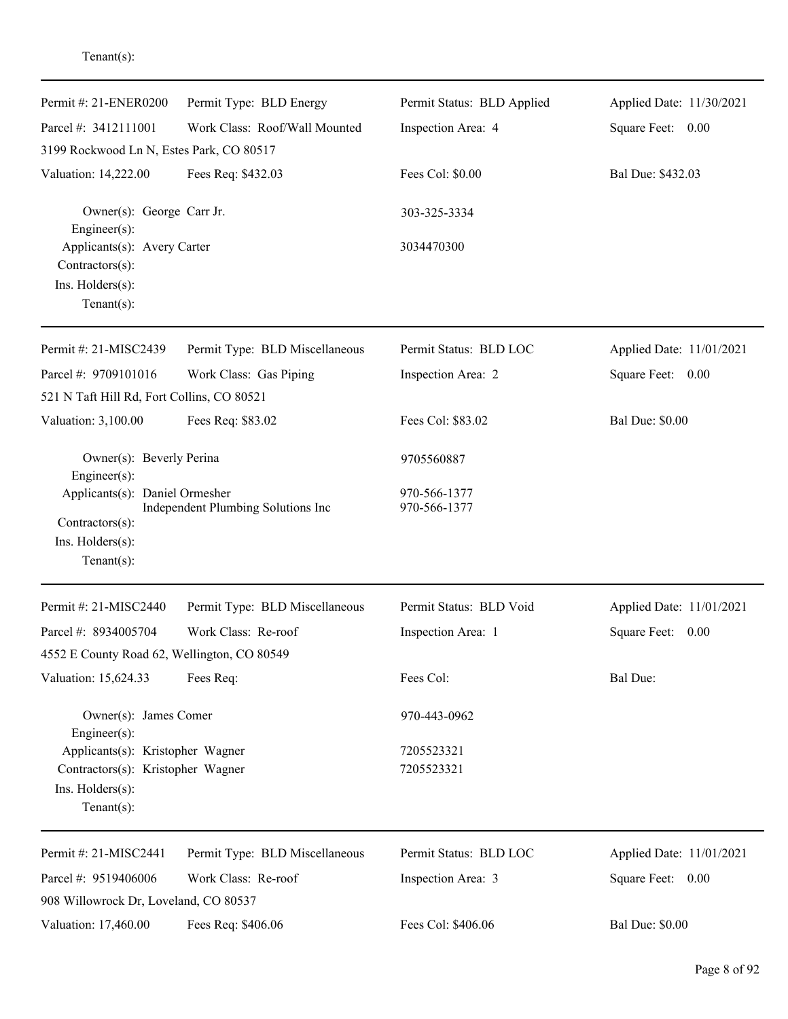| Permit #: 21-ENER0200                                                                                       | Permit Type: BLD Energy            | Permit Status: BLD Applied   | Applied Date: 11/30/2021 |
|-------------------------------------------------------------------------------------------------------------|------------------------------------|------------------------------|--------------------------|
| Parcel #: 3412111001                                                                                        | Work Class: Roof/Wall Mounted      | Inspection Area: 4           | Square Feet: 0.00        |
| 3199 Rockwood Ln N, Estes Park, CO 80517                                                                    |                                    |                              |                          |
| Valuation: 14,222.00                                                                                        | Fees Req: \$432.03                 | Fees Col: \$0.00             | Bal Due: \$432.03        |
| Owner(s): George Carr Jr.<br>Engineer(s):                                                                   |                                    | 303-325-3334                 |                          |
| Applicants(s): Avery Carter<br>Contractors(s):                                                              |                                    | 3034470300                   |                          |
| Ins. Holders(s):<br>Tenant $(s)$ :                                                                          |                                    |                              |                          |
| Permit #: 21-MISC2439                                                                                       | Permit Type: BLD Miscellaneous     | Permit Status: BLD LOC       | Applied Date: 11/01/2021 |
| Parcel #: 9709101016                                                                                        | Work Class: Gas Piping             | Inspection Area: 2           | Square Feet: 0.00        |
| 521 N Taft Hill Rd, Fort Collins, CO 80521                                                                  |                                    |                              |                          |
| Valuation: 3,100.00                                                                                         | Fees Req: \$83.02                  | Fees Col: \$83.02            | <b>Bal Due: \$0.00</b>   |
| Owner(s): Beverly Perina<br>Engineer(s):                                                                    |                                    | 9705560887                   |                          |
| Applicants(s): Daniel Ormesher<br>Contractors(s):<br>Ins. Holders(s):<br>$Tenant(s)$ :                      | Independent Plumbing Solutions Inc | 970-566-1377<br>970-566-1377 |                          |
| Permit #: 21-MISC2440                                                                                       | Permit Type: BLD Miscellaneous     | Permit Status: BLD Void      | Applied Date: 11/01/2021 |
| Parcel #: 8934005704                                                                                        | Work Class: Re-roof                | Inspection Area: 1           | Square Feet:<br>0.00     |
| 4552 E County Road 62, Wellington, CO 80549                                                                 |                                    |                              |                          |
| Valuation: 15,624.33                                                                                        | Fees Req:                          | Fees Col:                    | Bal Due:                 |
| Owner(s): James Comer<br>Engineer(s):                                                                       |                                    | 970-443-0962                 |                          |
| Applicants(s): Kristopher Wagner<br>Contractors(s): Kristopher Wagner<br>Ins. Holders(s):<br>Tenant $(s)$ : |                                    | 7205523321<br>7205523321     |                          |
| Permit #: 21-MISC2441                                                                                       | Permit Type: BLD Miscellaneous     | Permit Status: BLD LOC       | Applied Date: 11/01/2021 |
| Parcel #: 9519406006<br>908 Willowrock Dr, Loveland, CO 80537                                               | Work Class: Re-roof                | Inspection Area: 3           | Square Feet: 0.00        |
| Valuation: 17,460.00                                                                                        | Fees Req: \$406.06                 | Fees Col: \$406.06           | <b>Bal Due: \$0.00</b>   |

### Tenant(s):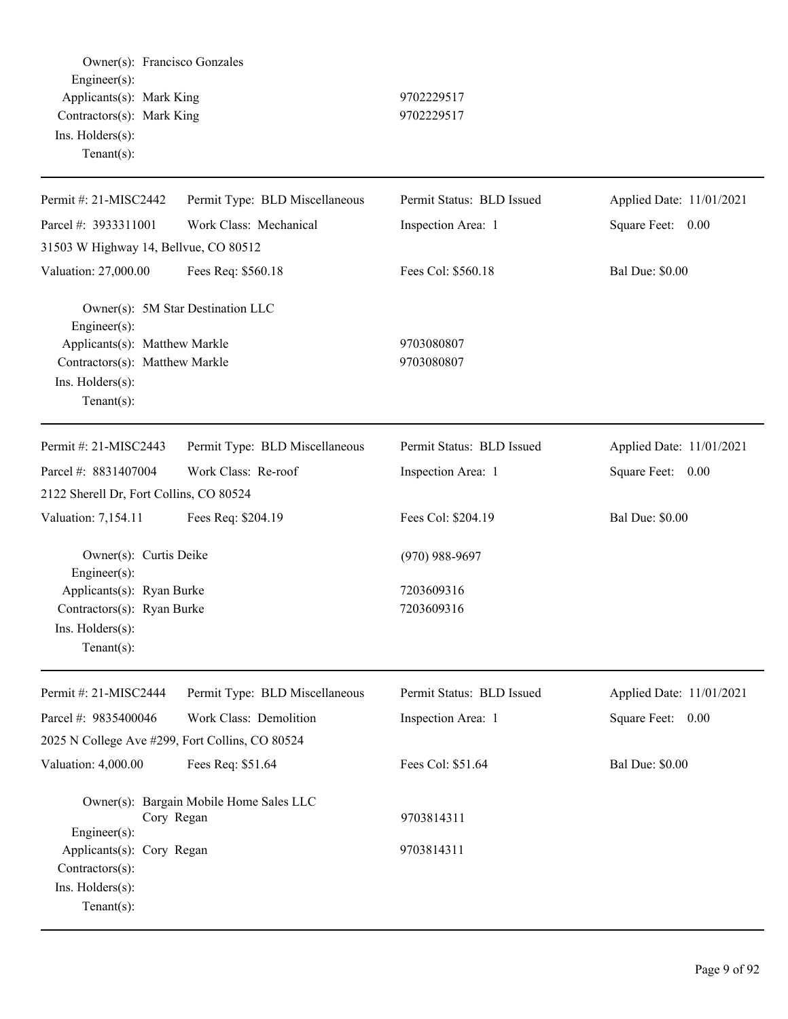Owner(s): Francisco Gonzales Engineer(s): Applicants(s): Mark King 9702229517 Contractors(s): Mark King 9702229517 Ins. Holders(s): Tenant(s): Permit #: 21-MISC2442 Parcel #: 3933311001 Permit Type: BLD Miscellaneous Work Class: Mechanical Permit Status: BLD Issued Inspection Area: 1 Applied Date: 11/01/2021 Square Feet: 0.00 31503 W Highway 14, Bellvue, CO 80512 Valuation: 27,000.00 Fees Req: \$560.18 Fees Col: \$560.18 Bal Due: \$0.00 Owner(s): 5M Star Destination LLC Engineer(s): Applicants(s): Matthew Markle 9703080807 Contractors(s): Matthew Markle 9703080807 Ins. Holders(s): Tenant(s): Permit #: 21-MISC2443 Parcel #: 8831407004 Permit Type: BLD Miscellaneous Work Class: Re-roof Permit Status: BLD Issued Inspection Area: 1 Applied Date: 11/01/2021 Square Feet: 0.00 2122 Sherell Dr, Fort Collins, CO 80524 Valuation: 7,154.11 Fees Req: \$204.19 Fees Col: \$204.19 Bal Due: \$0.00 Owner(s): Curtis Deike (970) 988-9697 Engineer(s): Applicants(s): Ryan Burke 7203609316 Contractors(s): Ryan Burke 7203609316 Ins. Holders(s): Tenant(s): Permit #: 21-MISC2444 Parcel #: 9835400046 Permit Type: BLD Miscellaneous Work Class: Demolition Permit Status: BLD Issued Inspection Area: 1 Applied Date: 11/01/2021 Square Feet: 0.00 2025 N College Ave #299, Fort Collins, CO 80524 Valuation: 4,000.00 Fees Req: \$51.64 Fees Col: \$51.64 Bal Due: \$0.00 Owner(s): Bargain Mobile Home Sales LLC Cory Regan 9703814311 Engineer(s): Applicants(s): Cory Regan 9703814311 Contractors(s): Ins. Holders(s): Tenant(s):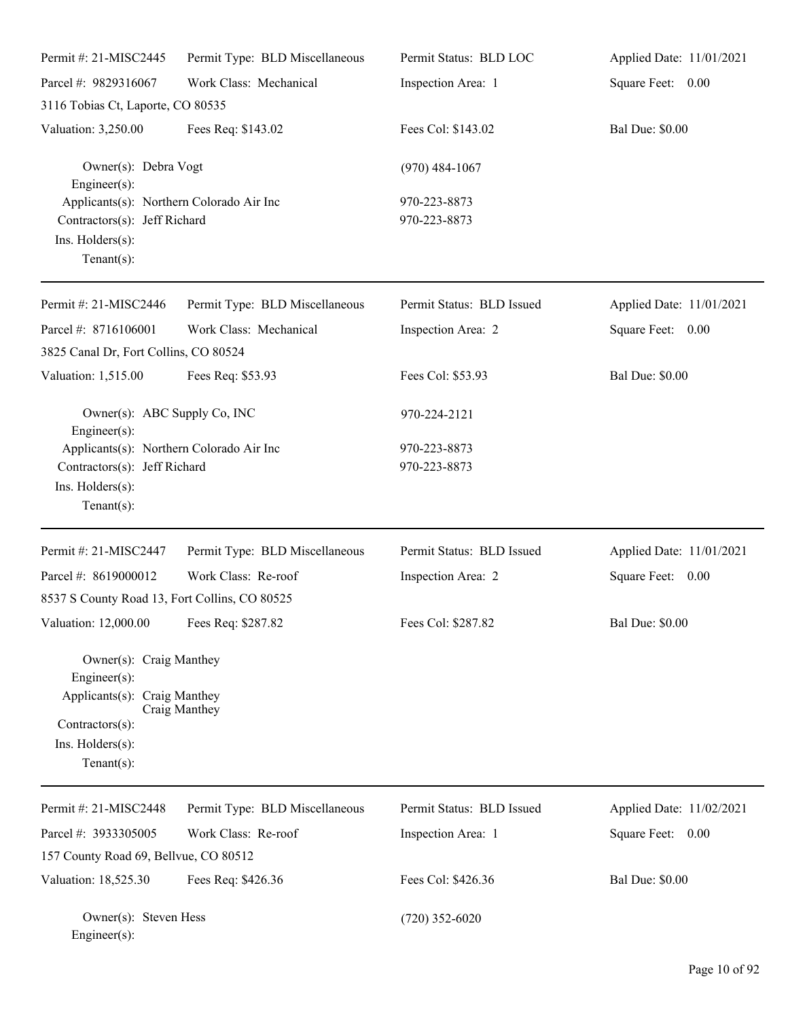| Permit #: 21-MISC2445                                                                                                                | Permit Type: BLD Miscellaneous | Permit Status: BLD LOC       | Applied Date: 11/01/2021 |
|--------------------------------------------------------------------------------------------------------------------------------------|--------------------------------|------------------------------|--------------------------|
| Parcel #: 9829316067                                                                                                                 | Work Class: Mechanical         | Inspection Area: 1           | Square Feet: 0.00        |
| 3116 Tobias Ct, Laporte, CO 80535                                                                                                    |                                |                              |                          |
| Valuation: 3,250.00                                                                                                                  | Fees Req: \$143.02             | Fees Col: \$143.02           | <b>Bal Due: \$0.00</b>   |
| Owner(s): Debra Vogt<br>$Engineering(s)$ :                                                                                           |                                | $(970)$ 484-1067             |                          |
| Applicants(s): Northern Colorado Air Inc<br>Contractors(s): Jeff Richard<br>Ins. Holders(s):<br>Tenant $(s)$ :                       |                                | 970-223-8873<br>970-223-8873 |                          |
| Permit #: 21-MISC2446                                                                                                                | Permit Type: BLD Miscellaneous | Permit Status: BLD Issued    | Applied Date: 11/01/2021 |
| Parcel #: 8716106001<br>3825 Canal Dr, Fort Collins, CO 80524                                                                        | Work Class: Mechanical         | Inspection Area: 2           | Square Feet: 0.00        |
| Valuation: 1,515.00                                                                                                                  | Fees Req: \$53.93              | Fees Col: \$53.93            | <b>Bal Due: \$0.00</b>   |
| Owner(s): ABC Supply Co, INC<br>$Engineering(s)$ :                                                                                   |                                | 970-224-2121                 |                          |
| Applicants(s): Northern Colorado Air Inc<br>Contractors(s): Jeff Richard<br>Ins. Holders(s):<br>Tenant $(s)$ :                       |                                | 970-223-8873<br>970-223-8873 |                          |
| Permit #: 21-MISC2447                                                                                                                | Permit Type: BLD Miscellaneous | Permit Status: BLD Issued    | Applied Date: 11/01/2021 |
| Parcel #: 8619000012<br>8537 S County Road 13, Fort Collins, CO 80525                                                                | Work Class: Re-roof            | Inspection Area: 2           | Square Feet: 0.00        |
| Valuation: 12,000.00 Fees Req: \$287.82                                                                                              |                                | Fees Col: \$287.82           | <b>Bal Due: \$0.00</b>   |
| Owner(s): Craig Manthey<br>Engineer $(s)$ :<br>Applicants(s): Craig Manthey<br>Contractors(s):<br>Ins. Holders(s):<br>Tenant $(s)$ : | Craig Manthey                  |                              |                          |
| Permit #: 21-MISC2448                                                                                                                | Permit Type: BLD Miscellaneous | Permit Status: BLD Issued    | Applied Date: 11/02/2021 |
| Parcel #: 3933305005<br>157 County Road 69, Bellvue, CO 80512                                                                        | Work Class: Re-roof            | Inspection Area: 1           | Square Feet:<br>0.00     |

Valuation: 18,525.30 Fees Req: \$426.36 Fees Col: \$426.36 Bal Due: \$0.00

Owner(s): Steven Hess (720) 352-6020 Engineer(s):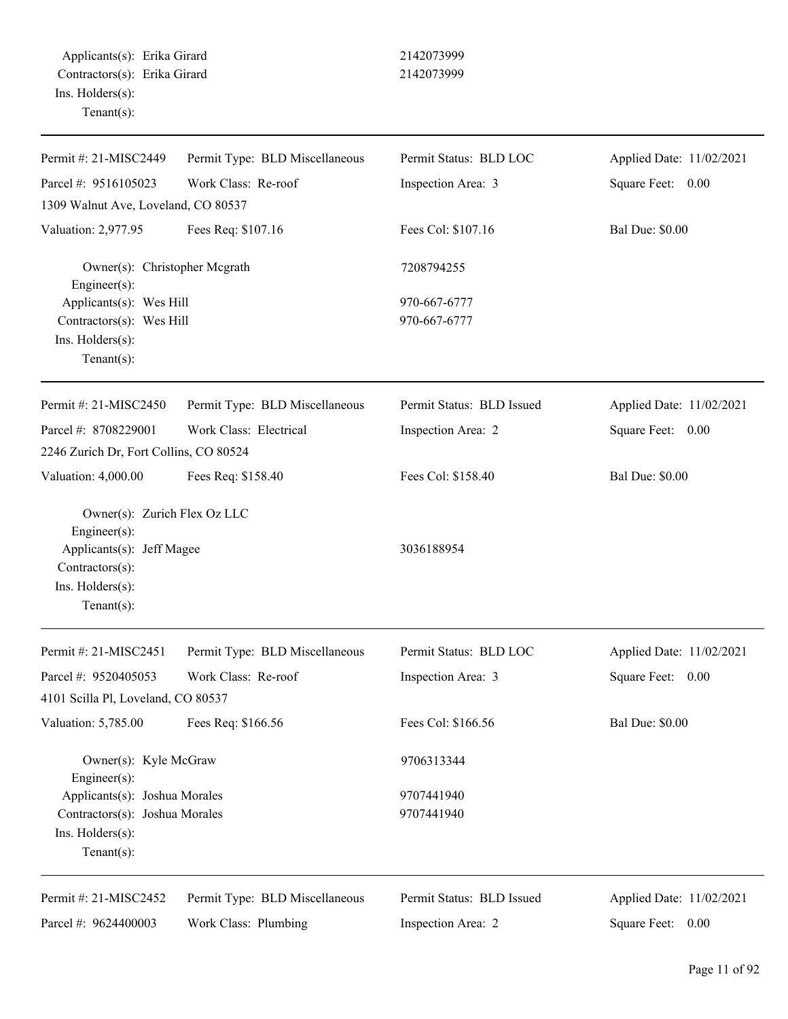| Permit #: 21-MISC2449                             | Permit Type: BLD Miscellaneous | Permit Status: BLD LOC    | Applied Date: 11/02/2021 |
|---------------------------------------------------|--------------------------------|---------------------------|--------------------------|
| Parcel #: 9516105023                              | Work Class: Re-roof            | Inspection Area: 3        | Square Feet: 0.00        |
| 1309 Walnut Ave, Loveland, CO 80537               |                                |                           |                          |
| Valuation: 2,977.95                               | Fees Req: \$107.16             | Fees Col: \$107.16        | <b>Bal Due: \$0.00</b>   |
| Owner(s): Christopher Mcgrath<br>Engineer $(s)$ : |                                | 7208794255                |                          |
| Applicants(s): Wes Hill                           |                                | 970-667-6777              |                          |
| Contractors(s): Wes Hill                          |                                | 970-667-6777              |                          |
| Ins. Holders(s):                                  |                                |                           |                          |
| Tenant $(s)$ :                                    |                                |                           |                          |
| Permit #: 21-MISC2450                             | Permit Type: BLD Miscellaneous | Permit Status: BLD Issued | Applied Date: 11/02/2021 |
| Parcel #: 8708229001                              | Work Class: Electrical         | Inspection Area: 2        | Square Feet: 0.00        |
| 2246 Zurich Dr, Fort Collins, CO 80524            |                                |                           |                          |
| Valuation: 4,000.00                               | Fees Req: \$158.40             | Fees Col: \$158.40        | <b>Bal Due: \$0.00</b>   |
| Owner(s): Zurich Flex Oz LLC<br>Engineer(s):      |                                |                           |                          |
| Applicants(s): Jeff Magee<br>Contractors(s):      |                                | 3036188954                |                          |
| Ins. Holders(s):<br>Tenant $(s)$ :                |                                |                           |                          |
| Permit #: 21-MISC2451                             | Permit Type: BLD Miscellaneous | Permit Status: BLD LOC    | Applied Date: 11/02/2021 |
| Parcel #: 9520405053                              | Work Class: Re-roof            | Inspection Area: 3        | Square Feet:<br>0.00     |
| 4101 Scilla Pl, Loveland, CO 80537                |                                |                           |                          |
| Valuation: 5,785.00                               | Fees Req: \$166.56             | Fees Col: \$166.56        | <b>Bal Due: \$0.00</b>   |
| Owner(s): Kyle McGraw<br>Engineer(s):             |                                | 9706313344                |                          |
| Applicants(s): Joshua Morales                     |                                | 9707441940                |                          |
| Contractors(s): Joshua Morales                    |                                | 9707441940                |                          |
| Ins. Holders(s):                                  |                                |                           |                          |
| Tenant $(s)$ :                                    |                                |                           |                          |
| Permit #: 21-MISC2452                             | Permit Type: BLD Miscellaneous | Permit Status: BLD Issued | Applied Date: 11/02/2021 |
| Parcel #: 9624400003                              | Work Class: Plumbing           | Inspection Area: 2        | Square Feet: 0.00        |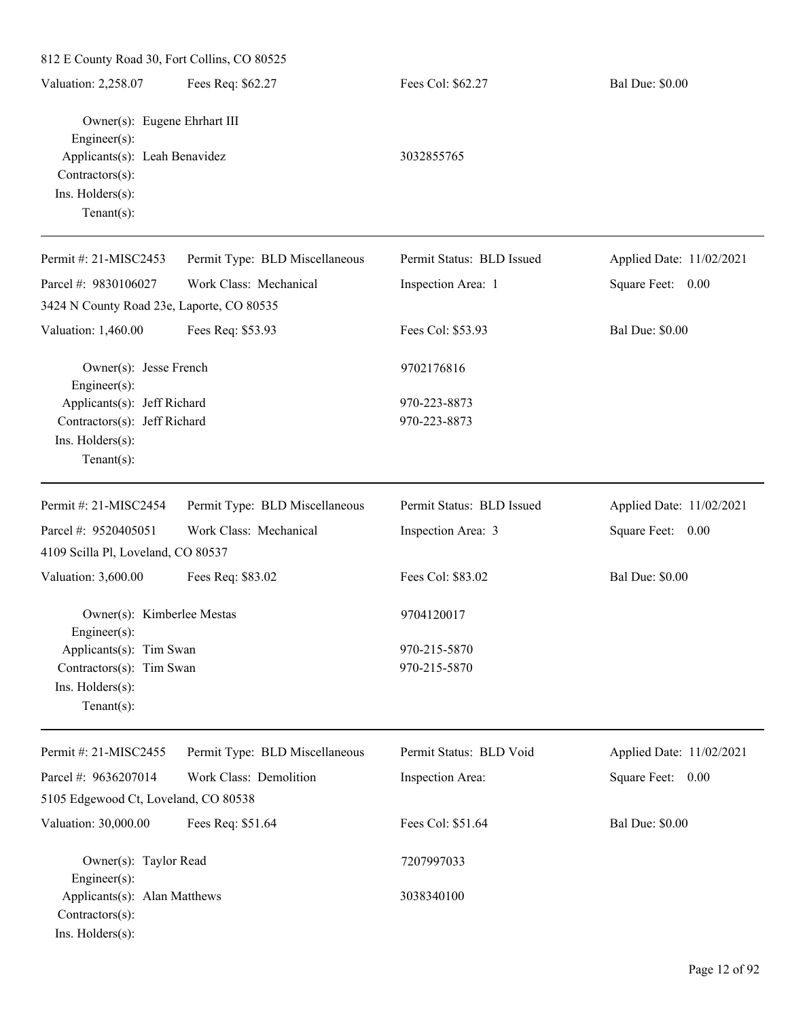| 812 E County Road 30, Fort Collins, CO 80525                                                                                           |                                |                              |                          |
|----------------------------------------------------------------------------------------------------------------------------------------|--------------------------------|------------------------------|--------------------------|
| Valuation: 2,258.07                                                                                                                    | Fees Req: \$62.27              | Fees Col: \$62.27            | <b>Bal Due: \$0.00</b>   |
| Owner(s): Eugene Ehrhart III<br>Engineer(s):<br>Applicants(s): Leah Benavidez<br>Contractors(s):<br>Ins. Holders(s):<br>Tenant $(s)$ : |                                | 3032855765                   |                          |
| Permit #: 21-MISC2453                                                                                                                  | Permit Type: BLD Miscellaneous | Permit Status: BLD Issued    | Applied Date: 11/02/2021 |
| Parcel #: 9830106027                                                                                                                   | Work Class: Mechanical         | Inspection Area: 1           | Square Feet: 0.00        |
| 3424 N County Road 23e, Laporte, CO 80535                                                                                              |                                |                              |                          |
| Valuation: 1,460.00                                                                                                                    | Fees Req: \$53.93              | Fees Col: \$53.93            | <b>Bal Due: \$0.00</b>   |
| Owner(s): Jesse French<br>Engineer(s):                                                                                                 |                                | 9702176816                   |                          |
| Applicants(s): Jeff Richard<br>Contractors(s): Jeff Richard<br>Ins. Holders(s):<br>Tenant $(s)$ :                                      |                                | 970-223-8873<br>970-223-8873 |                          |
| Permit #: 21-MISC2454                                                                                                                  | Permit Type: BLD Miscellaneous | Permit Status: BLD Issued    | Applied Date: 11/02/2021 |
| Parcel #: 9520405051                                                                                                                   | Work Class: Mechanical         | Inspection Area: 3           | Square Feet: 0.00        |
| 4109 Scilla Pl, Loveland, CO 80537                                                                                                     |                                |                              |                          |
| Valuation: 3,600.00                                                                                                                    | Fees Req: \$83.02              | Fees Col: \$83.02            | <b>Bal Due: \$0.00</b>   |
| Owner(s): Kimberlee Mestas<br>Engineer(s):                                                                                             |                                | 9704120017                   |                          |
| Applicants(s): Tim Swan<br>Contractors(s): Tim Swan<br>Ins. Holders(s):<br>Tenant $(s)$ :                                              |                                | 970-215-5870<br>970-215-5870 |                          |
| Permit #: 21-MISC2455                                                                                                                  | Permit Type: BLD Miscellaneous | Permit Status: BLD Void      | Applied Date: 11/02/2021 |
| Parcel #: 9636207014<br>5105 Edgewood Ct, Loveland, CO 80538                                                                           | Work Class: Demolition         | Inspection Area:             | Square Feet: 0.00        |
| Valuation: 30,000.00                                                                                                                   | Fees Req: \$51.64              | Fees Col: \$51.64            | <b>Bal Due: \$0.00</b>   |
| Owner(s): Taylor Read<br>Engineer(s):                                                                                                  |                                | 7207997033                   |                          |
| Applicants(s): Alan Matthews<br>Contractors(s):<br>Ins. Holders(s):                                                                    |                                | 3038340100                   |                          |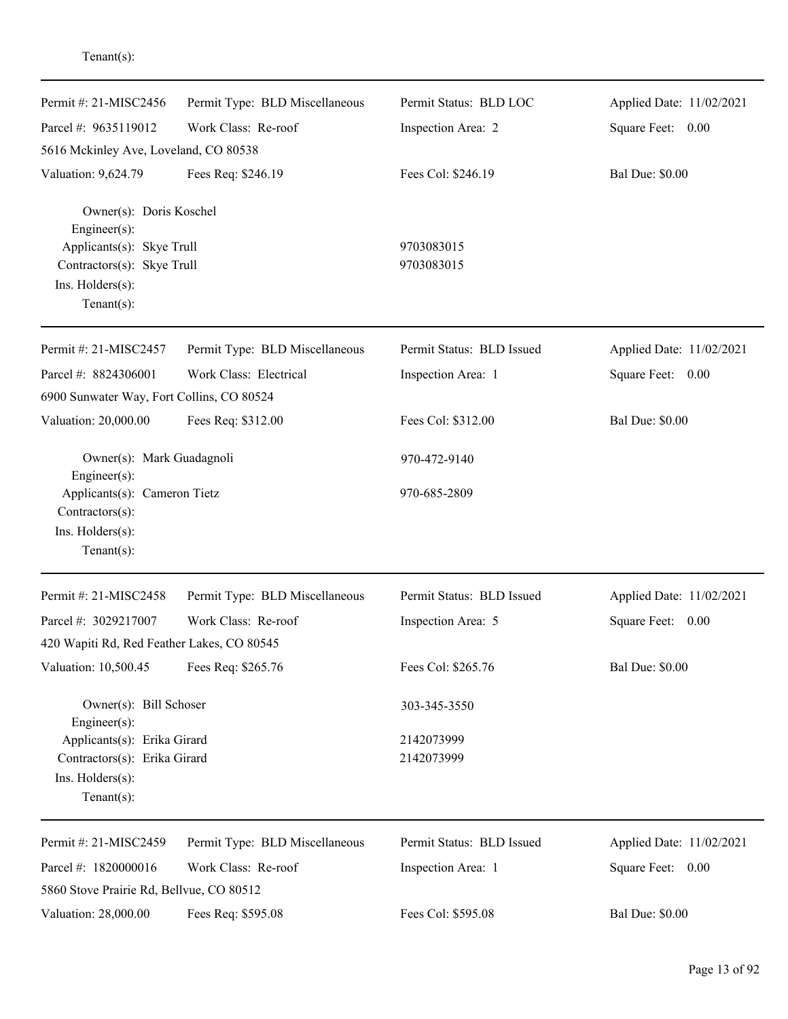| Permit #: 21-MISC2456                        | Permit Type: BLD Miscellaneous | Permit Status: BLD LOC    | Applied Date: 11/02/2021 |
|----------------------------------------------|--------------------------------|---------------------------|--------------------------|
| Parcel #: 9635119012                         | Work Class: Re-roof            | Inspection Area: 2        | Square Feet: 0.00        |
| 5616 Mckinley Ave, Loveland, CO 80538        |                                |                           |                          |
| Valuation: 9,624.79                          | Fees Req: \$246.19             | Fees Col: \$246.19        | <b>Bal Due: \$0.00</b>   |
| Owner(s): Doris Koschel<br>Engineer(s):      |                                |                           |                          |
| Applicants(s): Skye Trull                    |                                | 9703083015                |                          |
| Contractors(s): Skye Trull                   |                                | 9703083015                |                          |
| Ins. Holders(s):<br>$Tenant(s)$ :            |                                |                           |                          |
| Permit #: 21-MISC2457                        | Permit Type: BLD Miscellaneous | Permit Status: BLD Issued | Applied Date: 11/02/2021 |
| Parcel #: 8824306001                         | Work Class: Electrical         | Inspection Area: 1        | Square Feet: 0.00        |
| 6900 Sunwater Way, Fort Collins, CO 80524    |                                |                           |                          |
| Valuation: 20,000.00                         | Fees Req: \$312.00             | Fees Col: \$312.00        | <b>Bal Due: \$0.00</b>   |
| Owner(s): Mark Guadagnoli                    |                                | 970-472-9140              |                          |
| Engineer(s):<br>Applicants(s): Cameron Tietz |                                | 970-685-2809              |                          |
| Contractors(s):                              |                                |                           |                          |
| Ins. Holders(s):                             |                                |                           |                          |
| $Tenant(s)$ :                                |                                |                           |                          |
| Permit #: 21-MISC2458                        | Permit Type: BLD Miscellaneous | Permit Status: BLD Issued | Applied Date: 11/02/2021 |
| Parcel #: 3029217007                         | Work Class: Re-roof            | Inspection Area: 5        | Square Feet: 0.00        |
| 420 Wapiti Rd, Red Feather Lakes, CO 80545   |                                |                           |                          |
| Valuation: 10,500.45                         | Fees Req: \$265.76             | Fees Col: \$265.76        | <b>Bal Due: \$0.00</b>   |
| Owner(s): Bill Schoser<br>Engineer $(s)$ :   |                                | 303-345-3550              |                          |
| Applicants(s): Erika Girard                  |                                | 2142073999                |                          |
| Contractors(s): Erika Girard                 |                                | 2142073999                |                          |
| Ins. Holders(s):<br>Tenant $(s)$ :           |                                |                           |                          |
| Permit #: 21-MISC2459                        | Permit Type: BLD Miscellaneous | Permit Status: BLD Issued | Applied Date: 11/02/2021 |
| Parcel #: 1820000016                         | Work Class: Re-roof            | Inspection Area: 1        | Square Feet: 0.00        |
| 5860 Stove Prairie Rd, Bellvue, CO 80512     |                                |                           |                          |
| Valuation: 28,000.00                         | Fees Req: \$595.08             | Fees Col: \$595.08        | <b>Bal Due: \$0.00</b>   |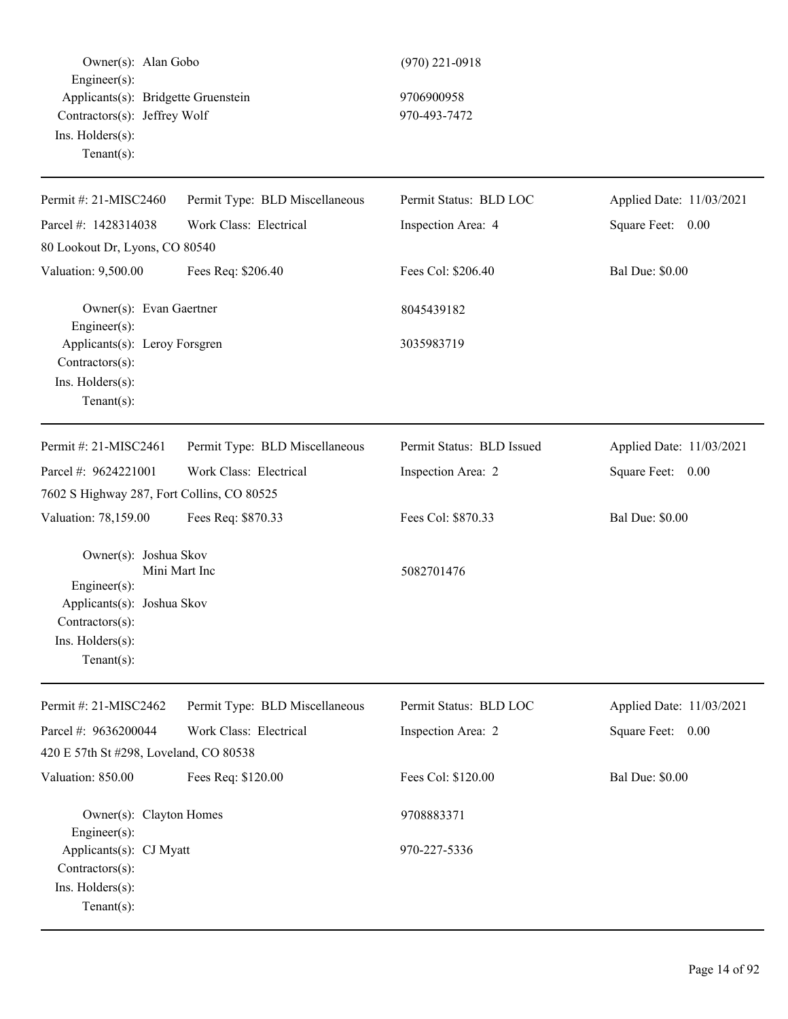Owner(s): Alan Gobo (970) 221-0918 Engineer(s): Applicants(s): Bridgette Gruenstein 9706900958 Contractors(s): Jeffrey Wolf 970-493-7472 Ins. Holders(s): Tenant(s):

| Permit #: 21-MISC2460                                                                                                              | Permit Type: BLD Miscellaneous | Permit Status: BLD LOC    | Applied Date: 11/03/2021 |
|------------------------------------------------------------------------------------------------------------------------------------|--------------------------------|---------------------------|--------------------------|
| Parcel #: 1428314038                                                                                                               | Work Class: Electrical         | Inspection Area: 4        | Square Feet: 0.00        |
| 80 Lookout Dr, Lyons, CO 80540                                                                                                     |                                |                           |                          |
| Valuation: 9,500.00                                                                                                                | Fees Req: \$206.40             | Fees Col: \$206.40        | <b>Bal Due: \$0.00</b>   |
| Owner(s): Evan Gaertner<br>$Engineer(s)$ :                                                                                         |                                | 8045439182                |                          |
| Applicants(s): Leroy Forsgren<br>Contractors(s):<br>Ins. Holders(s):<br>Tenant $(s)$ :                                             |                                | 3035983719                |                          |
| Permit #: 21-MISC2461                                                                                                              | Permit Type: BLD Miscellaneous | Permit Status: BLD Issued | Applied Date: 11/03/2021 |
| Parcel #: 9624221001                                                                                                               | Work Class: Electrical         | Inspection Area: 2        | Square Feet: 0.00        |
| 7602 S Highway 287, Fort Collins, CO 80525                                                                                         |                                |                           |                          |
| Valuation: 78,159.00                                                                                                               | Fees Req: \$870.33             | Fees Col: \$870.33        | <b>Bal Due: \$0.00</b>   |
| Owner(s): Joshua Skov<br>$Engineering(s)$ :<br>Applicants(s): Joshua Skov<br>Contractors(s):<br>Ins. Holders(s):<br>Tenant $(s)$ : | Mini Mart Inc                  | 5082701476                |                          |
| Permit #: 21-MISC2462                                                                                                              | Permit Type: BLD Miscellaneous | Permit Status: BLD LOC    | Applied Date: 11/03/2021 |
| Parcel #: 9636200044                                                                                                               | Work Class: Electrical         | Inspection Area: 2        | Square Feet: 0.00        |
| 420 E 57th St #298, Loveland, CO 80538                                                                                             |                                |                           |                          |
| Valuation: 850.00                                                                                                                  | Fees Req: \$120.00             | Fees Col: \$120.00        | <b>Bal Due: \$0.00</b>   |
| Owner(s): Clayton Homes<br>$Engineering(s)$ :                                                                                      |                                | 9708883371                |                          |
| Applicants(s): CJ Myatt<br>Contractors(s):<br>Ins. Holders(s):<br>Tenant $(s)$ :                                                   |                                | 970-227-5336              |                          |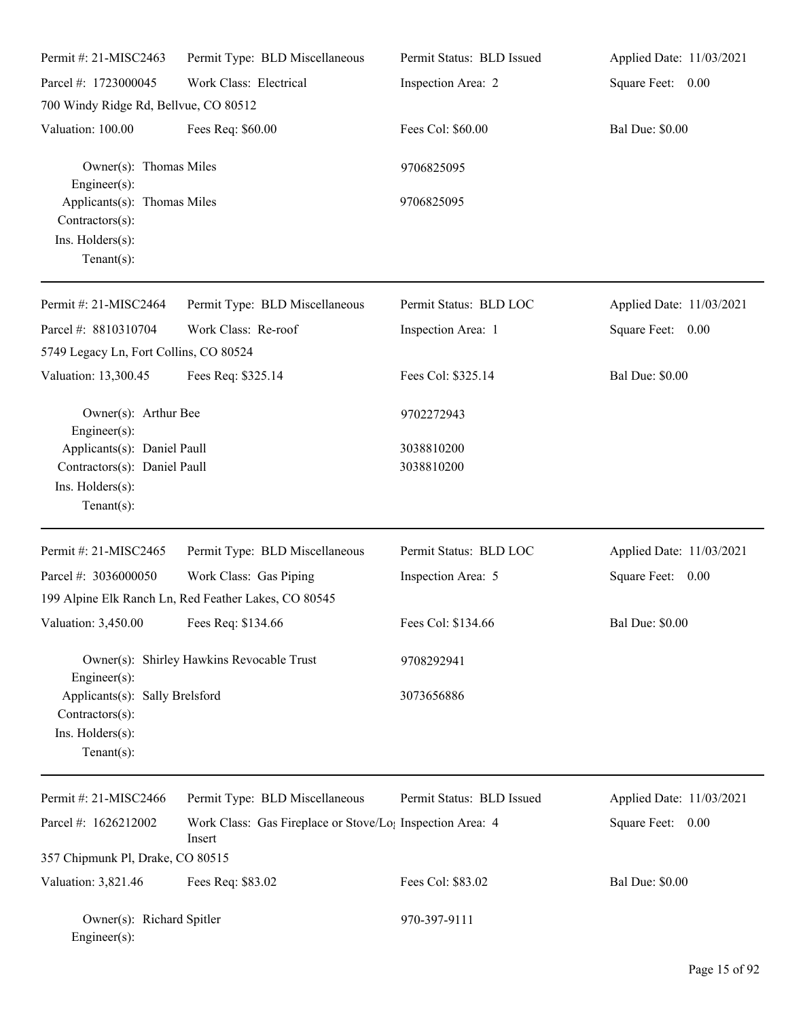| Permit #: 21-MISC2463                                                                                   | Permit Type: BLD Miscellaneous                                                  | Permit Status: BLD Issued | Applied Date: 11/03/2021 |
|---------------------------------------------------------------------------------------------------------|---------------------------------------------------------------------------------|---------------------------|--------------------------|
| Parcel #: 1723000045                                                                                    | Work Class: Electrical                                                          | Inspection Area: 2        | Square Feet: 0.00        |
| 700 Windy Ridge Rd, Bellvue, CO 80512                                                                   |                                                                                 |                           |                          |
| Valuation: 100.00                                                                                       | Fees Req: \$60.00                                                               | Fees Col: \$60.00         | <b>Bal Due: \$0.00</b>   |
| Owner(s): Thomas Miles<br>Engineer(s):                                                                  |                                                                                 | 9706825095                |                          |
| Applicants(s): Thomas Miles<br>Contractors(s):<br>Ins. Holders(s):<br>Tenant $(s)$ :                    |                                                                                 | 9706825095                |                          |
| Permit #: 21-MISC2464                                                                                   | Permit Type: BLD Miscellaneous                                                  | Permit Status: BLD LOC    | Applied Date: 11/03/2021 |
| Parcel #: 8810310704                                                                                    | Work Class: Re-roof                                                             | Inspection Area: 1        | Square Feet: 0.00        |
| 5749 Legacy Ln, Fort Collins, CO 80524                                                                  |                                                                                 |                           |                          |
| Valuation: 13,300.45                                                                                    | Fees Req: \$325.14                                                              | Fees Col: \$325.14        | <b>Bal Due: \$0.00</b>   |
| Owner(s): Arthur Bee<br>Engineer(s):                                                                    |                                                                                 | 9702272943                |                          |
| Applicants(s): Daniel Paull                                                                             |                                                                                 | 3038810200                |                          |
| Contractors(s): Daniel Paull                                                                            |                                                                                 | 3038810200                |                          |
| Ins. Holders(s):<br>Tenant $(s)$ :                                                                      |                                                                                 |                           |                          |
| Permit #: 21-MISC2465                                                                                   | Permit Type: BLD Miscellaneous                                                  | Permit Status: BLD LOC    | Applied Date: 11/03/2021 |
| Parcel #: 3036000050                                                                                    | Work Class: Gas Piping                                                          | Inspection Area: 5        | Square Feet: 0.00        |
|                                                                                                         | 199 Alpine Elk Ranch Ln, Red Feather Lakes, CO 80545                            |                           |                          |
| Valuation: 3,450.00 Fees Req: \$134.66                                                                  |                                                                                 | Fees Col: \$134.66        | <b>Bal Due: \$0.00</b>   |
|                                                                                                         | Owner(s): Shirley Hawkins Revocable Trust                                       | 9708292941                |                          |
| Engineer(s):<br>Applicants(s): Sally Brelsford<br>Contractors(s):<br>Ins. Holders(s):<br>Tenant $(s)$ : |                                                                                 | 3073656886                |                          |
| Permit #: 21-MISC2466                                                                                   | Permit Type: BLD Miscellaneous                                                  | Permit Status: BLD Issued | Applied Date: 11/03/2021 |
| Parcel #: 1626212002                                                                                    | Work Class: Gas Fireplace or Stove/Lo <sub>1</sub> Inspection Area: 4<br>Insert |                           | Square Feet: 0.00        |
| 357 Chipmunk Pl, Drake, CO 80515                                                                        |                                                                                 |                           |                          |
| Valuation: 3,821.46                                                                                     | Fees Req: \$83.02                                                               | Fees Col: \$83.02         | <b>Bal Due: \$0.00</b>   |
| Owner(s): Richard Spitler<br>$Engineer(s)$ :                                                            |                                                                                 | 970-397-9111              |                          |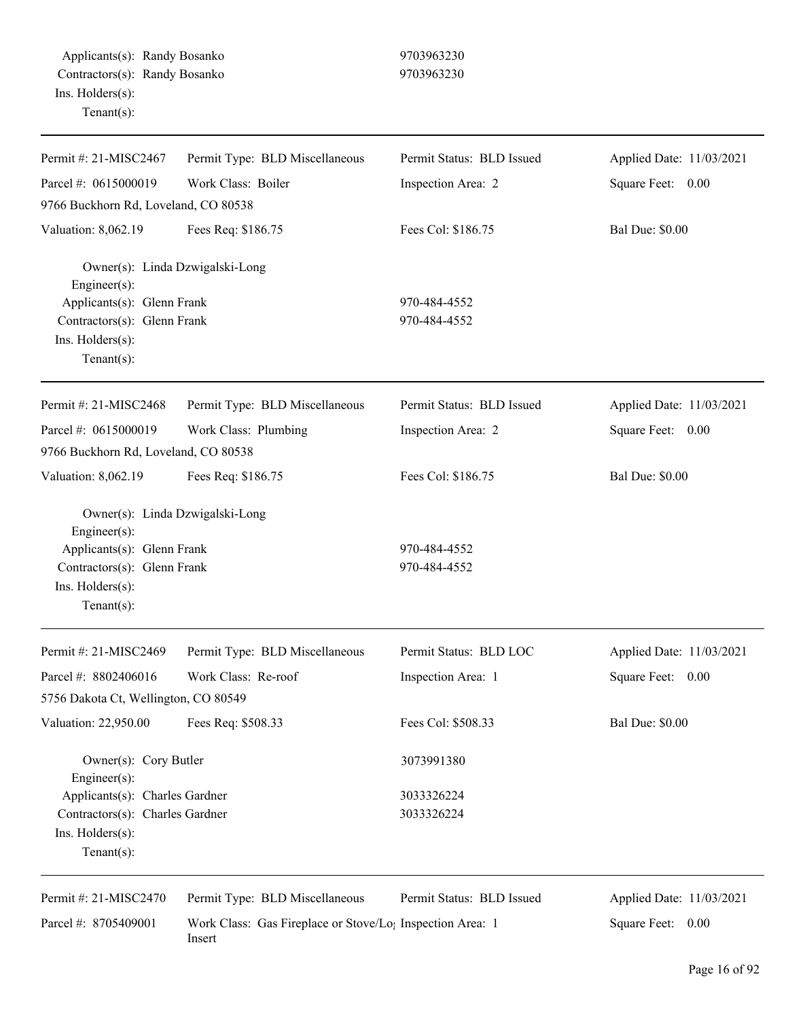Applicants(s): Randy Bosanko 9703963230 Contractors(s): Randy Bosanko 9703963230 Ins. Holders(s): Tenant(s):

| Permit #: 21-MISC2467                               | Permit Type: BLD Miscellaneous                                                  | Permit Status: BLD Issued | Applied Date: 11/03/2021 |
|-----------------------------------------------------|---------------------------------------------------------------------------------|---------------------------|--------------------------|
| Parcel #: 0615000019                                | Work Class: Boiler                                                              | Inspection Area: 2        | Square Feet: 0.00        |
| 9766 Buckhorn Rd, Loveland, CO 80538                |                                                                                 |                           |                          |
| Valuation: 8,062.19                                 | Fees Req: \$186.75                                                              | Fees Col: \$186.75        | <b>Bal Due: \$0.00</b>   |
| Owner(s): Linda Dzwigalski-Long<br>Engineer $(s)$ : |                                                                                 |                           |                          |
| Applicants(s): Glenn Frank                          |                                                                                 | 970-484-4552              |                          |
| Contractors(s): Glenn Frank                         |                                                                                 | 970-484-4552              |                          |
| Ins. Holders(s):                                    |                                                                                 |                           |                          |
| Tenant $(s)$ :                                      |                                                                                 |                           |                          |
| Permit #: 21-MISC2468                               | Permit Type: BLD Miscellaneous                                                  | Permit Status: BLD Issued | Applied Date: 11/03/2021 |
| Parcel #: 0615000019                                | Work Class: Plumbing                                                            | Inspection Area: 2        | Square Feet: 0.00        |
| 9766 Buckhorn Rd, Loveland, CO 80538                |                                                                                 |                           |                          |
| Valuation: 8,062.19                                 | Fees Req: \$186.75                                                              | Fees Col: \$186.75        | <b>Bal Due: \$0.00</b>   |
| Owner(s): Linda Dzwigalski-Long<br>Engineer $(s)$ : |                                                                                 |                           |                          |
| Applicants(s): Glenn Frank                          |                                                                                 | 970-484-4552              |                          |
| Contractors(s): Glenn Frank                         |                                                                                 | 970-484-4552              |                          |
| Ins. Holders(s):                                    |                                                                                 |                           |                          |
| $Tenant(s)$ :                                       |                                                                                 |                           |                          |
| Permit #: 21-MISC2469                               | Permit Type: BLD Miscellaneous                                                  | Permit Status: BLD LOC    | Applied Date: 11/03/2021 |
| Parcel #: 8802406016                                | Work Class: Re-roof                                                             | Inspection Area: 1        | Square Feet: 0.00        |
| 5756 Dakota Ct, Wellington, CO 80549                |                                                                                 |                           |                          |
| Valuation: 22,950.00                                | Fees Req: \$508.33                                                              | Fees Col: \$508.33        | <b>Bal Due: \$0.00</b>   |
| Owner(s): Cory Butler<br>$Engineering(s)$ :         |                                                                                 | 3073991380                |                          |
| Applicants(s): Charles Gardner                      |                                                                                 | 3033326224                |                          |
| Contractors(s): Charles Gardner                     |                                                                                 | 3033326224                |                          |
| Ins. Holders(s):                                    |                                                                                 |                           |                          |
| Tenant $(s)$ :                                      |                                                                                 |                           |                          |
| Permit #: 21-MISC2470                               | Permit Type: BLD Miscellaneous                                                  | Permit Status: BLD Issued | Applied Date: 11/03/2021 |
| Parcel #: 8705409001                                | Work Class: Gas Fireplace or Stove/Lo <sub>1</sub> Inspection Area: 1<br>Insert |                           | Square Feet: 0.00        |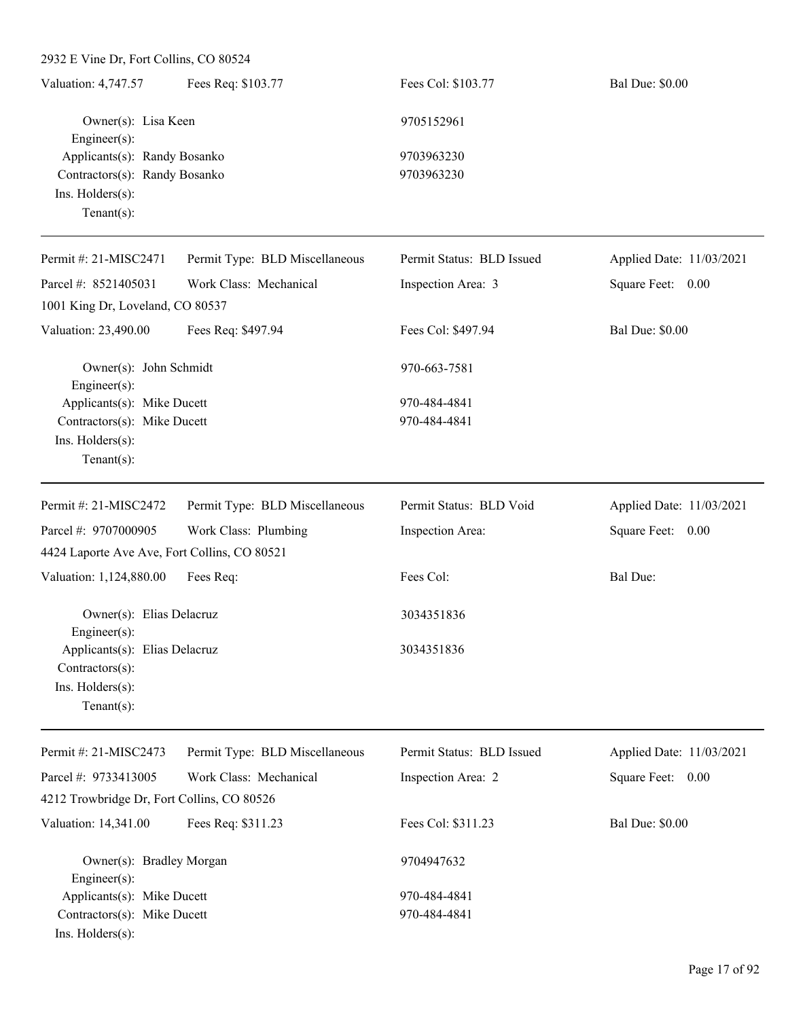| Valuation: 4,747.57                                           | Fees Req: \$103.77             | Fees Col: \$103.77        | <b>Bal Due: \$0.00</b>   |
|---------------------------------------------------------------|--------------------------------|---------------------------|--------------------------|
| Owner(s): Lisa Keen<br>Engineer $(s)$ :                       |                                | 9705152961                |                          |
| Applicants(s): Randy Bosanko<br>Contractors(s): Randy Bosanko |                                | 9703963230                |                          |
|                                                               |                                | 9703963230                |                          |
| Ins. Holders(s):                                              |                                |                           |                          |
| Tenant $(s)$ :                                                |                                |                           |                          |
|                                                               |                                |                           |                          |
| Permit #: 21-MISC2471                                         | Permit Type: BLD Miscellaneous | Permit Status: BLD Issued | Applied Date: 11/03/2021 |
| Parcel #: 8521405031                                          | Work Class: Mechanical         | Inspection Area: 3        | Square Feet: 0.00        |
| 1001 King Dr, Loveland, CO 80537                              |                                |                           |                          |
| Valuation: 23,490.00                                          | Fees Req: \$497.94             | Fees Col: \$497.94        | <b>Bal Due: \$0.00</b>   |
| Owner(s): John Schmidt                                        |                                | 970-663-7581              |                          |
| $Engineering(s)$ :                                            |                                |                           |                          |
| Applicants(s): Mike Ducett                                    |                                | 970-484-4841              |                          |
| Contractors(s): Mike Ducett                                   |                                | 970-484-4841              |                          |
| Ins. Holders(s):                                              |                                |                           |                          |
| Tenant $(s)$ :                                                |                                |                           |                          |
| Permit #: 21-MISC2472                                         | Permit Type: BLD Miscellaneous | Permit Status: BLD Void   | Applied Date: 11/03/2021 |
| Parcel #: 9707000905                                          | Work Class: Plumbing           | Inspection Area:          | Square Feet: 0.00        |
| 4424 Laporte Ave Ave, Fort Collins, CO 80521                  |                                |                           |                          |
| Valuation: 1,124,880.00                                       | Fees Req:                      | Fees Col:                 | <b>Bal Due:</b>          |
| Owner(s): Elias Delacruz                                      |                                | 3034351836                |                          |
| $Engineering(s)$ :<br>Applicants(s): Elias Delacruz           |                                | 3034351836                |                          |
| Contractors(s):                                               |                                |                           |                          |
| Ins. Holders(s):                                              |                                |                           |                          |
| Tenant $(s)$ :                                                |                                |                           |                          |
|                                                               |                                |                           |                          |
| Permit #: 21-MISC2473                                         | Permit Type: BLD Miscellaneous | Permit Status: BLD Issued | Applied Date: 11/03/2021 |
| Parcel #: 9733413005                                          | Work Class: Mechanical         | Inspection Area: 2        | Square Feet: 0.00        |
| 4212 Trowbridge Dr, Fort Collins, CO 80526                    |                                |                           |                          |
| Valuation: 14,341.00                                          | Fees Req: \$311.23             | Fees Col: \$311.23        | <b>Bal Due: \$0.00</b>   |
| Owner(s): Bradley Morgan                                      |                                | 9704947632                |                          |
| Engineer(s):<br>Applicants(s): Mike Ducett                    |                                | 970-484-4841              |                          |
|                                                               |                                |                           |                          |

Contractors(s): Mike Ducett 970-484-4841

Ins. Holders(s):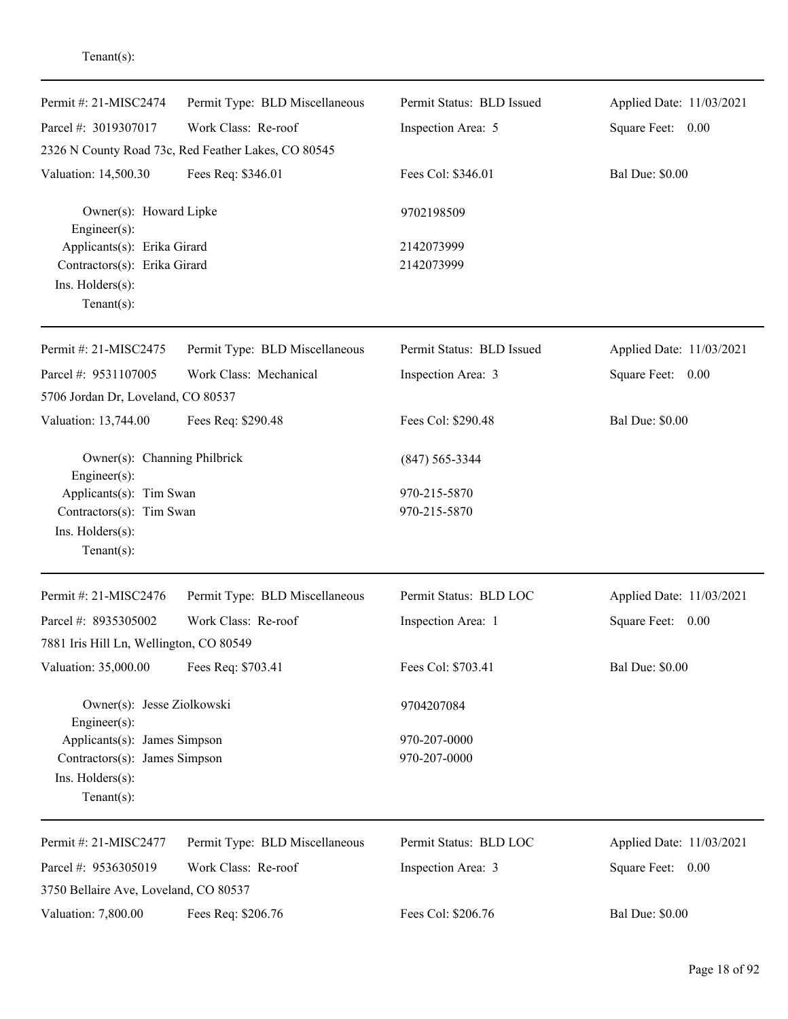| Permit #: 21-MISC2474                                                                             | Permit Type: BLD Miscellaneous                      | Permit Status: BLD Issued | Applied Date: 11/03/2021 |
|---------------------------------------------------------------------------------------------------|-----------------------------------------------------|---------------------------|--------------------------|
| Parcel #: 3019307017                                                                              | Work Class: Re-roof                                 | Inspection Area: 5        | Square Feet: 0.00        |
|                                                                                                   | 2326 N County Road 73c, Red Feather Lakes, CO 80545 |                           |                          |
| Valuation: 14,500.30                                                                              | Fees Req: \$346.01                                  | Fees Col: \$346.01        | <b>Bal Due: \$0.00</b>   |
| Owner(s): Howard Lipke<br>Engineer(s):                                                            |                                                     | 9702198509                |                          |
| Applicants(s): Erika Girard<br>Contractors(s): Erika Girard<br>Ins. Holders(s):<br>Tenant $(s)$ : |                                                     | 2142073999<br>2142073999  |                          |
| Permit #: 21-MISC2475                                                                             | Permit Type: BLD Miscellaneous                      | Permit Status: BLD Issued | Applied Date: 11/03/2021 |
| Parcel #: 9531107005<br>5706 Jordan Dr, Loveland, CO 80537                                        | Work Class: Mechanical                              | Inspection Area: 3        | Square Feet: 0.00        |
| Valuation: 13,744.00                                                                              | Fees Req: \$290.48                                  | Fees Col: \$290.48        | <b>Bal Due: \$0.00</b>   |
| Owner(s): Channing Philbrick<br>Engineer(s):                                                      |                                                     | $(847) 565 - 3344$        |                          |
| Applicants(s): Tim Swan                                                                           |                                                     | 970-215-5870              |                          |
| Contractors(s): Tim Swan                                                                          |                                                     | 970-215-5870              |                          |
| Ins. Holders(s):<br>Tenant $(s)$ :                                                                |                                                     |                           |                          |
| Permit #: 21-MISC2476                                                                             | Permit Type: BLD Miscellaneous                      | Permit Status: BLD LOC    | Applied Date: 11/03/2021 |
| Parcel #: 8935305002                                                                              | Work Class: Re-roof                                 | Inspection Area: 1        | Square Feet: 0.00        |
| 7881 Iris Hill Ln, Wellington, CO 80549                                                           |                                                     |                           |                          |
| Valuation: 35,000.00                                                                              | Fees Req: \$703.41                                  | Fees Col: \$703.41        | <b>Bal Due: \$0.00</b>   |
| Owner(s): Jesse Ziolkowski<br>Engineer(s):                                                        |                                                     | 9704207084                |                          |
| Applicants(s): James Simpson                                                                      |                                                     | 970-207-0000              |                          |
| Contractors(s): James Simpson                                                                     |                                                     | 970-207-0000              |                          |
| Ins. Holders(s):<br>Tenant $(s)$ :                                                                |                                                     |                           |                          |
| Permit #: 21-MISC2477                                                                             | Permit Type: BLD Miscellaneous                      | Permit Status: BLD LOC    | Applied Date: 11/03/2021 |
| Parcel #: 9536305019                                                                              | Work Class: Re-roof                                 | Inspection Area: 3        | Square Feet: 0.00        |
| 3750 Bellaire Ave, Loveland, CO 80537                                                             |                                                     |                           |                          |
| Valuation: 7,800.00                                                                               | Fees Req: \$206.76                                  | Fees Col: \$206.76        | <b>Bal Due: \$0.00</b>   |

## Tenant(s):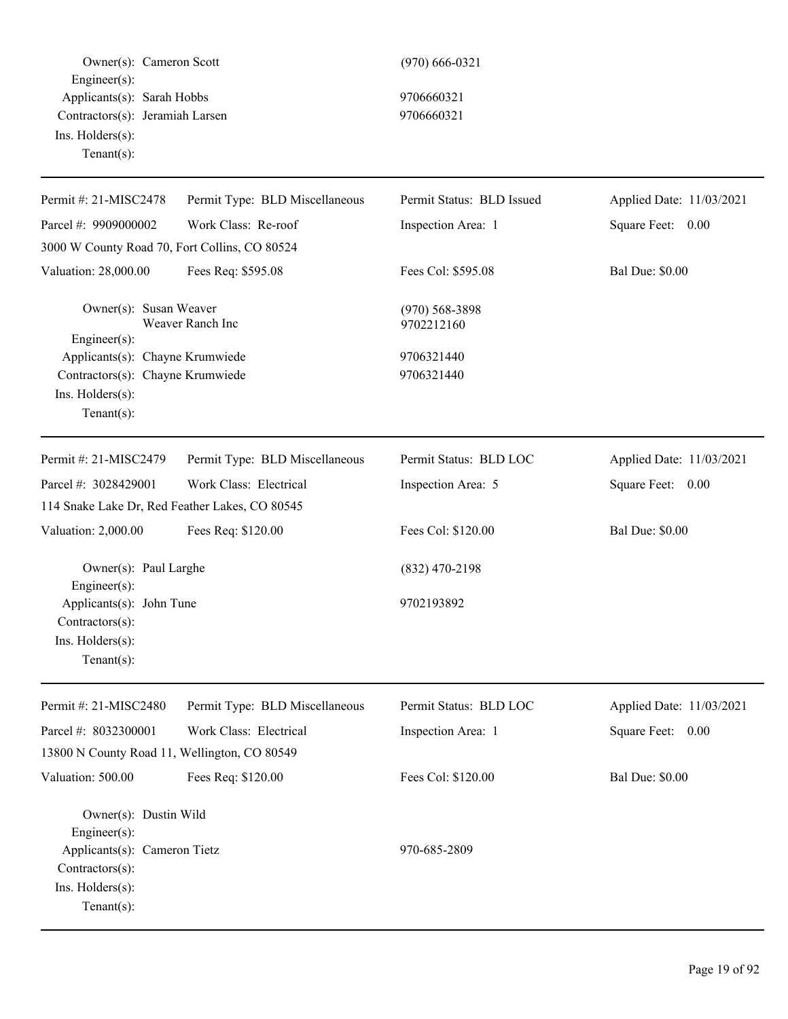Owner(s): Cameron Scott (970) 666-0321 Engineer(s): Applicants(s): Sarah Hobbs 9706660321 Contractors(s): Jeramiah Larsen 9706660321 Ins. Holders(s): Tenant(s):

| Permit #: 21-MISC2478                          | Permit Type: BLD Miscellaneous | Permit Status: BLD Issued      | Applied Date: 11/03/2021 |
|------------------------------------------------|--------------------------------|--------------------------------|--------------------------|
| Parcel #: 9909000002                           | Work Class: Re-roof            |                                |                          |
|                                                |                                | Inspection Area: 1             | Square Feet: 0.00        |
| 3000 W County Road 70, Fort Collins, CO 80524  |                                |                                |                          |
| Valuation: 28,000.00                           | Fees Req: \$595.08             | Fees Col: \$595.08             | <b>Bal Due: \$0.00</b>   |
| Owner(s): Susan Weaver<br>Engineer(s):         | Weaver Ranch Inc               | $(970)$ 568-3898<br>9702212160 |                          |
| Applicants(s): Chayne Krumwiede                |                                | 9706321440                     |                          |
| Contractors(s): Chayne Krumwiede               |                                | 9706321440                     |                          |
| Ins. Holders(s):                               |                                |                                |                          |
| $Tenant(s)$ :                                  |                                |                                |                          |
| Permit #: 21-MISC2479                          | Permit Type: BLD Miscellaneous | Permit Status: BLD LOC         | Applied Date: 11/03/2021 |
| Parcel #: 3028429001                           | Work Class: Electrical         | Inspection Area: 5             | Square Feet: 0.00        |
| 114 Snake Lake Dr, Red Feather Lakes, CO 80545 |                                |                                |                          |
| Valuation: 2,000.00                            | Fees Req: \$120.00             | Fees Col: \$120.00             | <b>Bal Due: \$0.00</b>   |
| Owner(s): Paul Larghe                          |                                | $(832)$ 470-2198               |                          |
| Engineer(s):<br>Applicants(s): John Tune       |                                | 9702193892                     |                          |
| Contractors(s):                                |                                |                                |                          |
| Ins. Holders(s):                               |                                |                                |                          |
| $Tenant(s)$ :                                  |                                |                                |                          |
| Permit #: 21-MISC2480                          | Permit Type: BLD Miscellaneous | Permit Status: BLD LOC         | Applied Date: 11/03/2021 |
| Parcel #: 8032300001                           | Work Class: Electrical         | Inspection Area: 1             | Square Feet: 0.00        |
| 13800 N County Road 11, Wellington, CO 80549   |                                |                                |                          |
| Valuation: 500.00                              | Fees Req: \$120.00             | Fees Col: \$120.00             | <b>Bal Due: \$0.00</b>   |
|                                                |                                |                                |                          |
| Owner(s): Dustin Wild                          |                                |                                |                          |
| Engineer(s):<br>Applicants(s): Cameron Tietz   |                                | 970-685-2809                   |                          |
| Contractors(s):                                |                                |                                |                          |
| Ins. Holders(s):                               |                                |                                |                          |
| Tenant $(s)$ :                                 |                                |                                |                          |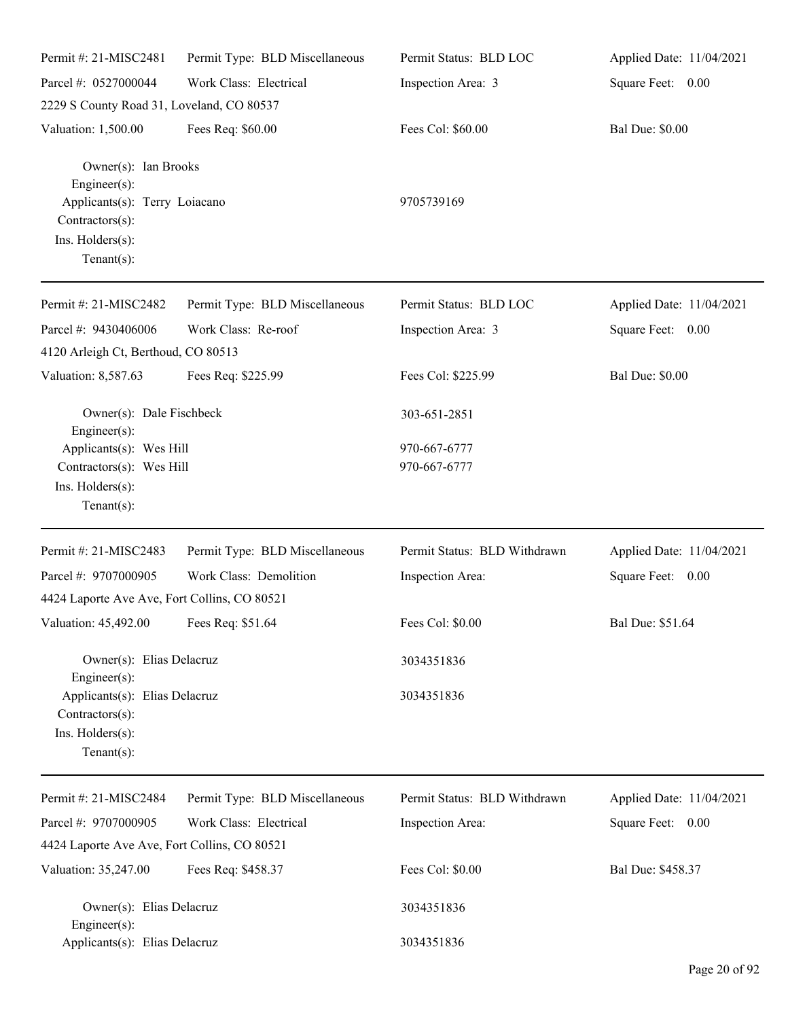| Permit #: 21-MISC2481                                                                                                             | Permit Type: BLD Miscellaneous | Permit Status: BLD LOC       | Applied Date: 11/04/2021 |
|-----------------------------------------------------------------------------------------------------------------------------------|--------------------------------|------------------------------|--------------------------|
| Parcel #: 0527000044                                                                                                              | Work Class: Electrical         | Inspection Area: 3           | Square Feet: 0.00        |
| 2229 S County Road 31, Loveland, CO 80537                                                                                         |                                |                              |                          |
| Valuation: 1,500.00                                                                                                               | Fees Req: \$60.00              | Fees Col: \$60.00            | <b>Bal Due: \$0.00</b>   |
| Owner(s): Ian Brooks<br>Engineer $(s)$ :<br>Applicants(s): Terry Loiacano<br>Contractors(s):<br>Ins. Holders(s):<br>$Tenant(s)$ : |                                | 9705739169                   |                          |
| Permit#: 21-MISC2482                                                                                                              | Permit Type: BLD Miscellaneous | Permit Status: BLD LOC       | Applied Date: 11/04/2021 |
| Parcel #: 9430406006<br>4120 Arleigh Ct, Berthoud, CO 80513                                                                       | Work Class: Re-roof            | Inspection Area: 3           | Square Feet: 0.00        |
| Valuation: 8,587.63                                                                                                               | Fees Req: \$225.99             | Fees Col: \$225.99           | <b>Bal Due: \$0.00</b>   |
| Owner(s): Dale Fischbeck<br>Engineer(s):                                                                                          |                                | 303-651-2851<br>970-667-6777 |                          |
| Applicants(s): Wes Hill<br>Contractors(s): Wes Hill<br>Ins. Holders(s):<br>Tenant $(s)$ :                                         |                                | 970-667-6777                 |                          |
| Permit #: 21-MISC2483                                                                                                             | Permit Type: BLD Miscellaneous | Permit Status: BLD Withdrawn | Applied Date: 11/04/2021 |
| Parcel #: 9707000905<br>4424 Laporte Ave Ave, Fort Collins, CO 80521                                                              | Work Class: Demolition         | Inspection Area:             | Square Feet: 0.00        |
| Valuation: 45,492.00 Fees Req: \$51.64                                                                                            |                                | Fees Col: \$0.00             | Bal Due: \$51.64         |
| Owner(s): Elias Delacruz<br>Engineer $(s)$ :                                                                                      |                                | 3034351836                   |                          |
| Applicants(s): Elias Delacruz<br>$Contractors(s)$ :<br>Ins. Holders(s):<br>Tenant $(s)$ :                                         |                                | 3034351836                   |                          |
| Permit #: 21-MISC2484                                                                                                             | Permit Type: BLD Miscellaneous | Permit Status: BLD Withdrawn | Applied Date: 11/04/2021 |
| Parcel #: 9707000905                                                                                                              | Work Class: Electrical         | Inspection Area:             | Square Feet: 0.00        |
| 4424 Laporte Ave Ave, Fort Collins, CO 80521                                                                                      |                                |                              |                          |
| Valuation: 35,247.00                                                                                                              | Fees Req: \$458.37             | Fees Col: \$0.00             | Bal Due: \$458.37        |
| Owner(s): Elias Delacruz<br>Engineer(s):                                                                                          |                                | 3034351836                   |                          |
| Applicants(s): Elias Delacruz                                                                                                     |                                | 3034351836                   |                          |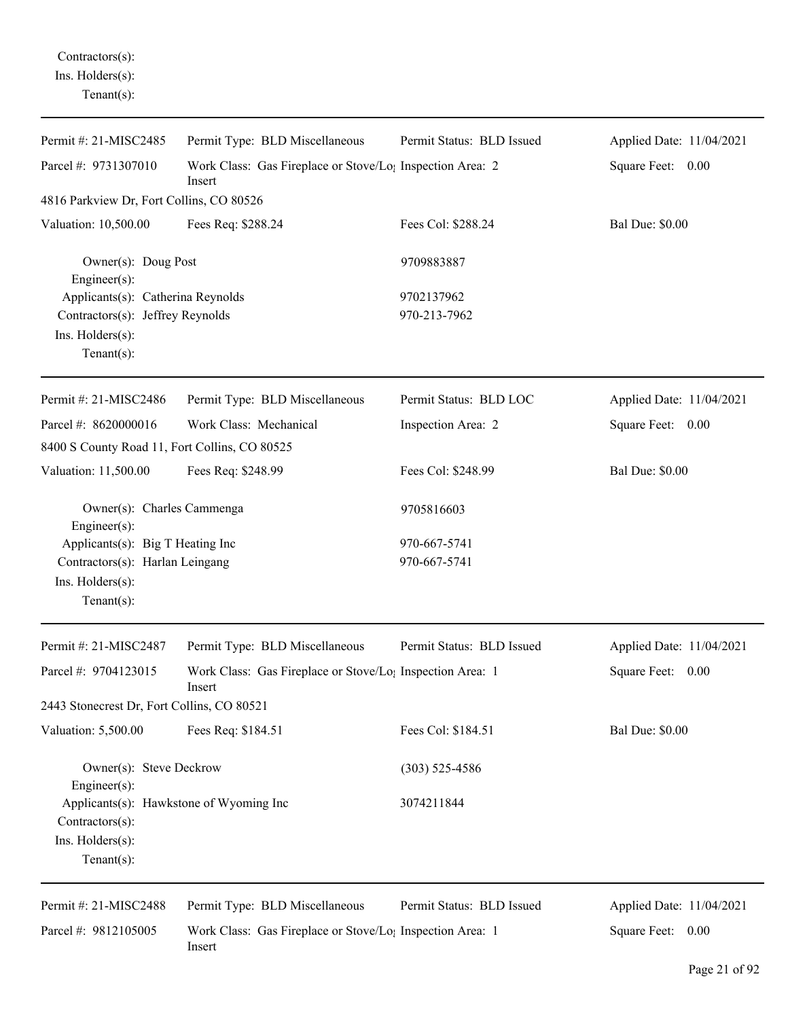Contractors(s): Ins. Holders(s): Tenant(s):

| Permit #: 21-MISC2485                                                                                       | Permit Type: BLD Miscellaneous                                                  | Permit Status: BLD Issued  | Applied Date: 11/04/2021 |
|-------------------------------------------------------------------------------------------------------------|---------------------------------------------------------------------------------|----------------------------|--------------------------|
| Parcel #: 9731307010                                                                                        | Work Class: Gas Fireplace or Stove/Lo; Inspection Area: 2<br>Insert             |                            | Square Feet: 0.00        |
| 4816 Parkview Dr, Fort Collins, CO 80526                                                                    |                                                                                 |                            |                          |
| Valuation: 10,500.00                                                                                        | Fees Req: \$288.24                                                              | Fees Col: \$288.24         | <b>Bal Due: \$0.00</b>   |
| Owner(s): Doug Post<br>Engineer $(s)$ :                                                                     |                                                                                 | 9709883887                 |                          |
| Applicants(s): Catherina Reynolds<br>Contractors(s): Jeffrey Reynolds<br>Ins. Holders(s):<br>Tenant $(s)$ : |                                                                                 | 9702137962<br>970-213-7962 |                          |
| Permit #: 21-MISC2486                                                                                       | Permit Type: BLD Miscellaneous                                                  | Permit Status: BLD LOC     | Applied Date: 11/04/2021 |
| Parcel #: 8620000016                                                                                        | Work Class: Mechanical                                                          | Inspection Area: 2         | Square Feet: 0.00        |
| 8400 S County Road 11, Fort Collins, CO 80525                                                               |                                                                                 |                            |                          |
| Valuation: 11,500.00                                                                                        | Fees Req: \$248.99                                                              | Fees Col: \$248.99         | <b>Bal Due: \$0.00</b>   |
| Owner(s): Charles Cammenga<br>Engineer $(s)$ :                                                              |                                                                                 | 9705816603                 |                          |
| Applicants(s): Big T Heating Inc                                                                            |                                                                                 | 970-667-5741               |                          |
| Contractors(s): Harlan Leingang                                                                             |                                                                                 | 970-667-5741               |                          |
| Ins. $H$ olders $(s)$ :                                                                                     |                                                                                 |                            |                          |
| Tenant $(s)$ :                                                                                              |                                                                                 |                            |                          |
| Permit #: 21-MISC2487                                                                                       | Permit Type: BLD Miscellaneous                                                  | Permit Status: BLD Issued  | Applied Date: 11/04/2021 |
| Parcel #: 9704123015                                                                                        | Work Class: Gas Fireplace or Stove/Lo <sub>1</sub> Inspection Area: 1<br>Insert |                            | Square Feet: 0.00        |
| 2443 Stonecrest Dr, Fort Collins, CO 80521                                                                  |                                                                                 |                            |                          |
| Valuation: 5,500.00                                                                                         | Fees Req: \$184.51                                                              | Fees Col: \$184.51         | <b>Bal Due: \$0.00</b>   |
| Owner(s): Steve Deckrow<br>Engineer $(s)$ :                                                                 |                                                                                 | $(303)$ 525-4586           |                          |
| Applicants(s): Hawkstone of Wyoming Inc<br>Contractors(s):<br>Ins. Holders(s):<br>Tenant $(s)$ :            |                                                                                 | 3074211844                 |                          |
| Permit #: 21-MISC2488                                                                                       | Permit Type: BLD Miscellaneous                                                  | Permit Status: BLD Issued  | Applied Date: 11/04/2021 |
| Parcel #: 9812105005                                                                                        | Work Class: Gas Fireplace or Stove/Lo <sub>1</sub> Inspection Area: 1<br>Insert |                            | Square Feet: 0.00        |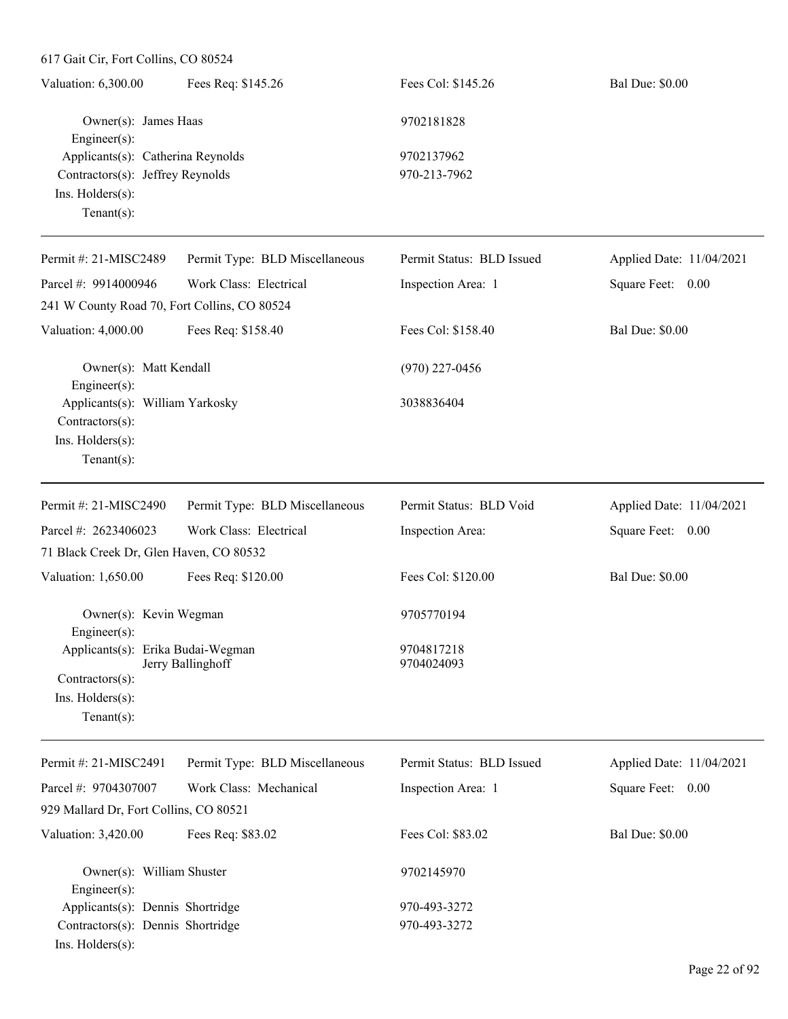241 W County Road 70, Fort Collins, CO 80524

Engineer(s):

Contractors(s):

| Valuation: 6,300.00                                                   | Fees Req: \$145.26             | Fees Col: \$145.26         | <b>Bal Due: \$0.00</b>   |
|-----------------------------------------------------------------------|--------------------------------|----------------------------|--------------------------|
| Owner(s): James Haas                                                  |                                | 9702181828                 |                          |
| $Engineering(s)$ :                                                    |                                |                            |                          |
| Applicants(s): Catherina Reynolds<br>Contractors(s): Jeffrey Reynolds |                                | 9702137962<br>970-213-7962 |                          |
|                                                                       |                                |                            |                          |
| $Ins.$ Holders $(s)$ :                                                |                                |                            |                          |
| Tenant $(s)$ :                                                        |                                |                            |                          |
| Permit #: $21-MISC2489$                                               | Permit Type: BLD Miscellaneous | Permit Status: BLD Issued  | Applied Date: 11/04/2021 |
| Parcel #: $9914000946$                                                | Work Class: Electrical         | Inspection Area: 1         | Square Feet: 0.00        |

Valuation: 4,000.00 Fees Req: \$158.40 Fees Col: \$158.40 Bal Due: \$0.00

Owner(s): Matt Kendall (970) 227-0456

Applicants(s): William Yarkosky 3038836404

Ins. Holders(s): Tenant(s): Permit #: 21-MISC2490 Parcel #: 2623406023 Permit Type: BLD Miscellaneous Work Class: Electrical Permit Status: BLD Void Inspection Area: Applied Date: 11/04/2021 Square Feet: 0.00 71 Black Creek Dr, Glen Haven, CO 80532 Valuation: 1,650.00 Fees Req: \$120.00 Fees Col: \$120.00 Bal Due: \$0.00 Owner(s): Kevin Wegman 9705770194 Engineer(s): Applicants(s): Erika Budai-Wegman 9704817218<br>Jerry Ballinghoff 9704024093 Jerry Ballinghoff Contractors(s): Ins. Holders(s): Tenant(s):

| Permit #: 21-MISC2491                  | Permit Type: BLD Miscellaneous | Permit Status: BLD Issued | Applied Date: 11/04/2021 |
|----------------------------------------|--------------------------------|---------------------------|--------------------------|
| Parcel #: $9704307007$                 | Work Class: Mechanical         | Inspection Area: 1        | Square Feet: 0.00        |
| 929 Mallard Dr, Fort Collins, CO 80521 |                                |                           |                          |
| Valuation: 3,420.00                    | Fees Req: \$83.02              | Fees Col: \$83.02         | <b>Bal Due: \$0.00</b>   |
| Owner(s): William Shuster              |                                | 9702145970                |                          |
| $Engineering(s)$ :                     |                                |                           |                          |
| Applicants(s): Dennis Shortridge       |                                | 970-493-3272              |                          |
| Contractors(s): Dennis Shortridge      |                                | 970-493-3272              |                          |
| $Ins.$ Holders $(s)$ :                 |                                |                           |                          |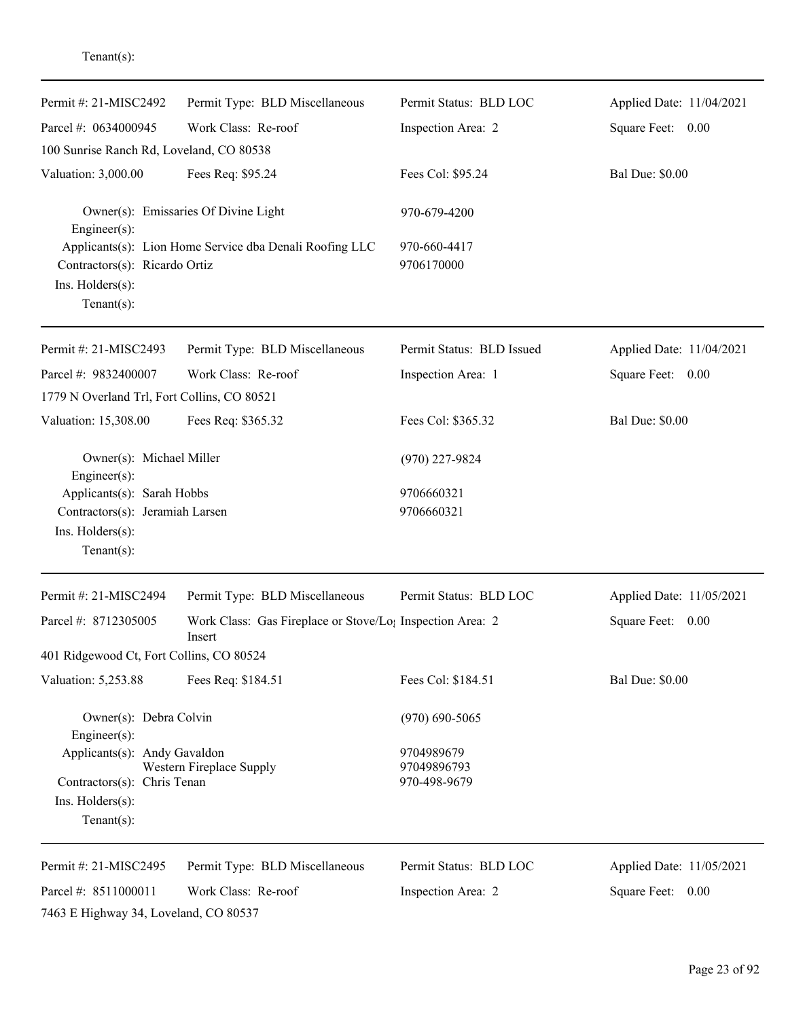| Permit #: 21-MISC2492                                               | Permit Type: BLD Miscellaneous                                      | Permit Status: BLD LOC      | Applied Date: 11/04/2021 |
|---------------------------------------------------------------------|---------------------------------------------------------------------|-----------------------------|--------------------------|
| Parcel #: 0634000945                                                | Work Class: Re-roof                                                 | Inspection Area: 2          | Square Feet: 0.00        |
| 100 Sunrise Ranch Rd, Loveland, CO 80538                            |                                                                     |                             |                          |
| Valuation: 3,000.00                                                 | Fees Req: \$95.24                                                   | Fees Col: \$95.24           | <b>Bal Due: \$0.00</b>   |
| Engineer(s):                                                        | Owner(s): Emissaries Of Divine Light                                | 970-679-4200                |                          |
| Contractors(s): Ricardo Ortiz<br>Ins. Holders(s):<br>Tenant $(s)$ : | Applicants(s): Lion Home Service dba Denali Roofing LLC             | 970-660-4417<br>9706170000  |                          |
| Permit #: 21-MISC2493                                               | Permit Type: BLD Miscellaneous                                      | Permit Status: BLD Issued   | Applied Date: 11/04/2021 |
| Parcel #: 9832400007                                                | Work Class: Re-roof                                                 | Inspection Area: 1          | Square Feet: 0.00        |
| 1779 N Overland Trl, Fort Collins, CO 80521                         |                                                                     |                             |                          |
| Valuation: 15,308.00                                                | Fees Req: \$365.32                                                  | Fees Col: \$365.32          | <b>Bal Due: \$0.00</b>   |
| Owner(s): Michael Miller<br>Engineer(s):                            |                                                                     | $(970)$ 227-9824            |                          |
| Applicants(s): Sarah Hobbs                                          |                                                                     | 9706660321                  |                          |
| Contractors(s): Jeramiah Larsen                                     |                                                                     | 9706660321                  |                          |
| Ins. Holders(s):<br>$Tenant(s)$ :                                   |                                                                     |                             |                          |
|                                                                     |                                                                     |                             |                          |
| Permit #: 21-MISC2494                                               | Permit Type: BLD Miscellaneous                                      | Permit Status: BLD LOC      | Applied Date: 11/05/2021 |
| Parcel #: 8712305005                                                | Work Class: Gas Fireplace or Stove/Lo; Inspection Area: 2<br>Insert |                             | Square Feet: 0.00        |
| 401 Ridgewood Ct, Fort Collins, CO 80524                            |                                                                     |                             |                          |
| Valuation: 5,253.88                                                 | Fees Req: \$184.51                                                  | Fees Col: \$184.51          | <b>Bal Due: \$0.00</b>   |
| Owner(s): Debra Colvin<br>Engineer(s):                              |                                                                     | $(970)$ 690-5065            |                          |
| Applicants(s): Andy Gavaldon                                        |                                                                     | 9704989679                  |                          |
| Contractors(s): Chris Tenan                                         | Western Fireplace Supply                                            | 97049896793<br>970-498-9679 |                          |
| Ins. Holders(s):                                                    |                                                                     |                             |                          |
| Tenant $(s)$ :                                                      |                                                                     |                             |                          |
| Permit #: 21-MISC2495                                               | Permit Type: BLD Miscellaneous                                      | Permit Status: BLD LOC      | Applied Date: 11/05/2021 |
| Parcel #: 8511000011                                                | Work Class: Re-roof                                                 | Inspection Area: 2          | Square Feet: 0.00        |
| 7463 E Highway 34, Loveland, CO 80537                               |                                                                     |                             |                          |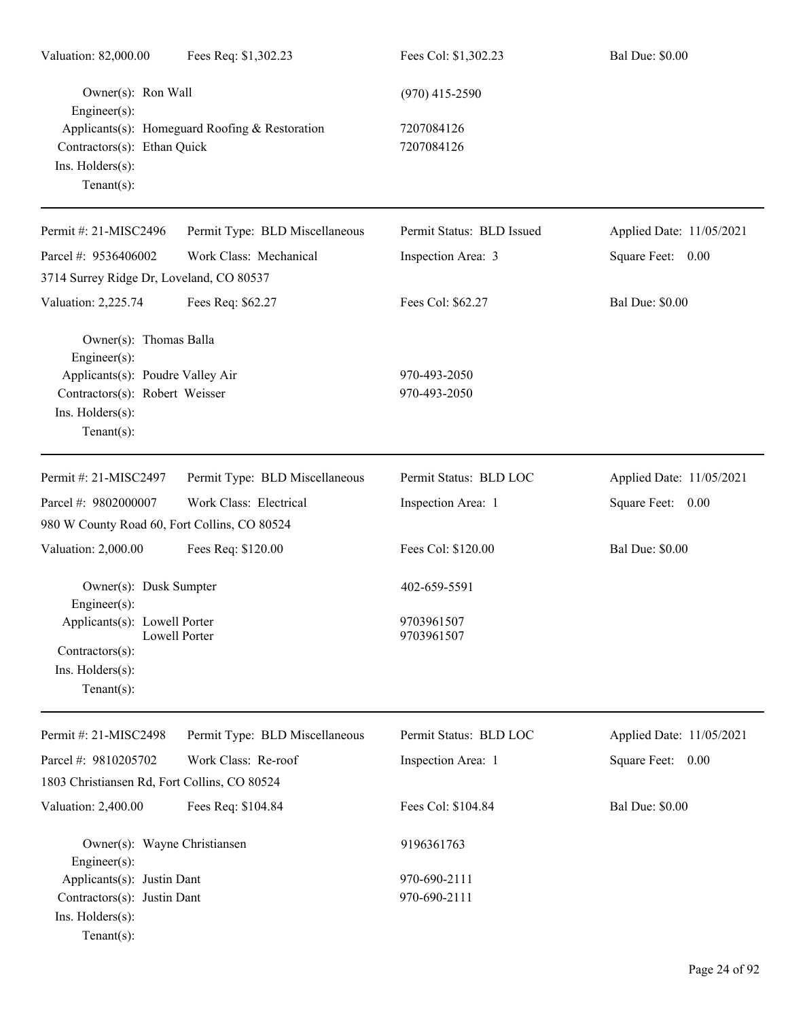| Valuation: 82,000.00                                                                            | Fees Req: \$1,302.23                           | Fees Col: \$1,302.23         | <b>Bal Due: \$0.00</b>   |
|-------------------------------------------------------------------------------------------------|------------------------------------------------|------------------------------|--------------------------|
| Owner(s): Ron Wall<br>Engineer(s):                                                              |                                                | $(970)$ 415-2590             |                          |
| Contractors(s): Ethan Quick<br>Ins. Holders(s):<br>$Tenant(s)$ :                                | Applicants(s): Homeguard Roofing & Restoration | 7207084126<br>7207084126     |                          |
| Permit #: 21-MISC2496                                                                           | Permit Type: BLD Miscellaneous                 | Permit Status: BLD Issued    | Applied Date: 11/05/2021 |
| Parcel #: 9536406002                                                                            | Work Class: Mechanical                         | Inspection Area: 3           | Square Feet: 0.00        |
| 3714 Surrey Ridge Dr, Loveland, CO 80537                                                        |                                                |                              |                          |
| Valuation: 2,225.74                                                                             | Fees Req: \$62.27                              | Fees Col: \$62.27            | <b>Bal Due: \$0.00</b>   |
| Owner(s): Thomas Balla<br>Engineer(s):                                                          |                                                |                              |                          |
| Applicants(s): Poudre Valley Air                                                                |                                                | 970-493-2050                 |                          |
| Contractors(s): Robert Weisser<br>Ins. Holders(s):<br>Tenant $(s)$ :                            |                                                | 970-493-2050                 |                          |
| Permit #: 21-MISC2497                                                                           | Permit Type: BLD Miscellaneous                 | Permit Status: BLD LOC       | Applied Date: 11/05/2021 |
| Parcel #: 9802000007                                                                            | Work Class: Electrical                         | Inspection Area: 1           | Square Feet: 0.00        |
| 980 W County Road 60, Fort Collins, CO 80524                                                    |                                                |                              |                          |
| Valuation: 2,000.00                                                                             | Fees Req: \$120.00                             | Fees Col: \$120.00           | <b>Bal Due: \$0.00</b>   |
| Owner(s): Dusk Sumpter<br>Engineer(s):                                                          |                                                | 402-659-5591                 |                          |
| Applicants(s): Lowell Porter<br>Contractors(s):                                                 | Lowell Porter                                  | 9703961507<br>9703961507     |                          |
| Ins. Holders(s):<br>Tenant $(s)$ :                                                              |                                                |                              |                          |
| Permit #: 21-MISC2498                                                                           | Permit Type: BLD Miscellaneous                 | Permit Status: BLD LOC       | Applied Date: 11/05/2021 |
| Parcel #: 9810205702                                                                            | Work Class: Re-roof                            | Inspection Area: 1           | Square Feet: 0.00        |
| 1803 Christiansen Rd, Fort Collins, CO 80524                                                    |                                                |                              |                          |
| Valuation: 2,400.00                                                                             | Fees Req: \$104.84                             | Fees Col: \$104.84           | <b>Bal Due: \$0.00</b>   |
| Owner(s): Wayne Christiansen<br>Engineer(s):                                                    |                                                | 9196361763                   |                          |
| Applicants(s): Justin Dant<br>Contractors(s): Justin Dant<br>Ins. Holders(s):<br>Tenant $(s)$ : |                                                | 970-690-2111<br>970-690-2111 |                          |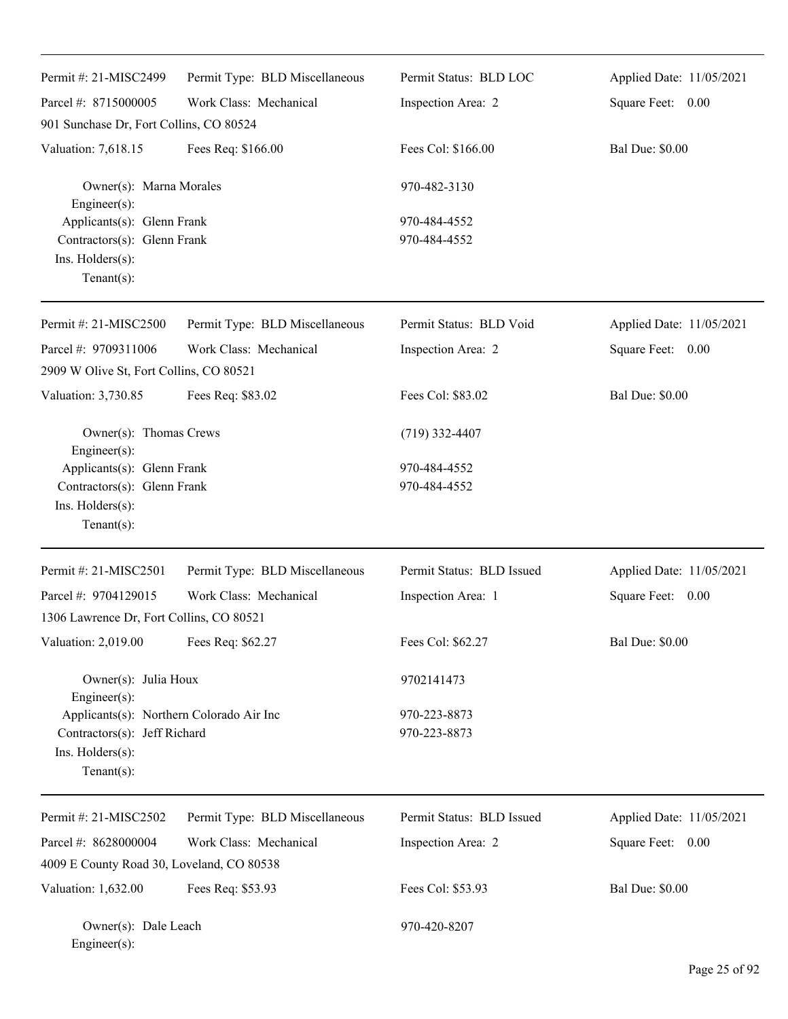| Permit #: 21-MISC2499                                                                                         | Permit Type: BLD Miscellaneous | Permit Status: BLD LOC       | Applied Date: 11/05/2021 |
|---------------------------------------------------------------------------------------------------------------|--------------------------------|------------------------------|--------------------------|
| Parcel #: 8715000005                                                                                          | Work Class: Mechanical         | Inspection Area: 2           | Square Feet: 0.00        |
| 901 Sunchase Dr, Fort Collins, CO 80524                                                                       |                                |                              |                          |
| Valuation: 7,618.15                                                                                           | Fees Req: \$166.00             | Fees Col: \$166.00           | <b>Bal Due: \$0.00</b>   |
| Owner(s): Marna Morales<br>Engineer(s):                                                                       |                                | 970-482-3130                 |                          |
| Applicants(s): Glenn Frank<br>Contractors(s): Glenn Frank<br>Ins. Holders(s):<br>$Tenant(s)$ :                |                                | 970-484-4552<br>970-484-4552 |                          |
| Permit #: 21-MISC2500                                                                                         | Permit Type: BLD Miscellaneous | Permit Status: BLD Void      | Applied Date: 11/05/2021 |
| Parcel #: 9709311006                                                                                          | Work Class: Mechanical         | Inspection Area: 2           | Square Feet: 0.00        |
| 2909 W Olive St, Fort Collins, CO 80521                                                                       |                                |                              |                          |
| Valuation: 3,730.85                                                                                           | Fees Req: \$83.02              | Fees Col: \$83.02            | <b>Bal Due: \$0.00</b>   |
| Owner(s): Thomas Crews<br>Engineer(s):                                                                        |                                | $(719)$ 332-4407             |                          |
| Applicants(s): Glenn Frank                                                                                    |                                | 970-484-4552                 |                          |
| Contractors(s): Glenn Frank<br>Ins. Holders(s):<br>$Tenant(s)$ :                                              |                                | 970-484-4552                 |                          |
| Permit #: 21-MISC2501                                                                                         | Permit Type: BLD Miscellaneous | Permit Status: BLD Issued    | Applied Date: 11/05/2021 |
| Parcel #: 9704129015                                                                                          | Work Class: Mechanical         | Inspection Area: 1           | Square Feet: 0.00        |
| 1306 Lawrence Dr, Fort Collins, CO 80521                                                                      |                                |                              |                          |
| Valuation: 2,019.00                                                                                           | Fees Req: \$62.27              | Fees Col: \$62.27            | <b>Bal Due: \$0.00</b>   |
| Owner(s): Julia Houx<br>Engineer(s):                                                                          |                                | 9702141473                   |                          |
| Applicants(s): Northern Colorado Air Inc<br>Contractors(s): Jeff Richard<br>Ins. Holders(s):<br>$Tenant(s)$ : |                                | 970-223-8873<br>970-223-8873 |                          |
| Permit #: 21-MISC2502                                                                                         | Permit Type: BLD Miscellaneous | Permit Status: BLD Issued    | Applied Date: 11/05/2021 |
| Parcel #: 8628000004                                                                                          | Work Class: Mechanical         | Inspection Area: 2           | Square Feet: 0.00        |
| 4009 E County Road 30, Loveland, CO 80538                                                                     |                                |                              |                          |
| Valuation: 1,632.00                                                                                           | Fees Req: \$53.93              | Fees Col: \$53.93            | <b>Bal Due: \$0.00</b>   |
| Owner(s): Dale Leach<br>Engineer(s):                                                                          |                                | 970-420-8207                 |                          |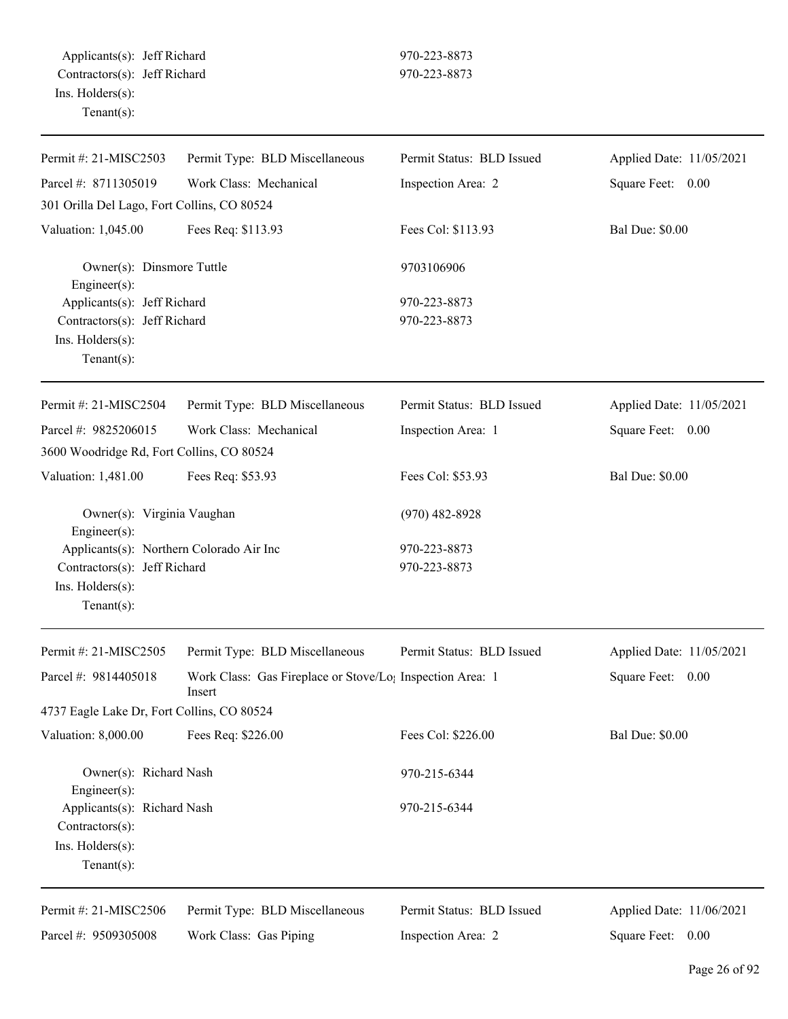| Permit #: 21-MISC2503                                                                                         | Permit Type: BLD Miscellaneous                                                  | Permit Status: BLD Issued    | Applied Date: 11/05/2021 |
|---------------------------------------------------------------------------------------------------------------|---------------------------------------------------------------------------------|------------------------------|--------------------------|
| Parcel #: 8711305019                                                                                          | Work Class: Mechanical                                                          | Inspection Area: 2           | Square Feet: 0.00        |
| 301 Orilla Del Lago, Fort Collins, CO 80524                                                                   |                                                                                 |                              |                          |
| Valuation: 1,045.00                                                                                           | Fees Req: \$113.93                                                              | Fees Col: \$113.93           | <b>Bal Due: \$0.00</b>   |
| Owner(s): Dinsmore Tuttle<br>Engineer(s):                                                                     |                                                                                 | 9703106906                   |                          |
| Applicants(s): Jeff Richard<br>Contractors(s): Jeff Richard<br>Ins. Holders(s):<br>Tenant $(s)$ :             |                                                                                 | 970-223-8873<br>970-223-8873 |                          |
| Permit #: 21-MISC2504                                                                                         | Permit Type: BLD Miscellaneous                                                  | Permit Status: BLD Issued    | Applied Date: 11/05/2021 |
| Parcel #: 9825206015                                                                                          | Work Class: Mechanical                                                          | Inspection Area: 1           | Square Feet: 0.00        |
| 3600 Woodridge Rd, Fort Collins, CO 80524                                                                     |                                                                                 |                              |                          |
| Valuation: 1,481.00                                                                                           | Fees Req: \$53.93                                                               | Fees Col: \$53.93            | <b>Bal Due: \$0.00</b>   |
| Owner(s): Virginia Vaughan<br>Engineer(s):                                                                    |                                                                                 | $(970)$ 482-8928             |                          |
| Applicants(s): Northern Colorado Air Inc<br>Contractors(s): Jeff Richard<br>Ins. Holders(s):<br>$Tenant(s)$ : |                                                                                 | 970-223-8873<br>970-223-8873 |                          |
| Permit #: 21-MISC2505                                                                                         | Permit Type: BLD Miscellaneous                                                  | Permit Status: BLD Issued    | Applied Date: 11/05/2021 |
| Parcel #: 9814405018                                                                                          | Work Class: Gas Fireplace or Stove/Lo <sub>1</sub> Inspection Area: 1<br>Insert |                              | Square Feet: 0.00        |
| 4737 Eagle Lake Dr, Fort Collins, CO 80524                                                                    |                                                                                 |                              |                          |
| Valuation: 8,000.00                                                                                           | Fees Req: \$226.00                                                              | Fees Col: \$226.00           | <b>Bal Due: \$0.00</b>   |
| Owner(s): Richard Nash<br>$Engineering(s)$ :                                                                  |                                                                                 | 970-215-6344                 |                          |
| Applicants(s): Richard Nash<br>Contractors(s):<br>Ins. Holders(s):<br>Tenant $(s)$ :                          |                                                                                 | 970-215-6344                 |                          |
| Permit #: 21-MISC2506                                                                                         | Permit Type: BLD Miscellaneous                                                  | Permit Status: BLD Issued    | Applied Date: 11/06/2021 |
| Parcel #: 9509305008                                                                                          | Work Class: Gas Piping                                                          | Inspection Area: 2           | Square Feet: 0.00        |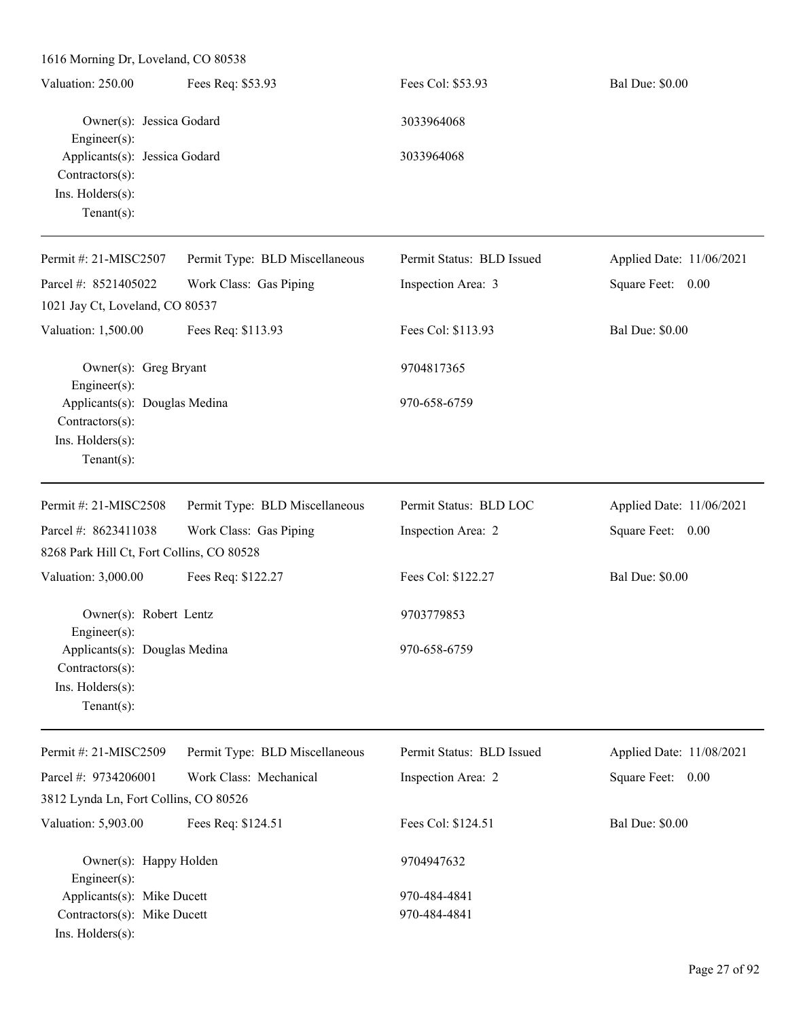1616 Morning Dr, Loveland, CO 80538 Valuation: 250.00 Fees Req: \$53.93 Fees Col: \$53.93 Bal Due: \$0.00 Owner(s): Jessica Godard 3033964068 Engineer(s): Applicants(s): Jessica Godard 3033964068 Contractors(s): Ins. Holders(s): Tenant(s): Permit #: 21-MISC2507 Parcel #: 8521405022 Permit Type: BLD Miscellaneous Work Class: Gas Piping Permit Status: BLD Issued Inspection Area: 3 Applied Date: 11/06/2021 Square Feet: 0.00 1021 Jay Ct, Loveland, CO 80537 Valuation: 1,500.00 Fees Req: \$113.93 Fees Col: \$113.93 Bal Due: \$0.00 Owner(s): Greg Bryant 9704817365 Engineer(s): Applicants(s): Douglas Medina 970-658-6759 Contractors(s): Ins. Holders(s): Tenant(s): Permit #: 21-MISC2508 Parcel #: 8623411038 Permit Type: BLD Miscellaneous Work Class: Gas Piping Permit Status: BLD LOC Inspection Area: 2 Applied Date: 11/06/2021 Square Feet: 0.00 8268 Park Hill Ct, Fort Collins, CO 80528 Valuation: 3,000.00 Fees Req: \$122.27 Fees Col: \$122.27 Bal Due: \$0.00 Owner(s): Robert Lentz 9703779853 Engineer(s): Applicants(s): Douglas Medina 970-658-6759 Contractors(s): Ins. Holders(s): Tenant(s): Permit #: 21-MISC2509 Parcel #: 9734206001 Permit Type: BLD Miscellaneous Work Class: Mechanical Permit Status: BLD Issued Inspection Area: 2 Applied Date: 11/08/2021 Square Feet: 0.00 3812 Lynda Ln, Fort Collins, CO 80526 Valuation: 5,903.00 Fees Req: \$124.51 Fees Col: \$124.51 Bal Due: \$0.00 Owner(s): Happy Holden 9704947632 Engineer(s): Applicants(s): Mike Ducett 970-484-4841 Contractors(s): Mike Ducett 970-484-4841

Ins. Holders(s):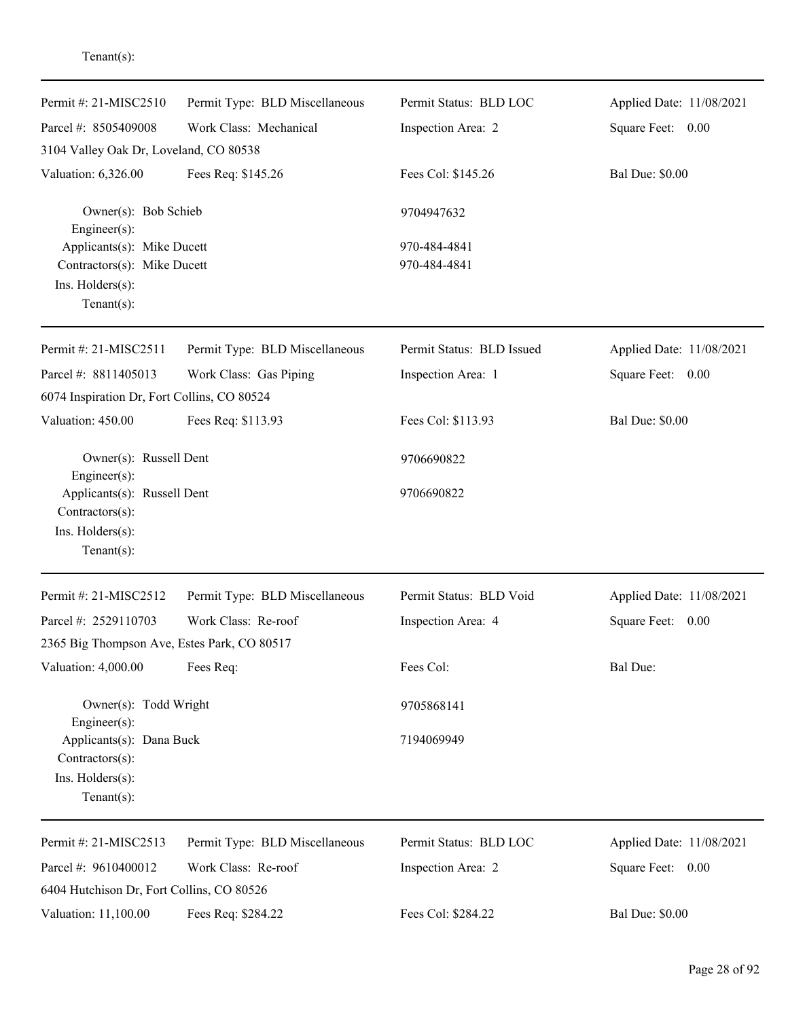| Permit #: 21-MISC2510<br>Parcel #: 8505409008                                                       | Permit Type: BLD Miscellaneous<br>Work Class: Mechanical | Permit Status: BLD LOC<br>Inspection Area: 2 | Applied Date: 11/08/2021<br>Square Feet: 0.00 |
|-----------------------------------------------------------------------------------------------------|----------------------------------------------------------|----------------------------------------------|-----------------------------------------------|
| 3104 Valley Oak Dr, Loveland, CO 80538                                                              |                                                          |                                              |                                               |
| Valuation: 6,326.00                                                                                 | Fees Req: \$145.26                                       | Fees Col: \$145.26                           | <b>Bal Due: \$0.00</b>                        |
| Owner(s): Bob Schieb<br>Engineer(s):                                                                |                                                          | 9704947632                                   |                                               |
| Applicants(s): Mike Ducett<br>Contractors(s): Mike Ducett<br>Ins. Holders(s):<br>$Tenant(s)$ :      |                                                          | 970-484-4841<br>970-484-4841                 |                                               |
|                                                                                                     |                                                          |                                              |                                               |
| Permit #: 21-MISC2511                                                                               | Permit Type: BLD Miscellaneous                           | Permit Status: BLD Issued                    | Applied Date: 11/08/2021                      |
| Parcel #: 8811405013                                                                                | Work Class: Gas Piping                                   | Inspection Area: 1                           | Square Feet: 0.00                             |
| 6074 Inspiration Dr, Fort Collins, CO 80524                                                         |                                                          |                                              |                                               |
| Valuation: 450.00                                                                                   | Fees Req: \$113.93                                       | Fees Col: \$113.93                           | <b>Bal Due: \$0.00</b>                        |
| Owner(s): Russell Dent                                                                              |                                                          | 9706690822                                   |                                               |
| Engineer(s):<br>Applicants(s): Russell Dent<br>Contractors(s):<br>Ins. Holders(s):<br>$Tenant(s)$ : |                                                          | 9706690822                                   |                                               |
| Permit #: 21-MISC2512                                                                               | Permit Type: BLD Miscellaneous                           | Permit Status: BLD Void                      | Applied Date: 11/08/2021                      |
| Parcel #: 2529110703                                                                                | Work Class: Re-roof                                      | Inspection Area: 4                           | Square Feet: 0.00                             |
| 2365 Big Thompson Ave, Estes Park, CO 80517                                                         |                                                          |                                              |                                               |
| Valuation: 4,000.00                                                                                 | Fees Req:                                                | Fees Col:                                    | <b>Bal Due:</b>                               |
| Owner(s): Todd Wright                                                                               |                                                          | 9705868141                                   |                                               |
| Engineer(s):<br>Applicants(s): Dana Buck<br>Contractors(s):<br>Ins. Holders(s):<br>$Tenant(s)$ :    |                                                          | 7194069949                                   |                                               |
|                                                                                                     |                                                          |                                              |                                               |
| Permit #: 21-MISC2513                                                                               | Permit Type: BLD Miscellaneous                           | Permit Status: BLD LOC                       | Applied Date: 11/08/2021                      |
| Parcel #: 9610400012                                                                                | Work Class: Re-roof                                      | Inspection Area: 2                           | Square Feet: 0.00                             |
| 6404 Hutchison Dr, Fort Collins, CO 80526                                                           |                                                          |                                              |                                               |
| Valuation: 11,100.00                                                                                | Fees Req: \$284.22                                       | Fees Col: \$284.22                           | <b>Bal Due: \$0.00</b>                        |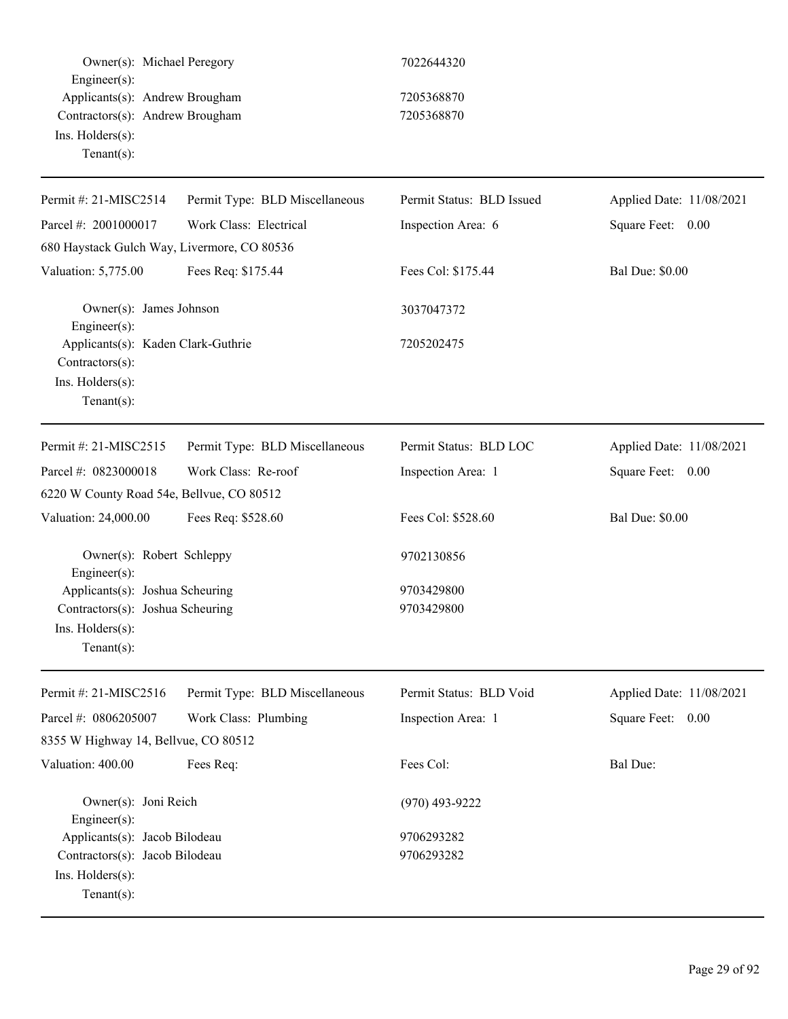| Owner(s): Michael Peregory<br>Engineer(s):                                                              |                                | 7022644320                |                          |
|---------------------------------------------------------------------------------------------------------|--------------------------------|---------------------------|--------------------------|
| Applicants(s): Andrew Brougham<br>Contractors(s): Andrew Brougham<br>Ins. Holders(s):<br>Tenant $(s)$ : |                                | 7205368870<br>7205368870  |                          |
| Permit #: 21-MISC2514                                                                                   | Permit Type: BLD Miscellaneous | Permit Status: BLD Issued | Applied Date: 11/08/2021 |
| Parcel #: 2001000017                                                                                    | Work Class: Electrical         | Inspection Area: 6        | Square Feet: 0.00        |
| 680 Haystack Gulch Way, Livermore, CO 80536                                                             |                                |                           |                          |
| Valuation: 5,775.00                                                                                     | Fees Req: \$175.44             | Fees Col: \$175.44        | <b>Bal Due: \$0.00</b>   |
| Owner(s): James Johnson<br>Engineer(s):                                                                 |                                | 3037047372                |                          |
| Applicants(s): Kaden Clark-Guthrie<br>Contractors(s):<br>Ins. Holders(s):<br>Tenant $(s)$ :             |                                | 7205202475                |                          |
| Permit #: 21-MISC2515                                                                                   | Permit Type: BLD Miscellaneous | Permit Status: BLD LOC    | Applied Date: 11/08/2021 |
| Parcel #: 0823000018                                                                                    | Work Class: Re-roof            | Inspection Area: 1        | Square Feet: 0.00        |
| 6220 W County Road 54e, Bellvue, CO 80512                                                               |                                |                           |                          |
| Valuation: 24,000.00                                                                                    | Fees Req: \$528.60             | Fees Col: \$528.60        | <b>Bal Due: \$0.00</b>   |
| Owner(s): Robert Schleppy<br>Engineer $(s)$ :                                                           |                                | 9702130856                |                          |
| Applicants(s): Joshua Scheuring                                                                         |                                | 9703429800                |                          |
| Contractors(s): Joshua Scheuring<br>Ins. Holders(s):<br>Tenant $(s)$ :                                  |                                | 9703429800                |                          |
| Permit #: 21-MISC2516                                                                                   | Permit Type: BLD Miscellaneous | Permit Status: BLD Void   | Applied Date: 11/08/2021 |
| Parcel #: 0806205007                                                                                    | Work Class: Plumbing           | Inspection Area: 1        | Square Feet: 0.00        |
| 8355 W Highway 14, Bellvue, CO 80512                                                                    |                                |                           |                          |
| Valuation: 400.00                                                                                       | Fees Req:                      | Fees Col:                 | Bal Due:                 |
| Owner(s): Joni Reich<br>Engineer $(s)$ :                                                                |                                | $(970)$ 493-9222          |                          |
| Applicants(s): Jacob Bilodeau                                                                           |                                | 9706293282                |                          |
| Contractors(s): Jacob Bilodeau<br>Ins. Holders(s):<br>Tenant $(s)$ :                                    |                                | 9706293282                |                          |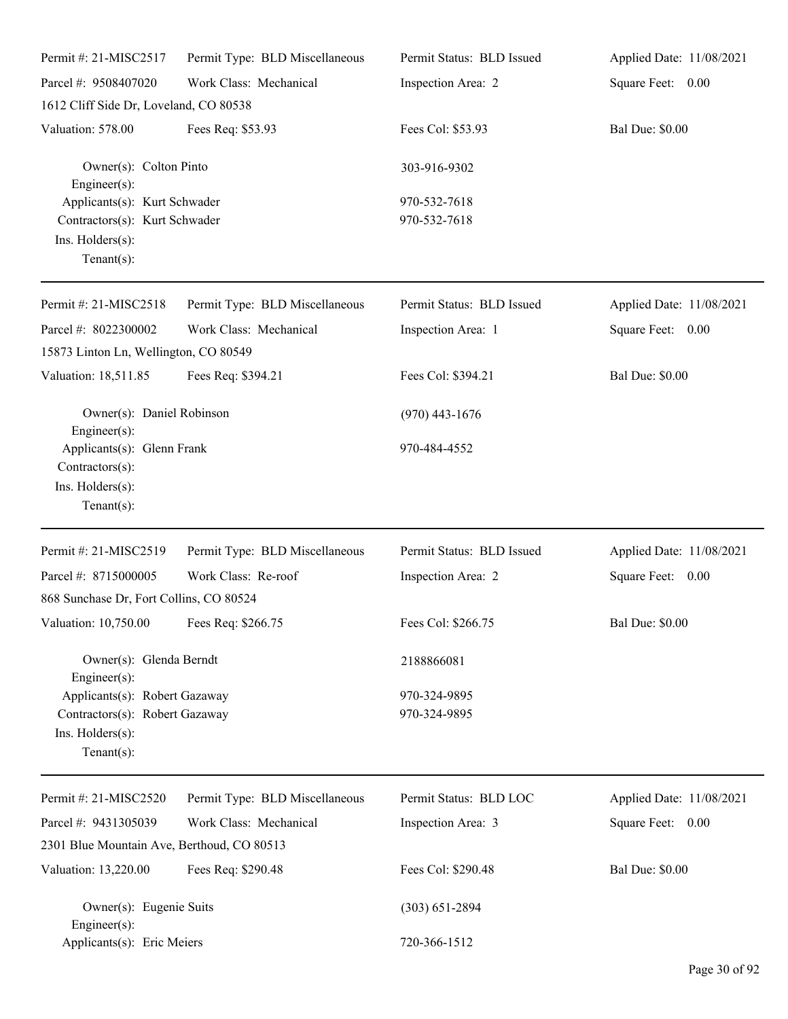| Permit #: 21-MISC2517                                                                                 | Permit Type: BLD Miscellaneous | Permit Status: BLD Issued    | Applied Date: 11/08/2021 |
|-------------------------------------------------------------------------------------------------------|--------------------------------|------------------------------|--------------------------|
| Parcel #: 9508407020                                                                                  | Work Class: Mechanical         | Inspection Area: 2           | Square Feet: 0.00        |
| 1612 Cliff Side Dr, Loveland, CO 80538                                                                |                                |                              |                          |
| Valuation: 578.00                                                                                     | Fees Req: \$53.93              | Fees Col: \$53.93            | <b>Bal Due: \$0.00</b>   |
| Owner(s): Colton Pinto<br>$Engineering(s)$ :                                                          |                                | 303-916-9302                 |                          |
| Applicants(s): Kurt Schwader<br>Contractors(s): Kurt Schwader<br>Ins. Holders(s):<br>Tenant $(s)$ :   |                                | 970-532-7618<br>970-532-7618 |                          |
| Permit #: 21-MISC2518                                                                                 | Permit Type: BLD Miscellaneous | Permit Status: BLD Issued    | Applied Date: 11/08/2021 |
| Parcel #: 8022300002<br>15873 Linton Ln, Wellington, CO 80549                                         | Work Class: Mechanical         | Inspection Area: 1           | Square Feet: 0.00        |
| Valuation: 18,511.85                                                                                  | Fees Req: \$394.21             | Fees Col: \$394.21           | <b>Bal Due: \$0.00</b>   |
| Owner(s): Daniel Robinson<br>$Engineer(s)$ :                                                          |                                | $(970)$ 443-1676             |                          |
| Applicants(s): Glenn Frank<br>Contractors(s):<br>Ins. Holders(s):<br>Tenant $(s)$ :                   |                                | 970-484-4552                 |                          |
| Permit #: 21-MISC2519                                                                                 | Permit Type: BLD Miscellaneous | Permit Status: BLD Issued    | Applied Date: 11/08/2021 |
| Parcel #: 8715000005                                                                                  | Work Class: Re-roof            | Inspection Area: 2           | Square Feet: 0.00        |
| 868 Sunchase Dr, Fort Collins, CO 80524                                                               |                                |                              |                          |
| Valuation: 10,750.00 Fees Req: \$266.75                                                               |                                | Fees Col: \$266.75           | <b>Bal Due: \$0.00</b>   |
| Owner(s): Glenda Berndt<br>Engineer(s):                                                               |                                | 2188866081                   |                          |
| Applicants(s): Robert Gazaway<br>Contractors(s): Robert Gazaway<br>Ins. Holders(s):<br>Tenant $(s)$ : |                                | 970-324-9895<br>970-324-9895 |                          |
| Permit #: 21-MISC2520                                                                                 | Permit Type: BLD Miscellaneous | Permit Status: BLD LOC       | Applied Date: 11/08/2021 |
| Parcel #: 9431305039                                                                                  | Work Class: Mechanical         | Inspection Area: 3           | Square Feet: 0.00        |
| 2301 Blue Mountain Ave, Berthoud, CO 80513                                                            |                                |                              |                          |
| Valuation: 13,220.00                                                                                  | Fees Req: \$290.48             | Fees Col: \$290.48           | <b>Bal Due: \$0.00</b>   |
| Owner(s): Eugenie Suits<br>Engineer $(s)$ :                                                           |                                | $(303) 651 - 2894$           |                          |
| Applicants(s): Eric Meiers                                                                            |                                | 720-366-1512                 |                          |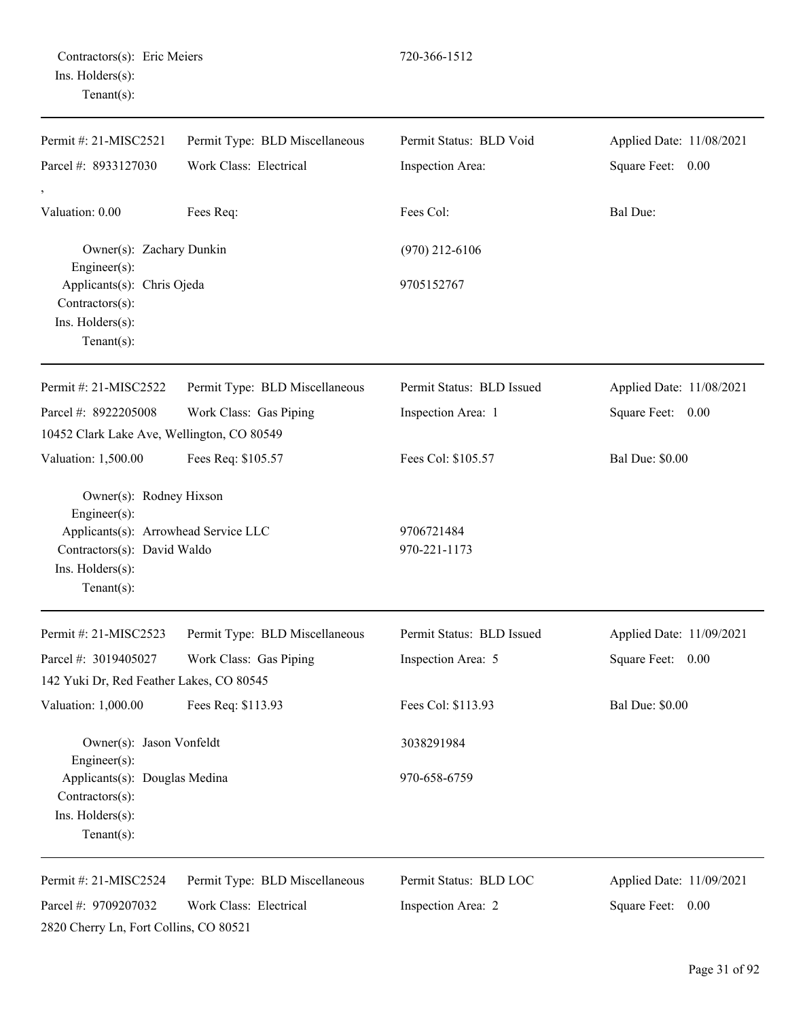| Permit #: 21-MISC2521                                                                                                                                | Permit Type: BLD Miscellaneous | Permit Status: BLD Void    | Applied Date: 11/08/2021 |
|------------------------------------------------------------------------------------------------------------------------------------------------------|--------------------------------|----------------------------|--------------------------|
| Parcel #: 8933127030                                                                                                                                 | Work Class: Electrical         | Inspection Area:           | Square Feet: 0.00        |
| $\,$<br>Valuation: 0.00                                                                                                                              | Fees Req:                      | Fees Col:                  | Bal Due:                 |
| Owner(s): Zachary Dunkin<br>Engineer(s):                                                                                                             |                                | $(970)$ 212-6106           |                          |
| Applicants(s): Chris Ojeda<br>Contractors(s):<br>Ins. Holders(s):<br>Tenant $(s)$ :                                                                  |                                | 9705152767                 |                          |
| Permit #: 21-MISC2522                                                                                                                                | Permit Type: BLD Miscellaneous | Permit Status: BLD Issued  | Applied Date: 11/08/2021 |
| Parcel #: 8922205008<br>10452 Clark Lake Ave, Wellington, CO 80549                                                                                   | Work Class: Gas Piping         | Inspection Area: 1         | Square Feet: 0.00        |
| Valuation: 1,500.00                                                                                                                                  | Fees Req: \$105.57             | Fees Col: \$105.57         | <b>Bal Due: \$0.00</b>   |
| Owner(s): Rodney Hixson<br>Engineer(s):<br>Applicants(s): Arrowhead Service LLC<br>Contractors(s): David Waldo<br>Ins. Holders(s):<br>Tenant $(s)$ : |                                | 9706721484<br>970-221-1173 |                          |
| Permit #: 21-MISC2523                                                                                                                                | Permit Type: BLD Miscellaneous | Permit Status: BLD Issued  | Applied Date: 11/09/2021 |
| Parcel #: 3019405027                                                                                                                                 | Work Class: Gas Piping         | Inspection Area: 5         | Square Feet: 0.00        |
| 142 Yuki Dr, Red Feather Lakes, CO 80545                                                                                                             |                                |                            |                          |
| Valuation: 1,000.00                                                                                                                                  | Fees Req: \$113.93             | Fees Col: \$113.93         | <b>Bal Due: \$0.00</b>   |
| Owner(s): Jason Vonfeldt<br>Engineer(s):                                                                                                             |                                | 3038291984                 |                          |
| Applicants(s): Douglas Medina<br>Contractors(s):<br>Ins. Holders(s):<br>Tenant $(s)$ :                                                               |                                | 970-658-6759               |                          |
| Permit #: 21-MISC2524                                                                                                                                | Permit Type: BLD Miscellaneous | Permit Status: BLD LOC     | Applied Date: 11/09/2021 |
| Parcel #: 9709207032<br>2820 Cherry Ln, Fort Collins, CO 80521                                                                                       | Work Class: Electrical         | Inspection Area: 2         | Square Feet: 0.00        |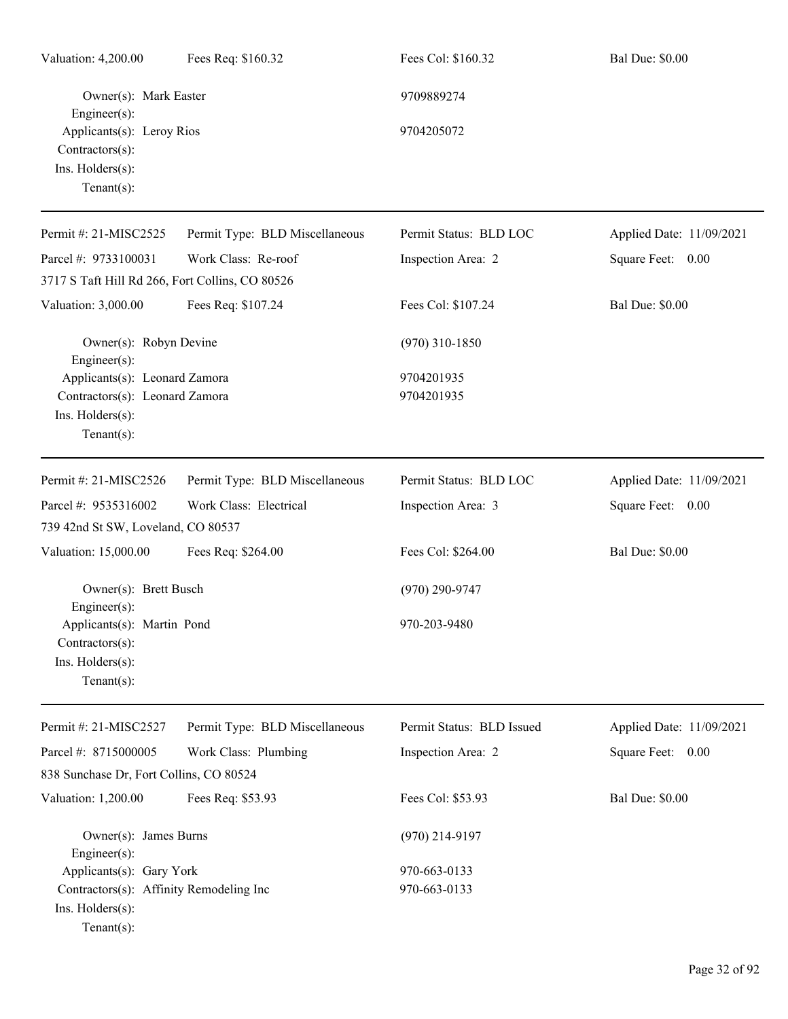| Valuation: 4,200.00                                                                 | Fees Req: \$160.32             | Fees Col: \$160.32        | <b>Bal Due: \$0.00</b>   |
|-------------------------------------------------------------------------------------|--------------------------------|---------------------------|--------------------------|
| Owner(s): Mark Easter<br>$Engineering(s)$ :                                         |                                | 9709889274                |                          |
| Applicants(s): Leroy Rios<br>Contractors(s):<br>Ins. Holders(s):<br>$Tenant(s)$ :   |                                | 9704205072                |                          |
| Permit #: 21-MISC2525                                                               | Permit Type: BLD Miscellaneous | Permit Status: BLD LOC    | Applied Date: 11/09/2021 |
| Parcel #: 9733100031                                                                | Work Class: Re-roof            | Inspection Area: 2        | Square Feet: 0.00        |
| 3717 S Taft Hill Rd 266, Fort Collins, CO 80526                                     |                                |                           |                          |
| Valuation: 3,000.00                                                                 | Fees Req: \$107.24             | Fees Col: \$107.24        | <b>Bal Due: \$0.00</b>   |
| Owner(s): Robyn Devine<br>$Engineering(s)$ :                                        |                                | $(970)$ 310-1850          |                          |
| Applicants(s): Leonard Zamora                                                       |                                | 9704201935                |                          |
| Contractors(s): Leonard Zamora<br>Ins. Holders(s):<br>Tenant $(s)$ :                |                                | 9704201935                |                          |
| Permit #: 21-MISC2526                                                               | Permit Type: BLD Miscellaneous | Permit Status: BLD LOC    | Applied Date: 11/09/2021 |
| Parcel #: 9535316002                                                                | Work Class: Electrical         | Inspection Area: 3        | Square Feet: 0.00        |
| 739 42nd St SW, Loveland, CO 80537                                                  |                                |                           |                          |
| Valuation: 15,000.00                                                                | Fees Req: \$264.00             | Fees Col: \$264.00        | <b>Bal Due: \$0.00</b>   |
| Owner(s): Brett Busch<br>$Engineering(s)$ :                                         |                                | $(970)$ 290-9747          |                          |
| Applicants(s): Martin Pond<br>Contractors(s):<br>Ins. Holders(s):<br>Tenant $(s)$ : |                                | 970-203-9480              |                          |
| Permit #: 21-MISC2527                                                               | Permit Type: BLD Miscellaneous | Permit Status: BLD Issued | Applied Date: 11/09/2021 |
| Parcel #: 8715000005                                                                | Work Class: Plumbing           | Inspection Area: 2        | Square Feet: 0.00        |
| 838 Sunchase Dr, Fort Collins, CO 80524                                             |                                |                           |                          |
| Valuation: 1,200.00                                                                 | Fees Req: \$53.93              | Fees Col: \$53.93         | <b>Bal Due: \$0.00</b>   |
| Owner(s): James Burns<br>$Engineering(s)$ :                                         |                                | $(970)$ 214-9197          |                          |
| Applicants(s): Gary York                                                            |                                | 970-663-0133              |                          |
| Contractors(s): Affinity Remodeling Inc<br>Ins. Holders(s):<br>Tenant $(s)$ :       |                                | 970-663-0133              |                          |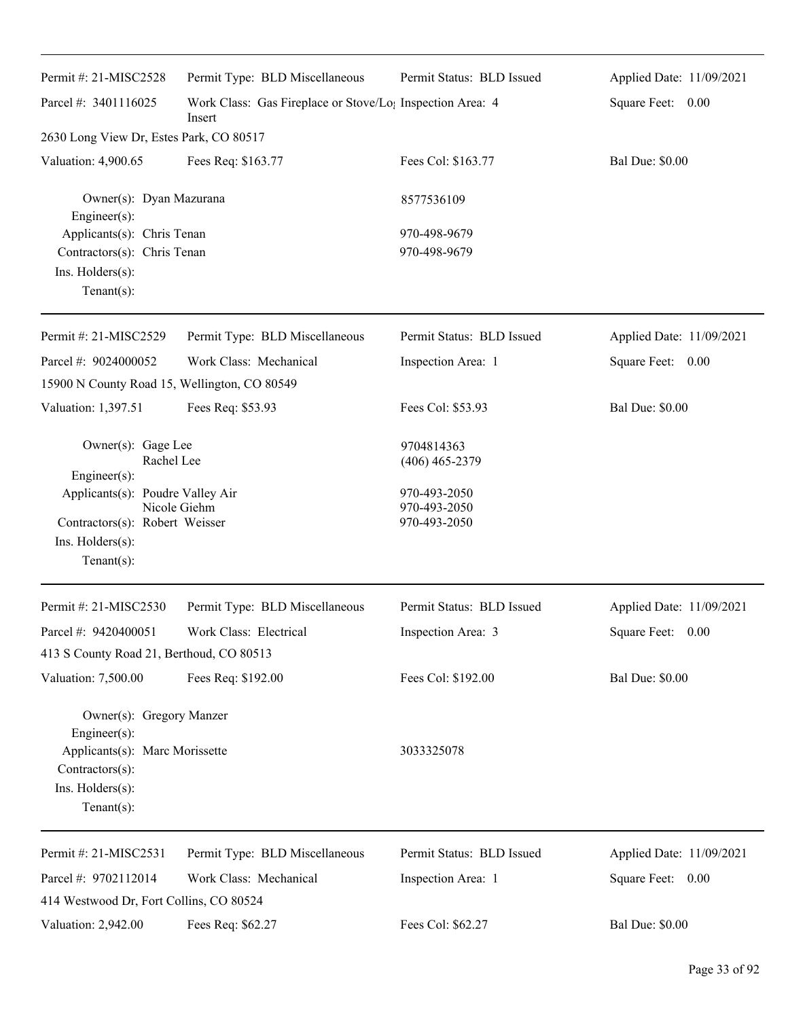| Permit #: 21-MISC2528                        | Permit Type: BLD Miscellaneous                                                  | Permit Status: BLD Issued      | Applied Date: 11/09/2021 |
|----------------------------------------------|---------------------------------------------------------------------------------|--------------------------------|--------------------------|
| Parcel #: 3401116025                         | Work Class: Gas Fireplace or Stove/Lo <sub>1</sub> Inspection Area: 4<br>Insert |                                | Square Feet: 0.00        |
| 2630 Long View Dr, Estes Park, CO 80517      |                                                                                 |                                |                          |
| Valuation: 4,900.65                          | Fees Req: \$163.77                                                              | Fees Col: \$163.77             | <b>Bal Due: \$0.00</b>   |
| Owner(s): Dyan Mazurana<br>Engineer(s):      |                                                                                 | 8577536109                     |                          |
| Applicants(s): Chris Tenan                   |                                                                                 | 970-498-9679                   |                          |
| Contractors(s): Chris Tenan                  |                                                                                 | 970-498-9679                   |                          |
| Ins. Holders(s):<br>$Tenant(s)$ :            |                                                                                 |                                |                          |
|                                              |                                                                                 |                                |                          |
| Permit #: 21-MISC2529                        | Permit Type: BLD Miscellaneous                                                  | Permit Status: BLD Issued      | Applied Date: 11/09/2021 |
| Parcel #: 9024000052                         | Work Class: Mechanical                                                          | Inspection Area: 1             | Square Feet: 0.00        |
| 15900 N County Road 15, Wellington, CO 80549 |                                                                                 |                                |                          |
| Valuation: 1,397.51                          | Fees Req: \$53.93                                                               | Fees Col: \$53.93              | <b>Bal Due: \$0.00</b>   |
| Owner(s): Gage Lee<br>Rachel Lee             |                                                                                 | 9704814363<br>$(406)$ 465-2379 |                          |
| $Engineering(s)$ :                           |                                                                                 |                                |                          |
| Applicants(s): Poudre Valley Air             | Nicole Giehm                                                                    | 970-493-2050<br>970-493-2050   |                          |
| Contractors(s): Robert Weisser               |                                                                                 | 970-493-2050                   |                          |
| Ins. Holders(s):                             |                                                                                 |                                |                          |
| Tenant $(s)$ :                               |                                                                                 |                                |                          |
| Permit #: 21-MISC2530                        | Permit Type: BLD Miscellaneous                                                  | Permit Status: BLD Issued      | Applied Date: 11/09/2021 |
| Parcel #: $9420400051$                       | Work Class: Electrical                                                          | Inspection Area: 3             | Square Feet: 0.00        |
| 413 S County Road 21, Berthoud, CO 80513     |                                                                                 |                                |                          |
| Valuation: 7,500.00                          | Fees Req: \$192.00                                                              | Fees Col: \$192.00             | <b>Bal Due: \$0.00</b>   |
| Owner(s): Gregory Manzer<br>Engineer(s):     |                                                                                 |                                |                          |
| Applicants(s): Marc Morissette               |                                                                                 | 3033325078                     |                          |
| Contractors(s):<br>Ins. Holders(s):          |                                                                                 |                                |                          |
| $Tenant(s)$ :                                |                                                                                 |                                |                          |
|                                              |                                                                                 |                                |                          |
| Permit #: 21-MISC2531                        | Permit Type: BLD Miscellaneous                                                  | Permit Status: BLD Issued      | Applied Date: 11/09/2021 |
| Parcel #: 9702112014                         | Work Class: Mechanical                                                          | Inspection Area: 1             | Square Feet: 0.00        |
| 414 Westwood Dr, Fort Collins, CO 80524      |                                                                                 |                                |                          |
| Valuation: 2,942.00                          | Fees Req: \$62.27                                                               | Fees Col: \$62.27              | <b>Bal Due: \$0.00</b>   |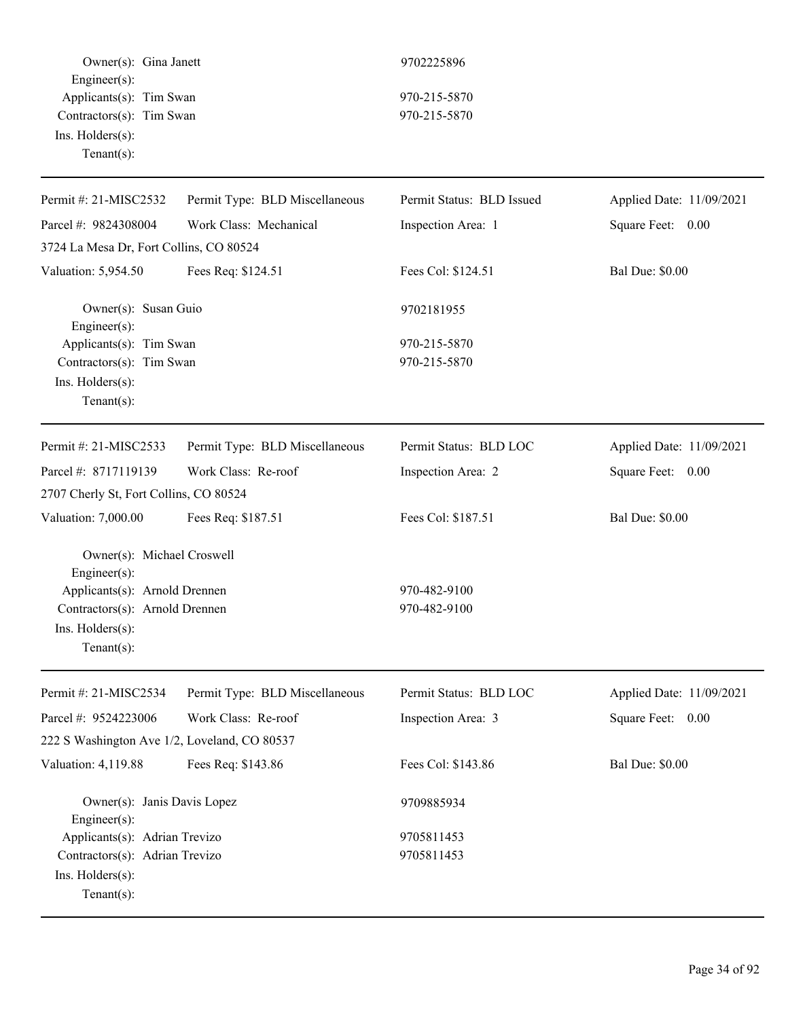Owner(s): Gina Janett 9702225896 Engineer(s): Applicants(s): Tim Swan 970-215-5870 Contractors(s): Tim Swan 970-215-5870 Ins. Holders(s): Tenant(s):

| Permit #: 21-MISC2532                        | Permit Type: BLD Miscellaneous | Permit Status: BLD Issued | Applied Date: 11/09/2021 |
|----------------------------------------------|--------------------------------|---------------------------|--------------------------|
| Parcel #: 9824308004                         | Work Class: Mechanical         | Inspection Area: 1        | Square Feet: 0.00        |
| 3724 La Mesa Dr, Fort Collins, CO 80524      |                                |                           |                          |
| Valuation: 5,954.50                          | Fees Req: \$124.51             | Fees Col: \$124.51        | <b>Bal Due: \$0.00</b>   |
| Owner(s): Susan Guio<br>Engineer(s):         |                                | 9702181955                |                          |
| Applicants(s): Tim Swan                      |                                | 970-215-5870              |                          |
| Contractors(s): Tim Swan                     |                                | 970-215-5870              |                          |
| Ins. Holders(s):                             |                                |                           |                          |
| $Tenant(s)$ :                                |                                |                           |                          |
| Permit #: 21-MISC2533                        | Permit Type: BLD Miscellaneous | Permit Status: BLD LOC    | Applied Date: 11/09/2021 |
| Parcel #: 8717119139                         | Work Class: Re-roof            | Inspection Area: 2        | Square Feet: 0.00        |
| 2707 Cherly St, Fort Collins, CO 80524       |                                |                           |                          |
| Valuation: 7,000.00                          | Fees Req: \$187.51             | Fees Col: \$187.51        | <b>Bal Due: \$0.00</b>   |
| Owner(s): Michael Croswell<br>Engineer(s):   |                                |                           |                          |
| Applicants(s): Arnold Drennen                |                                | 970-482-9100              |                          |
| Contractors(s): Arnold Drennen               |                                | 970-482-9100              |                          |
| Ins. Holders(s):                             |                                |                           |                          |
| $Tenant(s)$ :                                |                                |                           |                          |
| Permit #: 21-MISC2534                        | Permit Type: BLD Miscellaneous | Permit Status: BLD LOC    | Applied Date: 11/09/2021 |
| Parcel #: 9524223006                         | Work Class: Re-roof            | Inspection Area: 3        | Square Feet: 0.00        |
| 222 S Washington Ave 1/2, Loveland, CO 80537 |                                |                           |                          |
| Valuation: 4,119.88                          | Fees Req: \$143.86             | Fees Col: \$143.86        | <b>Bal Due: \$0.00</b>   |
| Owner(s): Janis Davis Lopez<br>Engineer(s):  |                                | 9709885934                |                          |
| Applicants(s): Adrian Trevizo                |                                | 9705811453                |                          |
| Contractors(s): Adrian Trevizo               |                                | 9705811453                |                          |
| Ins. Holders(s):                             |                                |                           |                          |
| Tenant $(s)$ :                               |                                |                           |                          |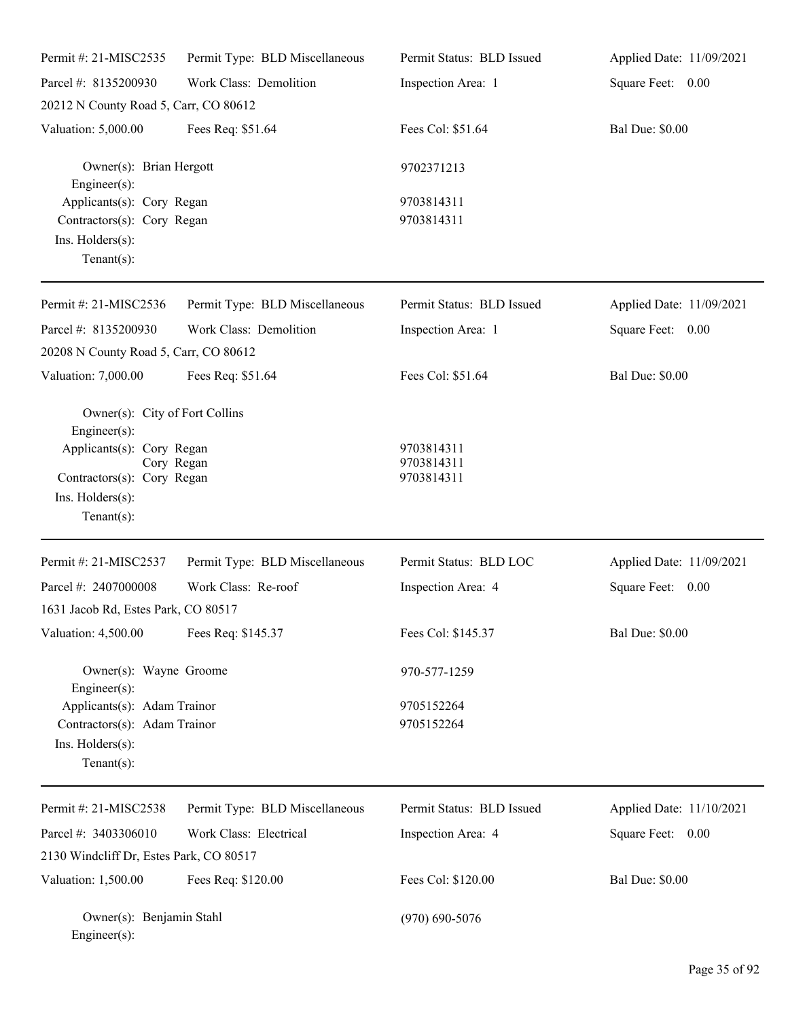| Permit #: 21-MISC2535                                                                                                                                                | Permit Type: BLD Miscellaneous | Permit Status: BLD Issued              | Applied Date: 11/09/2021 |
|----------------------------------------------------------------------------------------------------------------------------------------------------------------------|--------------------------------|----------------------------------------|--------------------------|
| Parcel #: 8135200930                                                                                                                                                 | Work Class: Demolition         | Inspection Area: 1                     | Square Feet: 0.00        |
| 20212 N County Road 5, Carr, CO 80612                                                                                                                                |                                |                                        |                          |
| Valuation: 5,000.00                                                                                                                                                  | Fees Req: \$51.64              | Fees Col: \$51.64                      | <b>Bal Due: \$0.00</b>   |
| Owner(s): Brian Hergott<br>Engineer(s):                                                                                                                              |                                | 9702371213                             |                          |
| Applicants(s): Cory Regan<br>Contractors(s): Cory Regan<br>Ins. Holders(s):<br>Tenant $(s)$ :                                                                        |                                | 9703814311<br>9703814311               |                          |
| Permit #: 21-MISC2536                                                                                                                                                | Permit Type: BLD Miscellaneous | Permit Status: BLD Issued              | Applied Date: 11/09/2021 |
| Parcel #: 8135200930<br>20208 N County Road 5, Carr, CO 80612                                                                                                        | Work Class: Demolition         | Inspection Area: 1                     | Square Feet: 0.00        |
| Valuation: 7,000.00                                                                                                                                                  | Fees Req: \$51.64              | Fees Col: \$51.64                      | <b>Bal Due: \$0.00</b>   |
| Owner(s): City of Fort Collins<br>Engineer(s):<br>Applicants(s): Cory Regan<br>Cory Regan<br>Contractors(s): Cory Regan<br>Ins. $H$ olders $(s)$ :<br>Tenant $(s)$ : |                                | 9703814311<br>9703814311<br>9703814311 |                          |
| Permit #: 21-MISC2537                                                                                                                                                | Permit Type: BLD Miscellaneous | Permit Status: BLD LOC                 | Applied Date: 11/09/2021 |
| Parcel #: 2407000008<br>1631 Jacob Rd, Estes Park, CO 80517                                                                                                          | Work Class: Re-roof            | Inspection Area: 4                     | Square Feet: 0.00        |
| Valuation: 4,500.00                                                                                                                                                  | Fees Req: \$145.37             | Fees Col: \$145.37                     | <b>Bal Due: \$0.00</b>   |
| Owner(s): Wayne Groome<br>Engineer(s):                                                                                                                               |                                | 970-577-1259                           |                          |
| Applicants(s): Adam Trainor<br>Contractors(s): Adam Trainor<br>Ins. Holders(s):<br>Tenant $(s)$ :                                                                    |                                | 9705152264<br>9705152264               |                          |
| Permit #: 21-MISC2538                                                                                                                                                | Permit Type: BLD Miscellaneous | Permit Status: BLD Issued              | Applied Date: 11/10/2021 |
| Parcel #: 3403306010                                                                                                                                                 | Work Class: Electrical         | Inspection Area: 4                     | Square Feet: 0.00        |
| 2130 Windcliff Dr, Estes Park, CO 80517                                                                                                                              |                                |                                        |                          |
| Valuation: 1,500.00                                                                                                                                                  | Fees Req: \$120.00             | Fees Col: \$120.00                     | <b>Bal Due: \$0.00</b>   |
| Owner(s): Benjamin Stahl<br>$Enginer(s)$ :                                                                                                                           |                                | $(970)$ 690-5076                       |                          |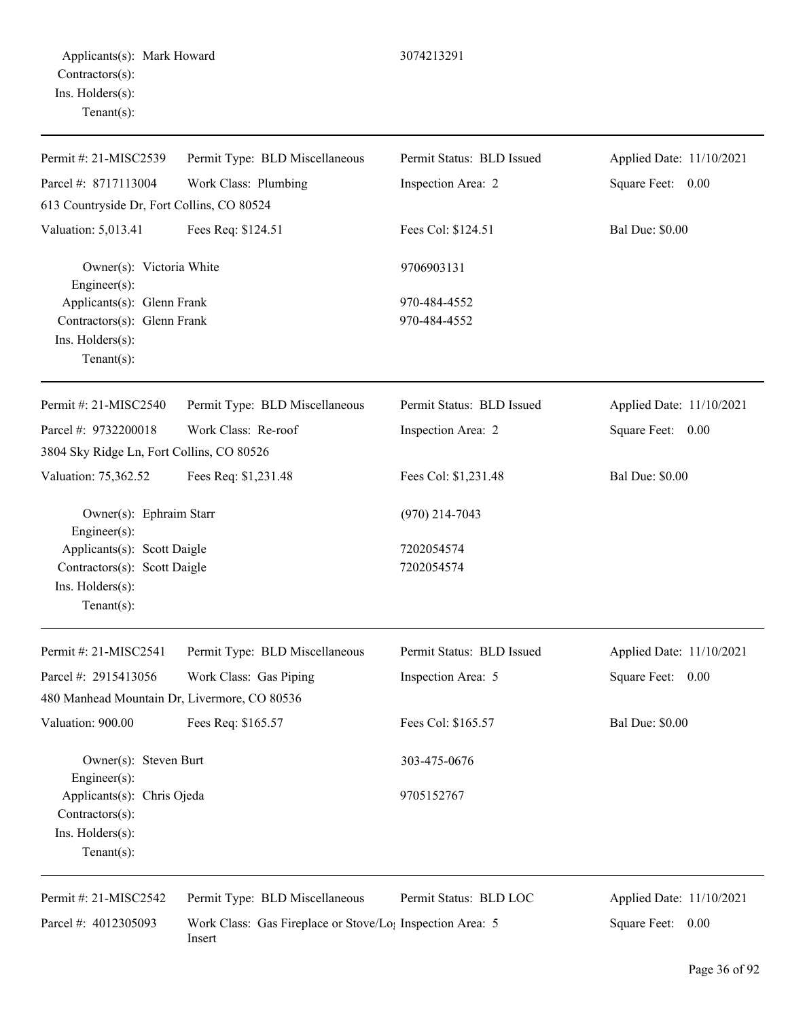| Permit #: 21-MISC2539                        | Permit Type: BLD Miscellaneous | Permit Status: BLD Issued | Applied Date: 11/10/2021 |
|----------------------------------------------|--------------------------------|---------------------------|--------------------------|
| Parcel #: 8717113004                         | Work Class: Plumbing           | Inspection Area: 2        | Square Feet: 0.00        |
| 613 Countryside Dr, Fort Collins, CO 80524   |                                |                           |                          |
| Valuation: 5,013.41                          | Fees Req: \$124.51             | Fees Col: \$124.51        | <b>Bal Due: \$0.00</b>   |
| Owner(s): Victoria White<br>Engineer(s):     |                                | 9706903131                |                          |
| Applicants(s): Glenn Frank                   |                                | 970-484-4552              |                          |
| Contractors(s): Glenn Frank                  |                                | 970-484-4552              |                          |
| Ins. Holders(s):                             |                                |                           |                          |
| Tenant $(s)$ :                               |                                |                           |                          |
| Permit #: 21-MISC2540                        | Permit Type: BLD Miscellaneous | Permit Status: BLD Issued | Applied Date: 11/10/2021 |
| Parcel #: 9732200018                         | Work Class: Re-roof            | Inspection Area: 2        | Square Feet: 0.00        |
| 3804 Sky Ridge Ln, Fort Collins, CO 80526    |                                |                           |                          |
| Valuation: 75,362.52                         | Fees Req: \$1,231.48           | Fees Col: \$1,231.48      | <b>Bal Due: \$0.00</b>   |
| Owner(s): Ephraim Starr<br>Engineer(s):      |                                | $(970)$ 214-7043          |                          |
| Applicants(s): Scott Daigle                  |                                | 7202054574                |                          |
| Contractors(s): Scott Daigle                 |                                | 7202054574                |                          |
| Ins. Holders(s):                             |                                |                           |                          |
| Tenant $(s)$ :                               |                                |                           |                          |
| Permit #: 21-MISC2541                        | Permit Type: BLD Miscellaneous | Permit Status: BLD Issued | Applied Date: 11/10/2021 |
| Parcel #: 2915413056                         | Work Class: Gas Piping         | Inspection Area: 5        | Square Feet: 0.00        |
| 480 Manhead Mountain Dr, Livermore, CO 80536 |                                |                           |                          |
| Valuation: 900.00                            | Fees Req: \$165.57             | Fees Col: \$165.57        | <b>Bal Due: \$0.00</b>   |

Owner(s): Steven Burt 303-475-0676 Engineer(s): Applicants(s): Chris Ojeda 9705152767 Contractors(s): Ins. Holders(s): Tenant(s):

Permit #: 21-MISC2542

Applied Date: 11/10/2021 Square Feet: 0.00

Parcel #: 4012305093 Work Class: Gas Fireplace or Stove/Log Inspection Area: 5 Insert

Permit Type: BLD Miscellaneous

Permit Status: BLD LOC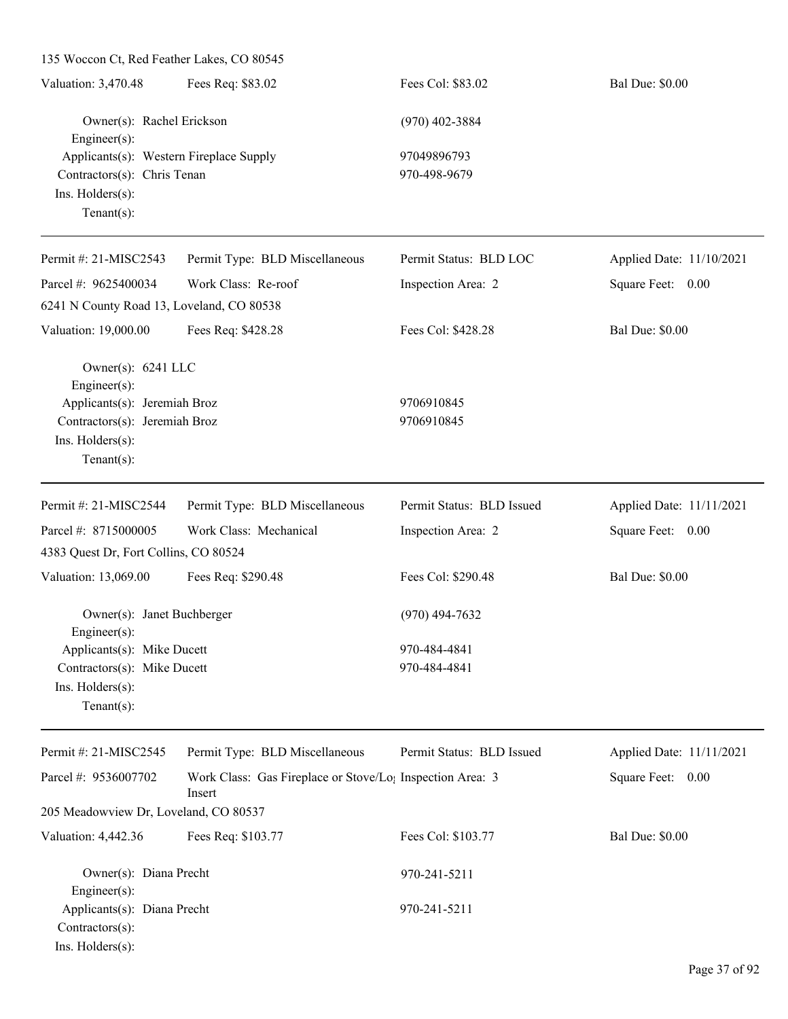| 135 Woccon Ct, Red Feather Lakes, CO 80545     |                                                                                 |                           |                          |
|------------------------------------------------|---------------------------------------------------------------------------------|---------------------------|--------------------------|
| Valuation: 3,470.48                            | Fees Req: \$83.02                                                               | Fees Col: \$83.02         | <b>Bal Due: \$0.00</b>   |
| Owner(s): Rachel Erickson<br>Engineer(s):      |                                                                                 | $(970)$ 402-3884          |                          |
| Applicants(s): Western Fireplace Supply        |                                                                                 | 97049896793               |                          |
| Contractors(s): Chris Tenan                    |                                                                                 | 970-498-9679              |                          |
| Ins. Holders(s):                               |                                                                                 |                           |                          |
| Tenant $(s)$ :                                 |                                                                                 |                           |                          |
| Permit #: 21-MISC2543                          | Permit Type: BLD Miscellaneous                                                  | Permit Status: BLD LOC    | Applied Date: 11/10/2021 |
| Parcel #: 9625400034                           | Work Class: Re-roof                                                             | Inspection Area: 2        | Square Feet: 0.00        |
| 6241 N County Road 13, Loveland, CO 80538      |                                                                                 |                           |                          |
| Valuation: 19,000.00                           | Fees Req: \$428.28                                                              | Fees Col: \$428.28        | <b>Bal Due: \$0.00</b>   |
| Owner(s): 6241 LLC                             |                                                                                 |                           |                          |
| Engineer(s):<br>Applicants(s): Jeremiah Broz   |                                                                                 | 9706910845                |                          |
| Contractors(s): Jeremiah Broz                  |                                                                                 | 9706910845                |                          |
| Ins. Holders(s):                               |                                                                                 |                           |                          |
| Tenant $(s)$ :                                 |                                                                                 |                           |                          |
|                                                |                                                                                 |                           |                          |
| Permit #: 21-MISC2544                          | Permit Type: BLD Miscellaneous                                                  | Permit Status: BLD Issued | Applied Date: 11/11/2021 |
| Parcel #: 8715000005                           | Work Class: Mechanical                                                          | Inspection Area: 2        | Square Feet: 0.00        |
| 4383 Quest Dr, Fort Collins, CO 80524          |                                                                                 |                           |                          |
| Valuation: 13,069.00                           | Fees Req: \$290.48                                                              | Fees Col: \$290.48        | <b>Bal Due: \$0.00</b>   |
| Owner(s): Janet Buchberger                     |                                                                                 | $(970)$ 494-7632          |                          |
| Engineer $(s)$ :<br>Applicants(s): Mike Ducett |                                                                                 | 970-484-4841              |                          |
| Contractors(s): Mike Ducett                    |                                                                                 | 970-484-4841              |                          |
| Ins. Holders(s):                               |                                                                                 |                           |                          |
| Tenant $(s)$ :                                 |                                                                                 |                           |                          |
| Permit #: 21-MISC2545                          | Permit Type: BLD Miscellaneous                                                  | Permit Status: BLD Issued | Applied Date: 11/11/2021 |
| Parcel #: 9536007702                           | Work Class: Gas Fireplace or Stove/Lo <sub>l</sub> Inspection Area: 3<br>Insert |                           | Square Feet: 0.00        |
| 205 Meadowview Dr, Loveland, CO 80537          |                                                                                 |                           |                          |
| Valuation: 4,442.36                            | Fees Req: \$103.77                                                              | Fees Col: \$103.77        | <b>Bal Due: \$0.00</b>   |
| Owner(s): Diana Precht                         |                                                                                 | 970-241-5211              |                          |
| Engineer(s):                                   |                                                                                 |                           |                          |
| Applicants(s): Diana Precht                    |                                                                                 | 970-241-5211              |                          |
| Contractors(s):                                |                                                                                 |                           |                          |
| Ins. Holders(s):                               |                                                                                 |                           |                          |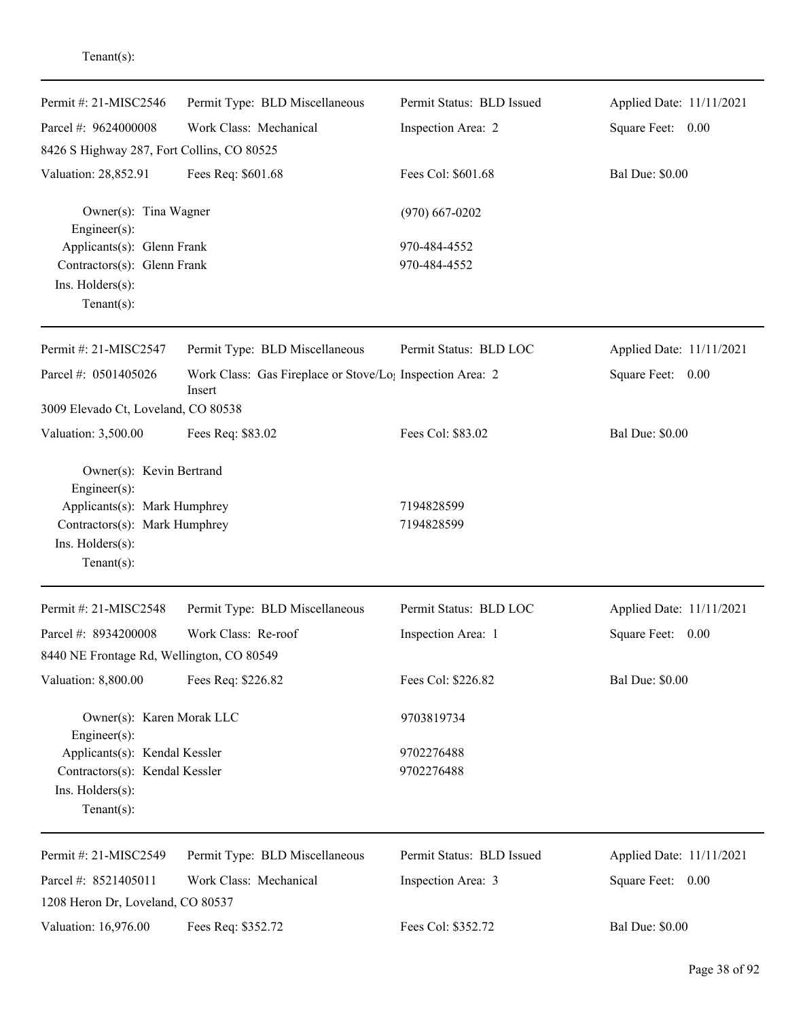| Permit #: 21-MISC2546                      | Permit Type: BLD Miscellaneous                                                  | Permit Status: BLD Issued | Applied Date: 11/11/2021 |
|--------------------------------------------|---------------------------------------------------------------------------------|---------------------------|--------------------------|
| Parcel #: 9624000008                       | Work Class: Mechanical                                                          | Inspection Area: 2        | Square Feet: 0.00        |
| 8426 S Highway 287, Fort Collins, CO 80525 |                                                                                 |                           |                          |
| Valuation: 28,852.91                       | Fees Req: \$601.68                                                              | Fees Col: \$601.68        | <b>Bal Due: \$0.00</b>   |
| Owner(s): Tina Wagner<br>Engineer(s):      |                                                                                 | $(970)$ 667-0202          |                          |
| Applicants(s): Glenn Frank                 |                                                                                 | 970-484-4552              |                          |
| Contractors(s): Glenn Frank                |                                                                                 | 970-484-4552              |                          |
| Ins. Holders(s):                           |                                                                                 |                           |                          |
| Tenant $(s)$ :                             |                                                                                 |                           |                          |
| Permit #: 21-MISC2547                      | Permit Type: BLD Miscellaneous                                                  | Permit Status: BLD LOC    | Applied Date: 11/11/2021 |
| Parcel #: 0501405026                       | Work Class: Gas Fireplace or Stove/Lo <sub>1</sub> Inspection Area: 2<br>Insert |                           | Square Feet: 0.00        |
| 3009 Elevado Ct, Loveland, CO 80538        |                                                                                 |                           |                          |
| Valuation: 3,500.00                        | Fees Req: \$83.02                                                               | Fees Col: \$83.02         | <b>Bal Due: \$0.00</b>   |
| Owner(s): Kevin Bertrand<br>Engineer(s):   |                                                                                 |                           |                          |
| Applicants(s): Mark Humphrey               |                                                                                 | 7194828599                |                          |
| Contractors(s): Mark Humphrey              |                                                                                 | 7194828599                |                          |
| Ins. Holders(s):                           |                                                                                 |                           |                          |
| $Tenant(s)$ :                              |                                                                                 |                           |                          |
| Permit #: 21-MISC2548                      | Permit Type: BLD Miscellaneous                                                  | Permit Status: BLD LOC    | Applied Date: 11/11/2021 |
| Parcel #: 8934200008                       | Work Class: Re-roof                                                             | Inspection Area: 1        | Square Feet:<br>0.00     |
| 8440 NE Frontage Rd, Wellington, CO 80549  |                                                                                 |                           |                          |
| Valuation: 8,800.00                        | Fees Req: \$226.82                                                              | Fees Col: \$226.82        | <b>Bal Due: \$0.00</b>   |
| Owner(s): Karen Morak LLC<br>Engineer(s):  |                                                                                 | 9703819734                |                          |
| Applicants(s): Kendal Kessler              |                                                                                 | 9702276488                |                          |
| Contractors(s): Kendal Kessler             |                                                                                 | 9702276488                |                          |
| Ins. Holders(s):<br>Tenant $(s)$ :         |                                                                                 |                           |                          |
| Permit #: 21-MISC2549                      | Permit Type: BLD Miscellaneous                                                  | Permit Status: BLD Issued | Applied Date: 11/11/2021 |
| Parcel #: 8521405011                       | Work Class: Mechanical                                                          | Inspection Area: 3        | Square Feet: 0.00        |
| 1208 Heron Dr, Loveland, CO 80537          |                                                                                 |                           |                          |
| Valuation: 16,976.00                       | Fees Req: \$352.72                                                              | Fees Col: \$352.72        | <b>Bal Due: \$0.00</b>   |
|                                            |                                                                                 |                           |                          |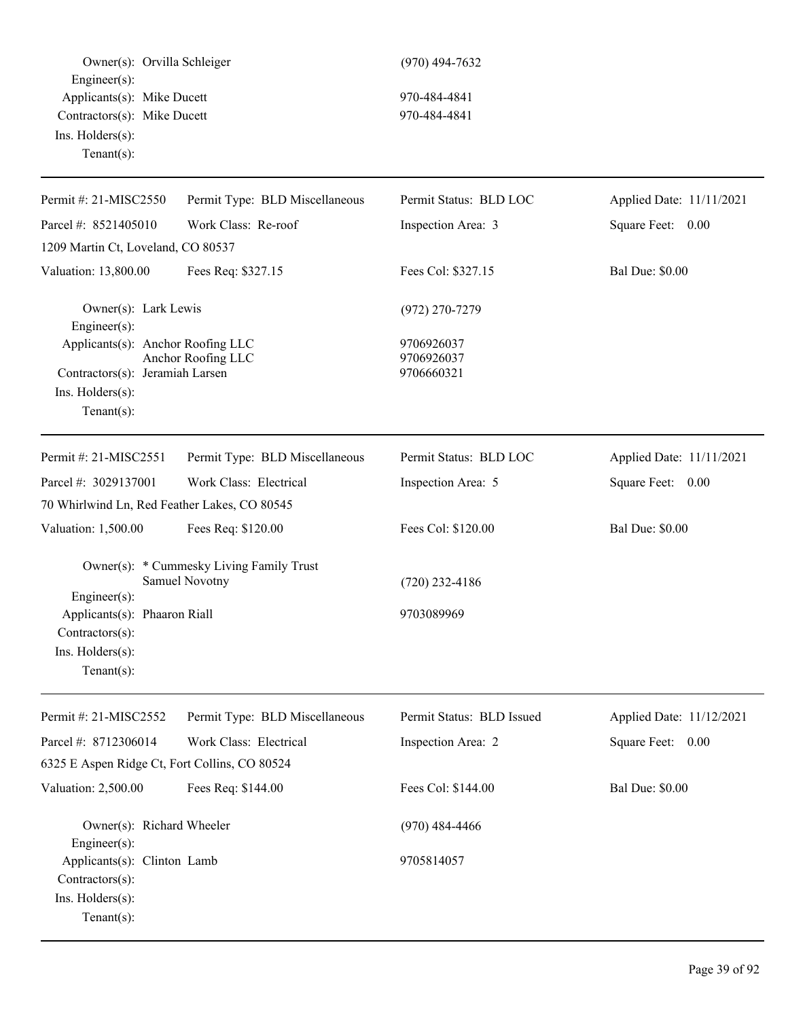Owner(s): Orvilla Schleiger (970) 494-7632 Engineer(s): Applicants(s): Mike Ducett 970-484-4841 Contractors(s): Mike Ducett 970-484-4841 Ins. Holders(s): Tenant(s): Permit #: 21-MISC2550 Parcel #: 8521405010 Permit Type: BLD Miscellaneous Work Class: Re-roof Permit Status: BLD LOC Inspection Area: 3 Applied Date: 11/11/2021 Square Feet: 0.00 1209 Martin Ct, Loveland, CO 80537 Valuation: 13,800.00 Fees Req: \$327.15 Fees Col: \$327.15 Bal Due: \$0.00 Owner(s): Lark Lewis (972) 270-7279 Engineer(s): Applicants(s): Anchor Roofing LLC 9706926037 Anchor Roofing LLC 9706926037 Contractors(s): Jeramiah Larsen 9706660321 Ins. Holders(s): Tenant(s): Permit #: 21-MISC2551 Parcel #: 3029137001 Permit Type: BLD Miscellaneous Work Class: Electrical Permit Status: BLD LOC Inspection Area: 5 Applied Date: 11/11/2021 Square Feet: 0.00 70 Whirlwind Ln, Red Feather Lakes, CO 80545 Valuation: 1,500.00 Fees Req: \$120.00 Fees Col: \$120.00 Bal Due: \$0.00 Owner(s): \* Cummesky Living Family Trust Samuel Novotny (720) 232-4186 Engineer(s): Applicants(s): Phaaron Riall 9703089969 Contractors(s): Ins. Holders(s): Tenant(s): Permit #: 21-MISC2552 Parcel #: 8712306014 Permit Type: BLD Miscellaneous Work Class: Electrical Permit Status: BLD Issued Inspection Area: 2 Applied Date: 11/12/2021 Square Feet: 0.00 6325 E Aspen Ridge Ct, Fort Collins, CO 80524 Valuation: 2,500.00 Fees Req: \$144.00 Fees Col: \$144.00 Bal Due: \$0.00 Owner(s): Richard Wheeler (970) 484-4466 Engineer(s): Applicants(s): Clinton Lamb 9705814057 Contractors(s): Ins. Holders(s): Tenant(s):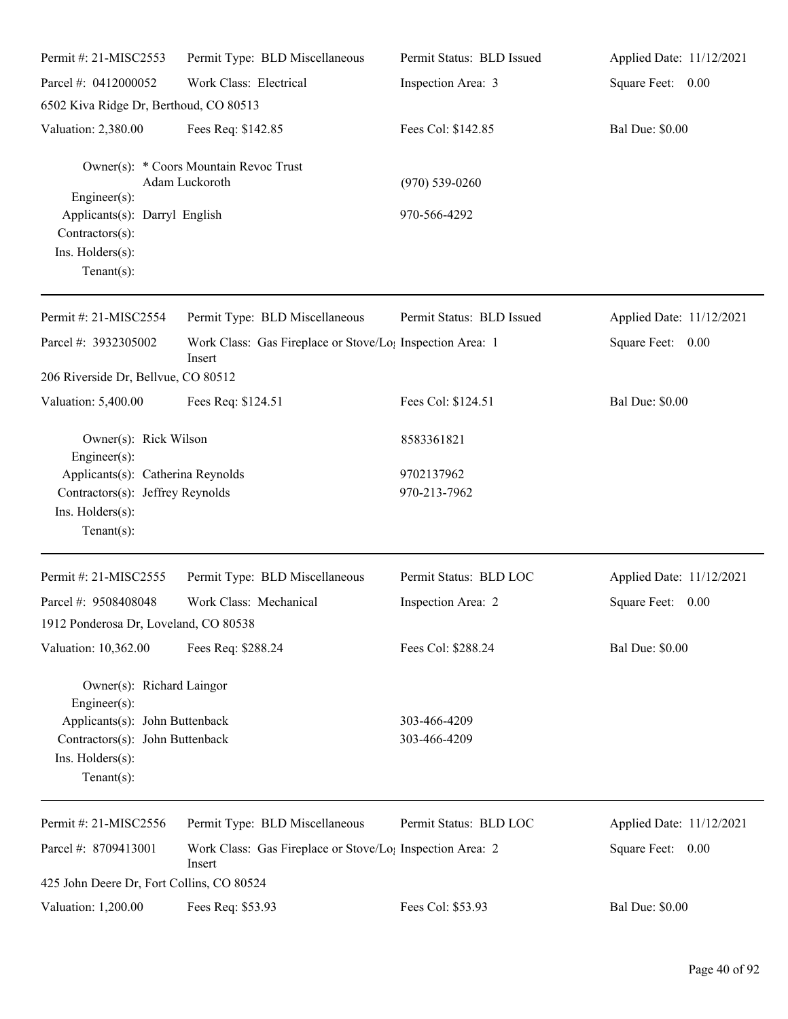| Permit #: 21-MISC2553                                                                                       | Permit Type: BLD Miscellaneous                                                  | Permit Status: BLD Issued  | Applied Date: 11/12/2021 |
|-------------------------------------------------------------------------------------------------------------|---------------------------------------------------------------------------------|----------------------------|--------------------------|
| Parcel #: 0412000052                                                                                        | Work Class: Electrical                                                          | Inspection Area: 3         | Square Feet: 0.00        |
| 6502 Kiva Ridge Dr, Berthoud, CO 80513                                                                      |                                                                                 |                            |                          |
| Valuation: 2,380.00                                                                                         | Fees Req: \$142.85                                                              | Fees Col: \$142.85         | <b>Bal Due: \$0.00</b>   |
| Engineer(s):                                                                                                | Owner(s): * Coors Mountain Revoc Trust<br>Adam Luckoroth                        | $(970) 539 - 0260$         |                          |
| Applicants(s): Darryl English<br>Contractors(s):<br>Ins. Holders(s):                                        |                                                                                 | 970-566-4292               |                          |
| Tenant $(s)$ :                                                                                              |                                                                                 |                            |                          |
| Permit #: 21-MISC2554                                                                                       | Permit Type: BLD Miscellaneous                                                  | Permit Status: BLD Issued  | Applied Date: 11/12/2021 |
| Parcel #: 3932305002                                                                                        | Work Class: Gas Fireplace or Stove/Lo <sub>1</sub> Inspection Area: 1<br>Insert |                            | Square Feet: 0.00        |
| 206 Riverside Dr, Bellvue, CO 80512                                                                         |                                                                                 |                            |                          |
| Valuation: 5,400.00                                                                                         | Fees Req: \$124.51                                                              | Fees Col: \$124.51         | <b>Bal Due: \$0.00</b>   |
| Owner(s): Rick Wilson<br>Engineer(s):                                                                       |                                                                                 | 8583361821                 |                          |
| Applicants(s): Catherina Reynolds<br>Contractors(s): Jeffrey Reynolds<br>Ins. Holders(s):<br>Tenant $(s)$ : |                                                                                 | 9702137962<br>970-213-7962 |                          |
| Permit #: 21-MISC2555                                                                                       | Permit Type: BLD Miscellaneous                                                  | Permit Status: BLD LOC     | Applied Date: 11/12/2021 |
| Parcel #: 9508408048                                                                                        | Work Class: Mechanical                                                          | Inspection Area: 2         | Square Feet:<br>0.00     |
| 1912 Ponderosa Dr, Loveland, CO 80538                                                                       |                                                                                 |                            |                          |
| Valuation: 10,362.00                                                                                        | Fees Req: \$288.24                                                              | Fees Col: \$288.24         | <b>Bal Due: \$0.00</b>   |
| Owner(s): Richard Laingor<br>Engineer(s):                                                                   |                                                                                 |                            |                          |
| Applicants(s): John Buttenback                                                                              |                                                                                 | 303-466-4209               |                          |
| Contractors(s): John Buttenback<br>Ins. Holders(s):<br>$Tenant(s)$ :                                        |                                                                                 | 303-466-4209               |                          |
| Permit #: 21-MISC2556                                                                                       | Permit Type: BLD Miscellaneous                                                  | Permit Status: BLD LOC     | Applied Date: 11/12/2021 |
| Parcel #: 8709413001                                                                                        | Work Class: Gas Fireplace or Stove/Lo <sub>!</sub> Inspection Area: 2<br>Insert |                            | Square Feet: 0.00        |
| 425 John Deere Dr, Fort Collins, CO 80524                                                                   |                                                                                 |                            |                          |
| Valuation: 1,200.00                                                                                         | Fees Req: \$53.93                                                               | Fees Col: \$53.93          | <b>Bal Due: \$0.00</b>   |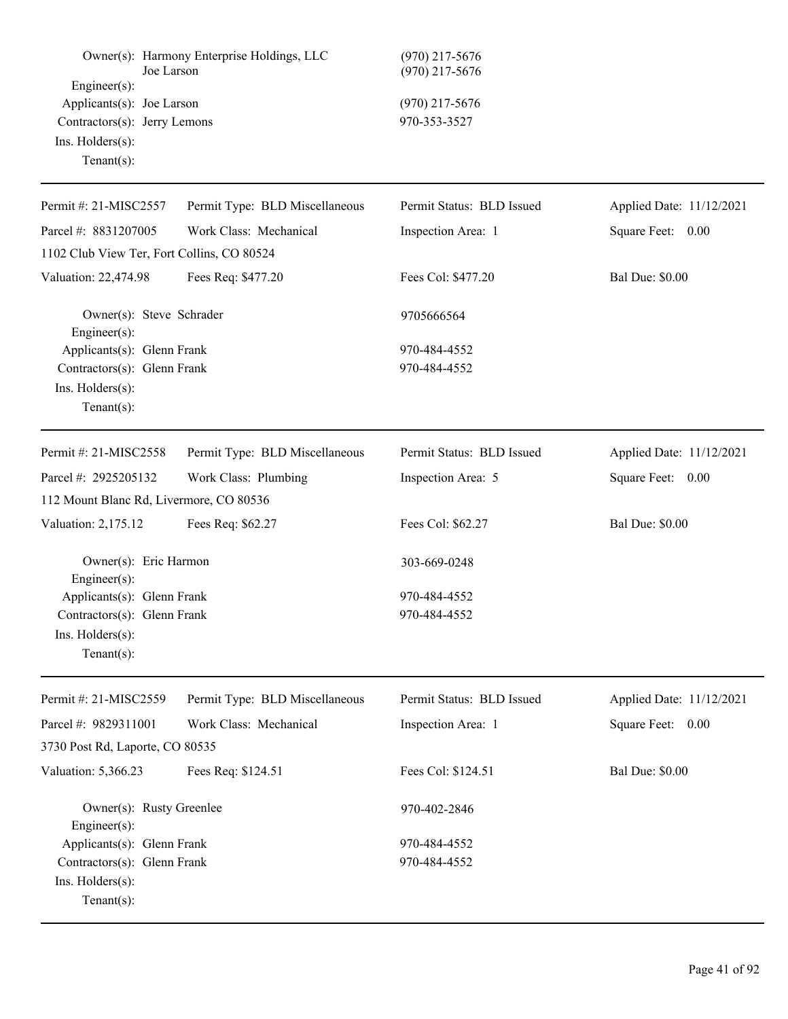| Joe Larson<br>Engineer $(s)$ :             | Owner(s): Harmony Enterprise Holdings, LLC | (970) 217-5676<br>$(970)$ 217-5676 |                      |
|--------------------------------------------|--------------------------------------------|------------------------------------|----------------------|
| Applicants(s): Joe Larson                  |                                            | $(970)$ 217-5676                   |                      |
| Contractors(s): Jerry Lemons               |                                            | 970-353-3527                       |                      |
| $Ins.$ Holders $(s)$ :                     |                                            |                                    |                      |
| Tenant $(s)$ :                             |                                            |                                    |                      |
| Permit #: 21-MISC2557                      | Permit Type: BLD Miscellaneous             | Permit Status: BLD Issued          | <b>Applied Date:</b> |
| Parcel #: 8831207005                       | Work Class: Mechanical                     | Inspection Area: 1                 | Square Feet:         |
| 1102 Club View Ter, Fort Collins, CO 80524 |                                            |                                    |                      |
|                                            |                                            |                                    |                      |

Valuation: 22,474.98 Fees Req: \$477.20 Fees Col: \$477.20 Bal Due: \$0.00

Owner(s): Steve Schrader 9705666564 Engineer(s): Applicants(s): Glenn Frank 970-484-4552 Contractors(s): Glenn Frank 970-484-4552 Ins. Holders(s): Tenant(s):

| Permit #: $21-MISC2558$                     | Permit Type: BLD Miscellaneous | Permit Status: BLD Issued | Applied Date: 11/12/2021 |  |
|---------------------------------------------|--------------------------------|---------------------------|--------------------------|--|
| Parcel #: $2925205132$                      | Work Class: Plumbing           | Inspection Area: 5        | Square Feet: 0.00        |  |
| 112 Mount Blanc Rd, Livermore, CO 80536     |                                |                           |                          |  |
| Valuation: 2,175.12                         | Fees Req: \$62.27              | Fees Col: \$62.27         | <b>Bal Due: \$0.00</b>   |  |
| Owner(s): Eric Harmon<br>$Engineering(s)$ : |                                | 303-669-0248              |                          |  |
| Applicants(s): Glenn Frank                  |                                | 970-484-4552              |                          |  |
| Contractors(s): Glenn Frank                 |                                | 970-484-4552              |                          |  |
| $Ins.$ Holders $(s)$ :                      |                                |                           |                          |  |
| Tenant $(s)$ :                              |                                |                           |                          |  |
|                                             |                                |                           |                          |  |

| Permit #: $21-MISC2559$         | Permit Type: BLD Miscellaneous | Permit Status: BLD Issued | Applied Date: 11/12/2021 |
|---------------------------------|--------------------------------|---------------------------|--------------------------|
| Parcel #: 9829311001            | Work Class: Mechanical         | Inspection Area: 1        | 0.00<br>Square Feet:     |
| 3730 Post Rd, Laporte, CO 80535 |                                |                           |                          |
| Valuation: 5,366.23             | Fees Req: \$124.51             | Fees Col: \$124.51        | <b>Bal Due: \$0.00</b>   |
|                                 | Owner(s): Rusty Greenlee       | 970-402-2846              |                          |
| $Engineering(s)$ :              |                                |                           |                          |
| Applicants(s): Glenn Frank      |                                | 970-484-4552              |                          |
| Contractors(s): Glenn Frank     |                                | 970-484-4552              |                          |
| $Ins.$ Holders $(s)$ :          |                                |                           |                          |
| $Tenant(s)$ :                   |                                |                           |                          |

Applied Date: 11/12/2021

 $0.00$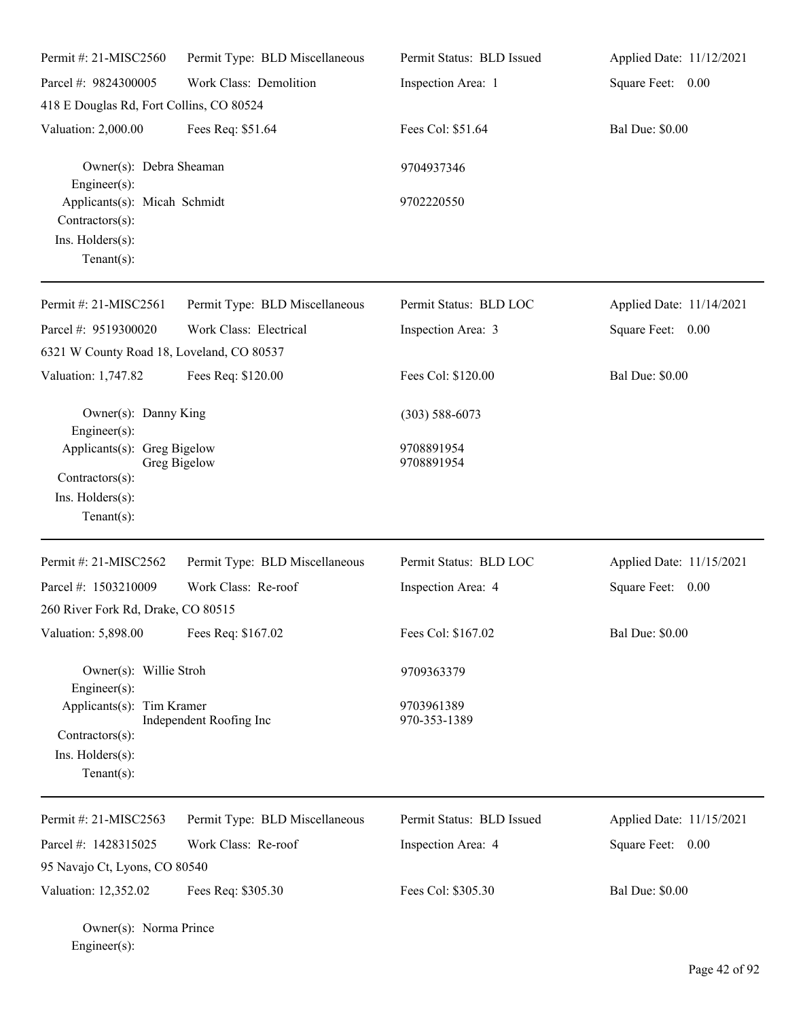| Permit #: 21-MISC2560                                                                       | Permit Type: BLD Miscellaneous | Permit Status: BLD Issued  | Applied Date: 11/12/2021 |
|---------------------------------------------------------------------------------------------|--------------------------------|----------------------------|--------------------------|
| Parcel #: 9824300005<br>418 E Douglas Rd, Fort Collins, CO 80524                            | Work Class: Demolition         | Inspection Area: 1         | Square Feet: 0.00        |
| Valuation: 2,000.00                                                                         | Fees Req: \$51.64              | Fees Col: \$51.64          | <b>Bal Due: \$0.00</b>   |
| Owner(s): Debra Sheaman<br>Engineer $(s)$ :                                                 |                                | 9704937346                 |                          |
| Applicants(s): Micah Schmidt<br>Contractors(s):                                             |                                | 9702220550                 |                          |
| Ins. Holders(s):<br>Tenant $(s)$ :                                                          |                                |                            |                          |
| Permit #: 21-MISC2561                                                                       | Permit Type: BLD Miscellaneous | Permit Status: BLD LOC     | Applied Date: 11/14/2021 |
| Parcel #: 9519300020                                                                        | Work Class: Electrical         | Inspection Area: 3         | Square Feet: 0.00        |
| 6321 W County Road 18, Loveland, CO 80537                                                   |                                |                            |                          |
| Valuation: 1,747.82                                                                         | Fees Req: \$120.00             | Fees Col: \$120.00         | <b>Bal Due: \$0.00</b>   |
| Owner(s): Danny King<br>Engineer(s):                                                        |                                | $(303) 588 - 6073$         |                          |
| Applicants(s): Greg Bigelow<br>Contractors(s):<br>Ins. $H$ olders $(s)$ :<br>Tenant $(s)$ : | Greg Bigelow                   | 9708891954<br>9708891954   |                          |
| Permit #: 21-MISC2562                                                                       | Permit Type: BLD Miscellaneous | Permit Status: BLD LOC     | Applied Date: 11/15/2021 |
| Parcel #: 1503210009                                                                        | Work Class: Re-roof            | Inspection Area: 4         | Square Feet: 0.00        |
| 260 River Fork Rd, Drake, CO 80515                                                          |                                |                            |                          |
| Valuation: 5,898.00                                                                         | Fees Req: \$167.02             | Fees Col: \$167.02         | <b>Bal Due: \$0.00</b>   |
| Owner(s): Willie Stroh<br>Engineer(s):                                                      |                                | 9709363379                 |                          |
| Applicants(s): Tim Kramer<br>Contractors(s):<br>Ins. $H$ olders $(s)$ :<br>Tenant $(s)$ :   | Independent Roofing Inc        | 9703961389<br>970-353-1389 |                          |
| Permit #: 21-MISC2563                                                                       | Permit Type: BLD Miscellaneous | Permit Status: BLD Issued  | Applied Date: 11/15/2021 |
| Parcel #: 1428315025                                                                        | Work Class: Re-roof            | Inspection Area: 4         | Square Feet: 0.00        |
| 95 Navajo Ct, Lyons, CO 80540                                                               |                                |                            |                          |
| Valuation: 12,352.02                                                                        | Fees Req: \$305.30             | Fees Col: \$305.30         | <b>Bal Due: \$0.00</b>   |
| Owner(s): Norma Prince                                                                      |                                |                            |                          |

Engineer(s):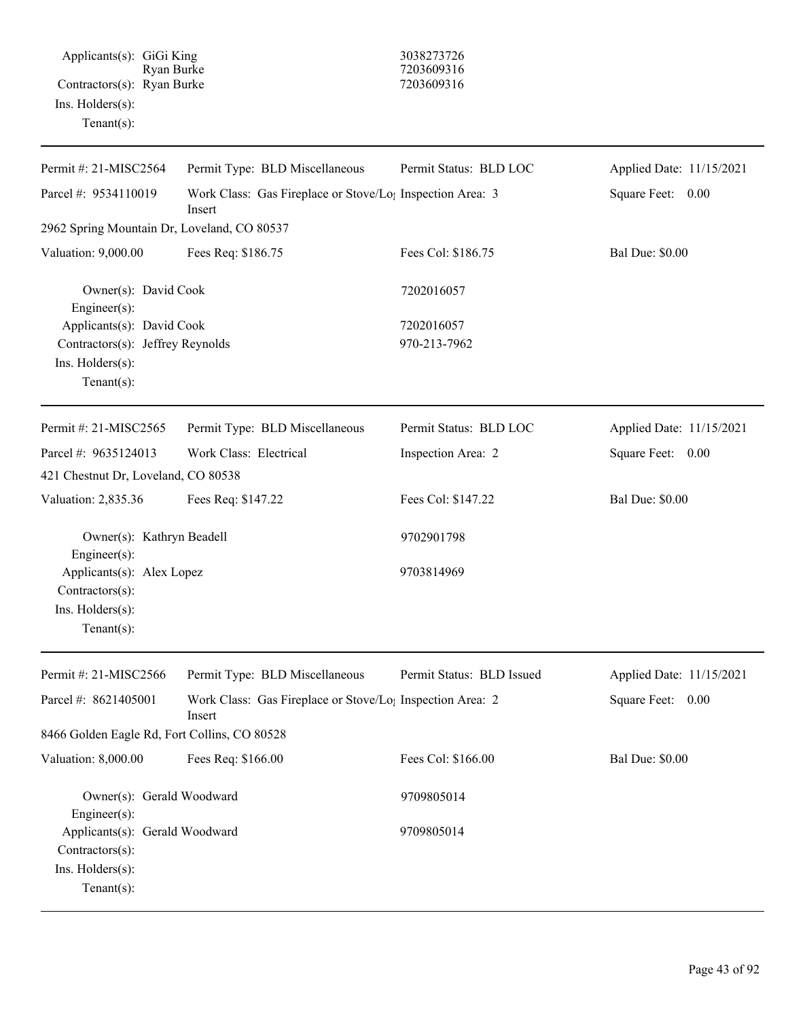# 7203609316<br>7203609316

| Permit #: 21-MISC2564                                                                                   | Permit Type: BLD Miscellaneous                                                  | Permit Status: BLD LOC    | Applied Date: 11/15/2021 |
|---------------------------------------------------------------------------------------------------------|---------------------------------------------------------------------------------|---------------------------|--------------------------|
| Parcel #: 9534110019<br>Work Class: Gas Fireplace or Stove/Lo <sub>1</sub> Inspection Area: 3<br>Insert |                                                                                 |                           | Square Feet: 0.00        |
| 2962 Spring Mountain Dr, Loveland, CO 80537                                                             |                                                                                 |                           |                          |
| Valuation: 9,000.00<br>Fees Req: \$186.75                                                               |                                                                                 | Fees Col: \$186.75        | <b>Bal Due: \$0.00</b>   |
| Owner(s): David Cook<br>Engineer $(s)$ :                                                                |                                                                                 | 7202016057                |                          |
| Applicants(s): David Cook                                                                               |                                                                                 | 7202016057                |                          |
| Contractors(s): Jeffrey Reynolds<br>Ins. Holders(s):                                                    |                                                                                 | 970-213-7962              |                          |
| $Tenant(s)$ :                                                                                           |                                                                                 |                           |                          |
| Permit #: 21-MISC2565                                                                                   | Permit Type: BLD Miscellaneous                                                  | Permit Status: BLD LOC    | Applied Date: 11/15/2021 |
| Parcel #: 9635124013                                                                                    | Work Class: Electrical                                                          | Inspection Area: 2        | Square Feet:<br>0.00     |
| 421 Chestnut Dr, Loveland, CO 80538                                                                     |                                                                                 |                           |                          |
| Valuation: 2,835.36                                                                                     | Fees Req: \$147.22                                                              | Fees Col: \$147.22        | <b>Bal Due: \$0.00</b>   |
| Owner(s): Kathryn Beadell<br>Engineer $(s)$ :                                                           |                                                                                 | 9702901798                |                          |
| Applicants(s): Alex Lopez<br>Contractors(s):                                                            |                                                                                 | 9703814969                |                          |
| Ins. Holders(s):<br>$Tenant(s)$ :                                                                       |                                                                                 |                           |                          |
| Permit #: 21-MISC2566                                                                                   | Permit Type: BLD Miscellaneous                                                  | Permit Status: BLD Issued | Applied Date: 11/15/2021 |
| Parcel #: 8621405001                                                                                    | Work Class: Gas Fireplace or Stove/Lo <sub>1</sub> Inspection Area: 2<br>Insert |                           | Square Feet:<br>0.00     |
| 8466 Golden Eagle Rd, Fort Collins, CO 80528                                                            |                                                                                 |                           |                          |
| Valuation: 8,000.00                                                                                     | Fees Req: \$166.00                                                              | Fees Col: \$166.00        | <b>Bal Due: \$0.00</b>   |
| Owner(s): Gerald Woodward<br>Engineer $(s)$ :                                                           |                                                                                 | 9709805014                |                          |
| Applicants(s): Gerald Woodward<br>Contractors(s):                                                       |                                                                                 | 9709805014                |                          |
| Ins. Holders(s):<br>Tenant $(s)$ :                                                                      |                                                                                 |                           |                          |
|                                                                                                         |                                                                                 |                           |                          |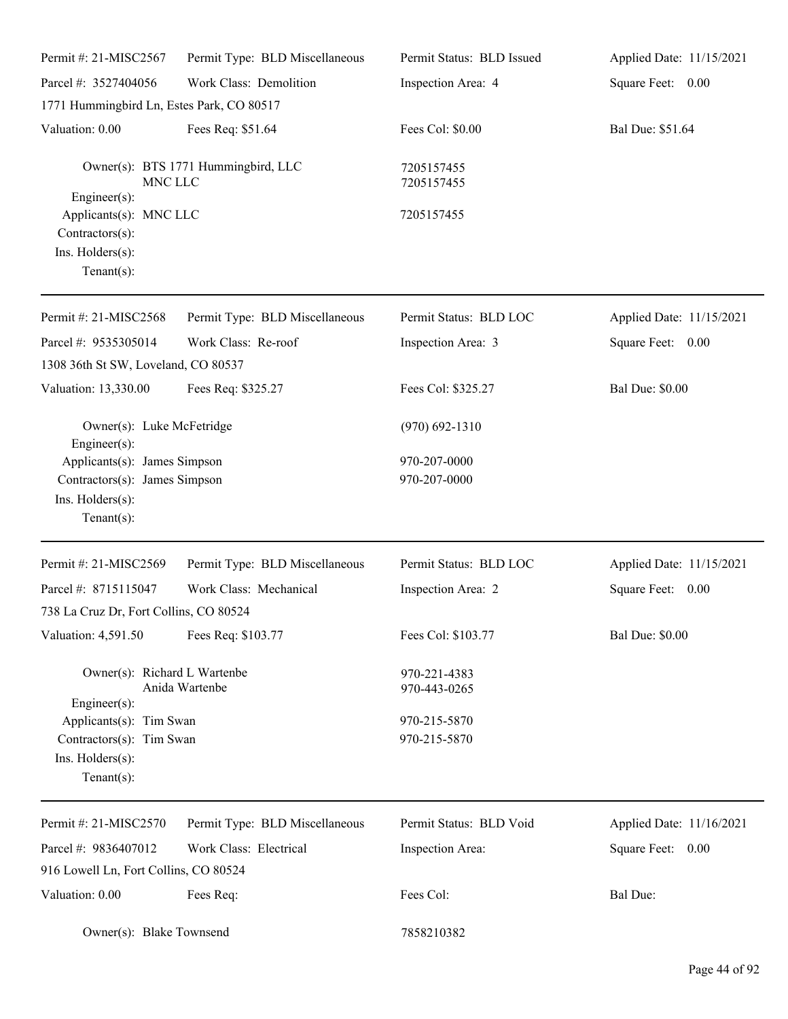| Permit #: 21-MISC2567                                                                              | Permit Type: BLD Miscellaneous      | Permit Status: BLD Issued    | Applied Date: 11/15/2021 |
|----------------------------------------------------------------------------------------------------|-------------------------------------|------------------------------|--------------------------|
| Parcel #: 3527404056                                                                               | Work Class: Demolition              | Inspection Area: 4           | Square Feet: 0.00        |
| 1771 Hummingbird Ln, Estes Park, CO 80517                                                          |                                     |                              |                          |
| Valuation: 0.00                                                                                    | Fees Req: \$51.64                   | Fees Col: \$0.00             | Bal Due: \$51.64         |
| MNC LLC                                                                                            | Owner(s): BTS 1771 Hummingbird, LLC | 7205157455<br>7205157455     |                          |
| Engineer(s):<br>Applicants(s): MNC LLC<br>Contractors(s):<br>Ins. Holders(s):<br>Tenant $(s)$ :    |                                     | 7205157455                   |                          |
| Permit #: 21-MISC2568                                                                              | Permit Type: BLD Miscellaneous      | Permit Status: BLD LOC       | Applied Date: 11/15/2021 |
| Parcel #: 9535305014                                                                               | Work Class: Re-roof                 | Inspection Area: 3           | Square Feet: 0.00        |
| 1308 36th St SW, Loveland, CO 80537                                                                |                                     |                              |                          |
| Valuation: 13,330.00                                                                               | Fees Req: \$325.27                  | Fees Col: \$325.27           | <b>Bal Due: \$0.00</b>   |
| Owner(s): Luke McFetridge<br>Engineer $(s)$ :                                                      |                                     | $(970) 692 - 1310$           |                          |
| Applicants(s): James Simpson<br>Contractors(s): James Simpson<br>Ins. Holders(s):<br>$Tenant(s)$ : |                                     | 970-207-0000<br>970-207-0000 |                          |
| Permit #: 21-MISC2569                                                                              | Permit Type: BLD Miscellaneous      | Permit Status: BLD LOC       | Applied Date: 11/15/2021 |
| Parcel #: 8715115047<br>738 La Cruz Dr, Fort Collins, CO 80524                                     | Work Class: Mechanical              | Inspection Area: 2           | Square Feet: 0.00        |
| Valuation: 4,591.50                                                                                | Fees Req: \$103.77                  | Fees Col: \$103.77           | <b>Bal Due: \$0.00</b>   |
| Owner(s): Richard L Wartenbe<br>$Engineering(s)$ :                                                 | Anida Wartenbe                      | 970-221-4383<br>970-443-0265 |                          |
| Applicants(s): Tim Swan<br>Contractors(s): Tim Swan<br>Ins. Holders(s):<br>Tenant $(s)$ :          |                                     | 970-215-5870<br>970-215-5870 |                          |
| Permit #: 21-MISC2570                                                                              | Permit Type: BLD Miscellaneous      | Permit Status: BLD Void      | Applied Date: 11/16/2021 |
| Parcel #: 9836407012                                                                               | Work Class: Electrical              | Inspection Area:             | Square Feet: 0.00        |
| 916 Lowell Ln, Fort Collins, CO 80524                                                              |                                     |                              |                          |
| Valuation: 0.00                                                                                    | Fees Req:                           | Fees Col:                    | <b>Bal Due:</b>          |
| Owner(s): Blake Townsend                                                                           |                                     | 7858210382                   |                          |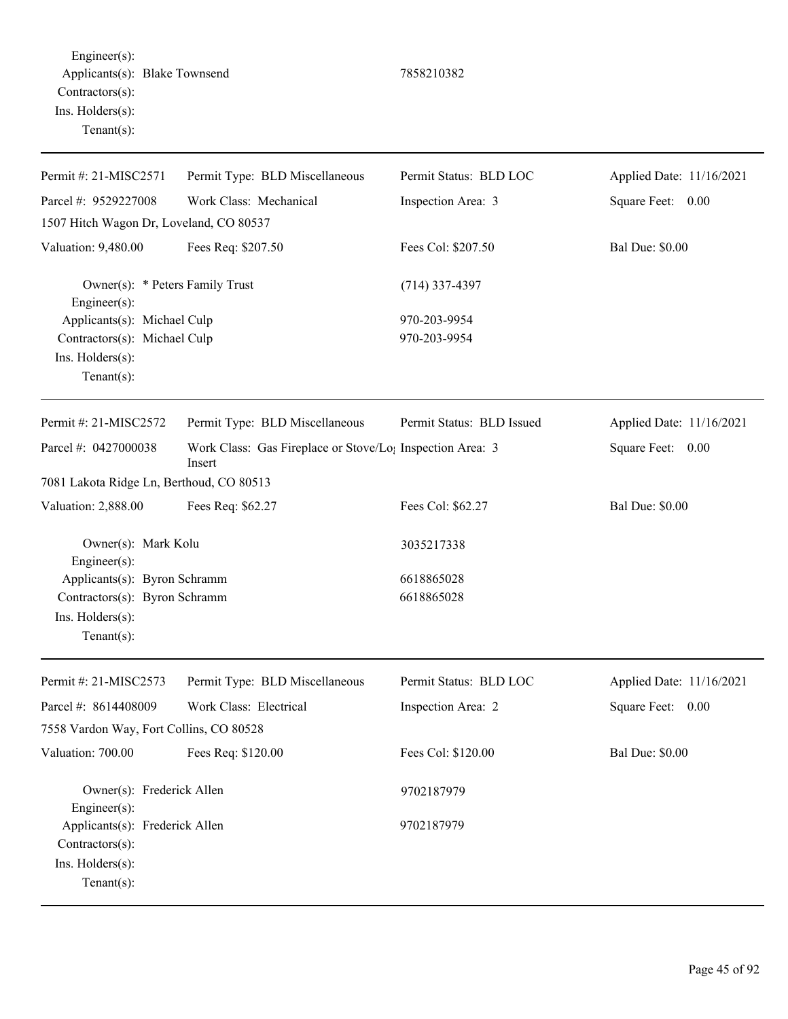Engineer(s): Applicants(s): Blake Townsend 7858210382 Contractors(s): Ins. Holders(s): Tenant(s):

Permit #: 21-MISC2571 Parcel #: 9529227008 Permit Type: BLD Miscellaneous Work Class: Mechanical Permit Status: BLD LOC Inspection Area: 3 Applied Date: 11/16/2021 Square Feet: 0.00 1507 Hitch Wagon Dr, Loveland, CO 80537 Valuation: 9,480.00 Fees Req: \$207.50 Fees Col: \$207.50 Bal Due: \$0.00 Owner(s): \* Peters Family Trust (714) 337-4397 Engineer(s): Applicants(s): Michael Culp 970-203-9954 Contractors(s): Michael Culp 970-203-9954 Ins. Holders(s): Tenant(s): Permit #: 21-MISC2572 Parcel #: 0427000038 Permit Type: BLD Miscellaneous Work Class: Gas Fireplace or Stove/Lo<sub>1</sub> Inspection Area: 3 Insert Permit Status: BLD Issued Applied Date: 11/16/2021 Square Feet: 0.00 7081 Lakota Ridge Ln, Berthoud, CO 80513 Valuation: 2,888.00 Fees Req: \$62.27 Fees Col: \$62.27 Bal Due: \$0.00 Owner(s): Mark Kolu 3035217338 Engineer(s): Applicants(s): Byron Schramm 6618865028 Contractors(s): Byron Schramm 6618865028 Ins. Holders(s): Tenant(s): Permit #: 21-MISC2573 Parcel #: 8614408009 Permit Type: BLD Miscellaneous Work Class: Electrical Permit Status: BLD LOC Inspection Area: 2 Applied Date: 11/16/2021 Square Feet: 0.00 7558 Vardon Way, Fort Collins, CO 80528 Valuation: 700.00 Fees Req: \$120.00 Fees Col: \$120.00 Bal Due: \$0.00 Owner(s): Frederick Allen 9702187979 Engineer(s): Applicants(s): Frederick Allen 9702187979

Contractors(s): Ins. Holders(s): Tenant(s):

Page 45 of 92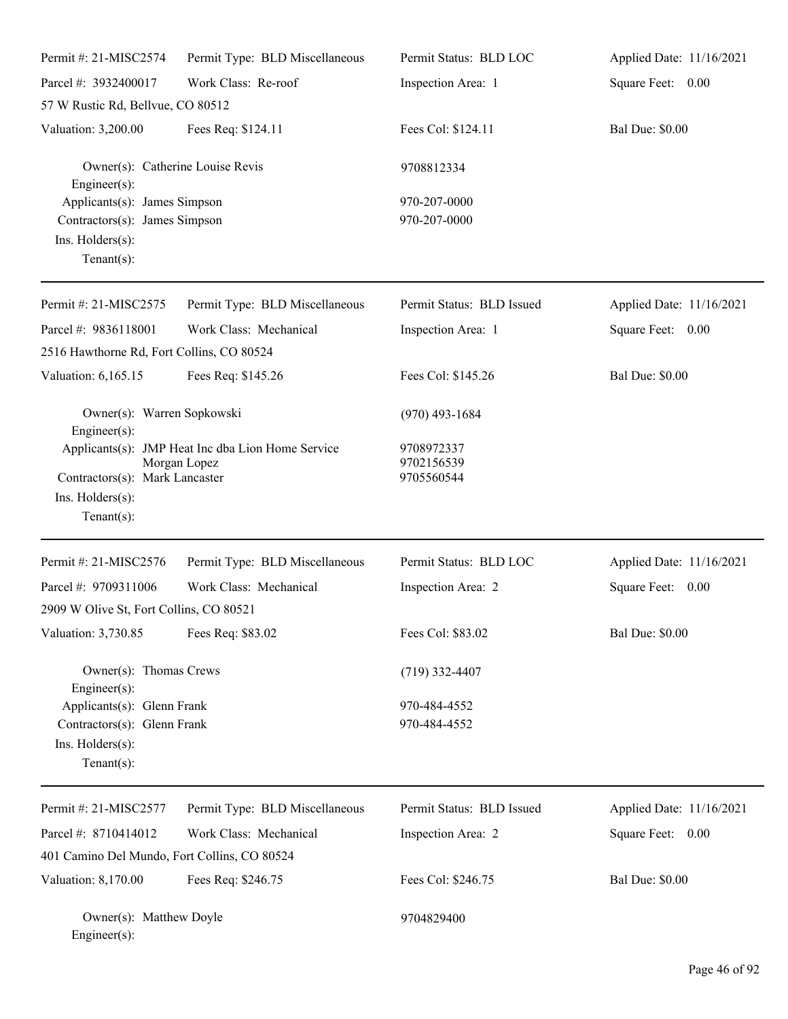| Permit #: 21-MISC2574                                                                                      | Permit Type: BLD Miscellaneous                                    | Permit Status: BLD LOC                 | Applied Date: 11/16/2021 |
|------------------------------------------------------------------------------------------------------------|-------------------------------------------------------------------|----------------------------------------|--------------------------|
| Parcel #: 3932400017                                                                                       | Work Class: Re-roof                                               | Inspection Area: 1                     | Square Feet: 0.00        |
| 57 W Rustic Rd, Bellvue, CO 80512                                                                          |                                                                   |                                        |                          |
| Valuation: 3,200.00                                                                                        | Fees Req: \$124.11                                                | Fees Col: \$124.11                     | <b>Bal Due: \$0.00</b>   |
| Owner(s): Catherine Louise Revis<br>$Engineering(s)$ :                                                     |                                                                   | 9708812334                             |                          |
| Applicants(s): James Simpson<br>Contractors(s): James Simpson<br>Ins. $H$ olders $(s)$ :<br>Tenant $(s)$ : |                                                                   | 970-207-0000<br>970-207-0000           |                          |
| Permit #: 21-MISC2575                                                                                      | Permit Type: BLD Miscellaneous                                    | Permit Status: BLD Issued              | Applied Date: 11/16/2021 |
| Parcel #: 9836118001<br>2516 Hawthorne Rd, Fort Collins, CO 80524                                          | Work Class: Mechanical                                            | Inspection Area: 1                     | Square Feet: 0.00        |
| Valuation: 6,165.15                                                                                        | Fees Req: \$145.26                                                | Fees Col: \$145.26                     | <b>Bal Due: \$0.00</b>   |
| Owner(s): Warren Sopkowski<br>$Engineering(s)$ :                                                           |                                                                   | $(970)$ 493-1684                       |                          |
| Contractors(s): Mark Lancaster<br>Ins. Holders(s):<br>Tenant $(s)$ :                                       | Applicants(s): JMP Heat Inc dba Lion Home Service<br>Morgan Lopez | 9708972337<br>9702156539<br>9705560544 |                          |
| Permit #: 21-MISC2576                                                                                      | Permit Type: BLD Miscellaneous                                    | Permit Status: BLD LOC                 | Applied Date: 11/16/2021 |
| Parcel #: 9709311006<br>2909 W Olive St, Fort Collins, CO 80521                                            | Work Class: Mechanical                                            | Inspection Area: 2                     | Square Feet: 0.00        |
| Valuation: 3,730.85                                                                                        | Fees Req: \$83.02                                                 | Fees Col: \$83.02                      | <b>Bal Due: \$0.00</b>   |
| Owner(s): Thomas Crews<br>Engineer(s):                                                                     |                                                                   | $(719)$ 332-4407                       |                          |
| Applicants(s): Glenn Frank<br>Contractors(s): Glenn Frank<br>Ins. Holders(s):<br>Tenant $(s)$ :            |                                                                   | 970-484-4552<br>970-484-4552           |                          |
| Permit #: 21-MISC2577                                                                                      | Permit Type: BLD Miscellaneous                                    | Permit Status: BLD Issued              | Applied Date: 11/16/2021 |
| Parcel #: 8710414012                                                                                       | Work Class: Mechanical                                            | Inspection Area: 2                     | Square Feet: 0.00        |
| 401 Camino Del Mundo, Fort Collins, CO 80524                                                               |                                                                   |                                        |                          |
| Valuation: 8,170.00                                                                                        | Fees Req: \$246.75                                                | Fees Col: \$246.75                     | <b>Bal Due: \$0.00</b>   |
| Owner(s): Matthew Doyle<br>Engineer(s):                                                                    |                                                                   | 9704829400                             |                          |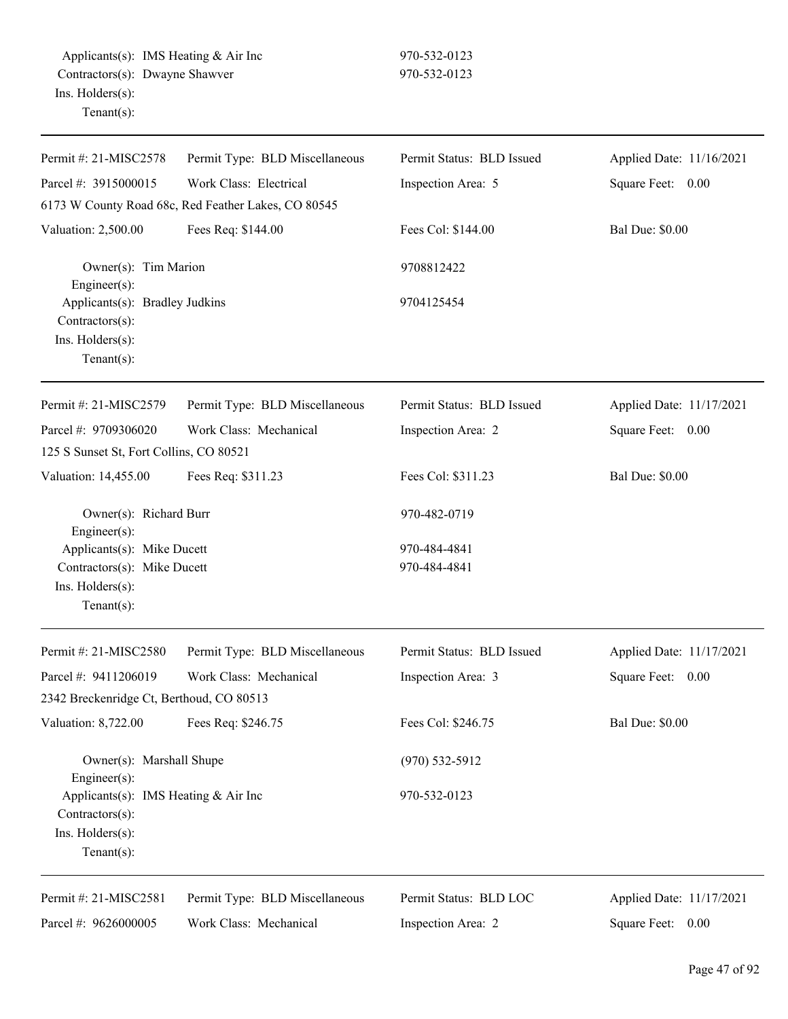| Permit #: 21-MISC2578                                                                          | Permit Type: BLD Miscellaneous                      | Permit Status: BLD Issued    | Applied Date: 11/16/2021 |
|------------------------------------------------------------------------------------------------|-----------------------------------------------------|------------------------------|--------------------------|
| Parcel #: 3915000015                                                                           | Work Class: Electrical                              | Inspection Area: 5           | Square Feet: 0.00        |
|                                                                                                | 6173 W County Road 68c, Red Feather Lakes, CO 80545 |                              |                          |
| Valuation: 2,500.00                                                                            | Fees Req: \$144.00                                  | Fees Col: \$144.00           | <b>Bal Due: \$0.00</b>   |
| Owner(s): Tim Marion<br>Engineer(s):                                                           |                                                     | 9708812422                   |                          |
| Applicants(s): Bradley Judkins<br>Contractors(s):<br>Ins. Holders(s):<br>Tenant $(s)$ :        |                                                     | 9704125454                   |                          |
| Permit #: 21-MISC2579                                                                          | Permit Type: BLD Miscellaneous                      | Permit Status: BLD Issued    | Applied Date: 11/17/2021 |
| Parcel #: 9709306020                                                                           | Work Class: Mechanical                              | Inspection Area: 2           | Square Feet:<br>0.00     |
| 125 S Sunset St, Fort Collins, CO 80521                                                        |                                                     |                              |                          |
| Valuation: 14,455.00                                                                           | Fees Req: \$311.23                                  | Fees Col: \$311.23           | <b>Bal Due: \$0.00</b>   |
| Owner(s): Richard Burr<br>Engineer(s):                                                         |                                                     | 970-482-0719                 |                          |
| Applicants(s): Mike Ducett<br>Contractors(s): Mike Ducett<br>Ins. Holders(s):<br>$Tenant(s)$ : |                                                     | 970-484-4841<br>970-484-4841 |                          |
| Permit #: 21-MISC2580                                                                          | Permit Type: BLD Miscellaneous                      | Permit Status: BLD Issued    | Applied Date: 11/17/2021 |
| Parcel #: 9411206019                                                                           | Work Class: Mechanical                              | Inspection Area: 3           | Square Feet: 0.00        |
| 2342 Breckenridge Ct, Berthoud, CO 80513                                                       |                                                     |                              |                          |
| Valuation: 8,722.00                                                                            | Fees Req: \$246.75                                  | Fees Col: \$246.75           | <b>Bal Due: \$0.00</b>   |
| Owner(s): Marshall Shupe<br>Engineer(s):                                                       |                                                     | $(970) 532 - 5912$           |                          |
| Applicants(s): IMS Heating & Air Inc<br>Contractors(s):<br>Ins. Holders(s):<br>$Tenant(s)$ :   |                                                     | 970-532-0123                 |                          |
| Permit #: 21-MISC2581                                                                          | Permit Type: BLD Miscellaneous                      | Permit Status: BLD LOC       | Applied Date: 11/17/2021 |
| Parcel #: 9626000005                                                                           | Work Class: Mechanical                              | Inspection Area: 2           | Square Feet: 0.00        |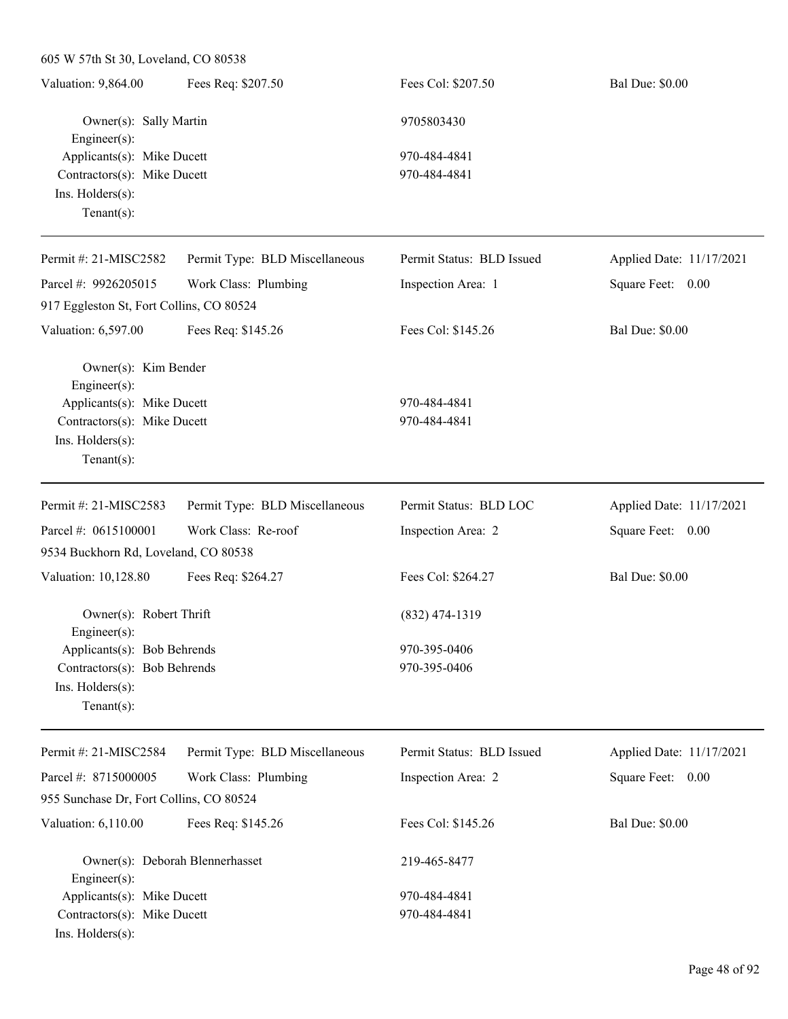| Valuation: 9,864.00         | Fees Req: \$207.50 | Fees Col: \$207.50 | <b>Bal Due: \$0.00</b> |
|-----------------------------|--------------------|--------------------|------------------------|
| Owner(s): Sally Martin      |                    | 9705803430         |                        |
| $Engineering(s)$ :          |                    |                    |                        |
| Applicants(s): Mike Ducett  |                    | 970-484-4841       |                        |
| Contractors(s): Mike Ducett |                    | 970-484-4841       |                        |
| $Ins.$ Holders $(s)$ :      |                    |                    |                        |
| $Tenant(s)$ :               |                    |                    |                        |

| Permit #: $21-MISC2582$                  | Permit Type: BLD Miscellaneous | Permit Status: BLD Issued | Applied Date: 11/17/2021 |
|------------------------------------------|--------------------------------|---------------------------|--------------------------|
| Parcel #: $9926205015$                   | Work Class: Plumbing           | Inspection Area: 1        | Square Feet:<br>0.00     |
| 917 Eggleston St, Fort Collins, CO 80524 |                                |                           |                          |
| Valuation: 6,597.00                      | Fees Req: \$145.26             | Fees Col: \$145.26        | <b>Bal Due: \$0.00</b>   |
| Owner(s): Kim Bender                     |                                |                           |                          |
| $Engineering(s)$ :                       |                                |                           |                          |
| Applicants(s): Mike Ducett               |                                | 970-484-4841              |                          |
| Contractors(s): Mike Ducett              |                                | 970-484-4841              |                          |
| $Ins.$ Holders $(s)$ :                   |                                |                           |                          |
| Tenant $(s)$ :                           |                                |                           |                          |
| Permit #: 21-MISC2583                    | Permit Type: BLD Miscellaneous | Permit Status: BLD LOC    | Applied Date: 11/17/2021 |
| Parcel #: $0615100001$                   | Work Class: Re-roof            | Inspection Area: 2        | Square Feet:<br>0.00     |

| 9534 Buckhorn Rd, Loveland, CO 80538       |                    |                        |  |  |
|--------------------------------------------|--------------------|------------------------|--|--|
| Valuation: 10,128.80<br>Fees Req: \$264.27 | Fees Col: \$264.27 | <b>Bal Due: \$0.00</b> |  |  |
|                                            |                    |                        |  |  |
| Owner(s): Robert Thrift                    | $(832)$ 474-1319   |                        |  |  |
| Engineer $(s)$ :                           |                    |                        |  |  |
| Applicants(s): Bob Behrends                | 970-395-0406       |                        |  |  |
| Contractors(s): Bob Behrends               | 970-395-0406       |                        |  |  |
| $Ins.$ Holders $(s)$ :                     |                    |                        |  |  |
| Tenant $(s)$ :                             |                    |                        |  |  |

| Permit #: $21-MISC2584$                               | Permit Type: BLD Miscellaneous | Permit Status: BLD Issued | Applied Date: 11/17/2021 |
|-------------------------------------------------------|--------------------------------|---------------------------|--------------------------|
| Parcel #: $8715000005$                                | Work Class: Plumbing           | Inspection Area: 2        | Square Feet:<br>0.00     |
| 955 Sunchase Dr. Fort Collins, CO 80524               |                                |                           |                          |
| Valuation: 6,110.00                                   | Fees Req: \$145.26             | Fees Col: \$145.26        | <b>Bal Due: \$0.00</b>   |
| Owner(s): Deborah Blennerhasset<br>$Engineering(s)$ : |                                | 219-465-8477              |                          |
| Applicants(s): Mike Ducett                            |                                | 970-484-4841              |                          |
| Contractors(s): Mike Ducett                           |                                | 970-484-4841              |                          |
| $Ins.$ Holders $(s)$ :                                |                                |                           |                          |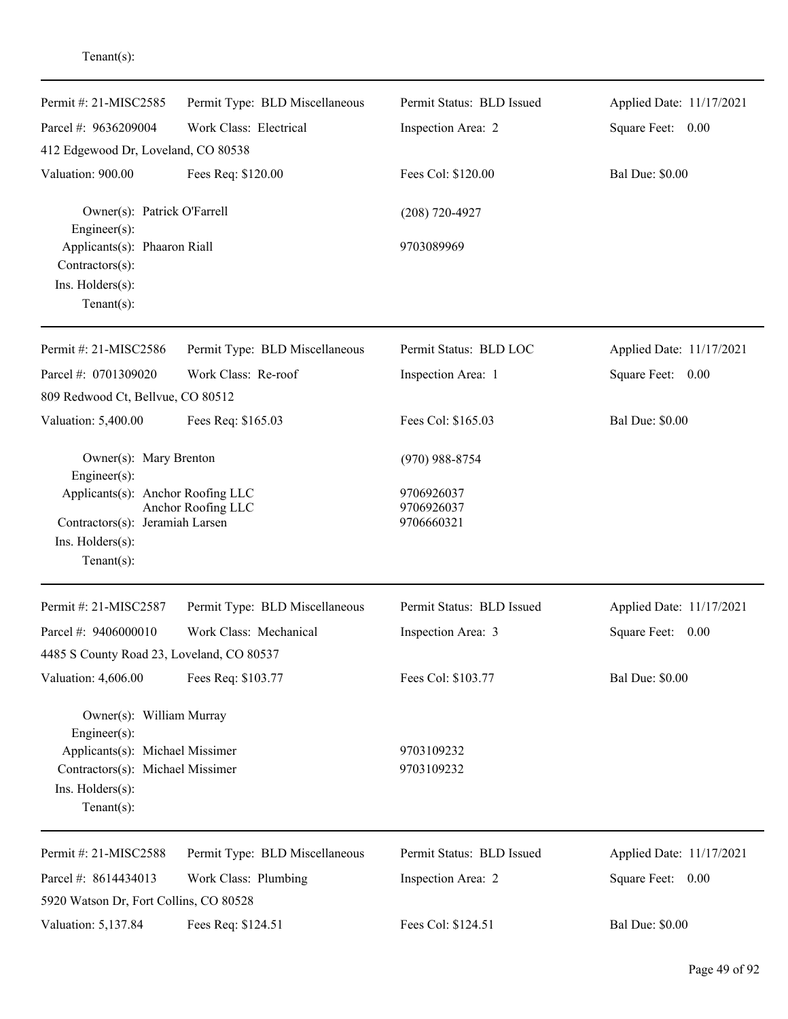| Permit #: 21-MISC2585                                                                    | Permit Type: BLD Miscellaneous | Permit Status: BLD Issued | Applied Date: 11/17/2021 |
|------------------------------------------------------------------------------------------|--------------------------------|---------------------------|--------------------------|
| Parcel #: 9636209004                                                                     | Work Class: Electrical         | Inspection Area: 2        | Square Feet: 0.00        |
| 412 Edgewood Dr, Loveland, CO 80538                                                      |                                |                           |                          |
| Valuation: 900.00                                                                        | Fees Req: \$120.00             | Fees Col: \$120.00        | <b>Bal Due: \$0.00</b>   |
| Owner(s): Patrick O'Farrell<br>Engineer(s):                                              |                                | $(208) 720 - 4927$        |                          |
| Applicants(s): Phaaron Riall<br>$Contractors(s)$ :<br>Ins. Holders(s):<br>Tenant $(s)$ : |                                | 9703089969                |                          |
| Permit #: 21-MISC2586                                                                    | Permit Type: BLD Miscellaneous | Permit Status: BLD LOC    | Applied Date: 11/17/2021 |
| Parcel #: 0701309020                                                                     | Work Class: Re-roof            | Inspection Area: 1        | Square Feet: 0.00        |
| 809 Redwood Ct, Bellvue, CO 80512                                                        |                                |                           |                          |
| Valuation: 5,400.00                                                                      | Fees Req: \$165.03             | Fees Col: \$165.03        | <b>Bal Due: \$0.00</b>   |
| Owner(s): Mary Brenton<br>Engineer(s):                                                   |                                | $(970)$ 988-8754          |                          |
| Applicants(s): Anchor Roofing LLC                                                        |                                | 9706926037                |                          |
| Contractors(s): Jeramiah Larsen                                                          | Anchor Roofing LLC             | 9706926037<br>9706660321  |                          |
| Ins. Holders(s):                                                                         |                                |                           |                          |
| $Tenant(s)$ :                                                                            |                                |                           |                          |
| Permit #: 21-MISC2587                                                                    | Permit Type: BLD Miscellaneous | Permit Status: BLD Issued | Applied Date: 11/17/2021 |
| Parcel #: 9406000010                                                                     | Work Class: Mechanical         | Inspection Area: 3        | Square Feet: 0.00        |
| 4485 S County Road 23, Loveland, CO 80537                                                |                                |                           |                          |
| Valuation: 4,606.00                                                                      | Fees Req: \$103.77             | Fees Col: \$103.77        | <b>Bal Due: \$0.00</b>   |
| Owner(s): William Murray<br>Engineer(s):                                                 |                                |                           |                          |
| Applicants(s): Michael Missimer                                                          |                                | 9703109232                |                          |
| Contractors(s): Michael Missimer                                                         |                                | 9703109232                |                          |
| Ins. Holders(s):<br>Tenant $(s)$ :                                                       |                                |                           |                          |
| Permit #: 21-MISC2588                                                                    | Permit Type: BLD Miscellaneous | Permit Status: BLD Issued | Applied Date: 11/17/2021 |
| Parcel #: 8614434013                                                                     | Work Class: Plumbing           | Inspection Area: 2        | Square Feet: 0.00        |
| 5920 Watson Dr, Fort Collins, CO 80528                                                   |                                |                           |                          |
| Valuation: 5,137.84                                                                      | Fees Req: \$124.51             | Fees Col: \$124.51        | <b>Bal Due: \$0.00</b>   |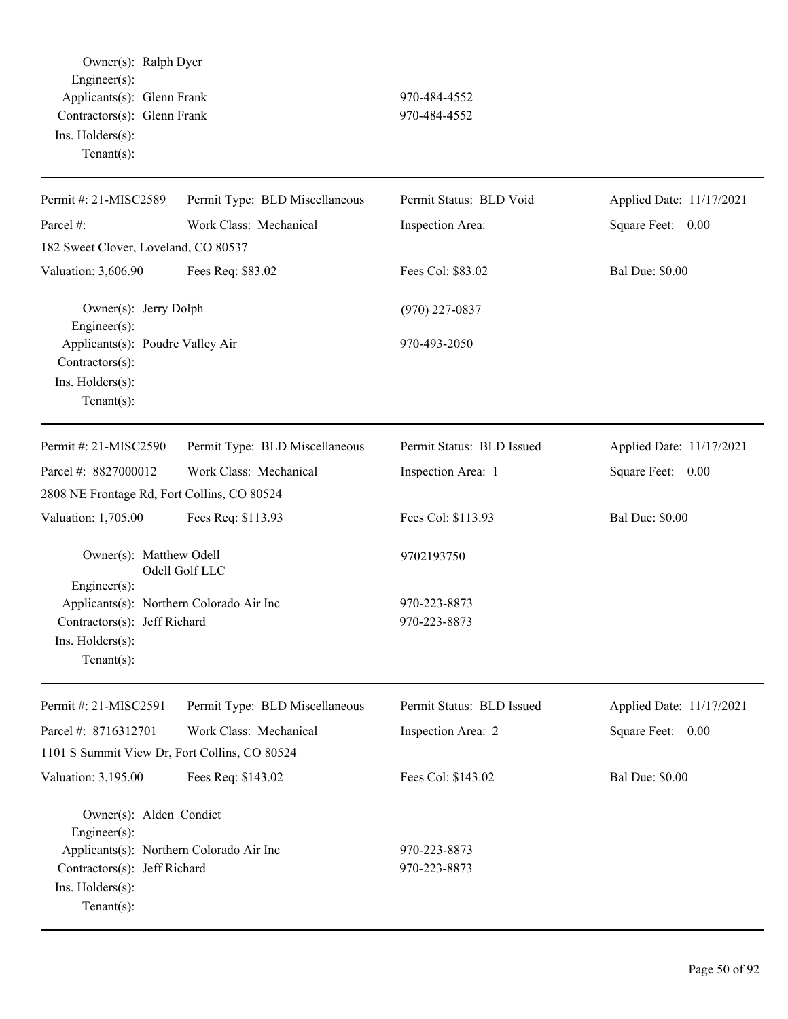Owner(s): Ralph Dyer Engineer(s): Applicants(s): Glenn Frank 970-484-4552 Contractors(s): Glenn Frank 970-484-4552 Ins. Holders(s): Tenant(s):

| Permit #: 21-MISC2589                                                                                                                                    | Permit Type: BLD Miscellaneous | Permit Status: BLD Void      | Applied Date: 11/17/2021 |
|----------------------------------------------------------------------------------------------------------------------------------------------------------|--------------------------------|------------------------------|--------------------------|
| Parcel #:                                                                                                                                                | Work Class: Mechanical         | Inspection Area:             | Square Feet: 0.00        |
| 182 Sweet Clover, Loveland, CO 80537                                                                                                                     |                                |                              |                          |
| Valuation: 3,606.90                                                                                                                                      | Fees Req: \$83.02              | Fees Col: \$83.02            | <b>Bal Due: \$0.00</b>   |
| Owner(s): Jerry Dolph<br>Engineer(s):                                                                                                                    |                                | $(970)$ 227-0837             |                          |
| Applicants(s): Poudre Valley Air<br>Contractors(s):<br>Ins. Holders(s):<br>Tenant $(s)$ :                                                                |                                | 970-493-2050                 |                          |
| Permit #: 21-MISC2590                                                                                                                                    | Permit Type: BLD Miscellaneous | Permit Status: BLD Issued    | Applied Date: 11/17/2021 |
| Parcel #: 8827000012                                                                                                                                     | Work Class: Mechanical         | Inspection Area: 1           | Square Feet: 0.00        |
| 2808 NE Frontage Rd, Fort Collins, CO 80524                                                                                                              |                                |                              |                          |
| Valuation: 1,705.00                                                                                                                                      | Fees Req: \$113.93             | Fees Col: \$113.93           | <b>Bal Due: \$0.00</b>   |
| Owner(s): Matthew Odell<br>Engineer(s):                                                                                                                  | Odell Golf LLC                 | 9702193750                   |                          |
| Applicants(s): Northern Colorado Air Inc<br>Contractors(s): Jeff Richard<br>Ins. Holders(s):<br>$Tenant(s)$ :                                            |                                | 970-223-8873<br>970-223-8873 |                          |
| Permit #: 21-MISC2591                                                                                                                                    | Permit Type: BLD Miscellaneous | Permit Status: BLD Issued    | Applied Date: 11/17/2021 |
| Parcel #: 8716312701                                                                                                                                     | Work Class: Mechanical         | Inspection Area: 2           | Square Feet:<br>0.00     |
| 1101 S Summit View Dr, Fort Collins, CO 80524                                                                                                            |                                |                              |                          |
| Valuation: 3,195.00                                                                                                                                      | Fees Req: \$143.02             | Fees Col: \$143.02           | <b>Bal Due: \$0.00</b>   |
| Owner(s): Alden Condict<br>Engineer(s):<br>Applicants(s): Northern Colorado Air Inc<br>Contractors(s): Jeff Richard<br>Ins. Holders(s):<br>$Tenant(s)$ : |                                | 970-223-8873<br>970-223-8873 |                          |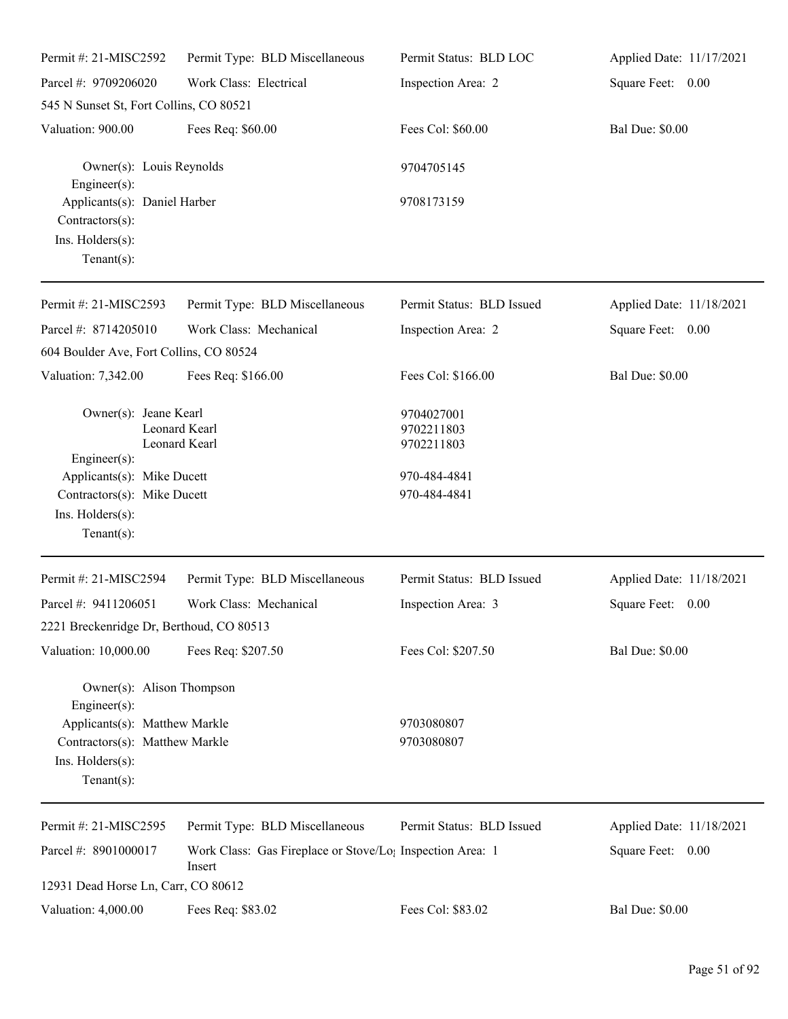| Permit #: 21-MISC2592                                                                 | Permit Type: BLD Miscellaneous                                                  | Permit Status: BLD LOC                 | Applied Date: 11/17/2021 |
|---------------------------------------------------------------------------------------|---------------------------------------------------------------------------------|----------------------------------------|--------------------------|
| Parcel #: 9709206020                                                                  | Work Class: Electrical                                                          | Inspection Area: 2                     | Square Feet: 0.00        |
| 545 N Sunset St, Fort Collins, CO 80521                                               |                                                                                 |                                        |                          |
| Valuation: 900.00                                                                     | Fees Req: \$60.00                                                               | Fees Col: \$60.00                      | <b>Bal Due: \$0.00</b>   |
| Owner(s): Louis Reynolds<br>$Engineering(s)$ :                                        |                                                                                 | 9704705145                             |                          |
| Applicants(s): Daniel Harber<br>Contractors(s):<br>Ins. Holders(s):<br>Tenant $(s)$ : |                                                                                 | 9708173159                             |                          |
| Permit #: 21-MISC2593                                                                 | Permit Type: BLD Miscellaneous                                                  | Permit Status: BLD Issued              | Applied Date: 11/18/2021 |
| Parcel #: 8714205010                                                                  | Work Class: Mechanical                                                          | Inspection Area: 2                     | Square Feet: 0.00        |
| 604 Boulder Ave, Fort Collins, CO 80524                                               |                                                                                 |                                        |                          |
| Valuation: 7,342.00                                                                   | Fees Req: \$166.00                                                              | Fees Col: \$166.00                     | <b>Bal Due: \$0.00</b>   |
| Owner(s): Jeane Kearl<br>Leonard Kearl<br>Leonard Kearl                               |                                                                                 | 9704027001<br>9702211803<br>9702211803 |                          |
| $Engineering(s)$ :                                                                    |                                                                                 |                                        |                          |
| Applicants(s): Mike Ducett<br>Contractors(s): Mike Ducett                             |                                                                                 | 970-484-4841<br>970-484-4841           |                          |
| Ins. Holders(s):                                                                      |                                                                                 |                                        |                          |
| Tenant $(s)$ :                                                                        |                                                                                 |                                        |                          |
| Permit #: 21-MISC2594                                                                 | Permit Type: BLD Miscellaneous                                                  | Permit Status: BLD Issued              | Applied Date: 11/18/2021 |
| Parcel #: 9411206051                                                                  | Work Class: Mechanical                                                          | Inspection Area: 3                     | 0.00<br>Square Feet:     |
| 2221 Breckenridge Dr, Berthoud, CO 80513                                              |                                                                                 |                                        |                          |
| Valuation: 10,000.00                                                                  | Fees Req: \$207.50                                                              | Fees Col: \$207.50                     | <b>Bal Due: \$0.00</b>   |
| Owner(s): Alison Thompson<br>Engineer(s):                                             |                                                                                 |                                        |                          |
| Applicants(s): Matthew Markle                                                         |                                                                                 | 9703080807                             |                          |
| Contractors(s): Matthew Markle                                                        |                                                                                 | 9703080807                             |                          |
| Ins. Holders(s):<br>$Tenant(s)$ :                                                     |                                                                                 |                                        |                          |
| Permit #: 21-MISC2595                                                                 | Permit Type: BLD Miscellaneous                                                  | Permit Status: BLD Issued              | Applied Date: 11/18/2021 |
| Parcel #: 8901000017                                                                  | Work Class: Gas Fireplace or Stove/Lo <sub>1</sub> Inspection Area: 1<br>Insert |                                        | Square Feet: 0.00        |
| 12931 Dead Horse Ln, Carr, CO 80612                                                   |                                                                                 |                                        |                          |
| Valuation: 4,000.00                                                                   | Fees Req: \$83.02                                                               | Fees Col: \$83.02                      | <b>Bal Due: \$0.00</b>   |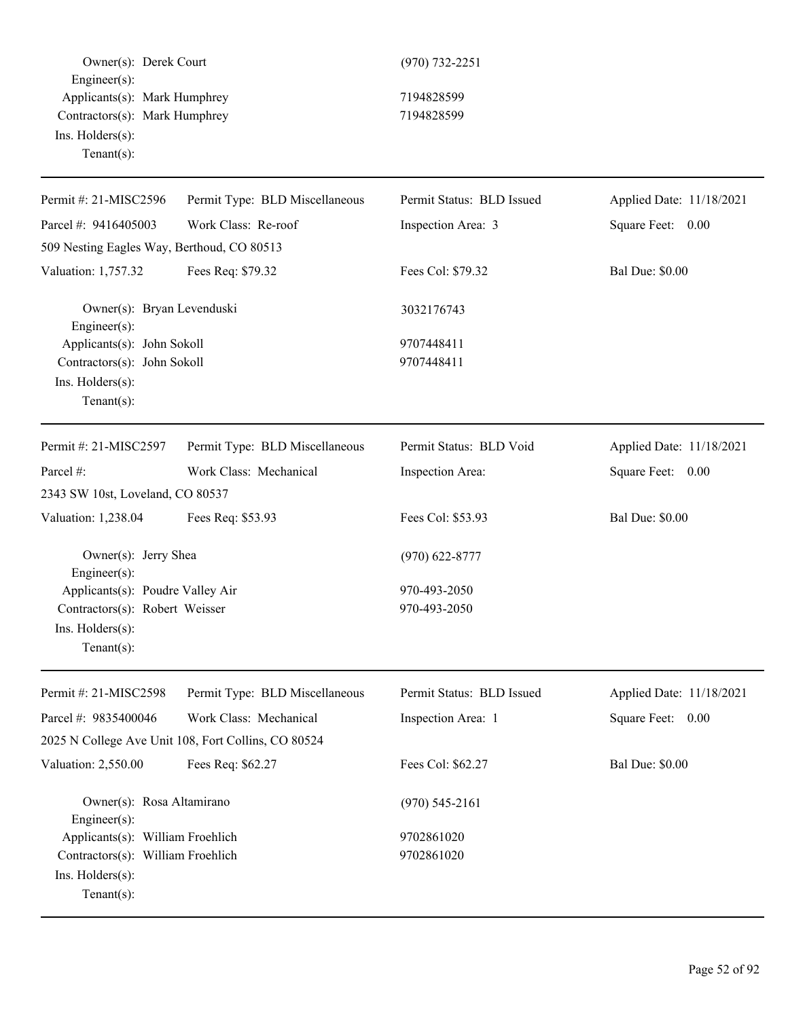Owner(s): Derek Court (970) 732-2251 Engineer(s): Applicants(s): Mark Humphrey 7194828599 Contractors(s): Mark Humphrey 7194828599 Ins. Holders(s): Tenant(s): Permit #: 21-MISC2596 Parcel #: 9416405003 Permit Type: BLD Miscellaneous Work Class: Re-roof Permit Status: BLD Issued Inspection Area: 3 Applied Date: 11/18/2021 Square Feet: 0.00 509 Nesting Eagles Way, Berthoud, CO 80513 Valuation: 1,757.32 Fees Req: \$79.32 Fees Col: \$79.32 Bal Due: \$0.00 Owner(s): Bryan Levenduski 3032176743 Engineer(s): Applicants(s): John Sokoll 9707448411 Contractors(s): John Sokoll 9707448411 Ins. Holders(s): Tenant(s): Permit #: 21-MISC2597 Parcel #: Permit Type: BLD Miscellaneous Work Class: Mechanical Permit Status: BLD Void Inspection Area: Applied Date: 11/18/2021 Square Feet: 0.00 2343 SW 10st, Loveland, CO 80537 Valuation: 1,238.04 Fees Req: \$53.93 Fees Col: \$53.93 Bal Due: \$0.00 Owner(s): Jerry Shea (970) 622-8777 Engineer(s): Applicants(s): Poudre Valley Air 970-493-2050 Contractors(s): Robert Weisser 970-493-2050 Ins. Holders(s): Tenant(s): Permit #: 21-MISC2598 Parcel #: 9835400046 Permit Type: BLD Miscellaneous Work Class: Mechanical Permit Status: BLD Issued Inspection Area: 1 Applied Date: 11/18/2021 Square Feet: 0.00 2025 N College Ave Unit 108, Fort Collins, CO 80524 Valuation: 2,550.00 Fees Req: \$62.27 Fees Col: \$62.27 Bal Due: \$0.00 Owner(s): Rosa Altamirano (970) 545-2161 Engineer(s): Applicants(s): William Froehlich 9702861020 Contractors(s): William Froehlich 9702861020 Ins. Holders(s): Tenant(s):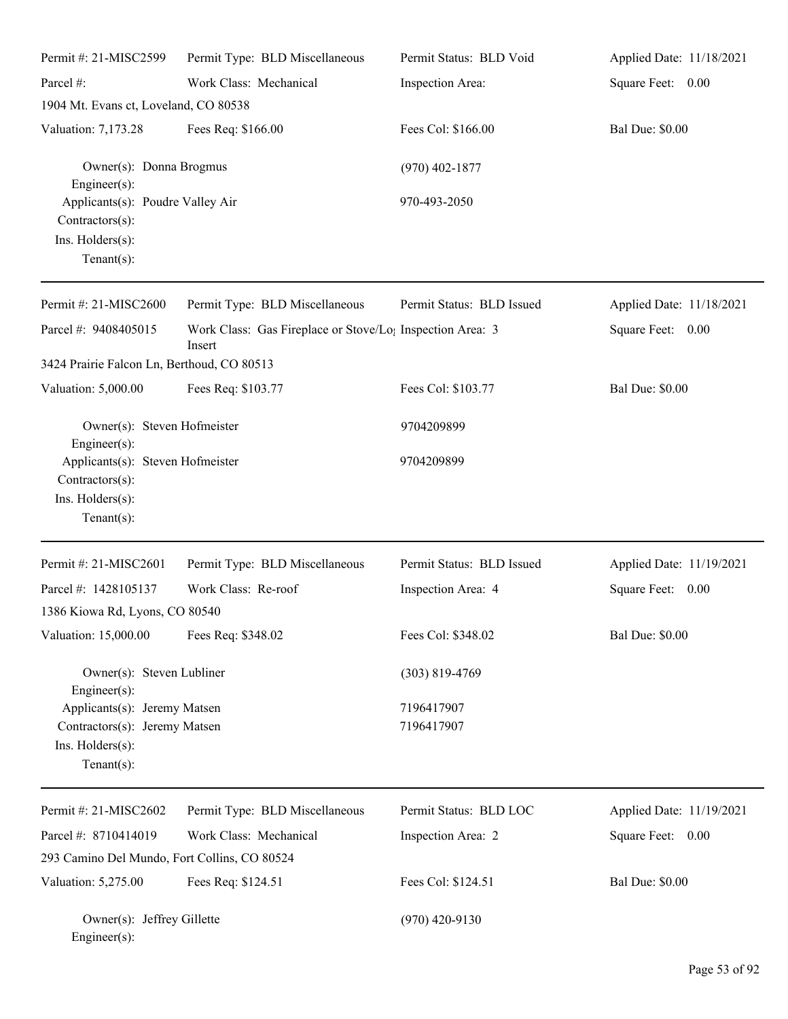| Permit #: 21-MISC2599                                                                               | Permit Type: BLD Miscellaneous                                                  | Permit Status: BLD Void   | Applied Date: 11/18/2021 |
|-----------------------------------------------------------------------------------------------------|---------------------------------------------------------------------------------|---------------------------|--------------------------|
| Parcel #:                                                                                           | Work Class: Mechanical                                                          | Inspection Area:          | Square Feet: 0.00        |
| 1904 Mt. Evans ct, Loveland, CO 80538                                                               |                                                                                 |                           |                          |
| Valuation: 7,173.28                                                                                 | Fees Req: \$166.00                                                              | Fees Col: \$166.00        | <b>Bal Due: \$0.00</b>   |
| Owner(s): Donna Brogmus<br>$Engineering(s)$ :                                                       |                                                                                 | $(970)$ 402-1877          |                          |
| Applicants(s): Poudre Valley Air<br>Contractors(s):<br>Ins. Holders(s):<br>Tenant $(s)$ :           |                                                                                 | 970-493-2050              |                          |
| Permit #: 21-MISC2600                                                                               | Permit Type: BLD Miscellaneous                                                  | Permit Status: BLD Issued | Applied Date: 11/18/2021 |
| Parcel #: 9408405015                                                                                | Work Class: Gas Fireplace or Stove/Lo <sub>1</sub> Inspection Area: 3<br>Insert |                           | Square Feet: 0.00        |
| 3424 Prairie Falcon Ln, Berthoud, CO 80513                                                          |                                                                                 |                           |                          |
| Valuation: 5,000.00                                                                                 | Fees Req: \$103.77                                                              | Fees Col: \$103.77        | <b>Bal Due: \$0.00</b>   |
| Owner(s): Steven Hofmeister<br>$Engineering(s)$ :                                                   |                                                                                 | 9704209899                |                          |
| Applicants(s): Steven Hofmeister<br>Contractors(s):<br>Ins. Holders(s):<br>$Tenant(s)$ :            |                                                                                 | 9704209899                |                          |
| Permit #: 21-MISC2601                                                                               | Permit Type: BLD Miscellaneous                                                  | Permit Status: BLD Issued | Applied Date: 11/19/2021 |
| Parcel #: 1428105137                                                                                | Work Class: Re-roof                                                             | Inspection Area: 4        | Square Feet:<br>0.00     |
| 1386 Kiowa Rd, Lyons, CO 80540                                                                      |                                                                                 |                           |                          |
| Valuation: 15,000.00                                                                                | Fees Req: \$348.02                                                              | Fees Col: \$348.02        | <b>Bal Due: \$0.00</b>   |
| Owner(s): Steven Lubliner<br>Engineer $(s)$ :                                                       |                                                                                 | $(303) 819 - 4769$        |                          |
| Applicants(s): Jeremy Matsen<br>Contractors(s): Jeremy Matsen<br>Ins. Holders(s):<br>Tenant $(s)$ : |                                                                                 | 7196417907<br>7196417907  |                          |
| Permit #: 21-MISC2602                                                                               | Permit Type: BLD Miscellaneous                                                  | Permit Status: BLD LOC    | Applied Date: 11/19/2021 |
| Parcel #: 8710414019                                                                                | Work Class: Mechanical                                                          | Inspection Area: 2        | Square Feet: 0.00        |
| 293 Camino Del Mundo, Fort Collins, CO 80524                                                        |                                                                                 |                           |                          |
| Valuation: 5,275.00                                                                                 | Fees Req: \$124.51                                                              | Fees Col: \$124.51        | <b>Bal Due: \$0.00</b>   |
| Owner(s): Jeffrey Gillette<br>Engineer(s):                                                          |                                                                                 | $(970)$ 420-9130          |                          |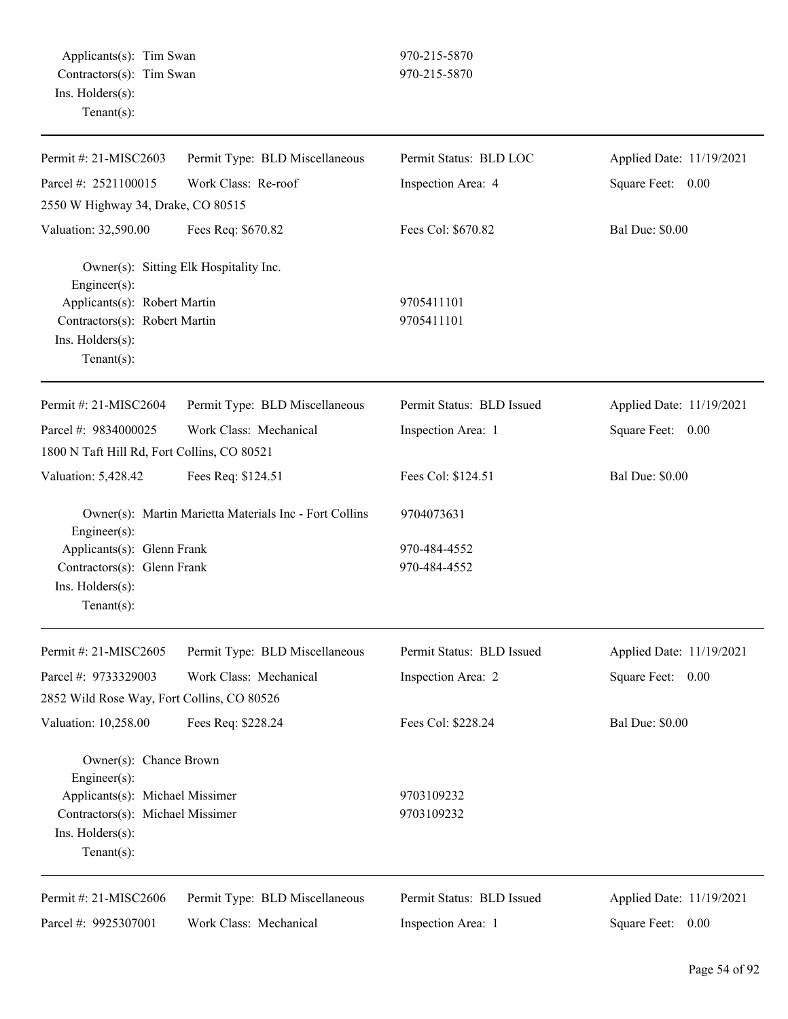| Permit #: 21-MISC2603                       | Permit Type: BLD Miscellaneous                         | Permit Status: BLD LOC    | Applied Date: 11/19/2021 |
|---------------------------------------------|--------------------------------------------------------|---------------------------|--------------------------|
| Parcel #: 2521100015                        | Work Class: Re-roof                                    | Inspection Area: 4        | Square Feet:<br>0.00     |
| 2550 W Highway 34, Drake, CO 80515          |                                                        |                           |                          |
| Valuation: 32,590.00                        | Fees Req: \$670.82                                     | Fees Col: \$670.82        | <b>Bal Due: \$0.00</b>   |
| Engineer(s):                                | Owner(s): Sitting Elk Hospitality Inc.                 |                           |                          |
| Applicants(s): Robert Martin                |                                                        | 9705411101                |                          |
| Contractors(s): Robert Martin               |                                                        | 9705411101                |                          |
| Ins. Holders(s):<br>$Tenant(s)$ :           |                                                        |                           |                          |
| Permit #: 21-MISC2604                       | Permit Type: BLD Miscellaneous                         | Permit Status: BLD Issued | Applied Date: 11/19/2021 |
| Parcel #: 9834000025                        | Work Class: Mechanical                                 | Inspection Area: 1        | Square Feet:<br>0.00     |
| 1800 N Taft Hill Rd, Fort Collins, CO 80521 |                                                        |                           |                          |
| Valuation: 5,428.42                         | Fees Req: \$124.51                                     | Fees Col: \$124.51        | <b>Bal Due: \$0.00</b>   |
| Engineer(s):                                | Owner(s): Martin Marietta Materials Inc - Fort Collins | 9704073631                |                          |
| Applicants(s): Glenn Frank                  |                                                        | 970-484-4552              |                          |
| Contractors(s): Glenn Frank                 |                                                        | 970-484-4552              |                          |
| Ins. Holders(s):                            |                                                        |                           |                          |
| $Tenant(s)$ :                               |                                                        |                           |                          |
| Permit #: 21-MISC2605                       | Permit Type: BLD Miscellaneous                         | Permit Status: BLD Issued | Applied Date: 11/19/2021 |
| Parcel #: 9733329003                        | Work Class: Mechanical                                 | Inspection Area: 2        | Square Feet:<br>0.00     |
| 2852 Wild Rose Way, Fort Collins, CO 80526  |                                                        |                           |                          |
| Valuation: 10,258.00                        | Fees Req: \$228.24                                     | Fees Col: \$228.24        | <b>Bal Due: \$0.00</b>   |
| Owner(s): Chance Brown<br>Engineer(s):      |                                                        |                           |                          |
| Applicants(s): Michael Missimer             |                                                        | 9703109232                |                          |
| Contractors(s): Michael Missimer            |                                                        | 9703109232                |                          |
| Ins. Holders(s):                            |                                                        |                           |                          |
| $Tenant(s)$ :                               |                                                        |                           |                          |
| Permit #: 21-MISC2606                       | Permit Type: BLD Miscellaneous                         | Permit Status: BLD Issued | Applied Date: 11/19/2021 |
| Parcel #: 9925307001                        | Work Class: Mechanical                                 | Inspection Area: 1        | Square Feet: 0.00        |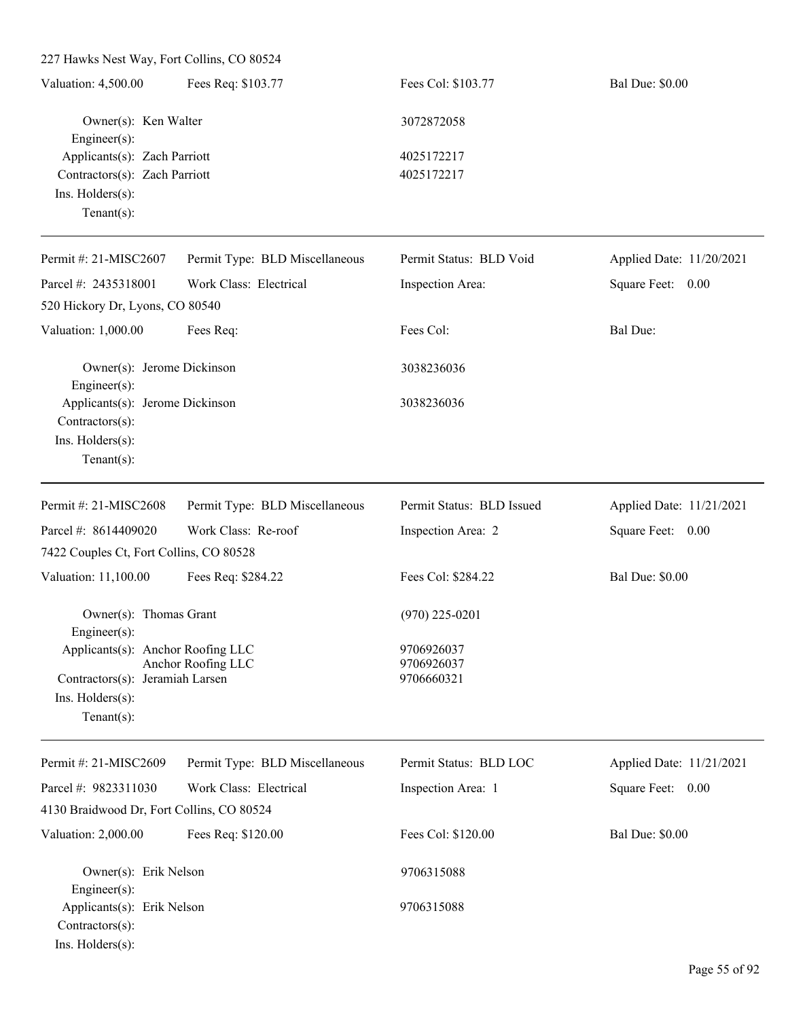227 Hawks Nest Way, Fort Collins, CO 80524 Valuation: 4,500.00 Fees Req: \$103.77 Fees Col: \$103.77 Bal Due: \$0.00 Owner(s): Ken Walter 3072872058 Engineer(s): Applicants(s): Zach Parriott 4025172217 Contractors(s): Zach Parriott 4025172217 Ins. Holders(s): Tenant(s): Permit #: 21-MISC2607 Permit Type: BLD Miscellaneous Permit Status: BLD Void Applied Date: 11/20/2021

Parcel #: 2435318001 Work Class: Electrical Inspection Area: Square Feet: 0.00 520 Hickory Dr, Lyons, CO 80540 Valuation: 1,000.00 Fees Req: Fees Col: Fees Col: Bal Due: Owner(s): Jerome Dickinson 3038236036 Engineer(s): Applicants(s): Jerome Dickinson 3038236036 Contractors(s): Ins. Holders(s): Tenant(s): Permit #: 21-MISC2608 Parcel #: 8614409020 Permit Type: BLD Miscellaneous Work Class: Re-roof Permit Status: BLD Issued Inspection Area: 2 Applied Date: 11/21/2021 Square Feet: 0.00 7422 Couples Ct, Fort Collins, CO 80528 Valuation: 11,100.00 Fees Req: \$284.22 Fees Col: \$284.22 Bal Due: \$0.00 Owner(s): Thomas Grant (970) 225-0201 Engineer(s): Applicants(s): Anchor Roofing LLC 9706926037 Anchor Roofing LLC 9706926037 Contractors(s): Jeramiah Larsen 9706660321 Ins. Holders(s): Tenant(s):

| Permit #: $21-MISC2609$                   | Permit Type: BLD Miscellaneous | Permit Status: BLD LOC | Applied Date: 11/21/2021 |
|-------------------------------------------|--------------------------------|------------------------|--------------------------|
| Parcel #: $9823311030$                    | Work Class: Electrical         | Inspection Area: 1     | Square Feet:<br>0.00     |
| 4130 Braidwood Dr, Fort Collins, CO 80524 |                                |                        |                          |
| Valuation: $2,000.00$                     | Fees Req: \$120.00             | Fees Col: \$120.00     | <b>Bal Due: \$0.00</b>   |
| Owner(s): Erik Nelson                     |                                | 9706315088             |                          |
| $Engineering(s)$ :                        |                                |                        |                          |
| Applicants(s): Erik Nelson                |                                | 9706315088             |                          |
| $Contractors(s)$ :                        |                                |                        |                          |
| $Ins.$ Holders $(s)$ :                    |                                |                        |                          |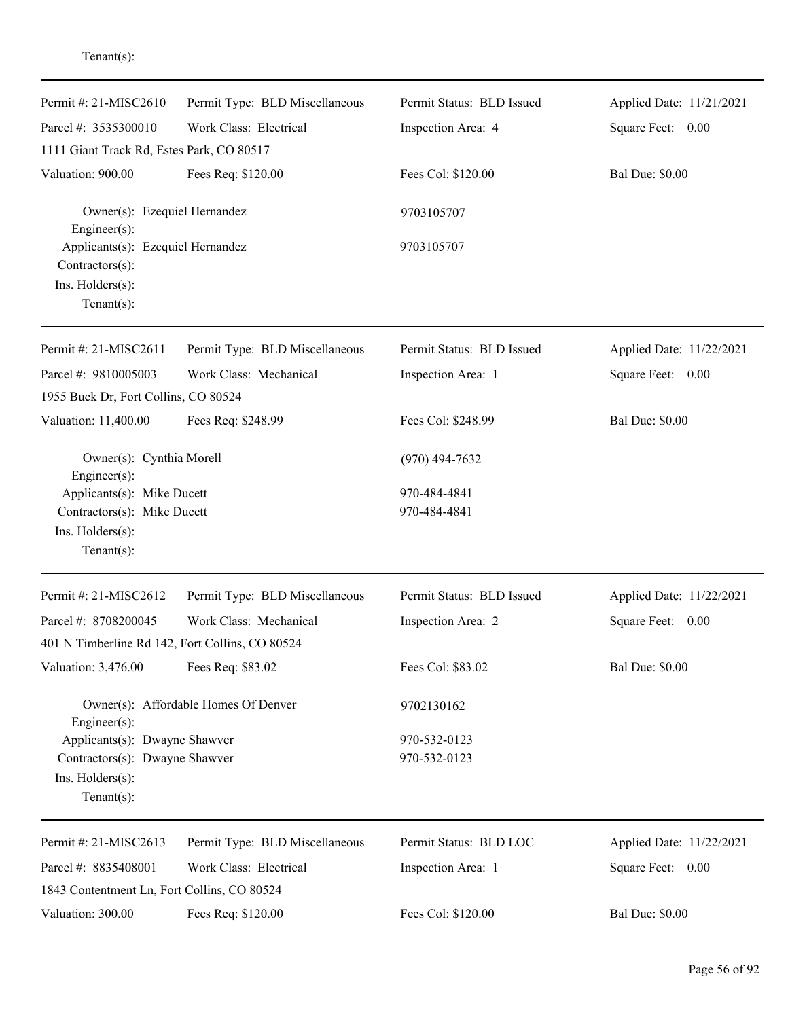| Permit #: 21-MISC2610                                                                      | Permit Type: BLD Miscellaneous       | Permit Status: BLD Issued | Applied Date: 11/21/2021 |
|--------------------------------------------------------------------------------------------|--------------------------------------|---------------------------|--------------------------|
| Parcel #: 3535300010                                                                       | Work Class: Electrical               | Inspection Area: 4        | Square Feet: 0.00        |
| 1111 Giant Track Rd, Estes Park, CO 80517                                                  |                                      |                           |                          |
| Valuation: 900.00                                                                          | Fees Req: \$120.00                   | Fees Col: \$120.00        | <b>Bal Due: \$0.00</b>   |
| Owner(s): Ezequiel Hernandez<br>Engineer(s):                                               |                                      | 9703105707                |                          |
| Applicants(s): Ezequiel Hernandez<br>Contractors(s):<br>Ins. Holders(s):<br>Tenant $(s)$ : |                                      | 9703105707                |                          |
| Permit #: 21-MISC2611                                                                      | Permit Type: BLD Miscellaneous       | Permit Status: BLD Issued | Applied Date: 11/22/2021 |
| Parcel #: 9810005003                                                                       | Work Class: Mechanical               | Inspection Area: 1        | Square Feet: 0.00        |
| 1955 Buck Dr, Fort Collins, CO 80524                                                       |                                      |                           |                          |
| Valuation: 11,400.00                                                                       | Fees Req: \$248.99                   | Fees Col: \$248.99        | <b>Bal Due: \$0.00</b>   |
| Owner(s): Cynthia Morell<br>Engineer(s):                                                   |                                      | $(970)$ 494-7632          |                          |
| Applicants(s): Mike Ducett                                                                 |                                      | 970-484-4841              |                          |
| Contractors(s): Mike Ducett<br>Ins. Holders(s):<br>$Tenant(s)$ :                           |                                      | 970-484-4841              |                          |
| Permit#: 21-MISC2612                                                                       | Permit Type: BLD Miscellaneous       | Permit Status: BLD Issued | Applied Date: 11/22/2021 |
| Parcel #: 8708200045                                                                       | Work Class: Mechanical               | Inspection Area: 2        | Square Feet: 0.00        |
| 401 N Timberline Rd 142, Fort Collins, CO 80524                                            |                                      |                           |                          |
| Valuation: 3,476.00                                                                        | Fees Req: \$83.02                    | Fees Col: \$83.02         | <b>Bal Due: \$0.00</b>   |
| Engineer(s):                                                                               | Owner(s): Affordable Homes Of Denver | 9702130162                |                          |
| Applicants(s): Dwayne Shawver                                                              |                                      | 970-532-0123              |                          |
| Contractors(s): Dwayne Shawver                                                             |                                      | 970-532-0123              |                          |
| Ins. Holders(s):<br>$Tenant(s)$ :                                                          |                                      |                           |                          |
| Permit #: 21-MISC2613                                                                      | Permit Type: BLD Miscellaneous       | Permit Status: BLD LOC    | Applied Date: 11/22/2021 |
| Parcel #: 8835408001                                                                       | Work Class: Electrical               | Inspection Area: 1        | Square Feet: 0.00        |
| 1843 Contentment Ln, Fort Collins, CO 80524                                                |                                      |                           |                          |
| Valuation: 300.00                                                                          | Fees Req: \$120.00                   | Fees Col: \$120.00        | <b>Bal Due: \$0.00</b>   |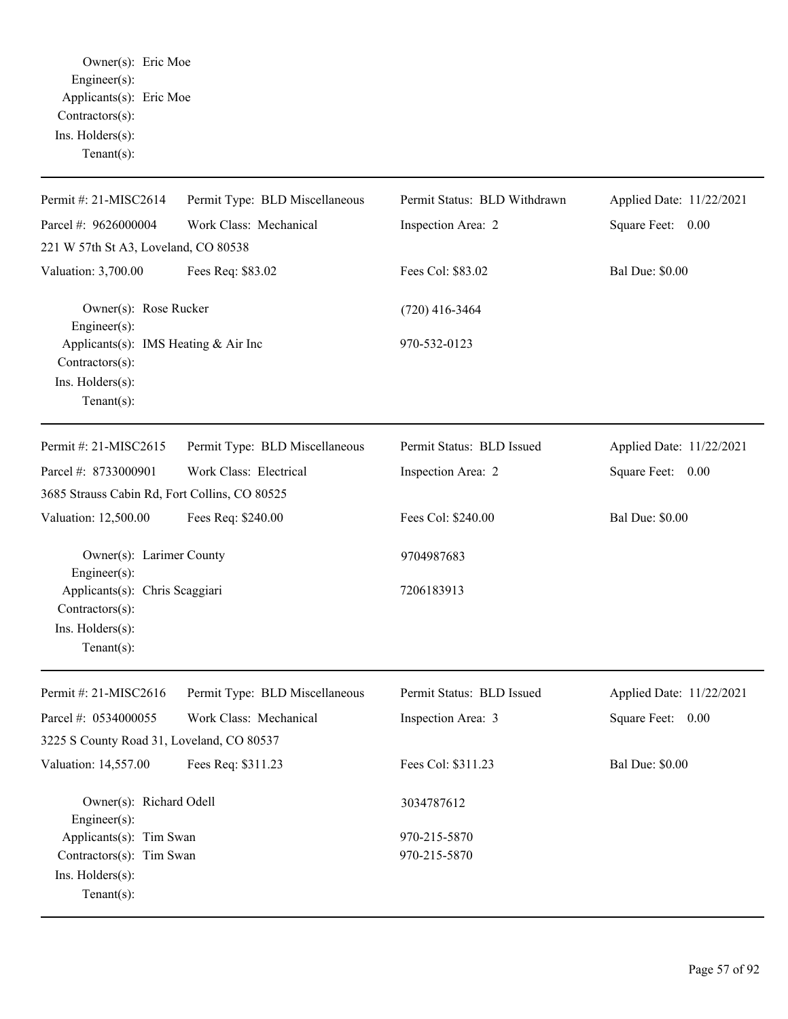Owner(s): Eric Moe Engineer(s): Applicants(s): Eric Moe Contractors(s): Ins. Holders(s): Tenant(s):

| Permit #: 21-MISC2614                                                                         | Permit Type: BLD Miscellaneous | Permit Status: BLD Withdrawn | Applied Date: 11/22/2021 |
|-----------------------------------------------------------------------------------------------|--------------------------------|------------------------------|--------------------------|
| Parcel #: 9626000004                                                                          | Work Class: Mechanical         | Inspection Area: 2           | Square Feet: 0.00        |
| 221 W 57th St A3, Loveland, CO 80538                                                          |                                |                              |                          |
| Valuation: 3,700.00                                                                           | Fees Req: \$83.02              | Fees Col: \$83.02            | <b>Bal Due: \$0.00</b>   |
| Owner(s): Rose Rucker<br>Engineer $(s)$ :                                                     |                                | $(720)$ 416-3464             |                          |
| Applicants(s): IMS Heating & Air Inc<br>Contractors(s):<br>Ins. Holders(s):<br>Tenant $(s)$ : |                                | 970-532-0123                 |                          |
| Permit #: 21-MISC2615                                                                         | Permit Type: BLD Miscellaneous | Permit Status: BLD Issued    | Applied Date: 11/22/2021 |
| Parcel #: 8733000901                                                                          | Work Class: Electrical         | Inspection Area: 2           | Square Feet: 0.00        |
| 3685 Strauss Cabin Rd, Fort Collins, CO 80525                                                 |                                |                              |                          |
| Valuation: 12,500.00                                                                          | Fees Req: \$240.00             | Fees Col: \$240.00           | <b>Bal Due: \$0.00</b>   |
| Owner(s): Larimer County<br>Engineer(s):                                                      |                                | 9704987683                   |                          |
| Applicants(s): Chris Scaggiari<br>Contractors(s):                                             |                                | 7206183913                   |                          |
| Ins. Holders(s):<br>Tenant $(s)$ :                                                            |                                |                              |                          |
| Permit #: 21-MISC2616                                                                         | Permit Type: BLD Miscellaneous | Permit Status: BLD Issued    | Applied Date: 11/22/2021 |
| Parcel #: 0534000055                                                                          | Work Class: Mechanical         | Inspection Area: 3           | Square Feet: 0.00        |
| 3225 S County Road 31, Loveland, CO 80537                                                     |                                |                              |                          |
| Valuation: 14,557.00                                                                          | Fees Req: \$311.23             | Fees Col: \$311.23           | <b>Bal Due: \$0.00</b>   |
| Owner(s): Richard Odell<br>Engineer(s):                                                       |                                | 3034787612                   |                          |
| Applicants(s): Tim Swan                                                                       |                                | 970-215-5870                 |                          |
| Contractors(s): Tim Swan                                                                      |                                | 970-215-5870                 |                          |
| Ins. Holders(s):<br>$Tenant(s)$ :                                                             |                                |                              |                          |
|                                                                                               |                                |                              |                          |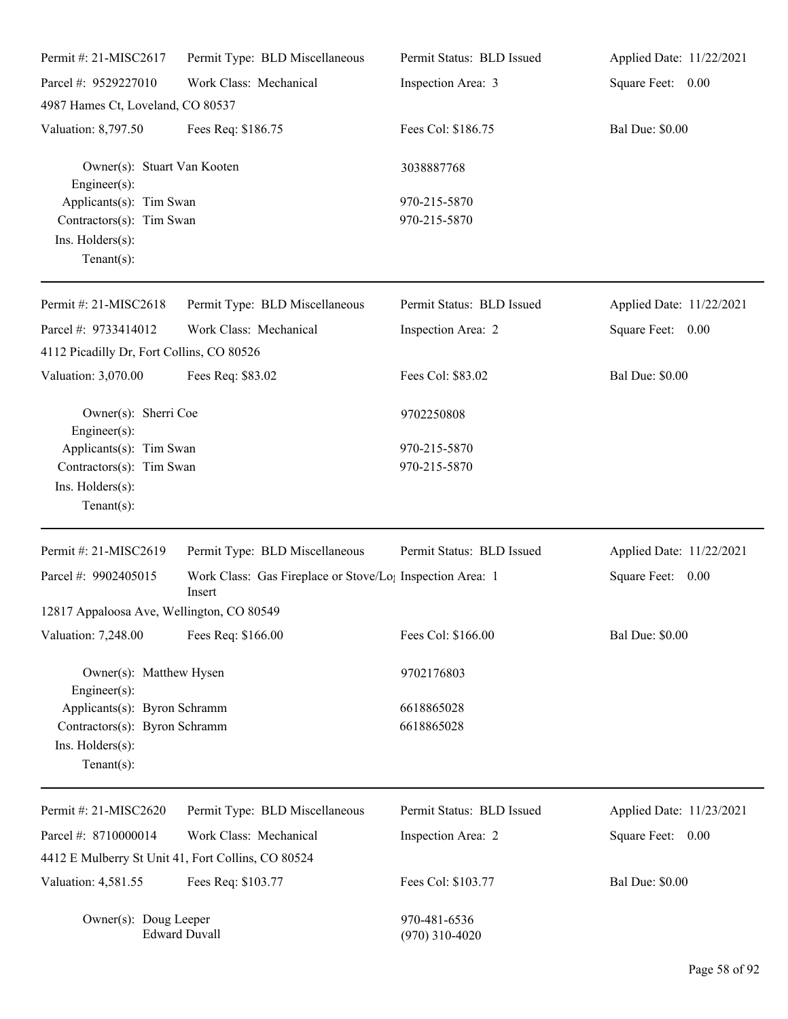| Permit #: 21-MISC2617                                                                     | Permit Type: BLD Miscellaneous                                                  | Permit Status: BLD Issued        | Applied Date: 11/22/2021 |
|-------------------------------------------------------------------------------------------|---------------------------------------------------------------------------------|----------------------------------|--------------------------|
| Parcel #: 9529227010                                                                      | Work Class: Mechanical                                                          | Inspection Area: 3               | Square Feet: 0.00        |
| 4987 Hames Ct, Loveland, CO 80537                                                         |                                                                                 |                                  |                          |
| Valuation: 8,797.50                                                                       | Fees Req: \$186.75                                                              | Fees Col: \$186.75               | <b>Bal Due: \$0.00</b>   |
| Owner(s): Stuart Van Kooten<br>Engineer $(s)$ :                                           |                                                                                 | 3038887768                       |                          |
| Applicants(s): Tim Swan<br>Contractors(s): Tim Swan<br>Ins. Holders(s):<br>Tenant $(s)$ : |                                                                                 | 970-215-5870<br>970-215-5870     |                          |
| Permit #: 21-MISC2618                                                                     | Permit Type: BLD Miscellaneous                                                  | Permit Status: BLD Issued        | Applied Date: 11/22/2021 |
| Parcel #: 9733414012<br>4112 Picadilly Dr, Fort Collins, CO 80526                         | Work Class: Mechanical                                                          | Inspection Area: 2               | Square Feet: 0.00        |
| Valuation: 3,070.00                                                                       | Fees Req: \$83.02                                                               | Fees Col: \$83.02                | <b>Bal Due: \$0.00</b>   |
| Owner(s): Sherri Coe<br>$Engineering(s)$ :                                                |                                                                                 | 9702250808                       |                          |
| Applicants(s): Tim Swan                                                                   |                                                                                 | 970-215-5870                     |                          |
| Contractors(s): Tim Swan                                                                  |                                                                                 | 970-215-5870                     |                          |
| Ins. Holders(s):                                                                          |                                                                                 |                                  |                          |
| $Tenant(s)$ :                                                                             |                                                                                 |                                  |                          |
| Permit #: 21-MISC2619                                                                     | Permit Type: BLD Miscellaneous                                                  | Permit Status: BLD Issued        | Applied Date: 11/22/2021 |
| Parcel #: 9902405015                                                                      | Work Class: Gas Fireplace or Stove/Lo <sub>1</sub> Inspection Area: 1<br>Insert |                                  | Square Feet: 0.00        |
| 12817 Appaloosa Ave, Wellington, CO 80549                                                 |                                                                                 |                                  |                          |
| Valuation: 7,248.00                                                                       | Fees Req: \$166.00                                                              | Fees Col: \$166.00               | <b>Bal Due: \$0.00</b>   |
| Owner(s): Matthew Hysen<br>Engineer(s):                                                   |                                                                                 | 9702176803                       |                          |
| Applicants(s): Byron Schramm                                                              |                                                                                 | 6618865028                       |                          |
| Contractors(s): Byron Schramm                                                             |                                                                                 | 6618865028                       |                          |
| Ins. Holders(s):<br>Tenant $(s)$ :                                                        |                                                                                 |                                  |                          |
| Permit #: 21-MISC2620                                                                     | Permit Type: BLD Miscellaneous                                                  | Permit Status: BLD Issued        | Applied Date: 11/23/2021 |
| Parcel #: 8710000014                                                                      | Work Class: Mechanical                                                          | Inspection Area: 2               | Square Feet: 0.00        |
|                                                                                           | 4412 E Mulberry St Unit 41, Fort Collins, CO 80524                              |                                  |                          |
| Valuation: 4,581.55                                                                       | Fees Req: \$103.77                                                              | Fees Col: \$103.77               | <b>Bal Due: \$0.00</b>   |
| Owner(s): Doug Leeper                                                                     | <b>Edward Duvall</b>                                                            | 970-481-6536<br>$(970)$ 310-4020 |                          |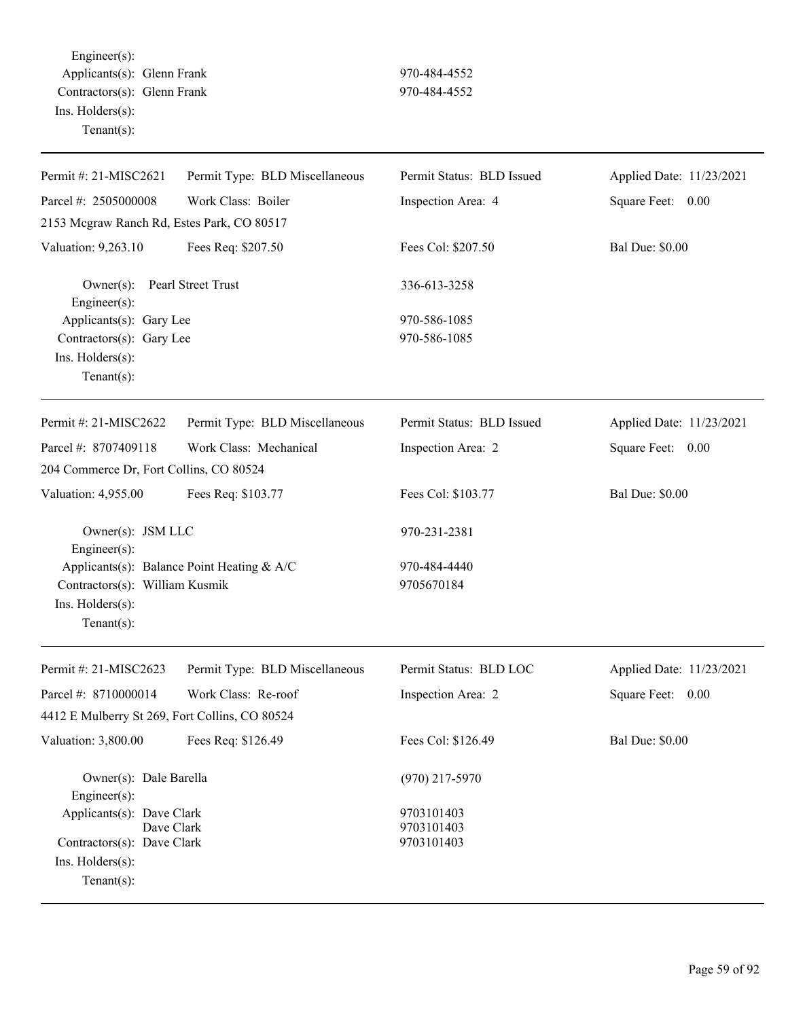Engineer(s): Applicants(s): Glenn Frank 970-484-4552 Contractors(s): Glenn Frank 970-484-4552 Ins. Holders(s): Tenant(s):

| Parcel #: 2505000008<br>Work Class: Boiler<br>Inspection Area: 4<br>Square Feet: 0.00<br>2153 Mcgraw Ranch Rd, Estes Park, CO 80517<br>Fees Req: \$207.50<br>Fees Col: \$207.50<br><b>Bal Due: \$0.00</b><br>Valuation: 9,263.10 |  |
|----------------------------------------------------------------------------------------------------------------------------------------------------------------------------------------------------------------------------------|--|
|                                                                                                                                                                                                                                  |  |
|                                                                                                                                                                                                                                  |  |
|                                                                                                                                                                                                                                  |  |
| Pearl Street Trust<br>$Owner(s)$ :<br>336-613-3258<br>$Engineering(s)$ :                                                                                                                                                         |  |
| Applicants(s): Gary Lee<br>970-586-1085                                                                                                                                                                                          |  |
| 970-586-1085<br>Contractors(s): Gary Lee<br>Ins. Holders(s):<br>Tenant $(s)$ :                                                                                                                                                   |  |
| Permit #: 21-MISC2622<br>Permit Status: BLD Issued<br>Applied Date: 11/23/2021<br>Permit Type: BLD Miscellaneous                                                                                                                 |  |
| Parcel #: 8707409118<br>Work Class: Mechanical<br>Square Feet: 0.00<br>Inspection Area: 2                                                                                                                                        |  |
| 204 Commerce Dr, Fort Collins, CO 80524                                                                                                                                                                                          |  |
| <b>Bal Due: \$0.00</b><br>Fees Req: \$103.77<br>Fees Col: \$103.77<br>Valuation: 4,955.00                                                                                                                                        |  |
| Owner(s): JSM LLC<br>970-231-2381<br>$Engineering(s)$ :                                                                                                                                                                          |  |
| Applicants(s): Balance Point Heating & A/C<br>970-484-4440                                                                                                                                                                       |  |
| Contractors(s): William Kusmik<br>9705670184                                                                                                                                                                                     |  |
| Ins. Holders(s):<br>Tenant $(s)$ :                                                                                                                                                                                               |  |
| Permit #: 21-MISC2623<br>Permit Status: BLD LOC<br>Permit Type: BLD Miscellaneous<br>Applied Date: 11/23/2021                                                                                                                    |  |
| Work Class: Re-roof<br>Parcel #: 8710000014<br>Inspection Area: 2<br>Square Feet: 0.00                                                                                                                                           |  |
| 4412 E Mulberry St 269, Fort Collins, CO 80524                                                                                                                                                                                   |  |
| Fees Col: \$126.49<br><b>Bal Due: \$0.00</b><br>Valuation: 3,800.00<br>Fees Req: \$126.49                                                                                                                                        |  |
| Owner(s): Dale Barella<br>$(970)$ 217-5970<br>$Engineering(s)$ :                                                                                                                                                                 |  |
| Applicants(s): Dave Clark<br>9703101403                                                                                                                                                                                          |  |
| Dave Clark<br>9703101403<br>Contractors(s): Dave Clark<br>9703101403                                                                                                                                                             |  |
| Ins. Holders(s):                                                                                                                                                                                                                 |  |
| Tenant $(s)$ :                                                                                                                                                                                                                   |  |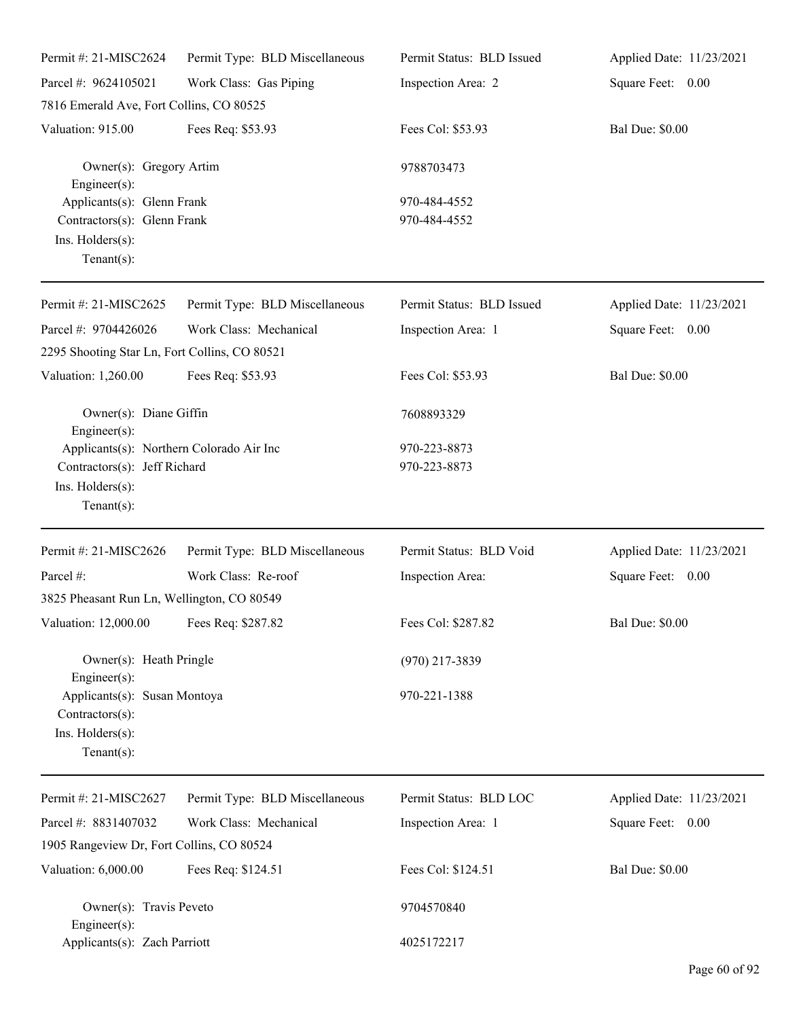| Permit #: 21-MISC2624                                                                                          | Permit Type: BLD Miscellaneous | Permit Status: BLD Issued    | Applied Date: 11/23/2021 |
|----------------------------------------------------------------------------------------------------------------|--------------------------------|------------------------------|--------------------------|
| Parcel #: 9624105021                                                                                           | Work Class: Gas Piping         | Inspection Area: 2           | Square Feet: 0.00        |
| 7816 Emerald Ave, Fort Collins, CO 80525                                                                       |                                |                              |                          |
| Valuation: 915.00                                                                                              | Fees Req: \$53.93              | Fees Col: \$53.93            | <b>Bal Due: \$0.00</b>   |
| Owner(s): Gregory Artim<br>Engineer $(s)$ :                                                                    |                                | 9788703473                   |                          |
| Applicants(s): Glenn Frank<br>Contractors(s): Glenn Frank<br>Ins. Holders(s):<br>Tenant $(s)$ :                |                                | 970-484-4552<br>970-484-4552 |                          |
| Permit #: 21-MISC2625                                                                                          | Permit Type: BLD Miscellaneous | Permit Status: BLD Issued    | Applied Date: 11/23/2021 |
| Parcel #: 9704426026<br>2295 Shooting Star Ln, Fort Collins, CO 80521                                          | Work Class: Mechanical         | Inspection Area: 1           | Square Feet: 0.00        |
| Valuation: 1,260.00                                                                                            | Fees Req: \$53.93              | Fees Col: \$53.93            | <b>Bal Due: \$0.00</b>   |
| Owner(s): Diane Giffin<br>$Engineering(s)$ :                                                                   |                                | 7608893329                   |                          |
| Applicants(s): Northern Colorado Air Inc<br>Contractors(s): Jeff Richard<br>Ins. Holders(s):<br>Tenant $(s)$ : |                                | 970-223-8873<br>970-223-8873 |                          |
| Permit #: 21-MISC2626                                                                                          | Permit Type: BLD Miscellaneous | Permit Status: BLD Void      | Applied Date: 11/23/2021 |
| Parcel #:                                                                                                      | Work Class: Re-roof            | Inspection Area:             | Square Feet: 0.00        |
| 3825 Pheasant Run Ln, Wellington, CO 80549                                                                     |                                |                              |                          |
| Valuation: 12,000.00 Fees Req: \$287.82                                                                        |                                | Fees Col: \$287.82           | <b>Bal Due: \$0.00</b>   |
| Owner(s): Heath Pringle<br>Engineer $(s)$ :                                                                    |                                | $(970)$ 217-3839             |                          |
| Applicants(s): Susan Montoya<br>Contractors(s):<br>Ins. Holders(s):<br>Tenant $(s)$ :                          |                                | 970-221-1388                 |                          |
| Permit #: 21-MISC2627                                                                                          | Permit Type: BLD Miscellaneous | Permit Status: BLD LOC       | Applied Date: 11/23/2021 |
| Parcel #: 8831407032                                                                                           | Work Class: Mechanical         | Inspection Area: 1           | Square Feet: 0.00        |
| 1905 Rangeview Dr, Fort Collins, CO 80524                                                                      |                                |                              |                          |
| Valuation: 6,000.00                                                                                            | Fees Req: \$124.51             | Fees Col: \$124.51           | <b>Bal Due: \$0.00</b>   |
| Owner(s): Travis Peveto<br>Engineer $(s)$ :                                                                    |                                | 9704570840                   |                          |
| Applicants(s): Zach Parriott                                                                                   |                                | 4025172217                   |                          |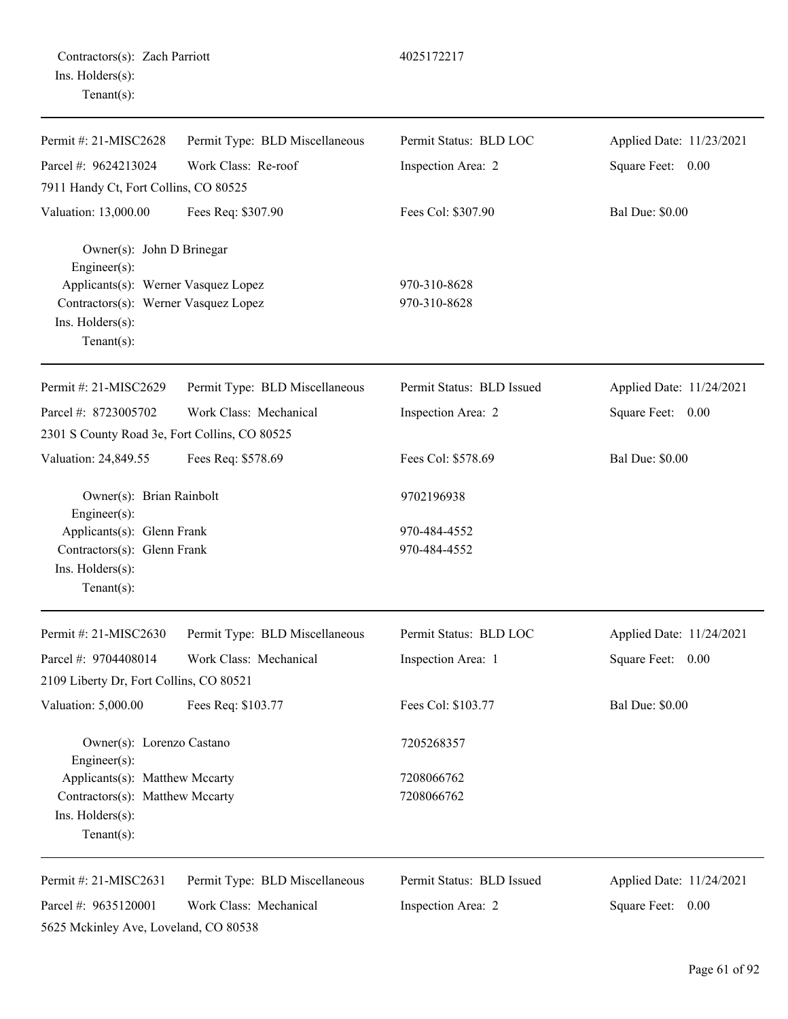| Contractors(s): Zach Parriott |  |
|-------------------------------|--|
| Ins. Holders(s):              |  |
| $Tenant(s)$ :                 |  |

| Permit #: $21-MISC2628$                                                    | Permit Type: BLD Miscellaneous | Permit Status: BLD LOC    | Applied Date: 11/23/2021 |
|----------------------------------------------------------------------------|--------------------------------|---------------------------|--------------------------|
| Parcel #: 9624213024                                                       | Work Class: Re-roof            | Inspection Area: 2        | Square Feet: 0.00        |
| 7911 Handy Ct, Fort Collins, CO 80525                                      |                                |                           |                          |
| Valuation: 13,000.00                                                       | Fees Req: \$307.90             | Fees Col: \$307.90        | <b>Bal Due: \$0.00</b>   |
| Owner(s): John D Brinegar<br>Engineer(s):                                  |                                |                           |                          |
| Applicants(s): Werner Vasquez Lopez                                        |                                | 970-310-8628              |                          |
| Contractors(s): Werner Vasquez Lopez<br>Ins. Holders(s):<br>Tenant $(s)$ : |                                | 970-310-8628              |                          |
| Permit #: 21-MISC2629                                                      | Permit Type: BLD Miscellaneous | Permit Status: BLD Issued | Applied Date: 11/24/2021 |
| Parcel #: 8723005702                                                       | Work Class: Mechanical         | Inspection Area: 2        | Square Feet: 0.00        |
| 2301 S County Road 3e, Fort Collins, CO 80525                              |                                |                           |                          |
| Valuation: 24,849.55                                                       | Fees Req: \$578.69             | Fees Col: \$578.69        | <b>Bal Due: \$0.00</b>   |
| Owner(s): Brian Rainbolt<br>Engineer(s):                                   |                                | 9702196938                |                          |
| Applicants(s): Glenn Frank                                                 |                                | 970-484-4552              |                          |
| Contractors(s): Glenn Frank                                                |                                | 970-484-4552              |                          |
| Ins. Holders(s):<br>Tenant $(s)$ :                                         |                                |                           |                          |
| Permit #: 21-MISC2630                                                      | Permit Type: BLD Miscellaneous | Permit Status: BLD LOC    | Applied Date: 11/24/2021 |
| Parcel #: 9704408014                                                       | Work Class: Mechanical         | Inspection Area: 1        | Square Feet: 0.00        |
| 2109 Liberty Dr, Fort Collins, CO 80521                                    |                                |                           |                          |
| Valuation: 5,000.00                                                        | Fees Req: \$103.77             | Fees Col: \$103.77        | <b>Bal Due: \$0.00</b>   |
| Owner(s): Lorenzo Castano<br>Engineer(s):                                  |                                | 7205268357                |                          |
| Applicants(s): Matthew Mccarty                                             |                                | 7208066762                |                          |
| Contractors(s): Matthew Mccarty                                            |                                | 7208066762                |                          |
| Ins. Holders(s):<br>$Tenant(s)$ :                                          |                                |                           |                          |
| Permit #: 21-MISC2631                                                      | Permit Type: BLD Miscellaneous | Permit Status: BLD Issued | Applied Date: 11/24/2021 |
| Parcel #: 9635120001                                                       | Work Class: Mechanical         | Inspection Area: 2        | Square Feet:<br>$0.00\,$ |

5625 Mckinley Ave, Loveland, CO 80538

Page 61 of 92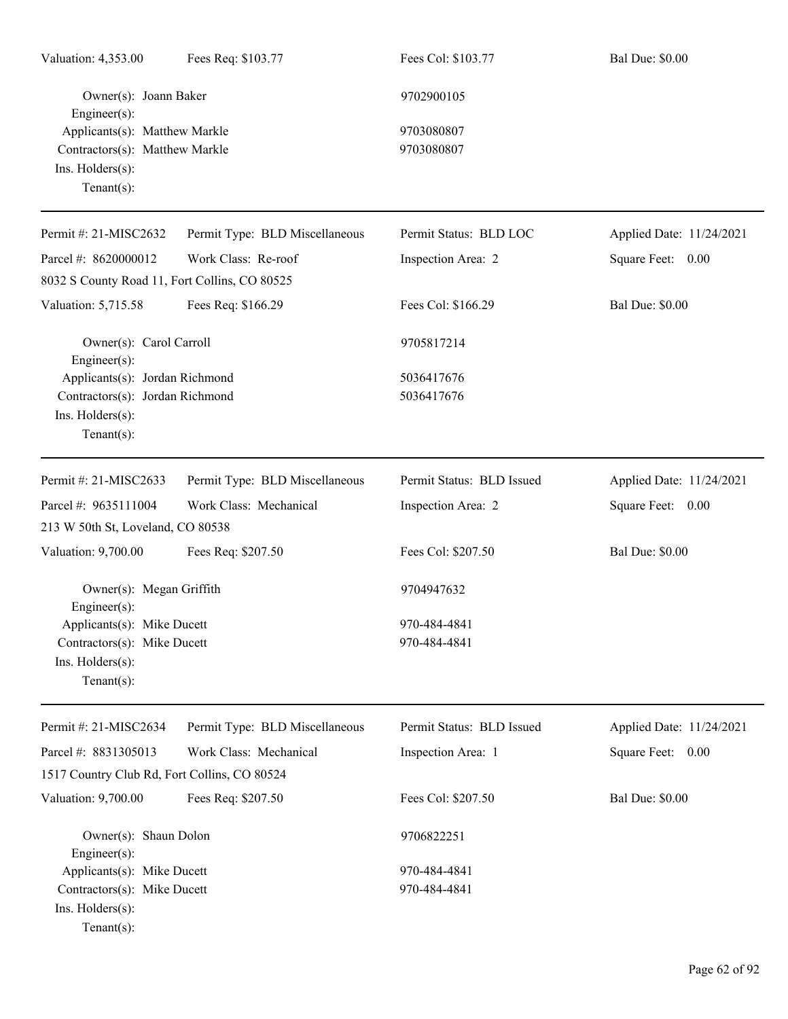| Valuation: 4,353.00                                                                                   | Fees Req: \$103.77             | Fees Col: \$103.77           | <b>Bal Due: \$0.00</b>   |
|-------------------------------------------------------------------------------------------------------|--------------------------------|------------------------------|--------------------------|
| Owner(s): Joann Baker<br>$Engineering(s)$ :                                                           |                                | 9702900105                   |                          |
| Applicants(s): Matthew Markle<br>Contractors(s): Matthew Markle<br>Ins. Holders(s):<br>Tenant $(s)$ : |                                | 9703080807<br>9703080807     |                          |
| Permit #: 21-MISC2632                                                                                 | Permit Type: BLD Miscellaneous | Permit Status: BLD LOC       | Applied Date: 11/24/2021 |
| Parcel #: 8620000012                                                                                  | Work Class: Re-roof            | Inspection Area: 2           | Square Feet: 0.00        |
| 8032 S County Road 11, Fort Collins, CO 80525                                                         |                                |                              |                          |
| Valuation: 5,715.58                                                                                   | Fees Req: \$166.29             | Fees Col: \$166.29           | <b>Bal Due: \$0.00</b>   |
| Owner(s): Carol Carroll<br>$Engineering(s)$ :                                                         |                                | 9705817214                   |                          |
| Applicants(s): Jordan Richmond                                                                        |                                | 5036417676                   |                          |
| Contractors(s): Jordan Richmond<br>Ins. Holders(s):<br>Tenant $(s)$ :                                 |                                | 5036417676                   |                          |
| Permit #: 21-MISC2633                                                                                 | Permit Type: BLD Miscellaneous | Permit Status: BLD Issued    | Applied Date: 11/24/2021 |
| Parcel #: 9635111004                                                                                  | Work Class: Mechanical         | Inspection Area: 2           | Square Feet: 0.00        |
| 213 W 50th St, Loveland, CO 80538                                                                     |                                |                              |                          |
| Valuation: 9,700.00                                                                                   | Fees Req: \$207.50             | Fees Col: \$207.50           | <b>Bal Due: \$0.00</b>   |
| Owner(s): Megan Griffith<br>$Engineer(s)$ :                                                           |                                | 9704947632                   |                          |
| Applicants(s): Mike Ducett                                                                            |                                | 970-484-4841                 |                          |
| Contractors(s): Mike Ducett<br>Ins. Holders(s):<br>Tenant $(s)$ :                                     |                                | 970-484-4841                 |                          |
| Permit #: 21-MISC2634                                                                                 | Permit Type: BLD Miscellaneous | Permit Status: BLD Issued    | Applied Date: 11/24/2021 |
| Parcel #: 8831305013                                                                                  | Work Class: Mechanical         | Inspection Area: 1           | Square Feet: 0.00        |
| 1517 Country Club Rd, Fort Collins, CO 80524                                                          |                                |                              |                          |
| Valuation: 9,700.00                                                                                   | Fees Req: \$207.50             | Fees Col: \$207.50           | <b>Bal Due: \$0.00</b>   |
| Owner(s): Shaun Dolon<br>$Engineering(s)$ :                                                           |                                | 9706822251                   |                          |
| Applicants(s): Mike Ducett<br>Contractors(s): Mike Ducett<br>Ins. Holders(s):<br>Tenant $(s)$ :       |                                | 970-484-4841<br>970-484-4841 |                          |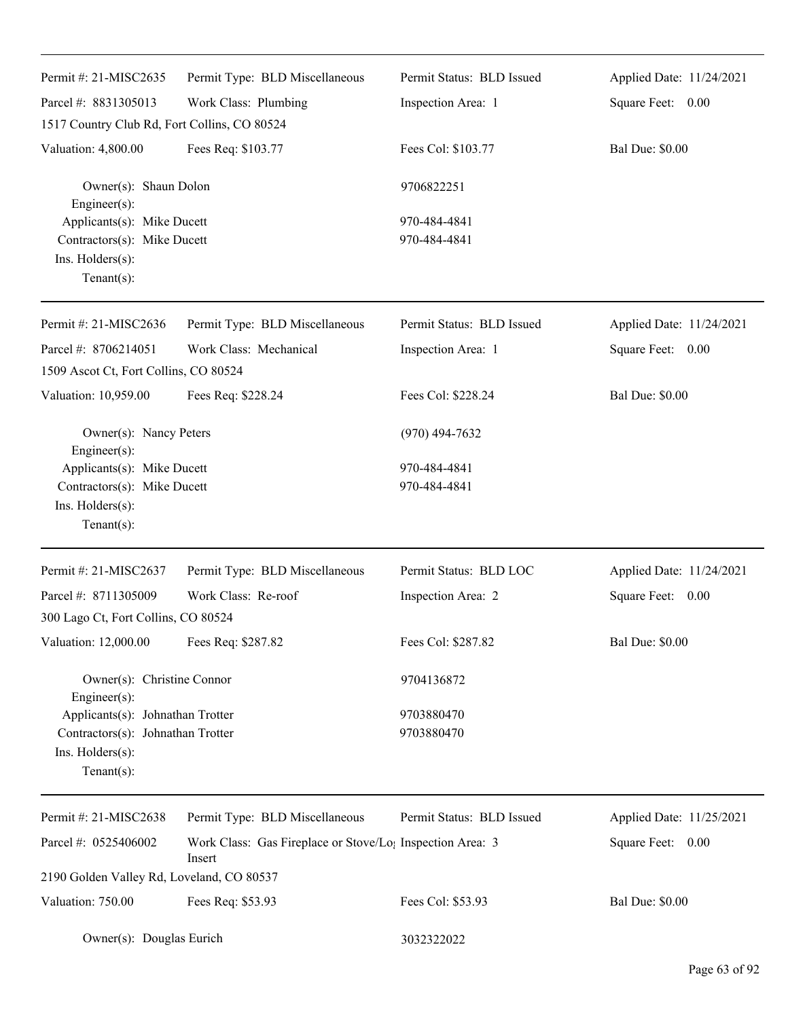| Permit #: 21-MISC2635                                                                                 | Permit Type: BLD Miscellaneous                                                  | Permit Status: BLD Issued    | Applied Date: 11/24/2021 |
|-------------------------------------------------------------------------------------------------------|---------------------------------------------------------------------------------|------------------------------|--------------------------|
| Parcel #: 8831305013                                                                                  | Work Class: Plumbing                                                            | Inspection Area: 1           | Square Feet: 0.00        |
| 1517 Country Club Rd, Fort Collins, CO 80524                                                          |                                                                                 |                              |                          |
| Valuation: 4,800.00                                                                                   | Fees Req: \$103.77                                                              | Fees Col: \$103.77           | <b>Bal Due: \$0.00</b>   |
| Owner(s): Shaun Dolon<br>Engineer(s):                                                                 |                                                                                 | 9706822251                   |                          |
| Applicants(s): Mike Ducett<br>Contractors(s): Mike Ducett<br>Ins. $H$ olders $(s)$ :<br>$Tenant(s)$ : |                                                                                 | 970-484-4841<br>970-484-4841 |                          |
| Permit #: 21-MISC2636                                                                                 | Permit Type: BLD Miscellaneous                                                  | Permit Status: BLD Issued    | Applied Date: 11/24/2021 |
| Parcel #: 8706214051                                                                                  | Work Class: Mechanical                                                          | Inspection Area: 1           | Square Feet: 0.00        |
| 1509 Ascot Ct, Fort Collins, CO 80524                                                                 |                                                                                 |                              |                          |
| Valuation: 10,959.00                                                                                  | Fees Req: \$228.24                                                              | Fees Col: \$228.24           | <b>Bal Due: \$0.00</b>   |
| Owner(s): Nancy Peters<br>Engineer(s):                                                                |                                                                                 | $(970)$ 494-7632             |                          |
| Applicants(s): Mike Ducett<br>Contractors(s): Mike Ducett                                             |                                                                                 | 970-484-4841                 |                          |
|                                                                                                       |                                                                                 | 970-484-4841                 |                          |
| Ins. Holders(s):<br>$Tenant(s)$ :                                                                     |                                                                                 |                              |                          |
| Permit #: 21-MISC2637                                                                                 | Permit Type: BLD Miscellaneous                                                  | Permit Status: BLD LOC       | Applied Date: 11/24/2021 |
| Parcel #: 8711305009                                                                                  | Work Class: Re-roof                                                             | Inspection Area: 2           | Square Feet: 0.00        |
| 300 Lago Ct, Fort Collins, CO 80524                                                                   |                                                                                 |                              |                          |
| Valuation: 12,000.00                                                                                  | Fees Req: \$287.82                                                              | Fees Col: \$287.82           | <b>Bal Due: \$0.00</b>   |
| Owner(s): Christine Connor<br>Engineer(s):                                                            |                                                                                 | 9704136872                   |                          |
| Applicants(s): Johnathan Trotter                                                                      |                                                                                 | 9703880470                   |                          |
| Contractors(s): Johnathan Trotter                                                                     |                                                                                 | 9703880470                   |                          |
| Ins. Holders(s):                                                                                      |                                                                                 |                              |                          |
| Tenant $(s)$ :                                                                                        |                                                                                 |                              |                          |
| Permit #: 21-MISC2638                                                                                 | Permit Type: BLD Miscellaneous                                                  | Permit Status: BLD Issued    | Applied Date: 11/25/2021 |
| Parcel #: 0525406002                                                                                  | Work Class: Gas Fireplace or Stove/Lo <sub>1</sub> Inspection Area: 3<br>Insert |                              | Square Feet: 0.00        |
| 2190 Golden Valley Rd, Loveland, CO 80537                                                             |                                                                                 |                              |                          |
| Valuation: 750.00                                                                                     | Fees Req: \$53.93                                                               | Fees Col: \$53.93            | <b>Bal Due: \$0.00</b>   |
| Owner(s): Douglas Eurich                                                                              |                                                                                 | 3032322022                   |                          |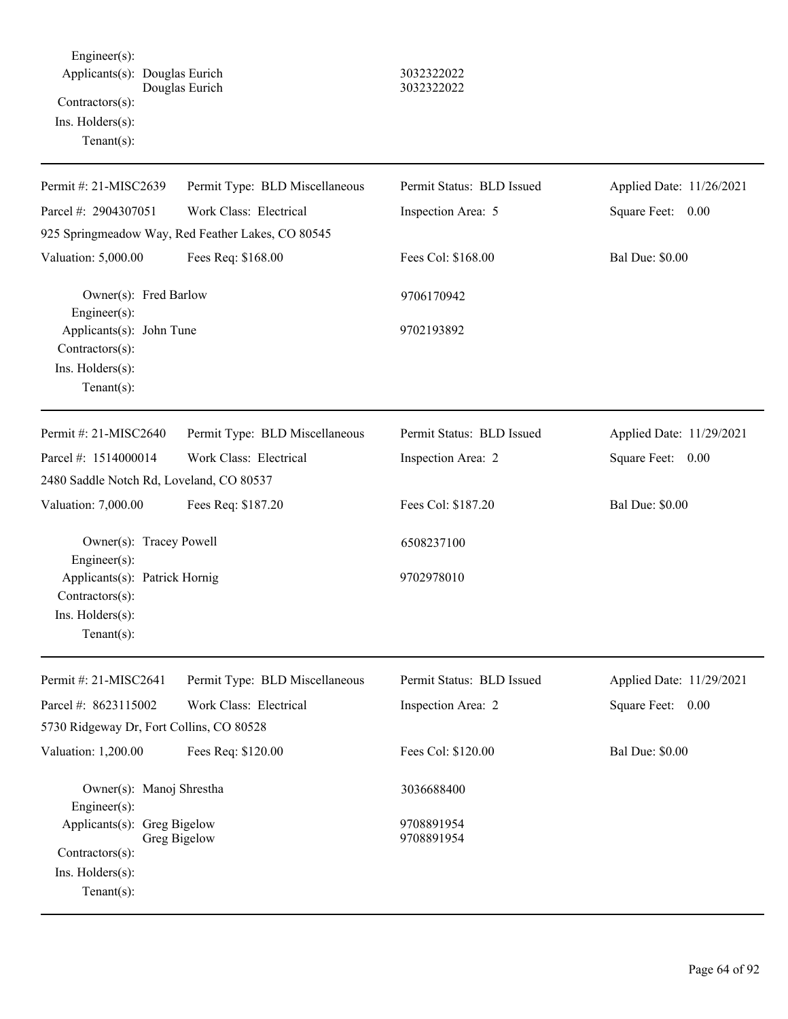Engineer(s): Applicants(s): Douglas Eurich 3032322022 Douglas Eurich 3032322022 Contractors(s): Ins. Holders(s): Tenant(s):

| Permit #: 21-MISC2639                            | Permit Type: BLD Miscellaneous                    | Permit Status: BLD Issued | Applied Date: 11/26/2021 |
|--------------------------------------------------|---------------------------------------------------|---------------------------|--------------------------|
| Parcel #: 2904307051                             | Work Class: Electrical                            | Inspection Area: 5        | Square Feet: 0.00        |
|                                                  | 925 Springmeadow Way, Red Feather Lakes, CO 80545 |                           |                          |
| Valuation: 5,000.00                              | Fees Req: \$168.00                                | Fees Col: \$168.00        | <b>Bal Due: \$0.00</b>   |
| Owner(s): Fred Barlow<br>Engineer(s):            |                                                   | 9706170942                |                          |
| Applicants(s): John Tune<br>Contractors(s):      |                                                   | 9702193892                |                          |
| Ins. Holders(s):<br>$Tenant(s)$ :                |                                                   |                           |                          |
| Permit #: 21-MISC2640                            | Permit Type: BLD Miscellaneous                    | Permit Status: BLD Issued | Applied Date: 11/29/2021 |
| Parcel #: 1514000014                             | Work Class: Electrical                            | Inspection Area: 2        | Square Feet: 0.00        |
| 2480 Saddle Notch Rd, Loveland, CO 80537         |                                                   |                           |                          |
| Valuation: 7,000.00                              | Fees Req: \$187.20                                | Fees Col: \$187.20        | <b>Bal Due: \$0.00</b>   |
| Owner(s): Tracey Powell<br>Engineer(s):          |                                                   | 6508237100                |                          |
| Applicants(s): Patrick Hornig<br>Contractors(s): |                                                   | 9702978010                |                          |
| Ins. Holders(s):<br>$Tenant(s)$ :                |                                                   |                           |                          |
| Permit #: 21-MISC2641                            | Permit Type: BLD Miscellaneous                    | Permit Status: BLD Issued | Applied Date: 11/29/2021 |
| Parcel #: 8623115002                             | Work Class: Electrical                            | Inspection Area: 2        | Square Feet: 0.00        |
| 5730 Ridgeway Dr, Fort Collins, CO 80528         |                                                   |                           |                          |
| Valuation: 1,200.00                              | Fees Req: \$120.00                                | Fees Col: \$120.00        | <b>Bal Due: \$0.00</b>   |
| Owner(s): Manoj Shrestha<br>Engineer(s):         |                                                   | 3036688400                |                          |
| Applicants(s): Greg Bigelow                      | Greg Bigelow                                      | 9708891954<br>9708891954  |                          |
| Contractors(s):                                  |                                                   |                           |                          |
| Ins. Holders(s):                                 |                                                   |                           |                          |
| Tenant(s):                                       |                                                   |                           |                          |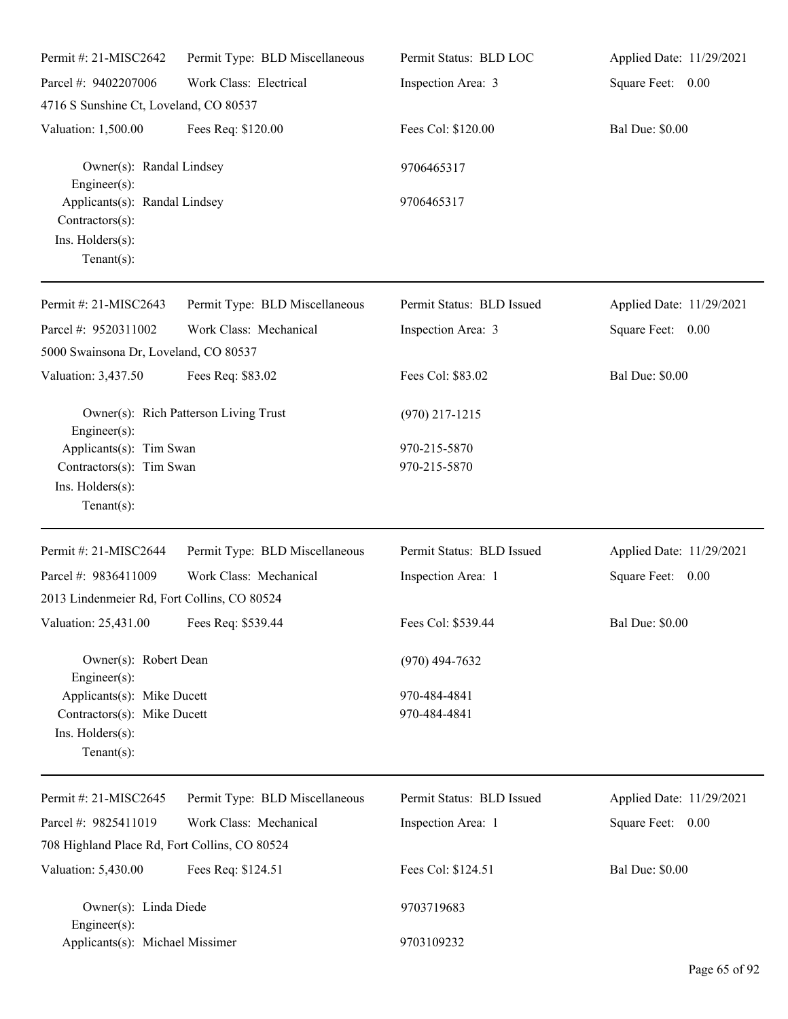| Permit #: 21-MISC2642                                                                           | Permit Type: BLD Miscellaneous        | Permit Status: BLD LOC       | Applied Date: 11/29/2021 |
|-------------------------------------------------------------------------------------------------|---------------------------------------|------------------------------|--------------------------|
| Parcel #: 9402207006                                                                            | Work Class: Electrical                | Inspection Area: 3           | Square Feet: 0.00        |
| 4716 S Sunshine Ct, Loveland, CO 80537                                                          |                                       |                              |                          |
| Valuation: 1,500.00                                                                             | Fees Req: \$120.00                    | Fees Col: \$120.00           | <b>Bal Due: \$0.00</b>   |
| Owner(s): Randal Lindsey<br>$Engineering(s)$ :                                                  |                                       | 9706465317                   |                          |
| Applicants(s): Randal Lindsey<br>Contractors(s):<br>Ins. Holders(s):<br>Tenant $(s)$ :          |                                       | 9706465317                   |                          |
| Permit #: 21-MISC2643                                                                           | Permit Type: BLD Miscellaneous        | Permit Status: BLD Issued    | Applied Date: 11/29/2021 |
| Parcel #: 9520311002<br>5000 Swainsona Dr, Loveland, CO 80537                                   | Work Class: Mechanical                | Inspection Area: 3           | Square Feet: 0.00        |
| Valuation: 3,437.50                                                                             | Fees Req: \$83.02                     | Fees Col: \$83.02            | <b>Bal Due: \$0.00</b>   |
| $Engineering(s)$ :                                                                              | Owner(s): Rich Patterson Living Trust | $(970)$ 217-1215             |                          |
| Applicants(s): Tim Swan<br>Contractors(s): Tim Swan<br>Ins. Holders(s):<br>Tenant $(s)$ :       |                                       | 970-215-5870<br>970-215-5870 |                          |
| Permit #: 21-MISC2644                                                                           | Permit Type: BLD Miscellaneous        | Permit Status: BLD Issued    | Applied Date: 11/29/2021 |
| Parcel #: 9836411009<br>2013 Lindenmeier Rd, Fort Collins, CO 80524                             | Work Class: Mechanical                | Inspection Area: 1           | Square Feet: 0.00        |
| Valuation: 25,431.00 Fees Req: \$539.44                                                         |                                       | Fees Col: \$539.44           | <b>Bal Due: \$0.00</b>   |
| Owner(s): Robert Dean<br>Engineer $(s)$ :                                                       |                                       | $(970)$ 494-7632             |                          |
| Applicants(s): Mike Ducett<br>Contractors(s): Mike Ducett<br>Ins. Holders(s):<br>Tenant $(s)$ : |                                       | 970-484-4841<br>970-484-4841 |                          |
| Permit #: 21-MISC2645                                                                           | Permit Type: BLD Miscellaneous        | Permit Status: BLD Issued    | Applied Date: 11/29/2021 |
| Parcel #: 9825411019                                                                            | Work Class: Mechanical                | Inspection Area: 1           | Square Feet: 0.00        |
| 708 Highland Place Rd, Fort Collins, CO 80524                                                   |                                       |                              |                          |
| Valuation: 5,430.00                                                                             | Fees Req: \$124.51                    | Fees Col: \$124.51           | <b>Bal Due: \$0.00</b>   |
| Owner(s): Linda Diede<br>Engineer $(s)$ :                                                       |                                       | 9703719683                   |                          |
| Applicants(s): Michael Missimer                                                                 |                                       | 9703109232                   |                          |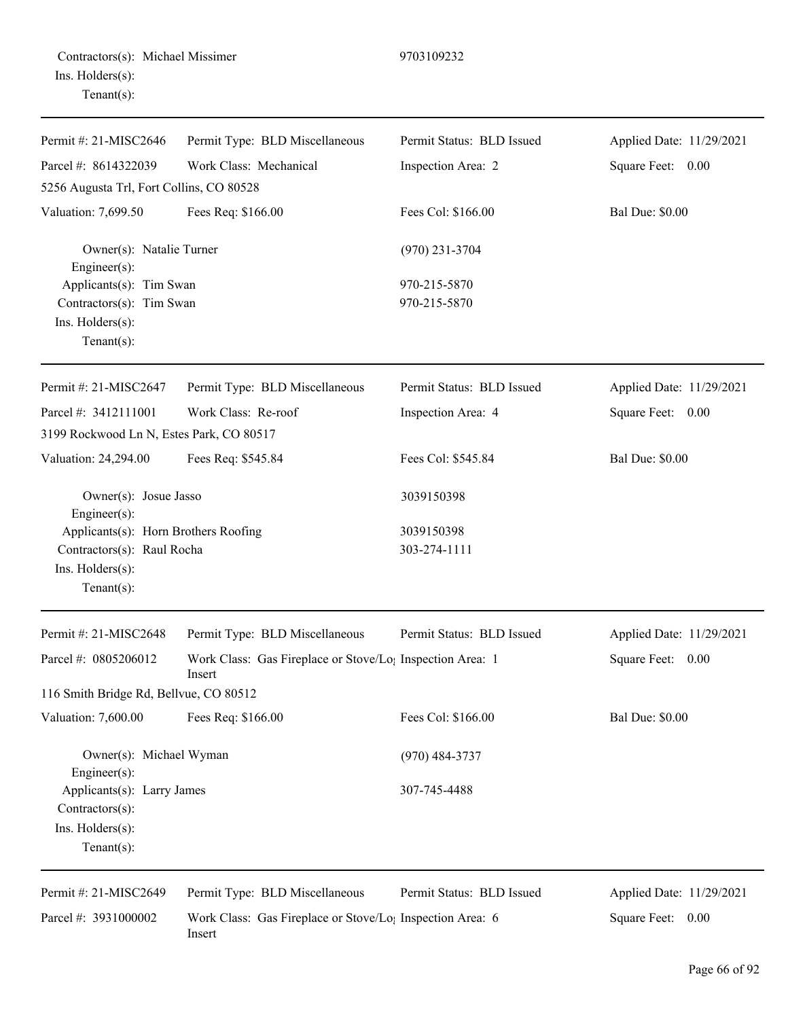|                  | Contractors(s): Michael Missimer |
|------------------|----------------------------------|
| Ins. Holders(s): |                                  |
| $Tenant(s)$ :    |                                  |

| Permit #: 21-MISC2646                                                                                    | Permit Type: BLD Miscellaneous                                                  | Permit Status: BLD Issued  | Applied Date: 11/29/2021 |
|----------------------------------------------------------------------------------------------------------|---------------------------------------------------------------------------------|----------------------------|--------------------------|
| Parcel #: 8614322039                                                                                     | Work Class: Mechanical                                                          | Inspection Area: 2         | Square Feet: 0.00        |
| 5256 Augusta Trl, Fort Collins, CO 80528                                                                 |                                                                                 |                            |                          |
| Valuation: 7,699.50                                                                                      | Fees Req: \$166.00                                                              | Fees Col: \$166.00         | <b>Bal Due: \$0.00</b>   |
| Owner(s): Natalie Turner<br>$Engineering(s)$ :                                                           |                                                                                 | $(970)$ 231-3704           |                          |
| Applicants(s): Tim Swan                                                                                  |                                                                                 | 970-215-5870               |                          |
| Contractors(s): Tim Swan                                                                                 |                                                                                 | 970-215-5870               |                          |
| Ins. Holders(s):<br>Tenant $(s)$ :                                                                       |                                                                                 |                            |                          |
| Permit #: 21-MISC2647                                                                                    | Permit Type: BLD Miscellaneous                                                  | Permit Status: BLD Issued  | Applied Date: 11/29/2021 |
| Parcel #: 3412111001                                                                                     | Work Class: Re-roof                                                             | Inspection Area: 4         | Square Feet: 0.00        |
| 3199 Rockwood Ln N, Estes Park, CO 80517                                                                 |                                                                                 |                            |                          |
| Valuation: 24,294.00                                                                                     | Fees Req: \$545.84                                                              | Fees Col: \$545.84         | <b>Bal Due: \$0.00</b>   |
| Owner(s): Josue Jasso<br>$Engineering(s)$ :                                                              |                                                                                 | 3039150398                 |                          |
| Applicants(s): Horn Brothers Roofing<br>Contractors(s): Raul Rocha<br>Ins. Holders(s):<br>Tenant $(s)$ : |                                                                                 | 3039150398<br>303-274-1111 |                          |
| Permit #: 21-MISC2648                                                                                    | Permit Type: BLD Miscellaneous                                                  | Permit Status: BLD Issued  | Applied Date: 11/29/2021 |
| Parcel #: 0805206012                                                                                     | Work Class: Gas Fireplace or Stove/Lo <sub>1</sub> Inspection Area: 1<br>Insert |                            | Square Feet: 0.00        |
| 116 Smith Bridge Rd, Bellvue, CO 80512                                                                   |                                                                                 |                            |                          |
| Valuation: 7,600.00                                                                                      | Fees Req: \$166.00                                                              | Fees Col: \$166.00         | <b>Bal Due: \$0.00</b>   |
| Owner(s): Michael Wyman<br>Engineer $(s)$ :                                                              |                                                                                 | $(970)$ 484-3737           |                          |
| Applicants(s): Larry James                                                                               |                                                                                 | 307-745-4488               |                          |
| Contractors(s):                                                                                          |                                                                                 |                            |                          |
| Ins. Holders(s):<br>Tenant $(s)$ :                                                                       |                                                                                 |                            |                          |
|                                                                                                          |                                                                                 |                            |                          |

Permit #: 21-MISC2649 Parcel #: 3931000002

Permit Type: BLD Miscellaneous

Permit Status: BLD Issued

Applied Date: 11/29/2021 Square Feet: 0.00

Work Class: Gas Fireplace or Stove/Lo<sub>1</sub> Inspection Area: 6 Insert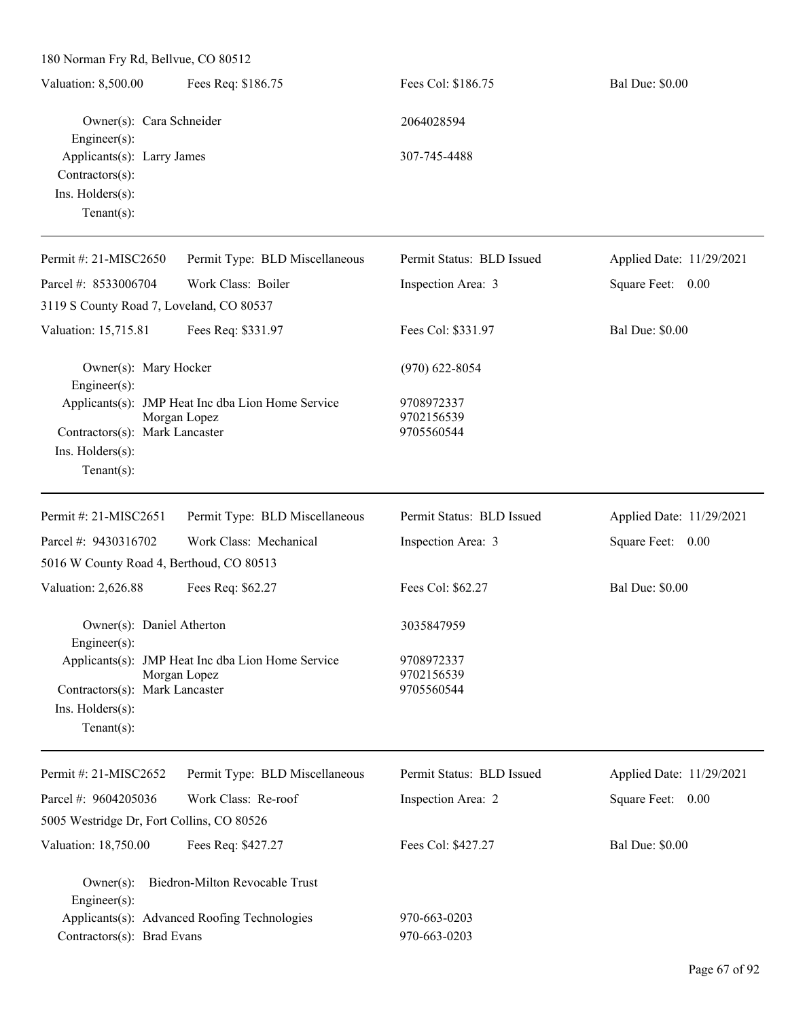| Valuation: 8,500.00        | Fees Req: \$186.75 | Fees Col: \$186.75 | <b>Bal Due: \$0.00</b> |
|----------------------------|--------------------|--------------------|------------------------|
| Owner(s): Cara Schneider   |                    | 2064028594         |                        |
| Engineer $(s)$ :           |                    |                    |                        |
| Applicants(s): Larry James |                    | 307-745-4488       |                        |
| $Contractors(s)$ :         |                    |                    |                        |
| Ins. $H$ olders $(s)$ :    |                    |                    |                        |
| Tenant $(s)$ :             |                    |                    |                        |
|                            |                    |                    |                        |

| Permit #: 21-MISC2650                         | Permit Type: BLD Miscellaneous                                    | Permit Status: BLD Issued              | Applied Date: 11/29/2021 |
|-----------------------------------------------|-------------------------------------------------------------------|----------------------------------------|--------------------------|
| Parcel #: 8533006704                          | Work Class: Boiler                                                | Inspection Area: 3                     | Square Feet: 0.00        |
| 3119 S County Road 7, Loveland, CO 80537      |                                                                   |                                        |                          |
| Valuation: 15,715.81                          | Fees Req: \$331.97                                                | Fees Col: \$331.97                     | <b>Bal Due: \$0.00</b>   |
| Owner(s): Mary Hocker<br>$Engineering(s)$ :   |                                                                   | $(970)$ 622-8054                       |                          |
| Contractors(s): Mark Lancaster                | Applicants(s): JMP Heat Inc dba Lion Home Service<br>Morgan Lopez | 9708972337<br>9702156539<br>9705560544 |                          |
| Ins. $H$ olders $(s)$ :<br>Tenant $(s)$ :     |                                                                   |                                        |                          |
| Permit #: 21-MISC2651                         | Permit Type: BLD Miscellaneous                                    | Permit Status: BLD Issued              | Applied Date: 11/29/2021 |
| Parcel #: 9430316702                          | Work Class: Mechanical                                            | Inspection Area: 3                     | Square Feet: 0.00        |
| 5016 W County Road 4, Berthoud, CO 80513      |                                                                   |                                        |                          |
| Valuation: 2,626.88                           | Fees Req: \$62.27                                                 | Fees Col: \$62.27                      | <b>Bal Due: \$0.00</b>   |
| Owner(s): Daniel Atherton<br>Engineer $(s)$ : |                                                                   | 3035847959                             |                          |
|                                               | Applicants(s): JMP Heat Inc dba Lion Home Service                 | 9708972337                             |                          |
| Contractors(s): Mark Lancaster                | Morgan Lopez                                                      | 9702156539<br>9705560544               |                          |
| Ins. $H$ olders $(s)$ :                       |                                                                   |                                        |                          |
| Tenant $(s)$ :                                |                                                                   |                                        |                          |
| Permit #: 21-MISC2652                         | Permit Type: BLD Miscellaneous                                    | Permit Status: BLD Issued              | Applied Date: 11/29/2021 |
| Parcel #: 9604205036                          | Work Class: Re-roof                                               | Inspection Area: 2                     | Square Feet: 0.00        |

| 5005 Westridge Dr, Fort Collins, CO 80526 |                    |                    |                        |
|-------------------------------------------|--------------------|--------------------|------------------------|
| Valuation: 18.750.00                      | Fees Req: \$427.27 | Fees Col: \$427.27 | <b>Bal Due: \$0.00</b> |

|                                | Owner(s): Biedron-Milton Revocable Trust     |              |
|--------------------------------|----------------------------------------------|--------------|
| $Engineer(s)$ :                |                                              |              |
|                                | Applicants(s): Advanced Roofing Technologies | 970-663-0203 |
| Contractors $(s)$ : Brad Evans |                                              | 970-663-0203 |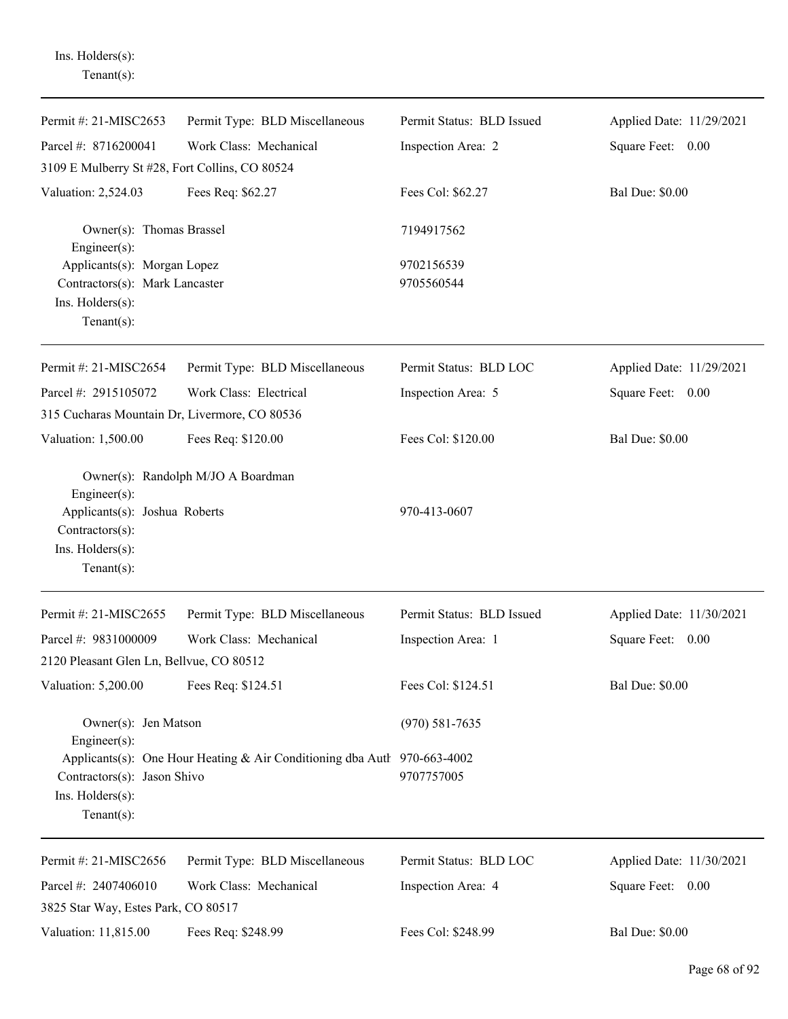Ins. Holders(s): Tenant(s):

| Permit #: 21-MISC2653                                                                  | Permit Type: BLD Miscellaneous                                           | Permit Status: BLD Issued | Applied Date: 11/29/2021 |
|----------------------------------------------------------------------------------------|--------------------------------------------------------------------------|---------------------------|--------------------------|
| Parcel #: 8716200041                                                                   | Work Class: Mechanical                                                   | Inspection Area: 2        | Square Feet: 0.00        |
| 3109 E Mulberry St #28, Fort Collins, CO 80524                                         |                                                                          |                           |                          |
| Valuation: 2,524.03                                                                    | Fees Req: \$62.27                                                        | Fees Col: \$62.27         | <b>Bal Due: \$0.00</b>   |
| Owner(s): Thomas Brassel<br>Engineer(s):                                               |                                                                          | 7194917562                |                          |
| Applicants(s): Morgan Lopez                                                            |                                                                          | 9702156539                |                          |
| Contractors(s): Mark Lancaster                                                         |                                                                          | 9705560544                |                          |
| Ins. Holders(s):                                                                       |                                                                          |                           |                          |
| Tenant $(s)$ :                                                                         |                                                                          |                           |                          |
| Permit #: 21-MISC2654                                                                  | Permit Type: BLD Miscellaneous                                           | Permit Status: BLD LOC    | Applied Date: 11/29/2021 |
| Parcel #: 2915105072                                                                   | Work Class: Electrical                                                   | Inspection Area: 5        | Square Feet: 0.00        |
| 315 Cucharas Mountain Dr, Livermore, CO 80536                                          |                                                                          |                           |                          |
| Valuation: 1,500.00                                                                    | Fees Req: \$120.00                                                       | Fees Col: \$120.00        | <b>Bal Due: \$0.00</b>   |
| $Engineering(s)$ :                                                                     | Owner(s): Randolph M/JO A Boardman                                       |                           |                          |
| Applicants(s): Joshua Roberts<br>Contractors(s):<br>Ins. Holders(s):<br>Tenant $(s)$ : |                                                                          | 970-413-0607              |                          |
| Permit #: 21-MISC2655                                                                  | Permit Type: BLD Miscellaneous                                           | Permit Status: BLD Issued | Applied Date: 11/30/2021 |
| Parcel #: 9831000009                                                                   | Work Class: Mechanical                                                   | Inspection Area: 1        | Square Feet: 0.00        |
| 2120 Pleasant Glen Ln, Bellvue, CO 80512                                               |                                                                          |                           |                          |
| Valuation: 5,200.00                                                                    | Fees Req: \$124.51                                                       | Fees Col: \$124.51        | Bal Due: \$0.00          |
| Owner(s): Jen Matson<br>Engineer(s):                                                   |                                                                          | $(970) 581 - 7635$        |                          |
| Contractors(s): Jason Shivo<br>Ins. Holders(s):<br>Tenant $(s)$ :                      | Applicants(s): One Hour Heating & Air Conditioning dba Autl 970-663-4002 | 9707757005                |                          |
| Permit #: 21-MISC2656                                                                  | Permit Type: BLD Miscellaneous                                           | Permit Status: BLD LOC    | Applied Date: 11/30/2021 |
| Parcel #: 2407406010                                                                   | Work Class: Mechanical                                                   | Inspection Area: 4        | Square Feet: 0.00        |
| 3825 Star Way, Estes Park, CO 80517                                                    |                                                                          |                           |                          |
| Valuation: 11,815.00                                                                   | Fees Req: \$248.99                                                       | Fees Col: \$248.99        | <b>Bal Due: \$0.00</b>   |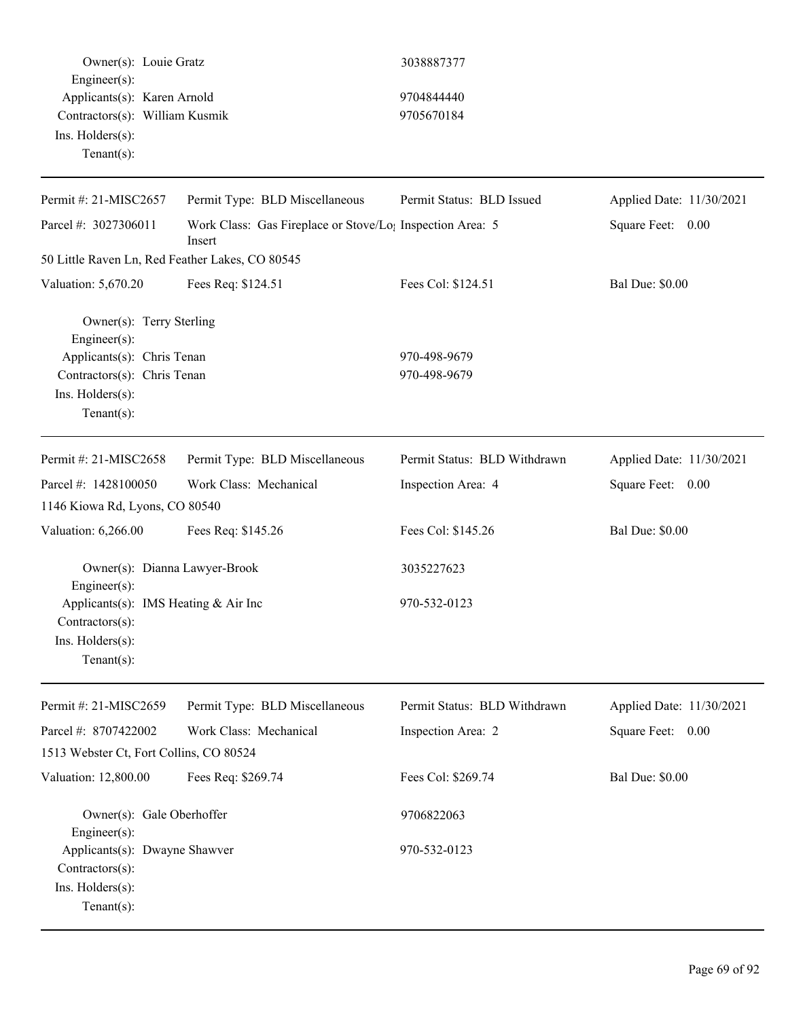Owner(s): Louie Gratz 3038887377 Engineer(s): Applicants(s): Karen Arnold 9704844440 Contractors(s): William Kusmik 9705670184 Ins. Holders(s): Tenant(s):

| Permit #: 21-MISC2657                                                                | Permit Type: BLD Miscellaneous                                                  | Permit Status: BLD Issued    | Applied Date: 11/30/2021 |
|--------------------------------------------------------------------------------------|---------------------------------------------------------------------------------|------------------------------|--------------------------|
| Parcel #: 3027306011                                                                 | Work Class: Gas Fireplace or Stove/Lo <sub>1</sub> Inspection Area: 5<br>Insert |                              | Square Feet: 0.00        |
| 50 Little Raven Ln, Red Feather Lakes, CO 80545                                      |                                                                                 |                              |                          |
| Valuation: 5,670.20                                                                  | Fees Req: \$124.51                                                              | Fees Col: \$124.51           | <b>Bal Due: \$0.00</b>   |
| Owner(s): Terry Sterling<br>Engineer(s):                                             |                                                                                 |                              |                          |
| Applicants(s): Chris Tenan                                                           |                                                                                 | 970-498-9679                 |                          |
| Contractors(s): Chris Tenan                                                          |                                                                                 | 970-498-9679                 |                          |
| Ins. Holders(s):                                                                     |                                                                                 |                              |                          |
| Tenant $(s)$ :                                                                       |                                                                                 |                              |                          |
| Permit #: 21-MISC2658                                                                | Permit Type: BLD Miscellaneous                                                  | Permit Status: BLD Withdrawn | Applied Date: 11/30/2021 |
| Parcel #: 1428100050                                                                 | Work Class: Mechanical                                                          | Inspection Area: 4           | Square Feet: 0.00        |
| 1146 Kiowa Rd, Lyons, CO 80540                                                       |                                                                                 |                              |                          |
| Valuation: 6,266.00                                                                  | Fees Req: \$145.26                                                              | Fees Col: \$145.26           | <b>Bal Due: \$0.00</b>   |
| Owner(s): Dianna Lawyer-Brook                                                        |                                                                                 | 3035227623                   |                          |
| Engineer(s):<br>Applicants(s): IMS Heating & Air Inc                                 |                                                                                 | 970-532-0123                 |                          |
| Contractors(s):                                                                      |                                                                                 |                              |                          |
| Ins. Holders(s):                                                                     |                                                                                 |                              |                          |
| Tenant $(s)$ :                                                                       |                                                                                 |                              |                          |
| Permit #: 21-MISC2659                                                                | Permit Type: BLD Miscellaneous                                                  | Permit Status: BLD Withdrawn | Applied Date: 11/30/2021 |
| Parcel #: 8707422002                                                                 | Work Class: Mechanical                                                          | Inspection Area: 2           | Square Feet:<br>0.00     |
| 1513 Webster Ct, Fort Collins, CO 80524                                              |                                                                                 |                              |                          |
| Valuation: 12,800.00                                                                 | Fees Req: \$269.74                                                              | Fees Col: \$269.74           | <b>Bal Due: \$0.00</b>   |
| Owner(s): Gale Oberhoffer                                                            |                                                                                 | 9706822063                   |                          |
| Engineer(s):<br>Applicants(s): Dwayne Shawver<br>Contractors(s):<br>Ins. Holders(s): |                                                                                 | 970-532-0123                 |                          |
| Tenant $(s)$ :                                                                       |                                                                                 |                              |                          |
|                                                                                      |                                                                                 |                              |                          |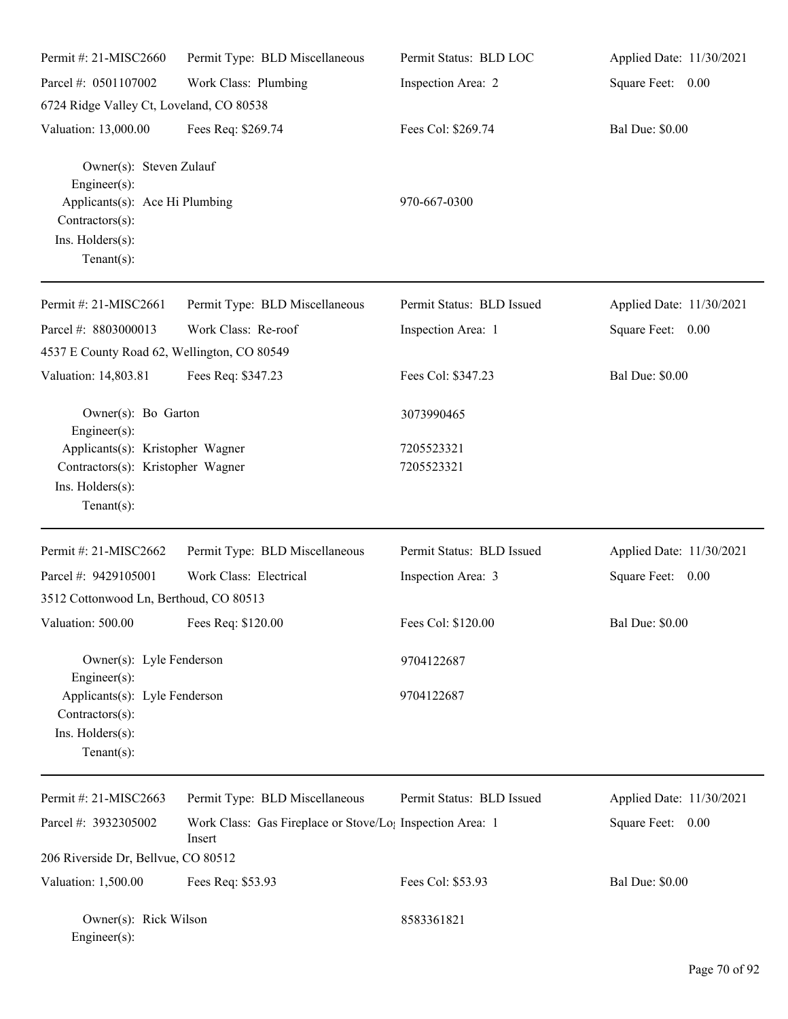| Permit #: 21-MISC2660                                                     | Permit Type: BLD Miscellaneous                                                  | Permit Status: BLD LOC    | Applied Date: 11/30/2021 |
|---------------------------------------------------------------------------|---------------------------------------------------------------------------------|---------------------------|--------------------------|
| Parcel #: 0501107002                                                      | Work Class: Plumbing                                                            | Inspection Area: 2        | Square Feet: 0.00        |
| 6724 Ridge Valley Ct, Loveland, CO 80538                                  |                                                                                 |                           |                          |
| Valuation: 13,000.00                                                      | Fees Req: \$269.74                                                              | Fees Col: \$269.74        | <b>Bal Due: \$0.00</b>   |
| Owner(s): Steven Zulauf<br>Engineer(s):<br>Applicants(s): Ace Hi Plumbing |                                                                                 | 970-667-0300              |                          |
| Contractors(s):<br>Ins. Holders(s):<br>Tenant $(s)$ :                     |                                                                                 |                           |                          |
| Permit #: 21-MISC2661                                                     | Permit Type: BLD Miscellaneous                                                  | Permit Status: BLD Issued | Applied Date: 11/30/2021 |
| Parcel #: 8803000013                                                      | Work Class: Re-roof                                                             | Inspection Area: 1        | Square Feet: 0.00        |
| 4537 E County Road 62, Wellington, CO 80549                               |                                                                                 |                           |                          |
| Valuation: 14,803.81                                                      | Fees Req: \$347.23                                                              | Fees Col: \$347.23        | <b>Bal Due: \$0.00</b>   |
| Owner(s): Bo Garton<br>Engineer(s):                                       |                                                                                 | 3073990465                |                          |
| Applicants(s): Kristopher Wagner                                          |                                                                                 | 7205523321                |                          |
| Contractors(s): Kristopher Wagner                                         |                                                                                 | 7205523321                |                          |
| Ins. Holders(s):<br>Tenant $(s)$ :                                        |                                                                                 |                           |                          |
| Permit #: 21-MISC2662                                                     | Permit Type: BLD Miscellaneous                                                  | Permit Status: BLD Issued | Applied Date: 11/30/2021 |
| Parcel #: 9429105001                                                      | Work Class: Electrical                                                          | Inspection Area: 3        | Square Feet: 0.00        |
| 3512 Cottonwood Ln, Berthoud, CO 80513                                    |                                                                                 |                           |                          |
| Valuation: 500.00 Fees Req: \$120.00                                      |                                                                                 | Fees Col: \$120.00        | <b>Bal Due: \$0.00</b>   |
| Owner(s): Lyle Fenderson<br>Engineer $(s)$ :                              |                                                                                 | 9704122687                |                          |
| Applicants(s): Lyle Fenderson<br>Contractors(s):                          |                                                                                 | 9704122687                |                          |
| Ins. Holders(s):<br>Tenant $(s)$ :                                        |                                                                                 |                           |                          |
| Permit #: 21-MISC2663                                                     | Permit Type: BLD Miscellaneous                                                  | Permit Status: BLD Issued | Applied Date: 11/30/2021 |
| Parcel #: 3932305002                                                      | Work Class: Gas Fireplace or Stove/Lo <sub>1</sub> Inspection Area: 1<br>Insert |                           | Square Feet: 0.00        |
| 206 Riverside Dr, Bellvue, CO 80512                                       |                                                                                 |                           |                          |
| Valuation: 1,500.00                                                       | Fees Req: \$53.93                                                               | Fees Col: \$53.93         | <b>Bal Due: \$0.00</b>   |
| Owner(s): Rick Wilson<br>$Engineer(s)$ :                                  |                                                                                 | 8583361821                |                          |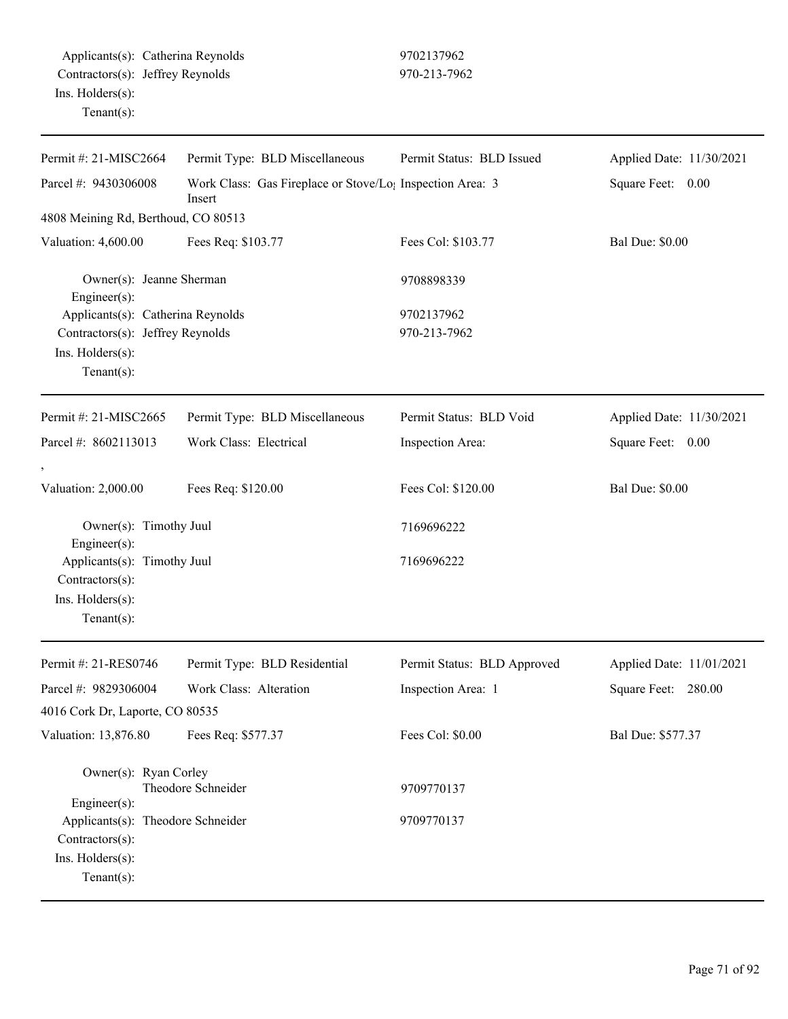| Permit Type: BLD Miscellaneous<br>Work Class: Electrical | Work Class: Gas Fireplace or Stove/Lo <sub>1</sub> Inspection Area: 3<br>Fees Col: \$103.77<br>9708898339<br>9702137962<br>970-213-7962<br>Permit Status: BLD Void<br>Inspection Area:<br>Fees Col: \$120.00 | Square Feet: 0.00<br><b>Bal Due: \$0.00</b><br>Applied Date: 11/30/2021<br>Square Feet: 0.00 |
|----------------------------------------------------------|--------------------------------------------------------------------------------------------------------------------------------------------------------------------------------------------------------------|----------------------------------------------------------------------------------------------|
|                                                          |                                                                                                                                                                                                              |                                                                                              |
|                                                          |                                                                                                                                                                                                              |                                                                                              |
|                                                          |                                                                                                                                                                                                              |                                                                                              |
|                                                          |                                                                                                                                                                                                              |                                                                                              |
|                                                          |                                                                                                                                                                                                              |                                                                                              |
|                                                          |                                                                                                                                                                                                              |                                                                                              |
|                                                          |                                                                                                                                                                                                              |                                                                                              |
|                                                          |                                                                                                                                                                                                              |                                                                                              |
|                                                          |                                                                                                                                                                                                              | <b>Bal Due: \$0.00</b>                                                                       |
|                                                          | 7169696222                                                                                                                                                                                                   |                                                                                              |
|                                                          | 7169696222                                                                                                                                                                                                   |                                                                                              |
| Permit Type: BLD Residential                             | Permit Status: BLD Approved                                                                                                                                                                                  | Applied Date: 11/01/2021                                                                     |
| Work Class: Alteration                                   |                                                                                                                                                                                                              |                                                                                              |
|                                                          | Inspection Area: 1                                                                                                                                                                                           | Square Feet: 280.00                                                                          |
|                                                          | Fees Col: \$0.00                                                                                                                                                                                             | Bal Due: \$577.37                                                                            |
|                                                          | 9709770137                                                                                                                                                                                                   |                                                                                              |
|                                                          |                                                                                                                                                                                                              |                                                                                              |
|                                                          |                                                                                                                                                                                                              | 9709770137                                                                                   |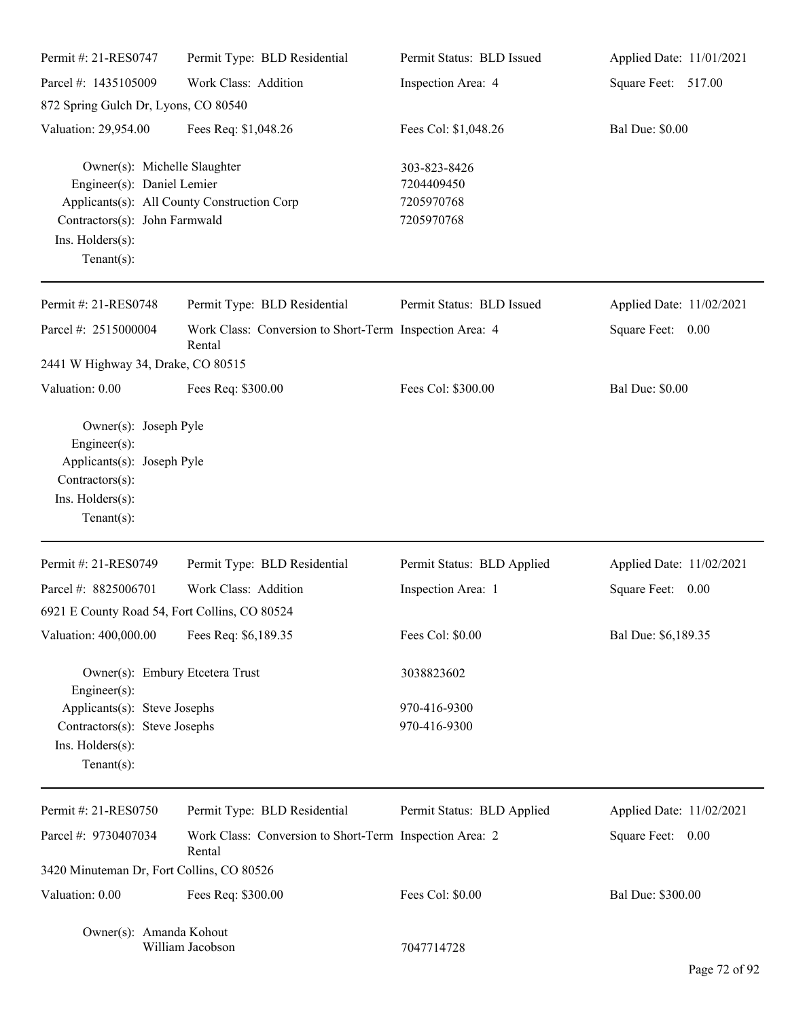| Permit #: 21-RES0747                                                                                                               | Permit Type: BLD Residential                                      | Permit Status: BLD Issued                              | Applied Date: 11/01/2021 |
|------------------------------------------------------------------------------------------------------------------------------------|-------------------------------------------------------------------|--------------------------------------------------------|--------------------------|
| Parcel #: 1435105009                                                                                                               | Work Class: Addition                                              | Inspection Area: 4                                     | Square Feet: 517.00      |
| 872 Spring Gulch Dr, Lyons, CO 80540                                                                                               |                                                                   |                                                        |                          |
| Valuation: 29,954.00                                                                                                               | Fees Req: \$1,048.26                                              | Fees Col: \$1,048.26                                   | <b>Bal Due: \$0.00</b>   |
| Owner(s): Michelle Slaughter<br>Engineer(s): Daniel Lemier<br>Contractors(s): John Farmwald<br>Ins. Holders(s):<br>Tenant $(s)$ :  | Applicants(s): All County Construction Corp                       | 303-823-8426<br>7204409450<br>7205970768<br>7205970768 |                          |
| Permit #: 21-RES0748                                                                                                               | Permit Type: BLD Residential                                      | Permit Status: BLD Issued                              | Applied Date: 11/02/2021 |
| Parcel #: 2515000004                                                                                                               | Work Class: Conversion to Short-Term Inspection Area: 4<br>Rental |                                                        | Square Feet: 0.00        |
| 2441 W Highway 34, Drake, CO 80515                                                                                                 |                                                                   |                                                        |                          |
| Valuation: 0.00                                                                                                                    | Fees Req: \$300.00                                                | Fees Col: \$300.00                                     | <b>Bal Due: \$0.00</b>   |
| Owner(s): Joseph Pyle<br>$Engineering(s)$ :<br>Applicants(s): Joseph Pyle<br>Contractors(s):<br>Ins. Holders(s):<br>Tenant $(s)$ : |                                                                   |                                                        |                          |
| Permit #: 21-RES0749                                                                                                               | Permit Type: BLD Residential                                      | Permit Status: BLD Applied                             | Applied Date: 11/02/2021 |
| Parcel #: 8825006701                                                                                                               | Work Class: Addition                                              | Inspection Area: 1                                     | Square Feet: 0.00        |
| 6921 E County Road 54, Fort Collins, CO 80524                                                                                      |                                                                   |                                                        |                          |
| Valuation: 400,000.00                                                                                                              | Fees Req: \$6,189.35                                              | Fees Col: \$0.00                                       | Bal Due: \$6,189.35      |
| Owner(s): Embury Etcetera Trust<br>Engineer(s):                                                                                    |                                                                   | 3038823602                                             |                          |
| Applicants(s): Steve Josephs<br>Contractors(s): Steve Josephs<br>Ins. Holders(s):<br>Tenant $(s)$ :                                |                                                                   | 970-416-9300<br>970-416-9300                           |                          |
| Permit #: 21-RES0750                                                                                                               | Permit Type: BLD Residential                                      | Permit Status: BLD Applied                             | Applied Date: 11/02/2021 |
| Parcel #: 9730407034                                                                                                               | Work Class: Conversion to Short-Term Inspection Area: 2<br>Rental |                                                        | Square Feet: 0.00        |
| 3420 Minuteman Dr, Fort Collins, CO 80526                                                                                          |                                                                   |                                                        |                          |
| Valuation: 0.00                                                                                                                    | Fees Req: \$300.00                                                | Fees Col: \$0.00                                       | Bal Due: \$300.00        |
| Owner(s): Amanda Kohout                                                                                                            | William Jacobson                                                  | 7047714728                                             |                          |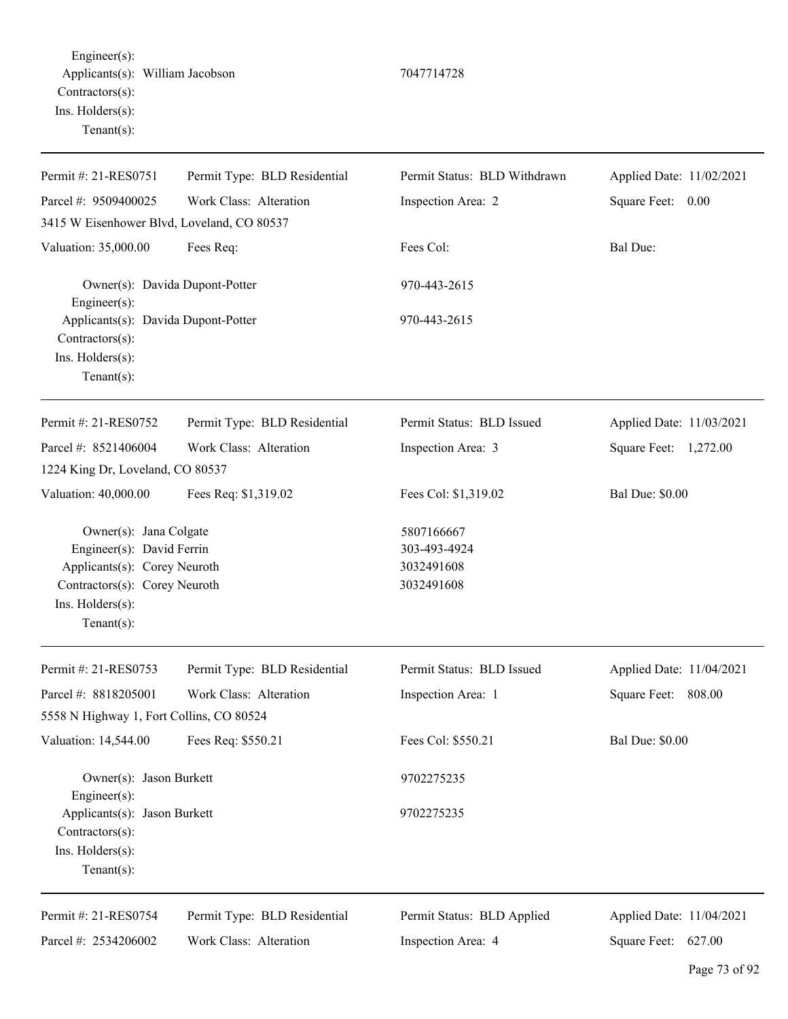Engineer(s): Applicants(s): William Jacobson 7047714728 Contractors(s): Ins. Holders(s): Tenant(s):

Permit #: 21-RES0751 Parcel #: 9509400025 Permit Type: BLD Residential Work Class: Alteration Permit Status: BLD Withdrawn Inspection Area: 2 Applied Date: 11/02/2021 Square Feet: 0.00 3415 W Eisenhower Blvd, Loveland, CO 80537 Valuation: 35,000.00 Fees Req: Fees Col: Fees Col: Bal Due: Owner(s): Davida Dupont-Potter 970-443-2615 Engineer(s): Applicants(s): Davida Dupont-Potter 970-443-2615 Contractors(s): Ins. Holders(s): Tenant(s): Permit #: 21-RES0752 Parcel #: 8521406004 Permit Type: BLD Residential Work Class: Alteration Permit Status: BLD Issued Inspection Area: 3 Applied Date: 11/03/2021 Square Feet: 1,272.00 1224 King Dr, Loveland, CO 80537 Valuation: 40,000.00 Fees Req: \$1,319.02 Fees Col: \$1,319.02 Bal Due: \$0.00 Owner(s): Jana Colgate 5807166667 Engineer(s): David Ferrin 303-493-4924 Applicants(s): Corey Neuroth 3032491608 Contractors(s): Corey Neuroth 3032491608 Ins. Holders(s): Tenant(s): Permit #: 21-RES0753 Parcel #: 8818205001 Permit Type: BLD Residential Work Class: Alteration Permit Status: BLD Issued Inspection Area: 1 Applied Date: 11/04/2021 Square Feet: 808.00 5558 N Highway 1, Fort Collins, CO 80524 Valuation: 14,544.00 Fees Req: \$550.21 Fees Col: \$550.21 Bal Due: \$0.00 Owner(s): Jason Burkett 9702275235 Engineer(s): Applicants(s): Jason Burkett 9702275235 Contractors(s): Ins. Holders(s): Tenant(s): Permit #: 21-RES0754 Parcel #: 2534206002 Permit Type: BLD Residential Work Class: Alteration Permit Status: BLD Applied Inspection Area: 4 Applied Date: 11/04/2021 Square Feet: 627.00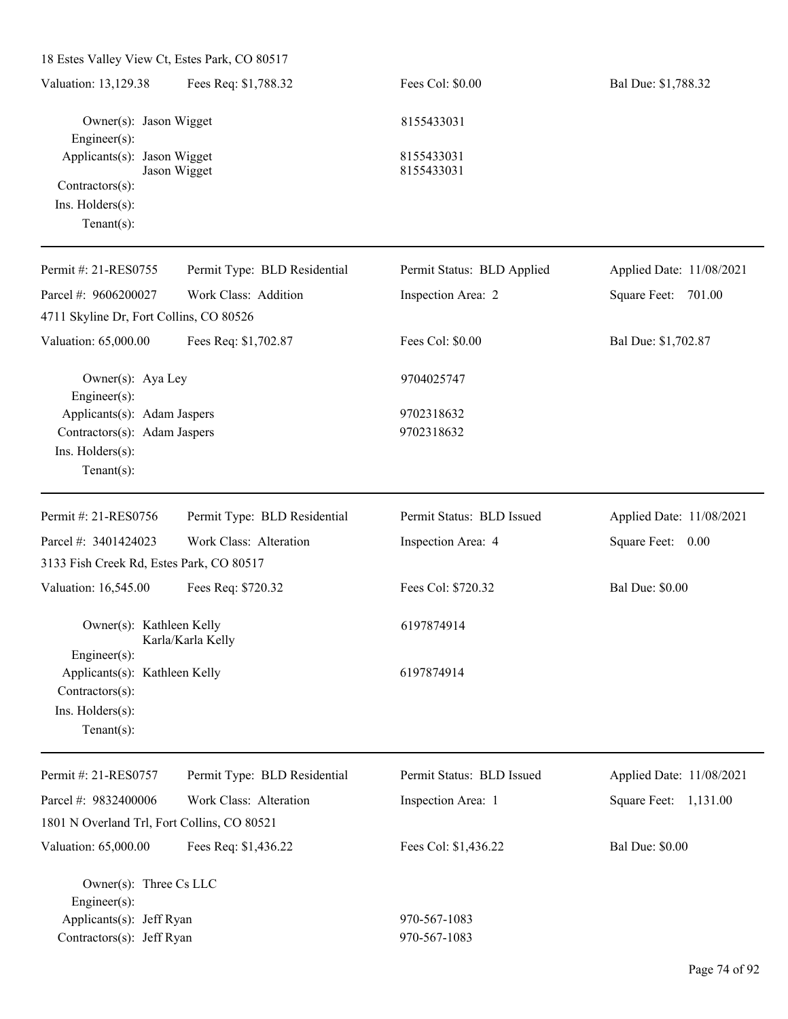| 18 Estes Valley View Ct, Estes Park, CO 80517                                                     |                              |                              |                          |
|---------------------------------------------------------------------------------------------------|------------------------------|------------------------------|--------------------------|
| Valuation: 13,129.38                                                                              | Fees Req: \$1,788.32         | Fees Col: \$0.00             | Bal Due: \$1,788.32      |
| Owner(s): Jason Wigget<br>Engineer(s):                                                            |                              | 8155433031                   |                          |
| Applicants(s): Jason Wigget<br>Contractors(s):<br>Ins. Holders(s):<br>Tenant $(s)$ :              | Jason Wigget                 | 8155433031<br>8155433031     |                          |
| Permit #: 21-RES0755                                                                              | Permit Type: BLD Residential | Permit Status: BLD Applied   | Applied Date: 11/08/2021 |
| Parcel #: 9606200027                                                                              | Work Class: Addition         | Inspection Area: 2           | Square Feet: 701.00      |
| 4711 Skyline Dr, Fort Collins, CO 80526                                                           |                              |                              |                          |
| Valuation: 65,000.00                                                                              | Fees Req: \$1,702.87         | Fees Col: \$0.00             | Bal Due: \$1,702.87      |
| Owner(s): Aya Ley<br>Engineer $(s)$ :                                                             |                              | 9704025747                   |                          |
| Applicants(s): Adam Jaspers<br>Contractors(s): Adam Jaspers<br>Ins. Holders(s):<br>Tenant $(s)$ : |                              | 9702318632<br>9702318632     |                          |
| Permit #: 21-RES0756                                                                              | Permit Type: BLD Residential | Permit Status: BLD Issued    | Applied Date: 11/08/2021 |
| Parcel #: 3401424023                                                                              | Work Class: Alteration       | Inspection Area: 4           | Square Feet: 0.00        |
| 3133 Fish Creek Rd, Estes Park, CO 80517                                                          |                              |                              |                          |
| Valuation: 16,545.00                                                                              | Fees Req: \$720.32           | Fees Col: \$720.32           | <b>Bal Due: \$0.00</b>   |
| Owner(s): Kathleen Kelly<br>Engineer(s):                                                          | Karla/Karla Kelly            | 6197874914                   |                          |
| Applicants(s): Kathleen Kelly<br>Contractors(s):<br>Ins. Holders(s):<br>Tenant $(s)$ :            |                              | 6197874914                   |                          |
| Permit #: 21-RES0757                                                                              | Permit Type: BLD Residential | Permit Status: BLD Issued    | Applied Date: 11/08/2021 |
| Parcel #: 9832400006                                                                              | Work Class: Alteration       | Inspection Area: 1           | Square Feet: 1,131.00    |
| 1801 N Overland Trl, Fort Collins, CO 80521                                                       |                              |                              |                          |
| Valuation: 65,000.00                                                                              | Fees Req: \$1,436.22         | Fees Col: \$1,436.22         | <b>Bal Due: \$0.00</b>   |
| Owner(s): Three Cs LLC<br>Engineer(s):<br>Applicants(s): Jeff Ryan<br>Contractors(s): Jeff Ryan   |                              | 970-567-1083<br>970-567-1083 |                          |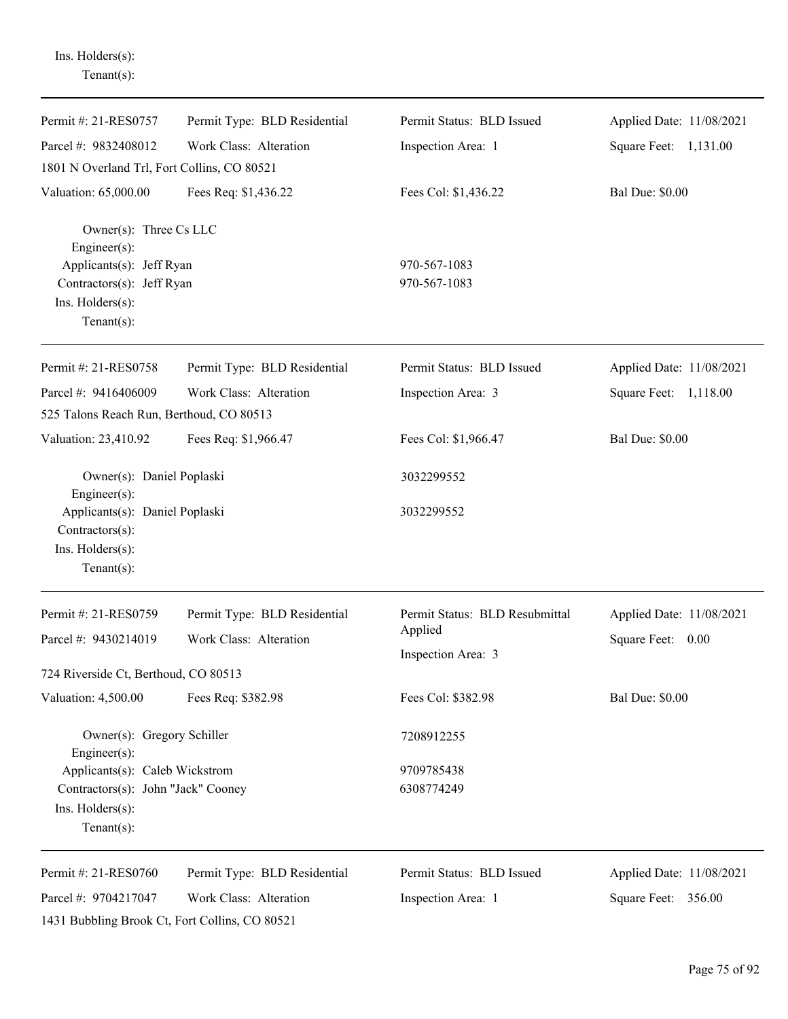| Tenant $(s)$ :                                                                              |                              |                                |                          |
|---------------------------------------------------------------------------------------------|------------------------------|--------------------------------|--------------------------|
| Permit #: 21-RES0757                                                                        | Permit Type: BLD Residential | Permit Status: BLD Issued      | Applied Date: 11/08/2021 |
| Parcel #: 9832408012                                                                        | Work Class: Alteration       | Inspection Area: 1             | Square Feet: 1,131.00    |
| 1801 N Overland Trl, Fort Collins, CO 80521                                                 |                              |                                |                          |
| Valuation: 65,000.00                                                                        | Fees Req: \$1,436.22         | Fees Col: \$1,436.22           | <b>Bal Due: \$0.00</b>   |
| Owner(s): Three Cs LLC<br>Engineer(s):                                                      |                              |                                |                          |
| Applicants(s): Jeff Ryan<br>Contractors(s): Jeff Ryan<br>Ins. Holders(s):<br>Tenant $(s)$ : |                              | 970-567-1083<br>970-567-1083   |                          |
| Permit #: 21-RES0758                                                                        | Permit Type: BLD Residential | Permit Status: BLD Issued      | Applied Date: 11/08/2021 |
| Parcel #: 9416406009<br>525 Talons Reach Run, Berthoud, CO 80513                            | Work Class: Alteration       | Inspection Area: 3             | Square Feet: 1,118.00    |
| Valuation: 23,410.92                                                                        | Fees Req: \$1,966.47         | Fees Col: \$1,966.47           | <b>Bal Due: \$0.00</b>   |
| Owner(s): Daniel Poplaski<br>Engineer $(s)$ :                                               |                              | 3032299552                     |                          |
| Applicants(s): Daniel Poplaski<br>$Contractors(s)$ :<br>Ins. Holders(s):<br>Tenant $(s)$ :  |                              | 3032299552                     |                          |
| Permit #: 21-RES0759                                                                        | Permit Type: BLD Residential | Permit Status: BLD Resubmittal | Applied Date: 11/08/2021 |
| Parcel #: 9430214019                                                                        | Work Class: Alteration       | Applied<br>Inspection Area: 3  | Square Feet:<br>0.00     |
| 724 Riverside Ct, Berthoud, CO 80513                                                        |                              |                                |                          |
| Valuation: 4,500.00                                                                         | Fees Req: \$382.98           | Fees Col: \$382.98             | <b>Bal Due: \$0.00</b>   |
| Owner(s): Gregory Schiller<br>Engineer $(s)$ :                                              |                              | 7208912255                     |                          |
| Applicants(s): Caleb Wickstrom                                                              |                              | 9709785438                     |                          |
| Contractors(s): John "Jack" Cooney<br>Ins. Holders(s):<br>Tenant $(s)$ :                    |                              | 6308774249                     |                          |
| Permit #: 21-RES0760                                                                        | Permit Type: BLD Residential | Permit Status: BLD Issued      | Applied Date: 11/08/2021 |
| Parcel #: 9704217047                                                                        | Work Class: Alteration       | Inspection Area: 1             | Square Feet: 356.00      |
| 1431 Bubbling Brook Ct, Fort Collins, CO 80521                                              |                              |                                |                          |

Ins. Holders(s):

Page 75 of 92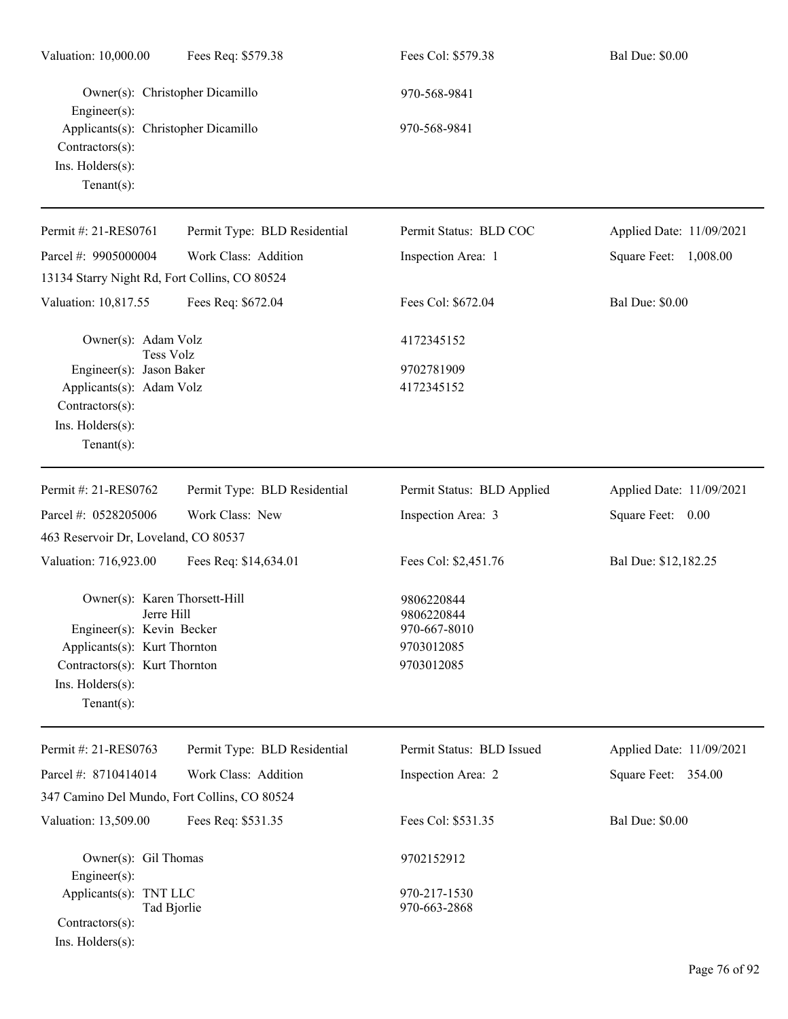| Valuation: 10,000.00                                                                                                                                                                  | Fees Req: \$579.38           | Fees Col: \$579.38                                                   | <b>Bal Due: \$0.00</b>   |
|---------------------------------------------------------------------------------------------------------------------------------------------------------------------------------------|------------------------------|----------------------------------------------------------------------|--------------------------|
| Owner(s): Christopher Dicamillo<br>Engineer(s):                                                                                                                                       |                              | 970-568-9841                                                         |                          |
| Applicants(s): Christopher Dicamillo<br>Contractors(s):<br>Ins. Holders(s):<br>Tenant $(s)$ :                                                                                         |                              | 970-568-9841                                                         |                          |
| Permit #: 21-RES0761                                                                                                                                                                  | Permit Type: BLD Residential | Permit Status: BLD COC                                               | Applied Date: 11/09/2021 |
| Parcel #: 9905000004                                                                                                                                                                  | Work Class: Addition         | Inspection Area: 1                                                   | Square Feet: 1,008.00    |
| 13134 Starry Night Rd, Fort Collins, CO 80524                                                                                                                                         |                              |                                                                      |                          |
| Valuation: 10,817.55                                                                                                                                                                  | Fees Req: \$672.04           | Fees Col: \$672.04                                                   | <b>Bal Due: \$0.00</b>   |
| Owner(s): Adam Volz<br><b>Tess Volz</b>                                                                                                                                               |                              | 4172345152                                                           |                          |
| Engineer(s): Jason Baker<br>Applicants(s): Adam Volz<br>Contractors(s):<br>Ins. Holders(s):<br>Tenant $(s)$ :                                                                         |                              | 9702781909<br>4172345152                                             |                          |
| Permit #: 21-RES0762                                                                                                                                                                  | Permit Type: BLD Residential | Permit Status: BLD Applied                                           | Applied Date: 11/09/2021 |
| Parcel #: 0528205006                                                                                                                                                                  | Work Class: New              | Inspection Area: 3                                                   | Square Feet: 0.00        |
| 463 Reservoir Dr, Loveland, CO 80537                                                                                                                                                  |                              |                                                                      |                          |
| Valuation: 716,923.00                                                                                                                                                                 | Fees Req: \$14,634.01        | Fees Col: \$2,451.76                                                 | Bal Due: \$12,182.25     |
| Owner(s): Karen Thorsett-Hill<br>Jerre Hill<br>Engineer(s): Kevin Becker<br>Applicants(s): Kurt Thornton<br>Contractors(s): Kurt Thornton<br>$Ins.$ Holders $(s)$ :<br>Tenant $(s)$ : |                              | 9806220844<br>9806220844<br>970-667-8010<br>9703012085<br>9703012085 |                          |
| Permit #: 21-RES0763                                                                                                                                                                  | Permit Type: BLD Residential | Permit Status: BLD Issued                                            | Applied Date: 11/09/2021 |
| Parcel #: 8710414014                                                                                                                                                                  | Work Class: Addition         | Inspection Area: 2                                                   | Square Feet: 354.00      |
| 347 Camino Del Mundo, Fort Collins, CO 80524                                                                                                                                          |                              |                                                                      |                          |
| Valuation: 13,509.00                                                                                                                                                                  | Fees Req: \$531.35           | Fees Col: \$531.35                                                   | <b>Bal Due: \$0.00</b>   |
| Owner(s): Gil Thomas<br>Engineer(s):<br>Applicants(s): TNT LLC                                                                                                                        |                              | 9702152912<br>970-217-1530                                           |                          |
| Tad Bjorlie<br>Contractors(s):<br>Ins. Holders(s):                                                                                                                                    |                              | 970-663-2868                                                         |                          |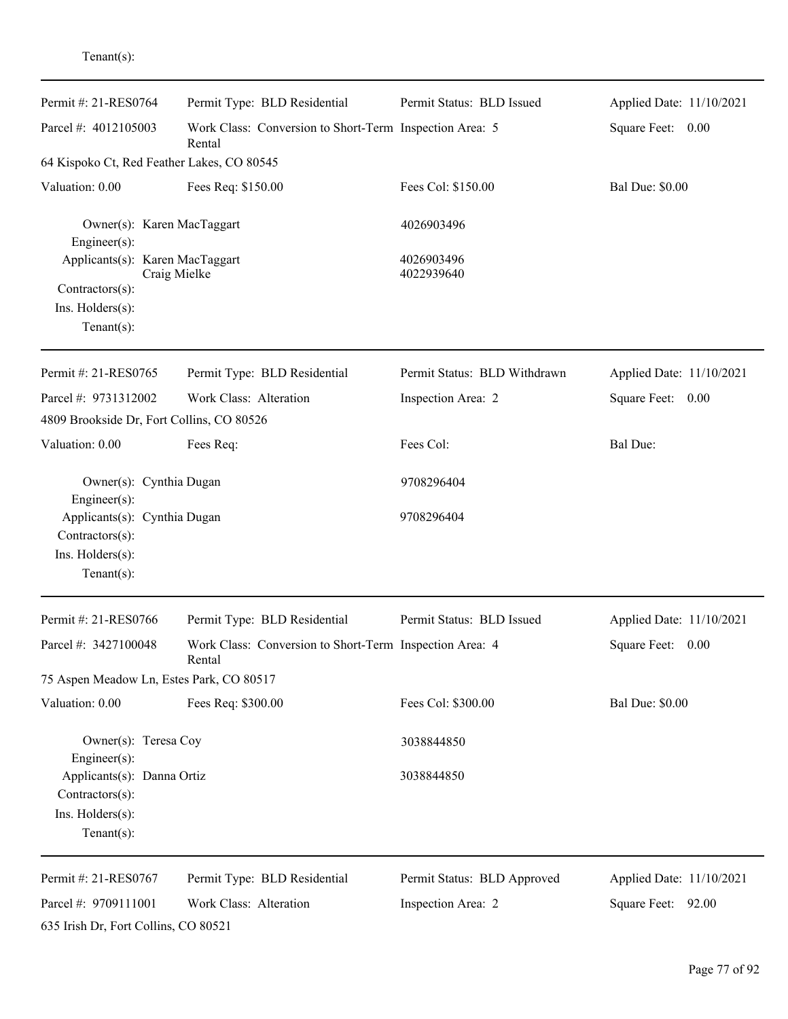| Permit #: 21-RES0764                                                                 | Permit Type: BLD Residential                                      | Permit Status: BLD Issued              | Applied Date: 11/10/2021 |
|--------------------------------------------------------------------------------------|-------------------------------------------------------------------|----------------------------------------|--------------------------|
| Parcel #: 4012105003                                                                 | Work Class: Conversion to Short-Term Inspection Area: 5<br>Rental |                                        | Square Feet: 0.00        |
| 64 Kispoko Ct, Red Feather Lakes, CO 80545                                           |                                                                   |                                        |                          |
| Valuation: 0.00                                                                      | Fees Req: \$150.00                                                | Fees Col: \$150.00                     | <b>Bal Due: \$0.00</b>   |
| Owner(s): Karen MacTaggart<br>Engineer(s):<br>Applicants(s): Karen MacTaggart        | Craig Mielke                                                      | 4026903496<br>4026903496<br>4022939640 |                          |
| Contractors(s):<br>Ins. $H$ olders $(s)$ :<br>$Tenant(s)$ :                          |                                                                   |                                        |                          |
| Permit #: 21-RES0765                                                                 | Permit Type: BLD Residential                                      | Permit Status: BLD Withdrawn           | Applied Date: 11/10/2021 |
| Parcel #: 9731312002<br>4809 Brookside Dr, Fort Collins, CO 80526                    | Work Class: Alteration                                            | Inspection Area: 2                     | Square Feet: 0.00        |
| Valuation: 0.00                                                                      | Fees Req:                                                         | Fees Col:                              | <b>Bal Due:</b>          |
| Owner(s): Cynthia Dugan<br>Engineer(s):                                              |                                                                   | 9708296404                             |                          |
| Applicants(s): Cynthia Dugan<br>Contractors(s):<br>Ins. Holders(s):<br>$Tenant(s)$ : |                                                                   | 9708296404                             |                          |
| Permit #: 21-RES0766                                                                 | Permit Type: BLD Residential                                      | Permit Status: BLD Issued              | Applied Date: 11/10/2021 |
| Parcel #: 3427100048                                                                 | Work Class: Conversion to Short-Term Inspection Area: 4<br>Rental |                                        | Square Feet: 0.00        |
| 75 Aspen Meadow Ln, Estes Park, CO 80517                                             |                                                                   |                                        |                          |
| Valuation: 0.00                                                                      | Fees Req: \$300.00                                                | Fees Col: \$300.00                     | <b>Bal Due: \$0.00</b>   |
| Owner(s): Teresa Coy<br>Engineer(s):                                                 |                                                                   | 3038844850                             |                          |
| Applicants(s): Danna Ortiz<br>Contractors(s):                                        |                                                                   | 3038844850                             |                          |
| Ins. Holders(s):<br>$Tenant(s)$ :                                                    |                                                                   |                                        |                          |
| Permit #: 21-RES0767                                                                 | Permit Type: BLD Residential                                      | Permit Status: BLD Approved            | Applied Date: 11/10/2021 |
| Parcel #: 9709111001                                                                 | Work Class: Alteration                                            | Inspection Area: 2                     | Square Feet: 92.00       |
| 635 Irish Dr, Fort Collins, CO 80521                                                 |                                                                   |                                        |                          |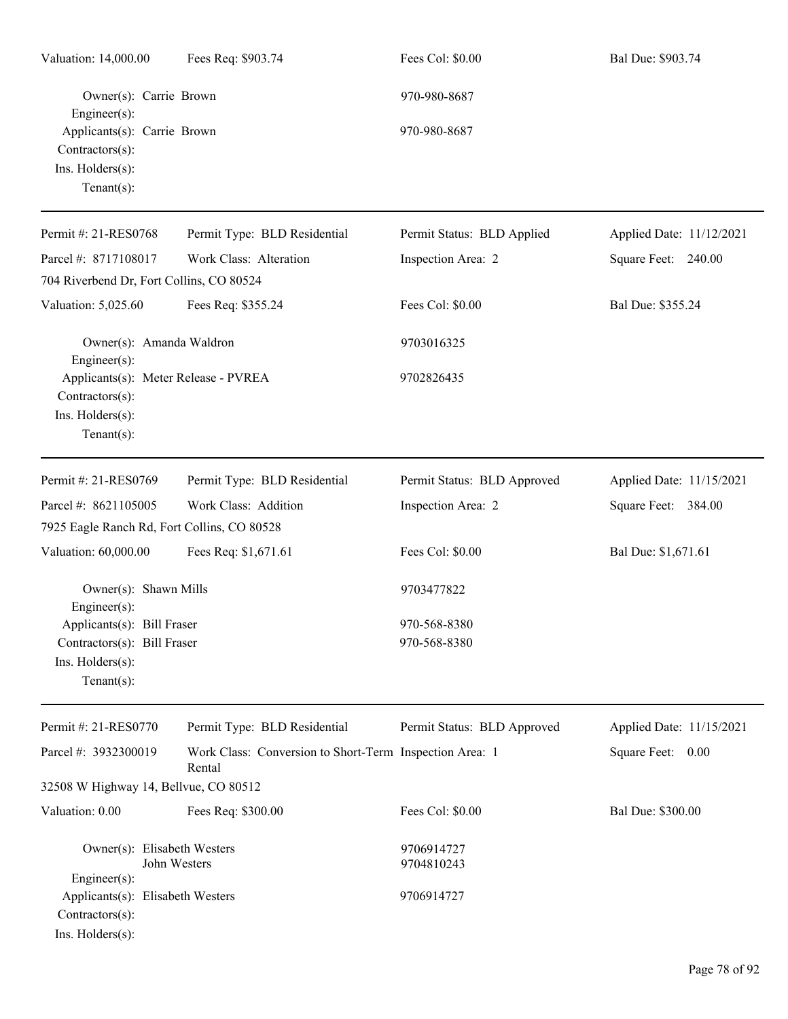| Valuation: 14,000.00                                                                            | Fees Req: \$903.74                                                | Fees Col: \$0.00             | Bal Due: \$903.74        |
|-------------------------------------------------------------------------------------------------|-------------------------------------------------------------------|------------------------------|--------------------------|
| Owner(s): Carrie Brown<br>$Engineering(s)$ :                                                    |                                                                   | 970-980-8687                 |                          |
| Applicants(s): Carrie Brown<br>Contractors(s):<br>Ins. Holders(s):<br>Tenant $(s)$ :            |                                                                   | 970-980-8687                 |                          |
| Permit #: 21-RES0768                                                                            | Permit Type: BLD Residential                                      | Permit Status: BLD Applied   | Applied Date: 11/12/2021 |
| Parcel #: 8717108017                                                                            | Work Class: Alteration                                            | Inspection Area: 2           | Square Feet: 240.00      |
| 704 Riverbend Dr, Fort Collins, CO 80524                                                        |                                                                   |                              |                          |
| Valuation: 5,025.60                                                                             | Fees Req: \$355.24                                                | Fees Col: \$0.00             | Bal Due: \$355.24        |
| Owner(s): Amanda Waldron<br>Engineer $(s)$ :                                                    |                                                                   | 9703016325                   |                          |
| Applicants(s): Meter Release - PVREA<br>Contractors(s):<br>Ins. Holders(s):<br>Tenant $(s)$ :   |                                                                   | 9702826435                   |                          |
| Permit #: 21-RES0769                                                                            | Permit Type: BLD Residential                                      | Permit Status: BLD Approved  | Applied Date: 11/15/2021 |
| Parcel #: 8621105005                                                                            | Work Class: Addition                                              | Inspection Area: 2           | Square Feet: 384.00      |
| 7925 Eagle Ranch Rd, Fort Collins, CO 80528                                                     |                                                                   |                              |                          |
| Valuation: 60,000.00                                                                            | Fees Req: \$1,671.61                                              | Fees Col: \$0.00             | Bal Due: \$1,671.61      |
| Owner(s): Shawn Mills<br>$Engineering(s)$ :                                                     |                                                                   | 9703477822                   |                          |
| Applicants(s): Bill Fraser<br>Contractors(s): Bill Fraser<br>Ins. Holders(s):<br>Tenant $(s)$ : |                                                                   | 970-568-8380<br>970-568-8380 |                          |
| Permit #: 21-RES0770                                                                            | Permit Type: BLD Residential                                      | Permit Status: BLD Approved  | Applied Date: 11/15/2021 |
| Parcel #: 3932300019                                                                            | Work Class: Conversion to Short-Term Inspection Area: 1<br>Rental |                              | Square Feet: 0.00        |
| 32508 W Highway 14, Bellvue, CO 80512                                                           |                                                                   |                              |                          |
| Valuation: 0.00                                                                                 | Fees Req: \$300.00                                                | Fees Col: \$0.00             | Bal Due: \$300.00        |
| Owner(s): Elisabeth Westers<br>John Westers<br>Engineer(s):                                     |                                                                   | 9706914727<br>9704810243     |                          |
| Applicants(s): Elisabeth Westers<br>Contractors(s):<br>Ins. Holders(s):                         |                                                                   | 9706914727                   |                          |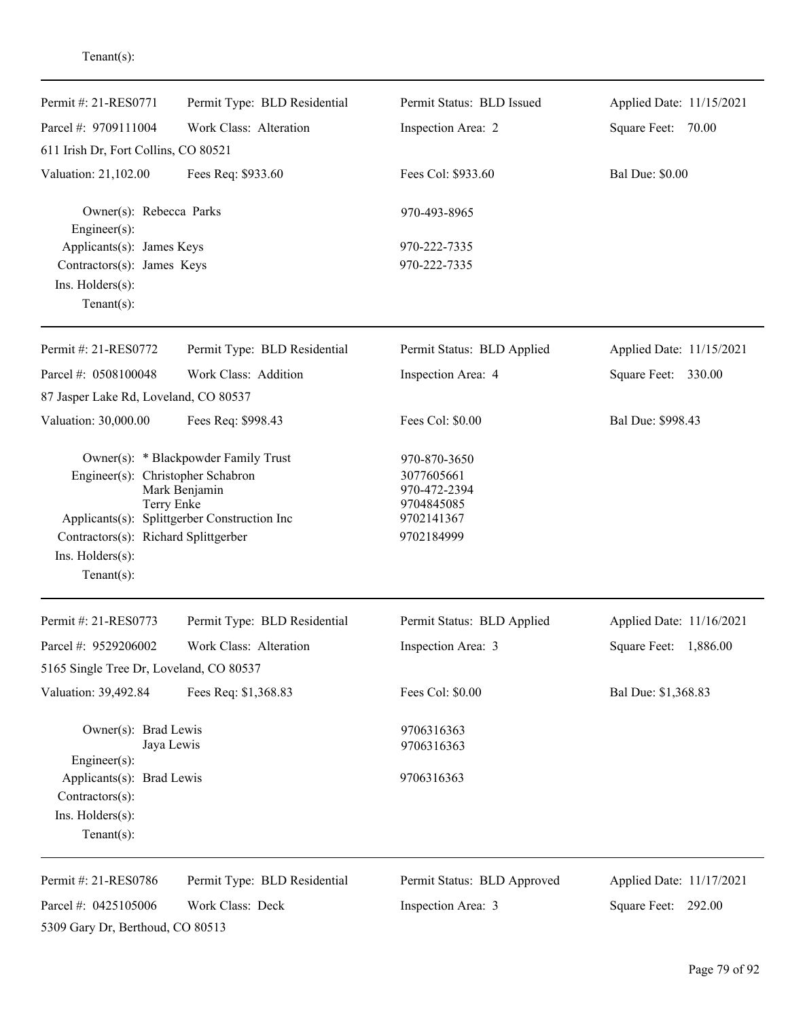| Permit #: 21-RES0771                                                                                                                                     | Permit Type: BLD Residential | Permit Status: BLD Issued                                              | Applied Date: 11/15/2021 |
|----------------------------------------------------------------------------------------------------------------------------------------------------------|------------------------------|------------------------------------------------------------------------|--------------------------|
| Parcel #: 9709111004                                                                                                                                     | Work Class: Alteration       | Inspection Area: 2                                                     | Square Feet: 70.00       |
| 611 Irish Dr, Fort Collins, CO 80521                                                                                                                     |                              |                                                                        |                          |
| Valuation: 21,102.00                                                                                                                                     | Fees Req: \$933.60           | Fees Col: \$933.60                                                     | <b>Bal Due: \$0.00</b>   |
| Owner(s): Rebecca Parks<br>Engineer(s):                                                                                                                  |                              | 970-493-8965                                                           |                          |
| Applicants(s): James Keys                                                                                                                                |                              | 970-222-7335                                                           |                          |
| Contractors(s): James Keys                                                                                                                               |                              | 970-222-7335                                                           |                          |
| Ins. Holders(s):<br>Tenant $(s)$ :                                                                                                                       |                              |                                                                        |                          |
|                                                                                                                                                          |                              |                                                                        |                          |
| Permit #: 21-RES0772                                                                                                                                     | Permit Type: BLD Residential | Permit Status: BLD Applied                                             | Applied Date: 11/15/2021 |
| Parcel #: 0508100048                                                                                                                                     | Work Class: Addition         | Inspection Area: 4                                                     | Square Feet: 330.00      |
| 87 Jasper Lake Rd, Loveland, CO 80537                                                                                                                    |                              |                                                                        |                          |
| Valuation: 30,000.00                                                                                                                                     | Fees Req: \$998.43           | Fees Col: \$0.00                                                       | Bal Due: \$998.43        |
| Owner(s): * Blackpowder Family Trust<br>Engineer(s): Christopher Schabron<br>Mark Benjamin<br>Terry Enke<br>Applicants(s): Splittgerber Construction Inc |                              | 970-870-3650<br>3077605661<br>970-472-2394<br>9704845085<br>9702141367 |                          |
| Contractors(s): Richard Splittgerber                                                                                                                     |                              | 9702184999                                                             |                          |
| Ins. Holders(s):<br>$Tenant(s)$ :                                                                                                                        |                              |                                                                        |                          |
| Permit #: 21-RES0773                                                                                                                                     | Permit Type: BLD Residential | Permit Status: BLD Applied                                             | Applied Date: 11/16/2021 |
| Parcel #: 9529206002                                                                                                                                     | Work Class: Alteration       | Inspection Area: 3                                                     | 1,886.00<br>Square Feet: |
| 5165 Single Tree Dr, Loveland, CO 80537                                                                                                                  |                              |                                                                        |                          |
| Valuation: 39,492.84                                                                                                                                     | Fees Req: \$1,368.83         | Fees Col: \$0.00                                                       | Bal Due: \$1,368.83      |
| Owner(s): Brad Lewis<br>Engineer(s):                                                                                                                     | Jaya Lewis                   | 9706316363<br>9706316363                                               |                          |
| Applicants(s): Brad Lewis<br>Contractors(s):                                                                                                             |                              | 9706316363                                                             |                          |
| Ins. Holders(s):                                                                                                                                         |                              |                                                                        |                          |
| Tenant $(s)$ :                                                                                                                                           |                              |                                                                        |                          |
| Permit #: 21-RES0786                                                                                                                                     | Permit Type: BLD Residential | Permit Status: BLD Approved                                            | Applied Date: 11/17/2021 |
| Parcel #: 0425105006                                                                                                                                     | Work Class: Deck             | Inspection Area: 3                                                     | Square Feet: 292.00      |
| 5309 Gary Dr, Berthoud, CO 80513                                                                                                                         |                              |                                                                        |                          |

Tenant(s):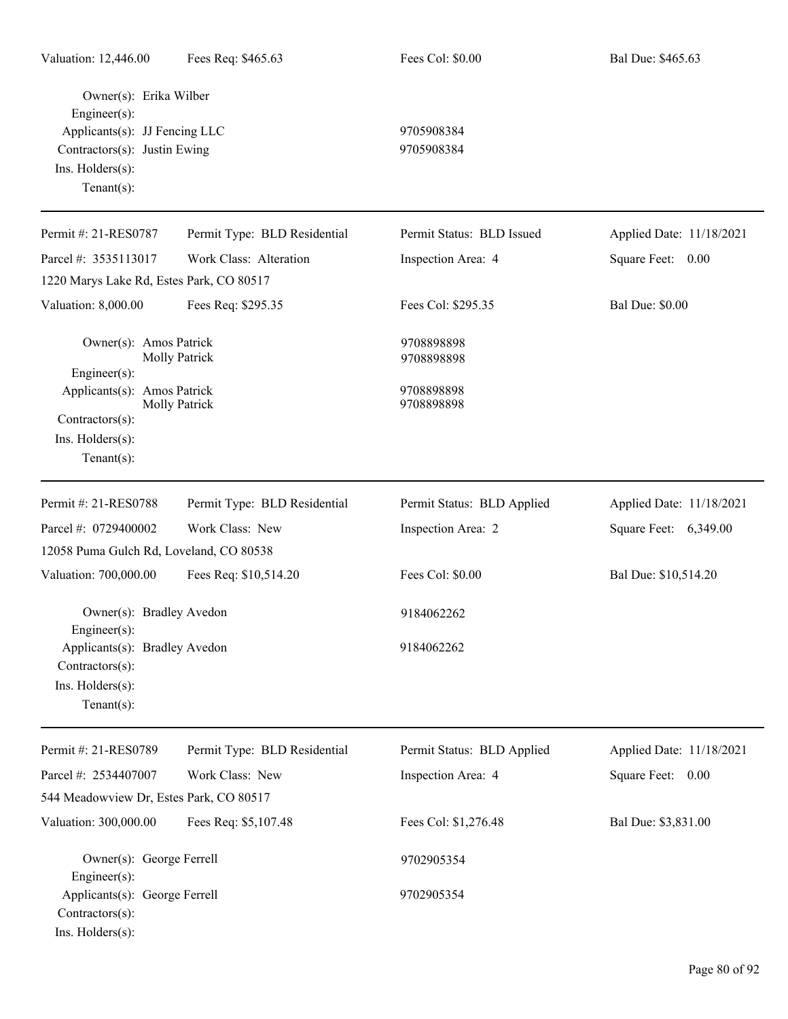| Owner(s): Erika Wilber<br>Engineer(s):<br>Applicants(s): JJ Fencing LLC<br>Contractors(s): Justin Ewing<br>Ins. Holders(s):<br>Tenant $(s)$ : |                              | 9705908384<br>9705908384   |                          |
|-----------------------------------------------------------------------------------------------------------------------------------------------|------------------------------|----------------------------|--------------------------|
| Permit #: 21-RES0787                                                                                                                          | Permit Type: BLD Residential | Permit Status: BLD Issued  | Applied Date: 11/18/2021 |
| Parcel #: 3535113017                                                                                                                          | Work Class: Alteration       | Inspection Area: 4         | Square Feet: 0.00        |
| 1220 Marys Lake Rd, Estes Park, CO 80517                                                                                                      |                              |                            |                          |
| Valuation: 8,000.00                                                                                                                           | Fees Req: \$295.35           | Fees Col: \$295.35         | <b>Bal Due: \$0.00</b>   |
| Owner(s): Amos Patrick<br>Engineer(s):                                                                                                        | Molly Patrick                | 9708898898<br>9708898898   |                          |
| Applicants(s): Amos Patrick<br>Contractors(s):<br>Ins. Holders(s):<br>Tenant $(s)$ :                                                          | Molly Patrick                | 9708898898<br>9708898898   |                          |
| Permit #: 21-RES0788                                                                                                                          | Permit Type: BLD Residential | Permit Status: BLD Applied | Applied Date: 11/18/2021 |
| Parcel #: 0729400002                                                                                                                          | Work Class: New              | Inspection Area: 2         | Square Feet: 6,349.00    |
| 12058 Puma Gulch Rd, Loveland, CO 80538                                                                                                       |                              |                            |                          |
| Valuation: 700,000.00                                                                                                                         | Fees Req: \$10,514.20        | Fees Col: \$0.00           | Bal Due: \$10,514.20     |
| Owner(s): Bradley Avedon<br>Engineer(s):                                                                                                      |                              | 9184062262                 |                          |
| Applicants(s): Bradley Avedon<br>Contractors(s):<br>Ins. Holders(s):<br>Tenant $(s)$ :                                                        |                              | 9184062262                 |                          |
| Permit #: 21-RES0789                                                                                                                          | Permit Type: BLD Residential | Permit Status: BLD Applied | Applied Date: 11/18/2021 |
| Parcel #: 2534407007                                                                                                                          | Work Class: New              | Inspection Area: 4         | Square Feet: 0.00        |
| 544 Meadowview Dr, Estes Park, CO 80517                                                                                                       |                              |                            |                          |
| Valuation: 300,000.00                                                                                                                         | Fees Req: \$5,107.48         | Fees Col: \$1,276.48       | Bal Due: \$3,831.00      |
| Owner(s): George Ferrell<br>Engineer(s):<br>Applicants(s): George Ferrell<br>Contractors(s):<br>Ins. Holders(s):                              |                              | 9702905354<br>9702905354   |                          |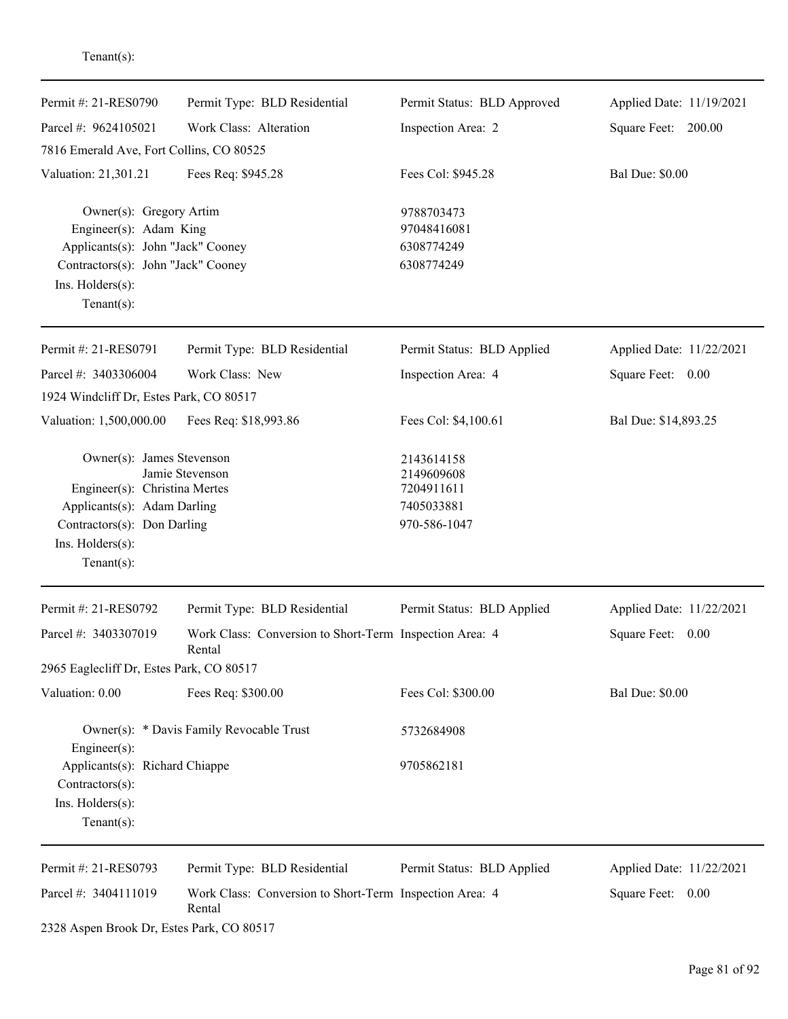| Permit #: 21-RES0790                                         | Permit Type: BLD Residential                                      |                             | Applied Date: 11/19/2021 |
|--------------------------------------------------------------|-------------------------------------------------------------------|-----------------------------|--------------------------|
|                                                              |                                                                   | Permit Status: BLD Approved |                          |
| Parcel #: 9624105021                                         | Work Class: Alteration                                            | Inspection Area: 2          | Square Feet: 200.00      |
| 7816 Emerald Ave, Fort Collins, CO 80525                     |                                                                   |                             |                          |
| Valuation: 21,301.21                                         | Fees Req: \$945.28                                                | Fees Col: \$945.28          | <b>Bal Due: \$0.00</b>   |
| Owner(s): Gregory Artim                                      |                                                                   | 9788703473                  |                          |
| Engineer(s): Adam King                                       |                                                                   | 97048416081                 |                          |
| Applicants(s): John "Jack" Cooney                            |                                                                   | 6308774249                  |                          |
| Contractors(s): John "Jack" Cooney                           |                                                                   | 6308774249                  |                          |
| Ins. Holders(s):                                             |                                                                   |                             |                          |
| Tenant $(s)$ :                                               |                                                                   |                             |                          |
| Permit #: 21-RES0791                                         | Permit Type: BLD Residential                                      | Permit Status: BLD Applied  | Applied Date: 11/22/2021 |
| Parcel #: 3403306004                                         | Work Class: New                                                   | Inspection Area: 4          | Square Feet: 0.00        |
| 1924 Windcliff Dr, Estes Park, CO 80517                      |                                                                   |                             |                          |
| Valuation: 1,500,000.00                                      | Fees Req: \$18,993.86                                             | Fees Col: \$4,100.61        | Bal Due: \$14,893.25     |
| Owner(s): James Stevenson                                    |                                                                   | 2143614158                  |                          |
|                                                              | Jamie Stevenson                                                   | 2149609608                  |                          |
| Engineer(s): Christina Mertes<br>Applicants(s): Adam Darling |                                                                   | 7204911611<br>7405033881    |                          |
| Contractors(s): Don Darling                                  |                                                                   | 970-586-1047                |                          |
| Ins. Holders(s):                                             |                                                                   |                             |                          |
| $Tenant(s)$ :                                                |                                                                   |                             |                          |
| Permit #: 21-RES0792                                         | Permit Type: BLD Residential                                      | Permit Status: BLD Applied  | Applied Date: 11/22/2021 |
| Parcel #: 3403307019                                         | Work Class: Conversion to Short-Term Inspection Area: 4<br>Rental |                             | Square Feet:<br>0.00     |
| 2965 Eaglecliff Dr, Estes Park, CO 80517                     |                                                                   |                             |                          |
| Valuation: 0.00                                              | Fees Req: \$300.00                                                | Fees Col: \$300.00          | <b>Bal Due: \$0.00</b>   |
|                                                              | Owner(s): * Davis Family Revocable Trust                          | 5732684908                  |                          |
| $Engineer(s)$ :                                              |                                                                   |                             |                          |
| Applicants(s): Richard Chiappe                               |                                                                   | 9705862181                  |                          |
| Contractors(s):                                              |                                                                   |                             |                          |
| Ins. Holders(s):                                             |                                                                   |                             |                          |
| $Tenant(s)$ :                                                |                                                                   |                             |                          |
| Permit #: 21-RES0793                                         | Permit Type: BLD Residential                                      | Permit Status: BLD Applied  | Applied Date: 11/22/2021 |
| Parcel #: 3404111019                                         | Work Class: Conversion to Short-Term Inspection Area: 4<br>Rental |                             | Square Feet: 0.00        |

2328 Aspen Brook Dr, Estes Park, CO 80517

Tenant(s):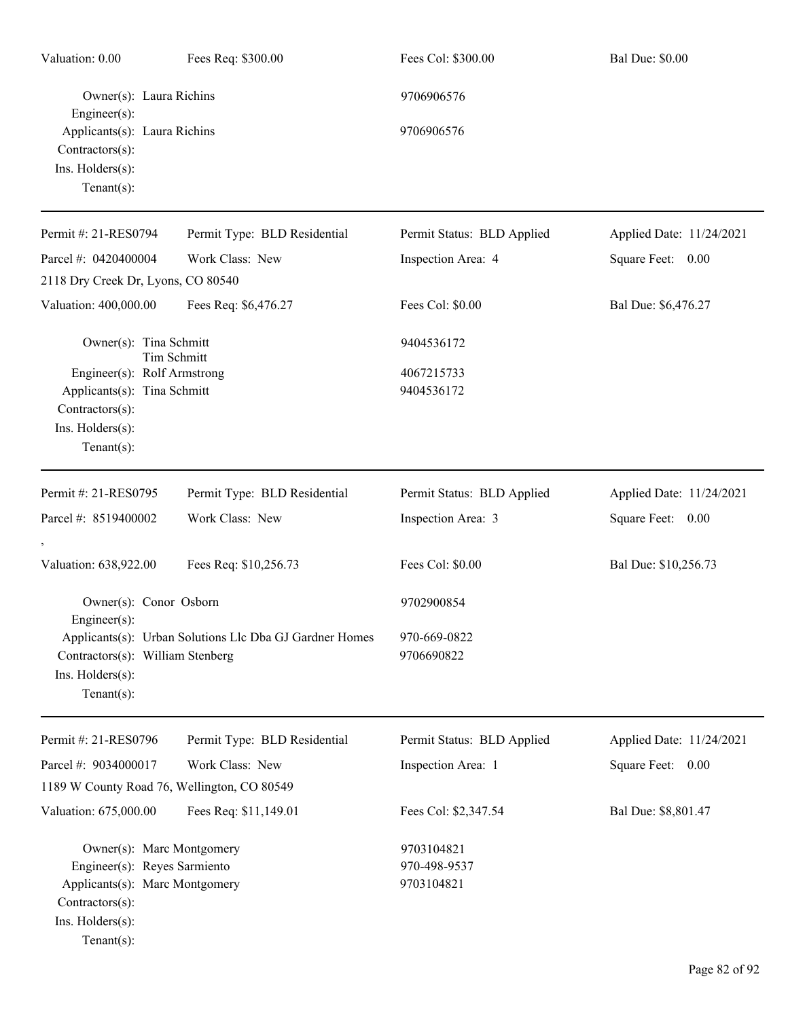| Valuation: 0.00                                                                                                                                     | Fees Req: \$300.00                                      | Fees Col: \$300.00                       | <b>Bal Due: \$0.00</b>   |
|-----------------------------------------------------------------------------------------------------------------------------------------------------|---------------------------------------------------------|------------------------------------------|--------------------------|
| Owner(s): Laura Richins<br>$Engineering(s)$ :                                                                                                       |                                                         | 9706906576                               |                          |
| Applicants(s): Laura Richins<br>Contractors(s):<br>Ins. Holders(s):<br>Tenant $(s)$ :                                                               |                                                         | 9706906576                               |                          |
| Permit #: 21-RES0794                                                                                                                                | Permit Type: BLD Residential                            | Permit Status: BLD Applied               | Applied Date: 11/24/2021 |
| Parcel #: 0420400004                                                                                                                                | Work Class: New                                         | Inspection Area: 4                       | Square Feet: 0.00        |
| 2118 Dry Creek Dr, Lyons, CO 80540                                                                                                                  |                                                         |                                          |                          |
| Valuation: 400,000.00                                                                                                                               | Fees Req: \$6,476.27                                    | Fees Col: \$0.00                         | Bal Due: \$6,476.27      |
| Owner(s): Tina Schmitt                                                                                                                              | <b>Tim Schmitt</b>                                      | 9404536172                               |                          |
| Engineer(s): Rolf Armstrong<br>Applicants(s): Tina Schmitt<br>Contractors(s):<br>Ins. Holders(s):<br>Tenant $(s)$ :                                 |                                                         | 4067215733<br>9404536172                 |                          |
| Permit #: 21-RES0795                                                                                                                                | Permit Type: BLD Residential                            | Permit Status: BLD Applied               | Applied Date: 11/24/2021 |
| Parcel #: 8519400002                                                                                                                                | Work Class: New                                         | Inspection Area: 3                       | Square Feet: 0.00        |
| Valuation: 638,922.00                                                                                                                               | Fees Req: \$10,256.73                                   | Fees Col: \$0.00                         | Bal Due: \$10,256.73     |
| Owner(s): Conor Osborn<br>Engineer $(s)$ :                                                                                                          |                                                         | 9702900854                               |                          |
| Contractors(s): William Stenberg<br>Ins. Holders(s):<br>Tenant $(s)$ :                                                                              | Applicants(s): Urban Solutions Llc Dba GJ Gardner Homes | 970-669-0822<br>9706690822               |                          |
| Permit #: 21-RES0796                                                                                                                                | Permit Type: BLD Residential                            | Permit Status: BLD Applied               | Applied Date: 11/24/2021 |
| Parcel #: 9034000017                                                                                                                                | Work Class: New                                         | Inspection Area: 1                       | Square Feet: 0.00        |
| 1189 W County Road 76, Wellington, CO 80549                                                                                                         |                                                         |                                          |                          |
| Valuation: 675,000.00                                                                                                                               | Fees Req: \$11,149.01                                   | Fees Col: \$2,347.54                     | Bal Due: \$8,801.47      |
| Owner(s): Marc Montgomery<br>Engineer(s): Reyes Sarmiento<br>Applicants(s): Marc Montgomery<br>Contractors(s):<br>Ins. Holders(s):<br>$Tenant(s)$ : |                                                         | 9703104821<br>970-498-9537<br>9703104821 |                          |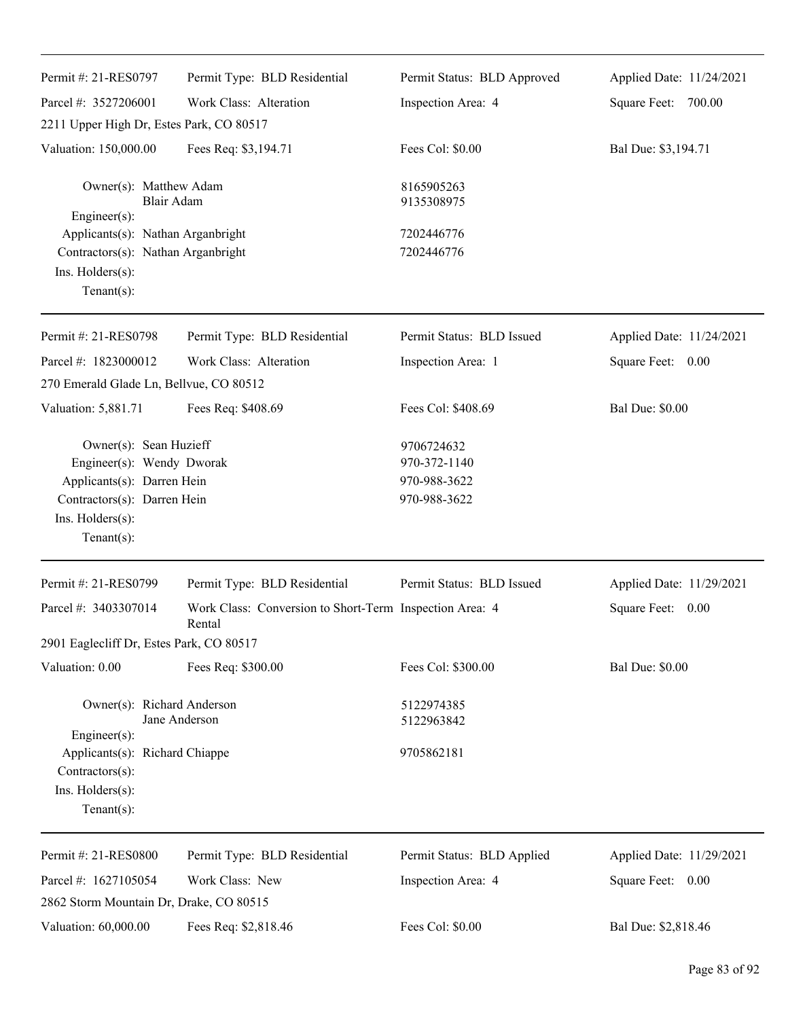| Permit #: 21-RES0797                                                                                                                                  | Permit Type: BLD Residential                                      | Permit Status: BLD Approved                                | Applied Date: 11/24/2021 |
|-------------------------------------------------------------------------------------------------------------------------------------------------------|-------------------------------------------------------------------|------------------------------------------------------------|--------------------------|
| Parcel #: 3527206001                                                                                                                                  | Work Class: Alteration                                            | Inspection Area: 4                                         | Square Feet: 700.00      |
| 2211 Upper High Dr, Estes Park, CO 80517                                                                                                              |                                                                   |                                                            |                          |
| Valuation: 150,000.00                                                                                                                                 | Fees Req: \$3,194.71                                              | Fees Col: \$0.00                                           | Bal Due: \$3,194.71      |
| Owner(s): Matthew Adam<br>Blair Adam<br>$Engineering(s)$ :                                                                                            |                                                                   | 8165905263<br>9135308975                                   |                          |
| Applicants(s): Nathan Arganbright<br>Contractors(s): Nathan Arganbright<br>Ins. Holders(s):<br>Tenant $(s)$ :                                         |                                                                   | 7202446776<br>7202446776                                   |                          |
| Permit #: 21-RES0798                                                                                                                                  | Permit Type: BLD Residential                                      | Permit Status: BLD Issued                                  | Applied Date: 11/24/2021 |
| Parcel #: 1823000012                                                                                                                                  | Work Class: Alteration                                            | Inspection Area: 1                                         | Square Feet: 0.00        |
| 270 Emerald Glade Ln, Bellvue, CO 80512                                                                                                               |                                                                   |                                                            |                          |
| Valuation: 5,881.71                                                                                                                                   | Fees Req: \$408.69                                                | Fees Col: \$408.69                                         | <b>Bal Due: \$0.00</b>   |
| Owner(s): Sean Huzieff<br>Engineer(s): Wendy Dworak<br>Applicants(s): Darren Hein<br>Contractors(s): Darren Hein<br>Ins. Holders(s):<br>$Tenant(s)$ : |                                                                   | 9706724632<br>970-372-1140<br>970-988-3622<br>970-988-3622 |                          |
| Permit #: 21-RES0799                                                                                                                                  | Permit Type: BLD Residential                                      | Permit Status: BLD Issued                                  | Applied Date: 11/29/2021 |
| Parcel #: 3403307014                                                                                                                                  | Work Class: Conversion to Short-Term Inspection Area: 4<br>Rental |                                                            | Square Feet: 0.00        |
| 2901 Eaglecliff Dr, Estes Park, CO 80517                                                                                                              |                                                                   |                                                            |                          |
| Valuation: 0.00                                                                                                                                       | Fees Req: \$300.00                                                | Fees Col: \$300.00                                         | <b>Bal Due: \$0.00</b>   |
| Owner(s): Richard Anderson<br>Jane Anderson<br>Engineer(s):                                                                                           |                                                                   | 5122974385<br>5122963842                                   |                          |
| Applicants(s): Richard Chiappe<br>Contractors(s):<br>Ins. Holders(s):<br>Tenant $(s)$ :                                                               |                                                                   | 9705862181                                                 |                          |
| Permit #: 21-RES0800                                                                                                                                  | Permit Type: BLD Residential                                      | Permit Status: BLD Applied                                 | Applied Date: 11/29/2021 |
| Parcel #: 1627105054                                                                                                                                  | Work Class: New                                                   | Inspection Area: 4                                         | Square Feet: 0.00        |
| 2862 Storm Mountain Dr, Drake, CO 80515                                                                                                               |                                                                   |                                                            |                          |
| Valuation: 60,000.00                                                                                                                                  | Fees Req: \$2,818.46                                              | Fees Col: \$0.00                                           | Bal Due: \$2,818.46      |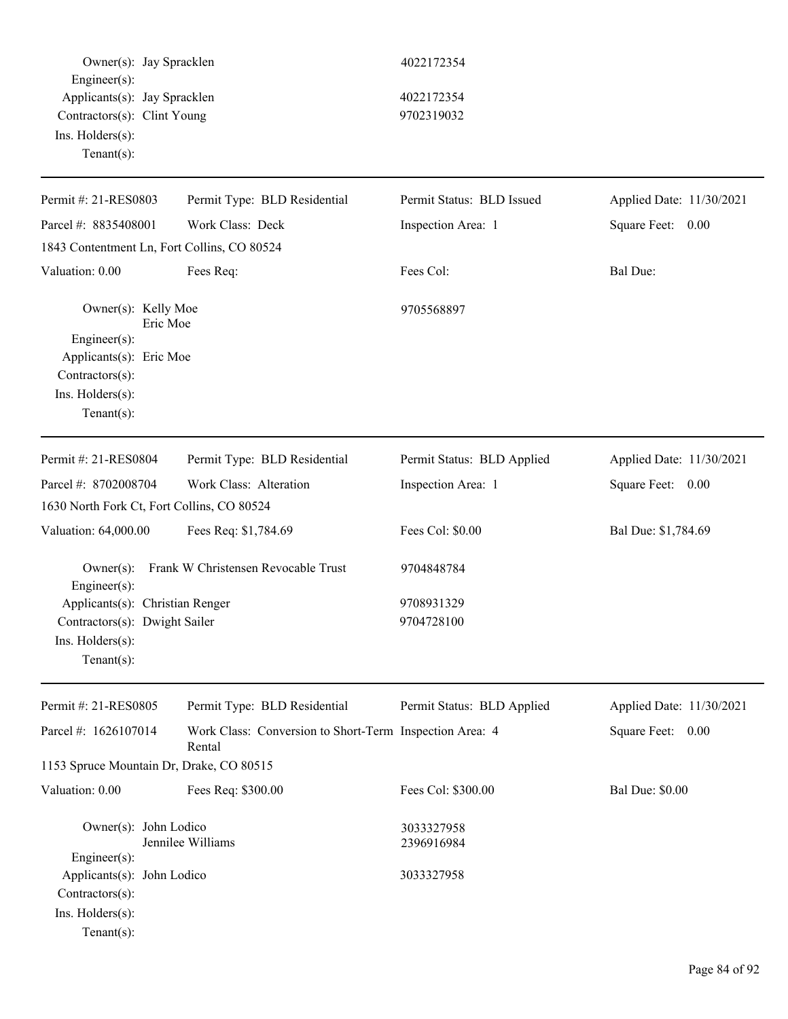Owner(s): Jay Spracklen 4022172354 Engineer(s): Applicants(s): Jay Spracklen 4022172354 Contractors(s): Clint Young 9702319032 Ins. Holders(s): Tenant(s): Permit #: 21-RES0803 Parcel #: 8835408001 Permit Type: BLD Residential Work Class: Deck Permit Status: BLD Issued Inspection Area: 1 Applied Date: 11/30/2021 Square Feet: 0.00 1843 Contentment Ln, Fort Collins, CO 80524 Valuation: 0.00 Fees Req: Fees Col: Fees Col: Bal Due: Owner(s): Kelly Moe 9705568897 Eric Moe Engineer(s): Applicants(s): Eric Moe Contractors(s): Ins. Holders(s): Tenant(s): Permit #: 21-RES0804 Parcel #: 8702008704 Permit Type: BLD Residential Work Class: Alteration Permit Status: BLD Applied Inspection Area: 1 Applied Date: 11/30/2021 Square Feet: 0.00 1630 North Fork Ct, Fort Collins, CO 80524 Valuation: 64,000.00 Fees Req: \$1,784.69 Fees Col: \$0.00 Bal Due: \$1,784.69 Owner(s): Frank W Christensen Revocable Trust 9704848784 Engineer(s): Applicants(s): Christian Renger 9708931329 Contractors(s): Dwight Sailer 9704728100 Ins. Holders(s): Tenant(s): Permit #: 21-RES0805 Parcel #: 1626107014 Permit Type: BLD Residential Work Class: Conversion to Short-Term Inspection Area: 4 Rental Permit Status: BLD Applied Applied Date: 11/30/2021 Square Feet: 0.00 1153 Spruce Mountain Dr, Drake, CO 80515 Valuation: 0.00 Fees Req: \$300.00 Fees Col: \$300.00 Bal Due: \$0.00 Owner(s): John Lodico 3033327958 Jennilee Williams 2396916984 Engineer(s): Applicants(s): John Lodico 3033327958 Contractors(s): Ins. Holders(s): Tenant(s):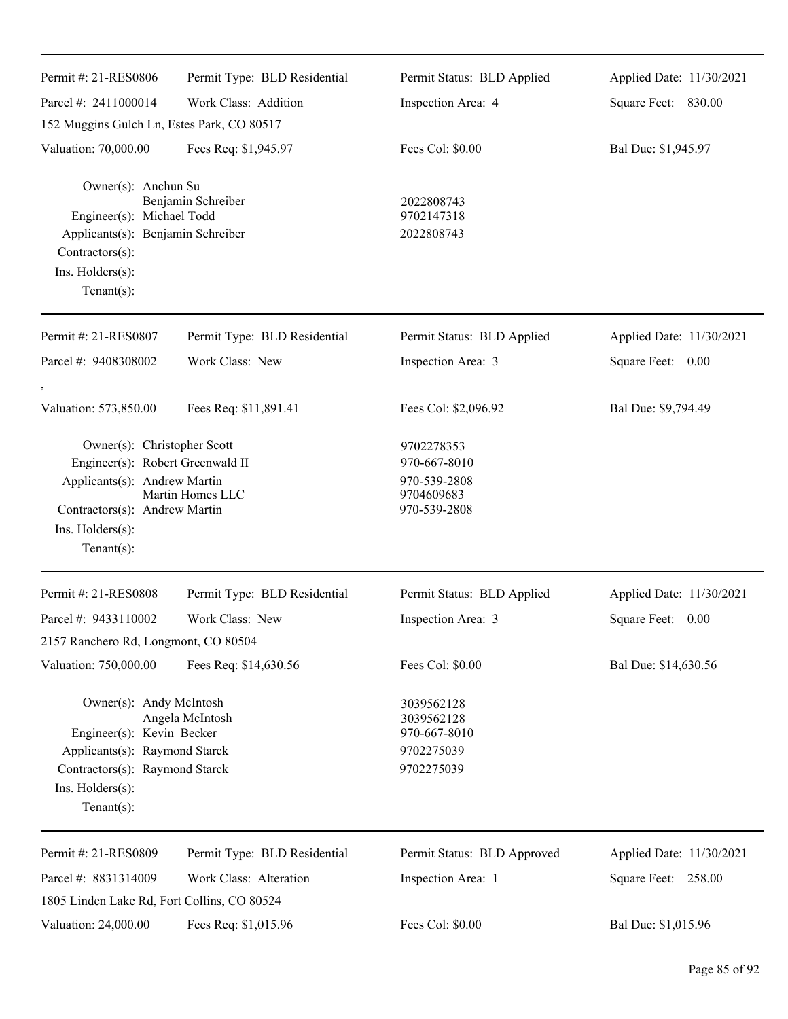| Permit #: 21-RES0806                                                                                                                                                   | Permit Type: BLD Residential | Permit Status: BLD Applied                                               | Applied Date: 11/30/2021 |
|------------------------------------------------------------------------------------------------------------------------------------------------------------------------|------------------------------|--------------------------------------------------------------------------|--------------------------|
| Parcel #: 2411000014                                                                                                                                                   | Work Class: Addition         | Inspection Area: 4                                                       | Square Feet: 830.00      |
| 152 Muggins Gulch Ln, Estes Park, CO 80517                                                                                                                             |                              |                                                                          |                          |
| Valuation: 70,000.00                                                                                                                                                   | Fees Req: \$1,945.97         | Fees Col: \$0.00                                                         | Bal Due: \$1,945.97      |
| Owner(s): Anchun Su<br>Engineer(s): Michael Todd<br>Applicants(s): Benjamin Schreiber<br>$Contractors(s)$ :<br>Ins. Holders(s):<br>Tenant $(s)$ :                      | Benjamin Schreiber           | 2022808743<br>9702147318<br>2022808743                                   |                          |
| Permit #: 21-RES0807                                                                                                                                                   | Permit Type: BLD Residential | Permit Status: BLD Applied                                               | Applied Date: 11/30/2021 |
| Parcel #: 9408308002<br>$^\circ$                                                                                                                                       | Work Class: New              | Inspection Area: 3                                                       | Square Feet: 0.00        |
| Valuation: 573,850.00                                                                                                                                                  | Fees Req: \$11,891.41        | Fees Col: \$2,096.92                                                     | Bal Due: \$9,794.49      |
| Owner(s): Christopher Scott<br>Engineer(s): Robert Greenwald II<br>Applicants(s): Andrew Martin<br>Contractors(s): Andrew Martin<br>Ins. Holders(s):<br>Tenant $(s)$ : | Martin Homes LLC             | 9702278353<br>970-667-8010<br>970-539-2808<br>9704609683<br>970-539-2808 |                          |
| Permit #: 21-RES0808                                                                                                                                                   | Permit Type: BLD Residential | Permit Status: BLD Applied                                               | Applied Date: 11/30/2021 |
| Parcel #: 9433110002                                                                                                                                                   | Work Class: New              | Inspection Area: 3                                                       | Square Feet: 0.00        |
| 2157 Ranchero Rd, Longmont, CO 80504                                                                                                                                   |                              |                                                                          |                          |
| Valuation: 750,000.00                                                                                                                                                  | Fees Req: \$14,630.56        | Fees Col: \$0.00                                                         | Bal Due: \$14,630.56     |
| Owner(s): Andy McIntosh<br>Engineer(s): Kevin Becker<br>Applicants(s): Raymond Starck<br>Contractors(s): Raymond Starck<br>Ins. Holders(s):<br>Tenant $(s)$ :          | Angela McIntosh              | 3039562128<br>3039562128<br>970-667-8010<br>9702275039<br>9702275039     |                          |
| Permit #: 21-RES0809                                                                                                                                                   | Permit Type: BLD Residential | Permit Status: BLD Approved                                              | Applied Date: 11/30/2021 |
| Parcel #: 8831314009                                                                                                                                                   | Work Class: Alteration       | Inspection Area: 1                                                       | Square Feet: 258.00      |
| 1805 Linden Lake Rd, Fort Collins, CO 80524<br>Valuation: 24,000.00                                                                                                    | Fees Req: \$1,015.96         | Fees Col: \$0.00                                                         | Bal Due: \$1,015.96      |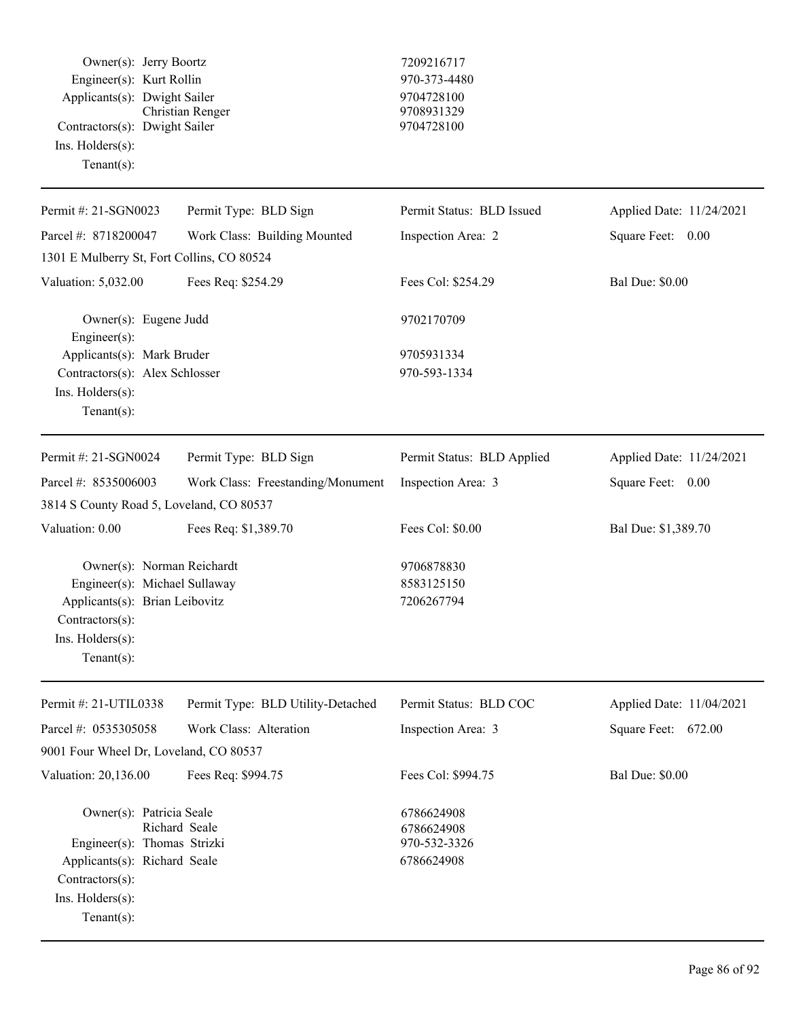Owner(s): Jerry Boortz 7209216717 Engineer(s): Kurt Rollin 970-373-4480 Applicants(s): Dwight Sailer 9704728100<br>Christian Renger 9708931329 Christian Renger 9708931329 Contractors(s): Dwight Sailer 9704728100 Ins. Holders(s): Tenant(s):

| Permit #: 21-SGN0023                                                                                                                                   | Permit Type: BLD Sign             | Permit Status: BLD Issued                              | Applied Date: 11/24/2021 |
|--------------------------------------------------------------------------------------------------------------------------------------------------------|-----------------------------------|--------------------------------------------------------|--------------------------|
| Parcel #: 8718200047                                                                                                                                   | Work Class: Building Mounted      | Inspection Area: 2                                     | Square Feet: 0.00        |
| 1301 E Mulberry St, Fort Collins, CO 80524                                                                                                             |                                   |                                                        |                          |
| Valuation: 5,032.00                                                                                                                                    | Fees Req: \$254.29                | Fees Col: \$254.29                                     | <b>Bal Due: \$0.00</b>   |
| Owner(s): Eugene Judd<br>Engineer(s):                                                                                                                  |                                   | 9702170709                                             |                          |
| Applicants(s): Mark Bruder                                                                                                                             |                                   | 9705931334                                             |                          |
| Contractors(s): Alex Schlosser<br>Ins. Holders(s):<br>Tenant $(s)$ :                                                                                   |                                   | 970-593-1334                                           |                          |
| Permit #: 21-SGN0024                                                                                                                                   | Permit Type: BLD Sign             | Permit Status: BLD Applied                             | Applied Date: 11/24/2021 |
| Parcel #: 8535006003                                                                                                                                   | Work Class: Freestanding/Monument | Inspection Area: 3                                     | Square Feet: 0.00        |
| 3814 S County Road 5, Loveland, CO 80537                                                                                                               |                                   |                                                        |                          |
| Valuation: 0.00                                                                                                                                        | Fees Req: \$1,389.70              | Fees Col: \$0.00                                       | Bal Due: \$1,389.70      |
| Owner(s): Norman Reichardt<br>Engineer(s): Michael Sullaway<br>Applicants(s): Brian Leibovitz<br>Contractors(s):<br>Ins. Holders(s):<br>Tenant $(s)$ : |                                   | 9706878830<br>8583125150<br>7206267794                 |                          |
| Permit #: 21-UTIL0338                                                                                                                                  | Permit Type: BLD Utility-Detached | Permit Status: BLD COC                                 | Applied Date: 11/04/2021 |
| Parcel #: 0535305058                                                                                                                                   | Work Class: Alteration            | Inspection Area: 3                                     | Square Feet: 672.00      |
| 9001 Four Wheel Dr, Loveland, CO 80537                                                                                                                 |                                   |                                                        |                          |
| Valuation: 20,136.00                                                                                                                                   | Fees Req: \$994.75                | Fees Col: \$994.75                                     | <b>Bal Due: \$0.00</b>   |
| Owner(s): Patricia Seale<br>Engineer(s): Thomas Strizki<br>Applicants(s): Richard Seale<br>Contractors(s):<br>Ins. Holders(s):                         | Richard Seale                     | 6786624908<br>6786624908<br>970-532-3326<br>6786624908 |                          |
| Tenant $(s)$ :                                                                                                                                         |                                   |                                                        |                          |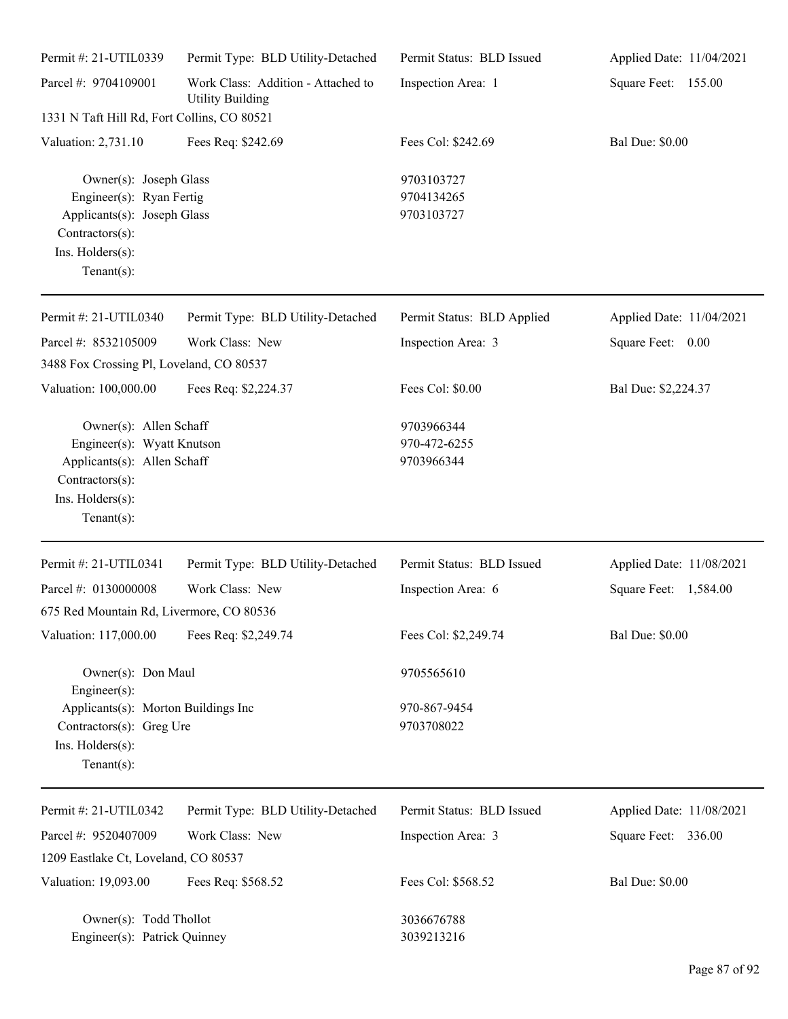| Permit #: 21-UTIL0339                                                                                                                       | Permit Type: BLD Utility-Detached                             | Permit Status: BLD Issued                | Applied Date: 11/04/2021 |
|---------------------------------------------------------------------------------------------------------------------------------------------|---------------------------------------------------------------|------------------------------------------|--------------------------|
| Parcel #: 9704109001                                                                                                                        | Work Class: Addition - Attached to<br><b>Utility Building</b> | Inspection Area: 1                       | Square Feet: 155.00      |
| 1331 N Taft Hill Rd, Fort Collins, CO 80521                                                                                                 |                                                               |                                          |                          |
| Valuation: 2,731.10                                                                                                                         | Fees Req: \$242.69                                            | Fees Col: \$242.69                       | <b>Bal Due: \$0.00</b>   |
| Owner(s): Joseph Glass<br>Engineer(s): Ryan Fertig<br>Applicants(s): Joseph Glass<br>Contractors(s):<br>Ins. Holders(s):<br>Tenant $(s)$ :  |                                                               | 9703103727<br>9704134265<br>9703103727   |                          |
| Permit #: 21-UTIL0340                                                                                                                       | Permit Type: BLD Utility-Detached                             | Permit Status: BLD Applied               | Applied Date: 11/04/2021 |
| Parcel #: 8532105009                                                                                                                        | Work Class: New                                               | Inspection Area: 3                       | Square Feet: 0.00        |
| 3488 Fox Crossing Pl, Loveland, CO 80537                                                                                                    |                                                               |                                          |                          |
| Valuation: 100,000.00                                                                                                                       | Fees Req: \$2,224.37                                          | Fees Col: \$0.00                         | Bal Due: \$2,224.37      |
| Owner(s): Allen Schaff<br>Engineer(s): Wyatt Knutson<br>Applicants(s): Allen Schaff<br>Contractors(s):<br>Ins. Holders(s):<br>$Tenant(s)$ : |                                                               | 9703966344<br>970-472-6255<br>9703966344 |                          |
| Permit #: 21-UTIL0341                                                                                                                       | Permit Type: BLD Utility-Detached                             | Permit Status: BLD Issued                | Applied Date: 11/08/2021 |
| Parcel #: 0130000008                                                                                                                        | Work Class: New                                               | Inspection Area: 6                       | Square Feet: 1,584.00    |
| 675 Red Mountain Rd, Livermore, CO 80536                                                                                                    |                                                               |                                          |                          |
| Valuation: 117,000.00                                                                                                                       | Fees Req: \$2,249.74                                          | Fees Col: \$2,249.74                     | <b>Bal Due: \$0.00</b>   |
| Owner(s): Don Maul                                                                                                                          |                                                               | 9705565610                               |                          |
| $Engineering(s)$ :<br>Applicants(s): Morton Buildings Inc<br>Contractors(s): Greg Ure<br>Ins. Holders(s):<br>$Tenant(s)$ :                  |                                                               | 970-867-9454<br>9703708022               |                          |
| Permit #: 21-UTIL0342                                                                                                                       | Permit Type: BLD Utility-Detached                             | Permit Status: BLD Issued                | Applied Date: 11/08/2021 |
| Parcel #: 9520407009                                                                                                                        | Work Class: New                                               | Inspection Area: 3                       | Square Feet: 336.00      |
| 1209 Eastlake Ct, Loveland, CO 80537                                                                                                        |                                                               |                                          |                          |
| Valuation: 19,093.00                                                                                                                        | Fees Req: \$568.52                                            | Fees Col: \$568.52                       | <b>Bal Due: \$0.00</b>   |
| Owner(s): Todd Thollot<br>Engineer(s): Patrick Quinney                                                                                      |                                                               | 3036676788<br>3039213216                 |                          |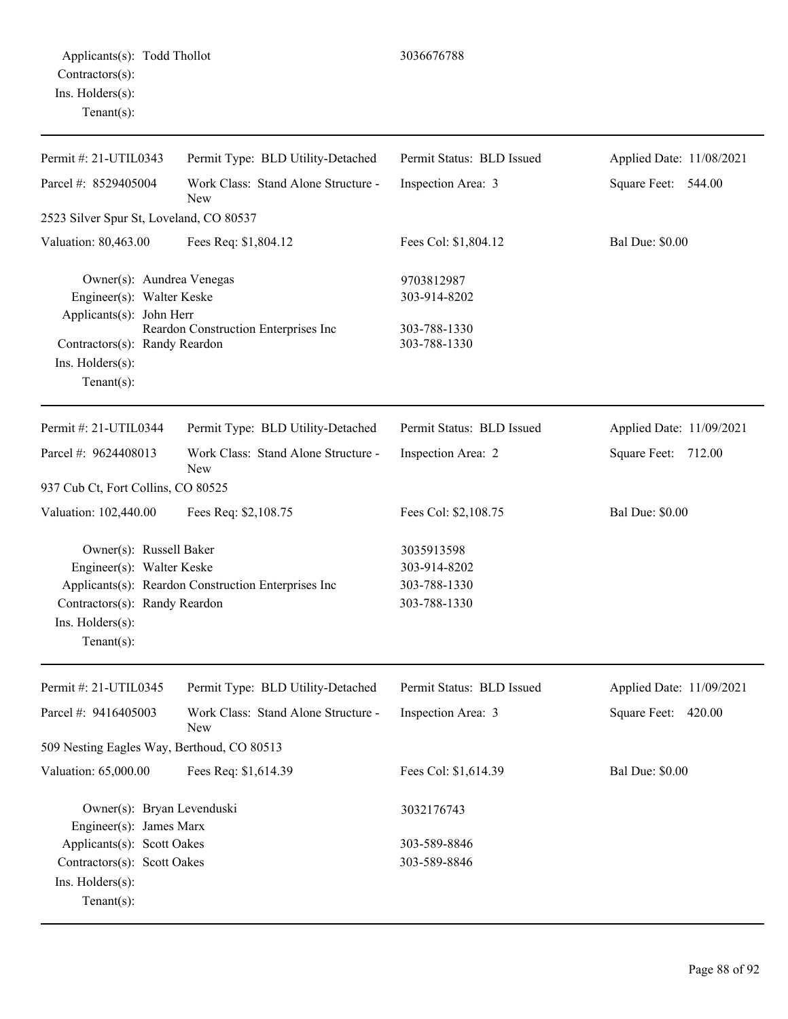| Permit #: 21-UTIL0343                                                                                                                                           | Permit Type: BLD Utility-Detached                   | Permit Status: BLD Issued                                  | Applied Date: 11/08/2021 |
|-----------------------------------------------------------------------------------------------------------------------------------------------------------------|-----------------------------------------------------|------------------------------------------------------------|--------------------------|
| Parcel #: 8529405004                                                                                                                                            | Work Class: Stand Alone Structure -<br><b>New</b>   | Inspection Area: 3                                         | Square Feet: 544.00      |
| 2523 Silver Spur St, Loveland, CO 80537                                                                                                                         |                                                     |                                                            |                          |
| Valuation: 80,463.00                                                                                                                                            | Fees Req: \$1,804.12                                | Fees Col: \$1,804.12                                       | <b>Bal Due: \$0.00</b>   |
| Owner(s): Aundrea Venegas<br>Engineer(s): Walter Keske<br>Applicants(s): John Herr<br>Contractors(s): Randy Reardon<br>$Ins.$ Holders $(s)$ :<br>Tenant $(s)$ : | Reardon Construction Enterprises Inc                | 9703812987<br>303-914-8202<br>303-788-1330<br>303-788-1330 |                          |
| Permit #: 21-UTIL0344                                                                                                                                           | Permit Type: BLD Utility-Detached                   | Permit Status: BLD Issued                                  | Applied Date: 11/09/2021 |
| Parcel #: 9624408013                                                                                                                                            | Work Class: Stand Alone Structure -<br>New          | Inspection Area: 2                                         | Square Feet: 712.00      |
| 937 Cub Ct, Fort Collins, CO 80525                                                                                                                              |                                                     |                                                            |                          |
| Valuation: 102,440.00                                                                                                                                           | Fees Req: \$2,108.75                                | Fees Col: \$2,108.75                                       | <b>Bal Due: \$0.00</b>   |
| Owner(s): Russell Baker<br>Engineer(s): Walter Keske<br>Contractors(s): Randy Reardon<br>Ins. Holders(s):<br>Tenant $(s)$ :                                     | Applicants(s): Reardon Construction Enterprises Inc | 3035913598<br>303-914-8202<br>303-788-1330<br>303-788-1330 |                          |
| Permit #: 21-UTIL0345                                                                                                                                           | Permit Type: BLD Utility-Detached                   | Permit Status: BLD Issued                                  | Applied Date: 11/09/2021 |
| Parcel #: 9416405003                                                                                                                                            | Work Class: Stand Alone Structure -<br>New          | Inspection Area: 3                                         | Square Feet: 420.00      |
| 509 Nesting Eagles Way, Berthoud, CO 80513                                                                                                                      |                                                     |                                                            |                          |
| Valuation: 65,000.00                                                                                                                                            | Fees Req: \$1,614.39                                | Fees Col: \$1,614.39                                       | <b>Bal Due: \$0.00</b>   |
| Owner(s): Bryan Levenduski<br>Engineer(s): James Marx                                                                                                           |                                                     | 3032176743                                                 |                          |
| Applicants(s): Scott Oakes                                                                                                                                      |                                                     | 303-589-8846                                               |                          |
| Contractors(s): Scott Oakes<br>Ins. Holders(s):<br>$Tenant(s)$ :                                                                                                |                                                     | 303-589-8846                                               |                          |
|                                                                                                                                                                 |                                                     |                                                            |                          |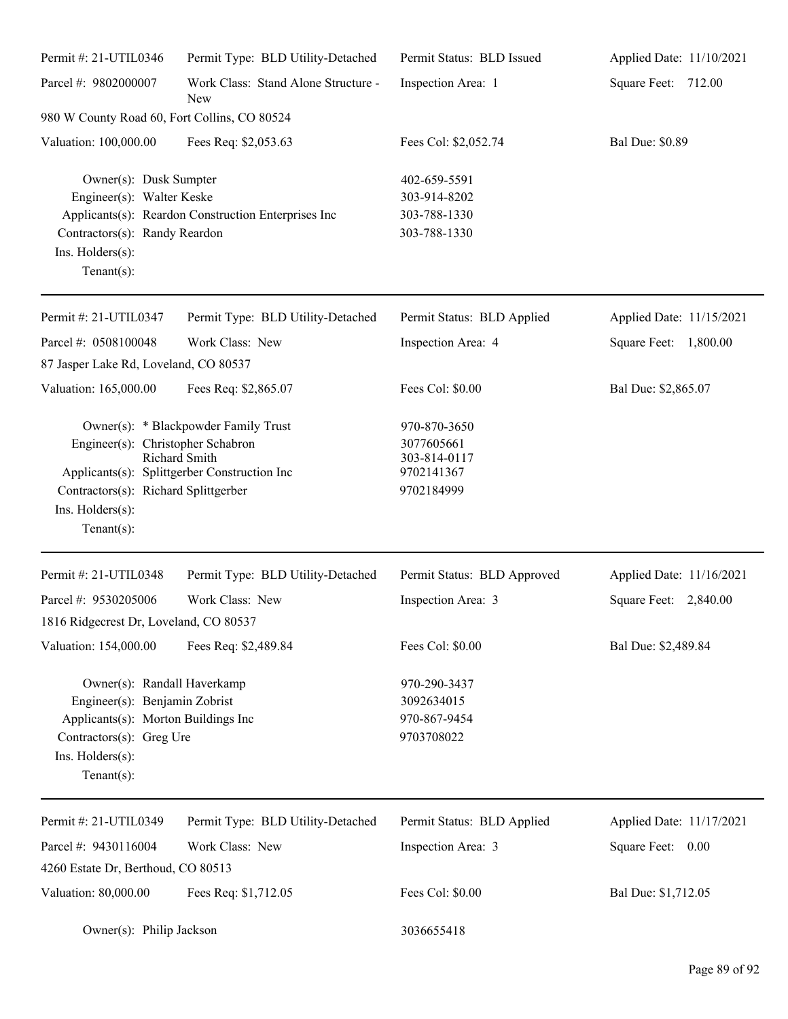| Permit #: 21-UTIL0346                                                                                                                                                                                                           | Permit Type: BLD Utility-Detached                   | Permit Status: BLD Issued                                              | Applied Date: 11/10/2021 |
|---------------------------------------------------------------------------------------------------------------------------------------------------------------------------------------------------------------------------------|-----------------------------------------------------|------------------------------------------------------------------------|--------------------------|
| Parcel #: 9802000007                                                                                                                                                                                                            | Work Class: Stand Alone Structure -<br>New          | Inspection Area: 1                                                     | Square Feet: 712.00      |
| 980 W County Road 60, Fort Collins, CO 80524                                                                                                                                                                                    |                                                     |                                                                        |                          |
| Valuation: 100,000.00                                                                                                                                                                                                           | Fees Req: \$2,053.63                                | Fees Col: \$2,052.74                                                   | <b>Bal Due: \$0.89</b>   |
| Owner(s): Dusk Sumpter<br>Engineer(s): Walter Keske<br>Contractors(s): Randy Reardon<br>Ins. Holders(s):<br>Tenant $(s)$ :                                                                                                      | Applicants(s): Reardon Construction Enterprises Inc | 402-659-5591<br>303-914-8202<br>303-788-1330<br>303-788-1330           |                          |
| Permit #: 21-UTIL0347                                                                                                                                                                                                           | Permit Type: BLD Utility-Detached                   | Permit Status: BLD Applied                                             | Applied Date: 11/15/2021 |
| Parcel #: 0508100048                                                                                                                                                                                                            | Work Class: New                                     | Inspection Area: 4                                                     | Square Feet: 1,800.00    |
| 87 Jasper Lake Rd, Loveland, CO 80537                                                                                                                                                                                           |                                                     |                                                                        |                          |
| Valuation: 165,000.00                                                                                                                                                                                                           | Fees Req: \$2,865.07                                | Fees Col: \$0.00                                                       | Bal Due: \$2,865.07      |
| Owner(s): * Blackpowder Family Trust<br>Engineer(s): Christopher Schabron<br><b>Richard Smith</b><br>Applicants(s): Splittgerber Construction Inc<br>Contractors(s): Richard Splittgerber<br>Ins. Holders(s):<br>Tenant $(s)$ : |                                                     | 970-870-3650<br>3077605661<br>303-814-0117<br>9702141367<br>9702184999 |                          |
| Permit #: 21-UTIL0348                                                                                                                                                                                                           | Permit Type: BLD Utility-Detached                   | Permit Status: BLD Approved                                            | Applied Date: 11/16/2021 |
| Parcel #: 9530205006                                                                                                                                                                                                            | Work Class: New                                     | Inspection Area: 3                                                     | Square Feet: 2,840.00    |
| 1816 Ridgecrest Dr, Loveland, CO 80537                                                                                                                                                                                          |                                                     |                                                                        |                          |
| Valuation: 154,000.00                                                                                                                                                                                                           | Fees Req: \$2,489.84                                | Fees Col: \$0.00                                                       | Bal Due: \$2,489.84      |
| Owner(s): Randall Haverkamp<br>Engineer(s): Benjamin Zobrist<br>Applicants(s): Morton Buildings Inc<br>Contractors(s): Greg Ure<br>Ins. Holders(s):<br>Tenant $(s)$ :                                                           |                                                     | 970-290-3437<br>3092634015<br>970-867-9454<br>9703708022               |                          |
| Permit #: 21-UTIL0349                                                                                                                                                                                                           | Permit Type: BLD Utility-Detached                   | Permit Status: BLD Applied                                             | Applied Date: 11/17/2021 |
| Parcel #: 9430116004                                                                                                                                                                                                            | Work Class: New                                     | Inspection Area: 3                                                     | Square Feet: 0.00        |
| 4260 Estate Dr, Berthoud, CO 80513                                                                                                                                                                                              |                                                     |                                                                        |                          |
| Valuation: 80,000.00                                                                                                                                                                                                            | Fees Req: \$1,712.05                                | Fees Col: \$0.00                                                       | Bal Due: \$1,712.05      |
| Owner(s): Philip Jackson                                                                                                                                                                                                        |                                                     | 3036655418                                                             |                          |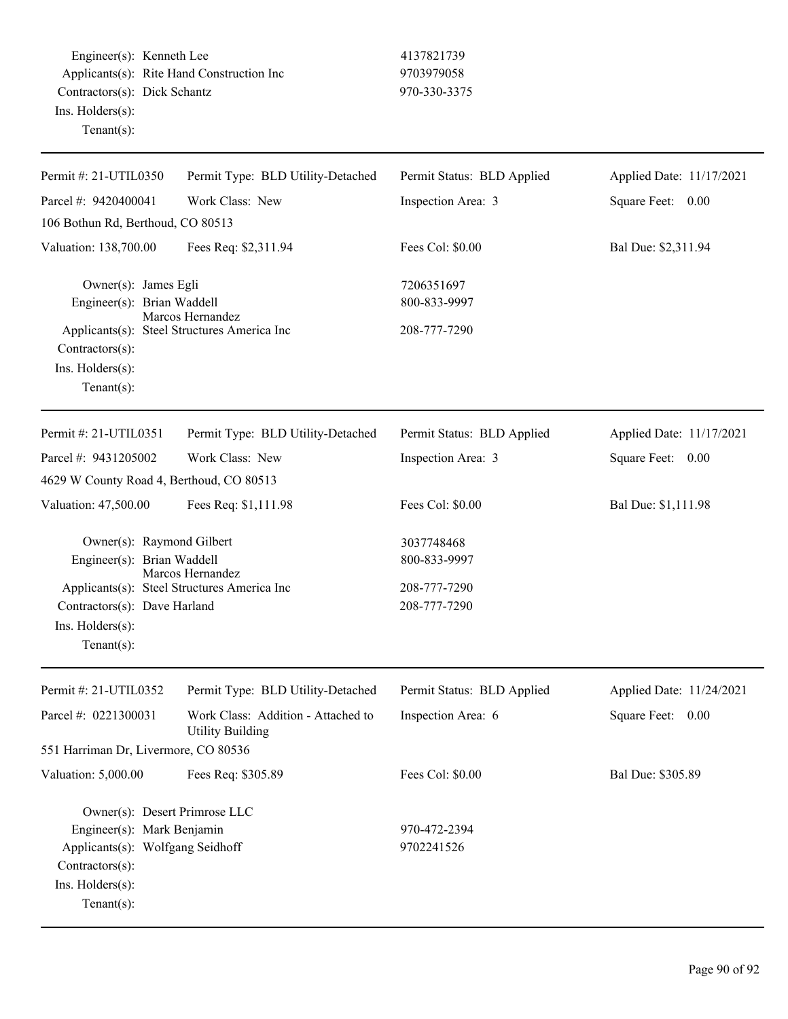Engineer(s): Kenneth Lee 4137821739 Applicants(s): Rite Hand Construction Inc 9703979058 Contractors(s): Dick Schantz 970-330-3375 Ins. Holders(s): Tenant(s):

| Permit #: 21-UTIL0350                                                                                                                                       | Permit Type: BLD Utility-Detached                               | Permit Status: BLD Applied                                 | Applied Date: 11/17/2021 |
|-------------------------------------------------------------------------------------------------------------------------------------------------------------|-----------------------------------------------------------------|------------------------------------------------------------|--------------------------|
| Parcel #: 9420400041                                                                                                                                        | Work Class: New                                                 | Inspection Area: 3                                         | Square Feet: 0.00        |
| 106 Bothun Rd, Berthoud, CO 80513                                                                                                                           |                                                                 |                                                            |                          |
| Valuation: 138,700.00                                                                                                                                       | Fees Req: \$2,311.94                                            | Fees Col: \$0.00                                           | Bal Due: \$2,311.94      |
| Owner(s): James Egli<br>Engineer(s): Brian Waddell<br>Contractors(s):<br>Ins. $H$ olders $(s)$ :<br>Tenant $(s)$ :                                          | Marcos Hernandez<br>Applicants(s): Steel Structures America Inc | 7206351697<br>800-833-9997<br>208-777-7290                 |                          |
| Permit #: 21-UTIL0351                                                                                                                                       | Permit Type: BLD Utility-Detached                               | Permit Status: BLD Applied                                 | Applied Date: 11/17/2021 |
| Parcel #: 9431205002                                                                                                                                        | Work Class: New                                                 | Inspection Area: 3                                         | Square Feet: 0.00        |
| 4629 W County Road 4, Berthoud, CO 80513                                                                                                                    |                                                                 |                                                            |                          |
| Valuation: 47,500.00                                                                                                                                        | Fees Req: \$1,111.98                                            | Fees Col: \$0.00                                           | Bal Due: \$1,111.98      |
| Owner(s): Raymond Gilbert<br>Engineer(s): Brian Waddell<br>Contractors(s): Dave Harland<br>Ins. Holders(s):<br>$Tenant(s)$ :                                | Marcos Hernandez<br>Applicants(s): Steel Structures America Inc | 3037748468<br>800-833-9997<br>208-777-7290<br>208-777-7290 |                          |
| Permit #: 21-UTIL0352                                                                                                                                       | Permit Type: BLD Utility-Detached                               | Permit Status: BLD Applied                                 | Applied Date: 11/24/2021 |
| Parcel #: 0221300031                                                                                                                                        | Work Class: Addition - Attached to<br><b>Utility Building</b>   | Inspection Area: 6                                         | Square Feet: 0.00        |
| 551 Harriman Dr, Livermore, CO 80536                                                                                                                        |                                                                 |                                                            |                          |
| Valuation: 5,000.00                                                                                                                                         | Fees Req: \$305.89                                              | Fees Col: \$0.00                                           | Bal Due: \$305.89        |
| Owner(s): Desert Primrose LLC<br>Engineer(s): Mark Benjamin<br>Applicants(s): Wolfgang Seidhoff<br>$Contractors(s)$ :<br>Ins. Holders(s):<br>Tenant $(s)$ : |                                                                 | 970-472-2394<br>9702241526                                 |                          |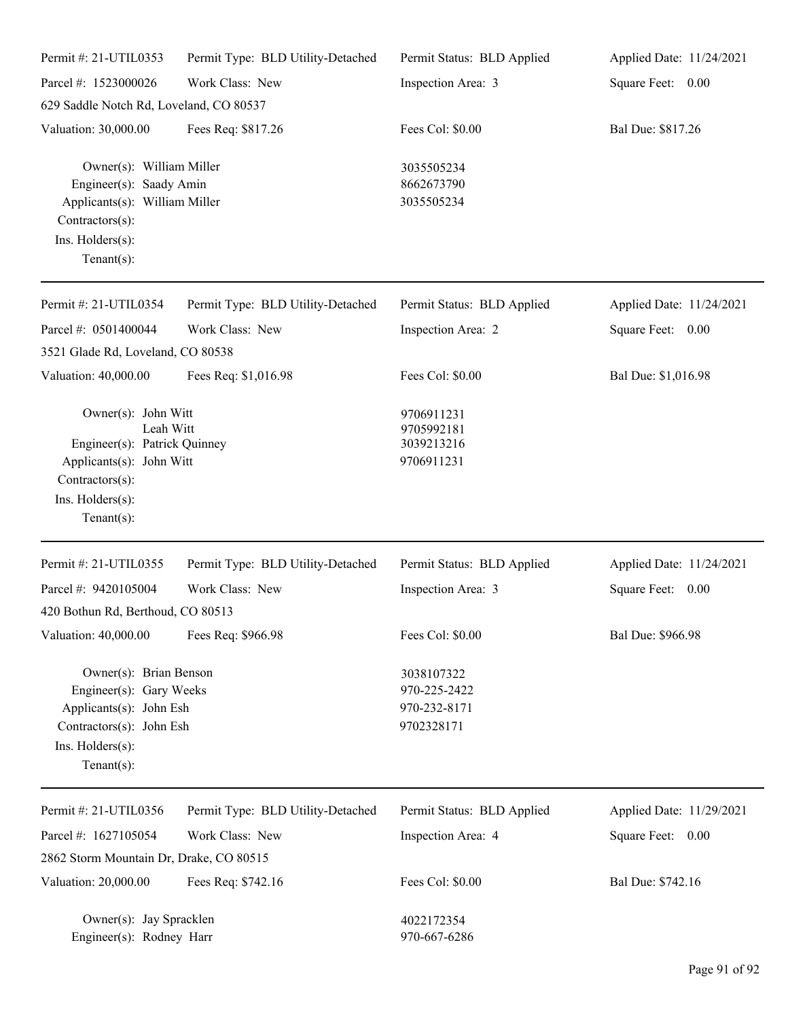| Permit #: 21-UTIL0353                                                                                                                                | Permit Type: BLD Utility-Detached | Permit Status: BLD Applied                               | Applied Date: 11/24/2021 |
|------------------------------------------------------------------------------------------------------------------------------------------------------|-----------------------------------|----------------------------------------------------------|--------------------------|
| Parcel #: 1523000026                                                                                                                                 | Work Class: New                   | Inspection Area: 3                                       | Square Feet: 0.00        |
| 629 Saddle Notch Rd, Loveland, CO 80537                                                                                                              |                                   |                                                          |                          |
| Valuation: 30,000.00                                                                                                                                 | Fees Req: \$817.26                | Fees Col: \$0.00                                         | Bal Due: \$817.26        |
| Owner(s): William Miller<br>Engineer(s): Saady Amin<br>Applicants(s): William Miller<br>$Contractors(s)$ :<br>Ins. Holders(s):<br>$Tenant(s)$ :      |                                   | 3035505234<br>8662673790<br>3035505234                   |                          |
| Permit #: 21-UTIL0354                                                                                                                                | Permit Type: BLD Utility-Detached | Permit Status: BLD Applied                               | Applied Date: 11/24/2021 |
| Parcel #: 0501400044                                                                                                                                 | Work Class: New                   | Inspection Area: 2                                       | Square Feet: 0.00        |
| 3521 Glade Rd, Loveland, CO 80538                                                                                                                    |                                   |                                                          |                          |
| Valuation: 40,000.00                                                                                                                                 | Fees Req: \$1,016.98              | Fees Col: \$0.00                                         | Bal Due: \$1,016.98      |
| Owner(s): John Witt<br>Leah Witt<br>Engineer(s): Patrick Quinney<br>Applicants(s): John Witt<br>Contractors(s):<br>Ins. Holders(s):<br>$Tenant(s)$ : |                                   | 9706911231<br>9705992181<br>3039213216<br>9706911231     |                          |
| Permit #: 21-UTIL0355                                                                                                                                | Permit Type: BLD Utility-Detached | Permit Status: BLD Applied                               | Applied Date: 11/24/2021 |
| Parcel #: 9420105004                                                                                                                                 | Work Class: New                   | Inspection Area: 3                                       | Square Feet: 0.00        |
| 420 Bothun Rd, Berthoud, CO 80513                                                                                                                    |                                   |                                                          |                          |
| Valuation: 40,000.00                                                                                                                                 | Fees Req: \$966.98                | Fees Col: \$0.00                                         | Bal Due: \$966.98        |
| Owner(s): Brian Benson<br>Engineer(s): Gary Weeks<br>Applicants(s): John Esh<br>Contractors(s): John Esh<br>Ins. Holders(s):<br>$Tenant(s)$ :        |                                   | 3038107322<br>970-225-2422<br>970-232-8171<br>9702328171 |                          |
| Permit #: 21-UTIL0356                                                                                                                                | Permit Type: BLD Utility-Detached | Permit Status: BLD Applied                               | Applied Date: 11/29/2021 |
| Parcel #: 1627105054                                                                                                                                 | Work Class: New                   | Inspection Area: 4                                       | Square Feet: 0.00        |
| 2862 Storm Mountain Dr, Drake, CO 80515                                                                                                              |                                   |                                                          |                          |
| Valuation: 20,000.00                                                                                                                                 | Fees Req: \$742.16                | Fees Col: \$0.00                                         | Bal Due: \$742.16        |
| Owner(s): Jay Spracklen<br>Engineer(s): Rodney Harr                                                                                                  |                                   | 4022172354<br>970-667-6286                               |                          |